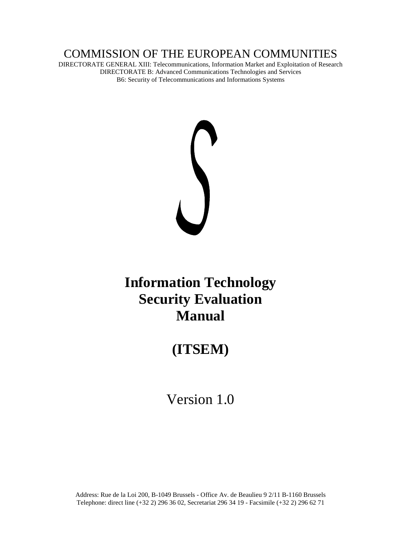### COMMISSION OF THE EUROPEAN COMMUNITIES

DIRECTORATE GENERAL XIII: Telecommunications, Information Market and Exploitation of Research DIRECTORATE B: Advanced Communications Technologies and Services B6: Security of Telecommunications and Informations Systems



# **Information Technology Security Evaluation Manual**

**(ITSEM)**

Version 1.0

Address: Rue de la Loi 200, B-1049 Brussels - Office Av. de Beaulieu 9 2/11 B-1160 Brussels Telephone: direct line (+32 2) 296 36 02, Secretariat 296 34 19 - Facsimile (+32 2) 296 62 71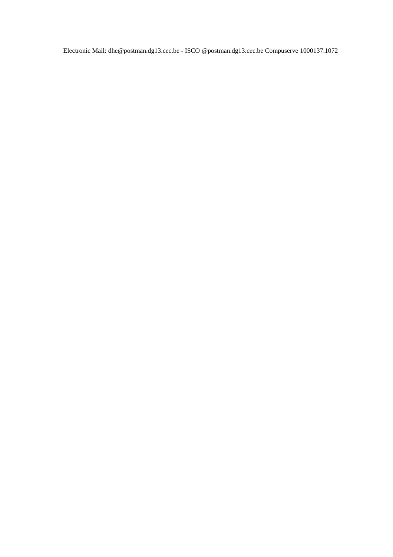Electronic Mail: dhe@postman.dg13.cec.be - ISCO @postman.dg13.cec.be Compuserve 1000137.1072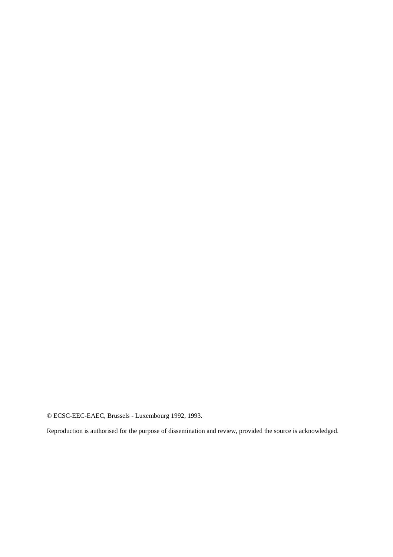© ECSC-EEC-EAEC, Brussels - Luxembourg 1992, 1993.

Reproduction is authorised for the purpose of dissemination and review, provided the source is acknowledged.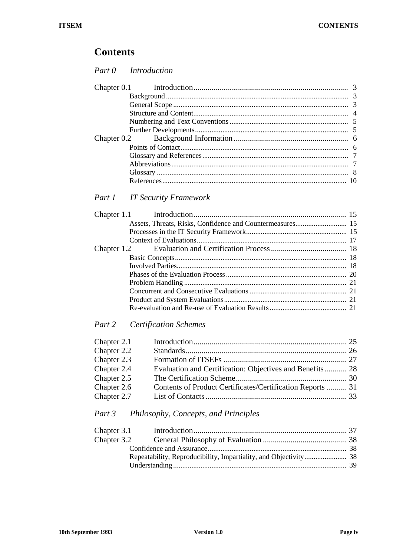### **Contents**

### *Part 0 Introduction*

### *Part 1 IT Security Framework*

## *Part 2 Certification Schemes*

| Chapter 2.1 |                                                            |  |
|-------------|------------------------------------------------------------|--|
| Chapter 2.2 |                                                            |  |
| Chapter 2.3 |                                                            |  |
| Chapter 2.4 | Evaluation and Certification: Objectives and Benefits 28   |  |
| Chapter 2.5 |                                                            |  |
| Chapter 2.6 | Contents of Product Certificates/Certification Reports  31 |  |
| Chapter 2.7 |                                                            |  |

### *Part 3 Philosophy, Concepts, and Principles*

| Chapter 3.1 |  |
|-------------|--|
|             |  |
|             |  |
|             |  |
|             |  |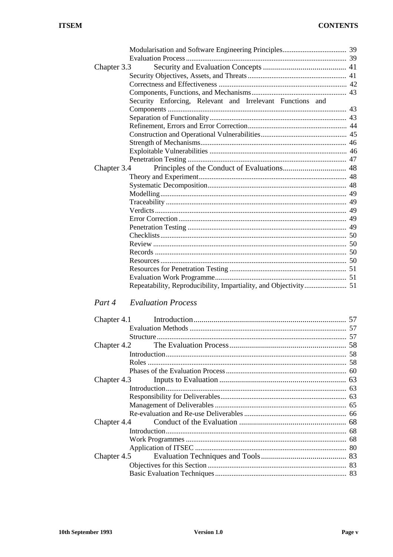| Chapter 3.3 |                                                           |  |
|-------------|-----------------------------------------------------------|--|
|             |                                                           |  |
|             |                                                           |  |
|             |                                                           |  |
|             | Security Enforcing, Relevant and Irrelevant Functions and |  |
|             |                                                           |  |
|             |                                                           |  |
|             |                                                           |  |
|             |                                                           |  |
|             |                                                           |  |
|             |                                                           |  |
|             |                                                           |  |
| Chapter 3.4 |                                                           |  |
|             |                                                           |  |
|             |                                                           |  |
|             |                                                           |  |
|             |                                                           |  |
|             |                                                           |  |
|             |                                                           |  |
|             |                                                           |  |
|             |                                                           |  |
|             |                                                           |  |
|             |                                                           |  |
|             |                                                           |  |
|             |                                                           |  |
|             |                                                           |  |
|             |                                                           |  |
|             |                                                           |  |
| Part 4      | <b>Evaluation Process</b>                                 |  |
|             |                                                           |  |
| Chapter 4.1 |                                                           |  |
|             |                                                           |  |
|             |                                                           |  |
| Chapter 4.2 |                                                           |  |
|             |                                                           |  |
|             |                                                           |  |
|             |                                                           |  |
| Chapter 4.3 |                                                           |  |
|             |                                                           |  |
|             |                                                           |  |
|             |                                                           |  |
|             |                                                           |  |
| Chapter 4.4 |                                                           |  |
|             |                                                           |  |
|             |                                                           |  |
|             | Application of ITSEC                                      |  |
|             |                                                           |  |
| Chapter 4.5 |                                                           |  |
|             |                                                           |  |
|             |                                                           |  |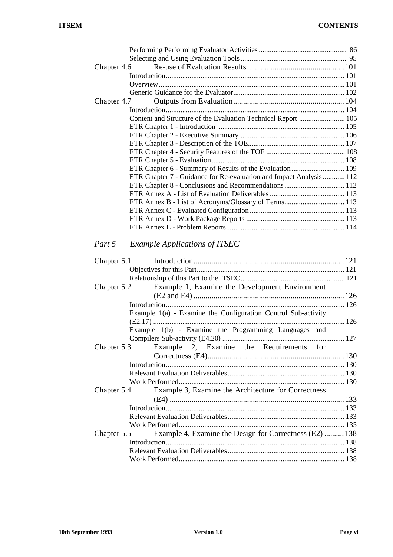| Chapter 4.6                                                            |  |
|------------------------------------------------------------------------|--|
|                                                                        |  |
|                                                                        |  |
|                                                                        |  |
| Chapter 4.7                                                            |  |
|                                                                        |  |
| Content and Structure of the Evaluation Technical Report  105          |  |
|                                                                        |  |
|                                                                        |  |
|                                                                        |  |
|                                                                        |  |
|                                                                        |  |
| ETR Chapter 6 - Summary of Results of the Evaluation  109              |  |
| ETR Chapter 7 - Guidance for Re-evaluation and Impact Analysis  112    |  |
| ETR Chapter 8 - Conclusions and Recommendations 112                    |  |
|                                                                        |  |
| ETR Annex B - List of Acronyms/Glossary of Terms 113                   |  |
|                                                                        |  |
|                                                                        |  |
|                                                                        |  |
| Part 5<br><b>Example Applications of ITSEC</b>                         |  |
|                                                                        |  |
| Chapter 5.1                                                            |  |
|                                                                        |  |
|                                                                        |  |
| Example 1, Examine the Development Environment<br>Chapter 5.2          |  |
|                                                                        |  |
|                                                                        |  |
| Example 1(a) - Examine the Configuration Control Sub-activity          |  |
|                                                                        |  |
| Example 1(b) - Examine the Programming Languages and                   |  |
|                                                                        |  |
| Chapter 5.3<br>Example 2, Examine the Requirements for                 |  |
|                                                                        |  |
|                                                                        |  |
|                                                                        |  |
|                                                                        |  |
| Example 3, Examine the Architecture for Correctness<br>Chapter 5.4     |  |
|                                                                        |  |
|                                                                        |  |
|                                                                        |  |
|                                                                        |  |
|                                                                        |  |
| Example 4, Examine the Design for Correctness (E2)  138<br>Chapter 5.5 |  |
|                                                                        |  |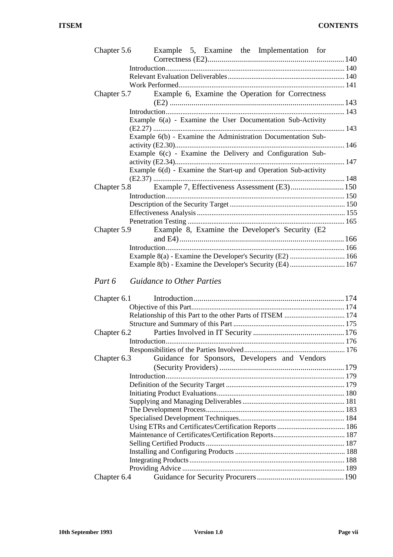| Chapter 5.6 | Example 5, Examine the Implementation for                      |  |
|-------------|----------------------------------------------------------------|--|
|             |                                                                |  |
|             |                                                                |  |
|             |                                                                |  |
|             |                                                                |  |
| Chapter 5.7 | Example 6, Examine the Operation for Correctness               |  |
|             |                                                                |  |
|             |                                                                |  |
|             | Example 6(a) - Examine the User Documentation Sub-Activity     |  |
|             | Example 6(b) - Examine the Administration Documentation Sub-   |  |
|             |                                                                |  |
|             | Example 6(c) - Examine the Delivery and Configuration Sub-     |  |
|             |                                                                |  |
|             | Example 6(d) - Examine the Start-up and Operation Sub-activity |  |
|             |                                                                |  |
| Chapter 5.8 |                                                                |  |
|             |                                                                |  |
|             |                                                                |  |
|             |                                                                |  |
|             |                                                                |  |
| Chapter 5.9 | Example 8, Examine the Developer's Security (E2                |  |
|             |                                                                |  |
|             |                                                                |  |
|             | Example 8(a) - Examine the Developer's Security (E2)  166      |  |
|             | Example 8(b) - Examine the Developer's Security (E4)  167      |  |
|             |                                                                |  |
| Part 6      | <b>Guidance to Other Parties</b>                               |  |
| Chapter 6.1 |                                                                |  |
|             |                                                                |  |
|             | Relationship of this Part to the other Parts of ITSEM  174     |  |
|             |                                                                |  |
| Chapter 6.2 |                                                                |  |
|             |                                                                |  |
|             |                                                                |  |
| Chapter 6.3 | Guidance for Sponsors, Developers and Vendors                  |  |
|             |                                                                |  |
|             |                                                                |  |
|             |                                                                |  |
|             |                                                                |  |
|             |                                                                |  |
|             |                                                                |  |
|             |                                                                |  |
|             |                                                                |  |
|             |                                                                |  |
|             |                                                                |  |
|             |                                                                |  |
|             |                                                                |  |
|             |                                                                |  |
|             |                                                                |  |
| Chapter 6.4 |                                                                |  |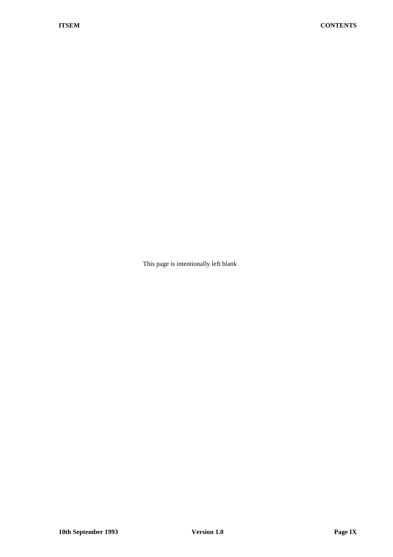This page is intentionally left blank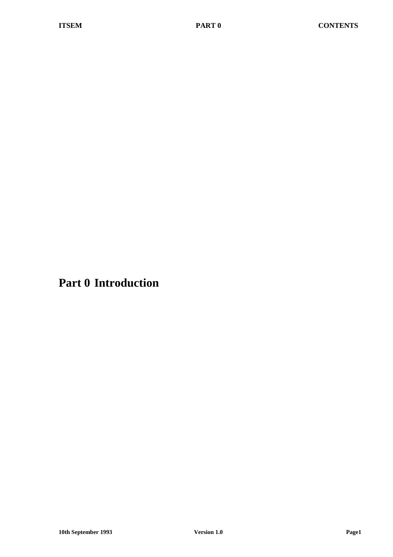**Part 0 Introduction**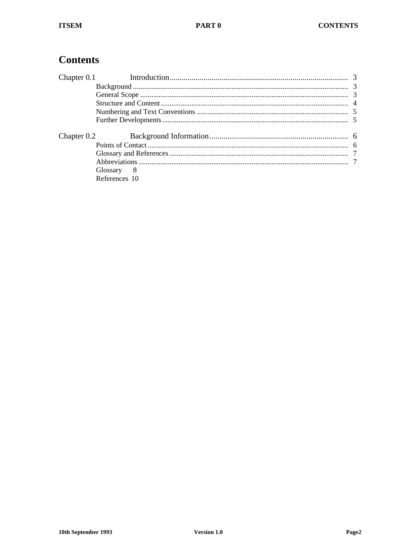## **Contents**

| Glossary 8    |  |
|---------------|--|
| References 10 |  |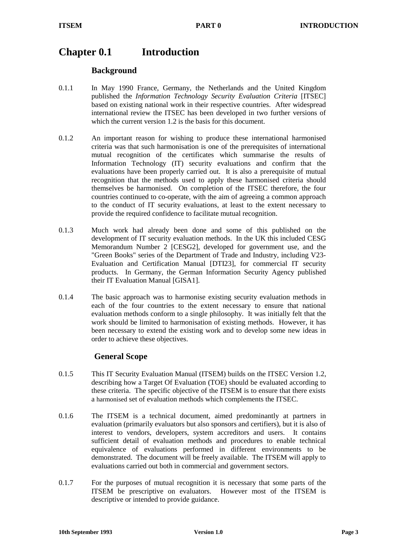### **Chapter 0.1 Introduction**

#### **Background**

- 0.1.1 In May 1990 France, Germany, the Netherlands and the United Kingdom published the *Information Technology Security Evaluation Criteria* [ITSEC] based on existing national work in their respective countries. After widespread international review the ITSEC has been developed in two further versions of which the current version 1.2 is the basis for this document.
- 0.1.2 An important reason for wishing to produce these international harmonised criteria was that such harmonisation is one of the prerequisites of international mutual recognition of the certificates which summarise the results of Information Technology (IT) security evaluations and confirm that the evaluations have been properly carried out. It is also a prerequisite of mutual recognition that the methods used to apply these harmonised criteria should themselves be harmonised. On completion of the ITSEC therefore, the four countries continued to co-operate, with the aim of agreeing a common approach to the conduct of IT security evaluations, at least to the extent necessary to provide the required confidence to facilitate mutual recognition.
- 0.1.3 Much work had already been done and some of this published on the development of IT security evaluation methods. In the UK this included CESG Memorandum Number 2 [CESG2], developed for government use, and the "Green Books" series of the Department of Trade and Industry, including V23- Evaluation and Certification Manual [DTI23], for commercial IT security products. In Germany, the German Information Security Agency published their IT Evaluation Manual [GISA1].
- 0.1.4 The basic approach was to harmonise existing security evaluation methods in each of the four countries to the extent necessary to ensure that national evaluation methods conform to a single philosophy. It was initially felt that the work should be limited to harmonisation of existing methods. However, it has been necessary to extend the existing work and to develop some new ideas in order to achieve these objectives.

### **General Scope**

- 0.1.5 This IT Security Evaluation Manual (ITSEM) builds on the ITSEC Version 1.2, describing how a Target Of Evaluation (TOE) should be evaluated according to these criteria. The specific objective of the ITSEM is to ensure that there exists a harmonised set of evaluation methods which complements the ITSEC.
- 0.1.6 The ITSEM is a technical document, aimed predominantly at partners in evaluation (primarily evaluators but also sponsors and certifiers), but it is also of interest to vendors, developers, system accreditors and users. It contains sufficient detail of evaluation methods and procedures to enable technical equivalence of evaluations performed in different environments to be demonstrated. The document will be freely available. The ITSEM will apply to evaluations carried out both in commercial and government sectors.
- 0.1.7 For the purposes of mutual recognition it is necessary that some parts of the ITSEM be prescriptive on evaluators. However most of the ITSEM is descriptive or intended to provide guidance.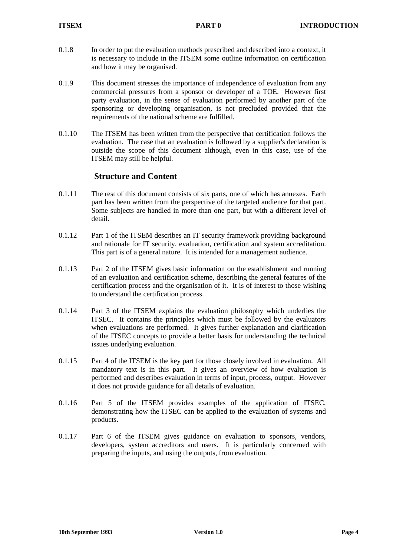- 0.1.8 In order to put the evaluation methods prescribed and described into a context, it is necessary to include in the ITSEM some outline information on certification and how it may be organised.
- 0.1.9 This document stresses the importance of independence of evaluation from any commercial pressures from a sponsor or developer of a TOE. However first party evaluation, in the sense of evaluation performed by another part of the sponsoring or developing organisation, is not precluded provided that the requirements of the national scheme are fulfilled.
- 0.1.10 The ITSEM has been written from the perspective that certification follows the evaluation. The case that an evaluation is followed by a supplier's declaration is outside the scope of this document although, even in this case, use of the ITSEM may still be helpful.

#### **Structure and Content**

- 0.1.11 The rest of this document consists of six parts, one of which has annexes. Each part has been written from the perspective of the targeted audience for that part. Some subjects are handled in more than one part, but with a different level of detail.
- 0.1.12 Part 1 of the ITSEM describes an IT security framework providing background and rationale for IT security, evaluation, certification and system accreditation. This part is of a general nature. It is intended for a management audience.
- 0.1.13 Part 2 of the ITSEM gives basic information on the establishment and running of an evaluation and certification scheme, describing the general features of the certification process and the organisation of it. It is of interest to those wishing to understand the certification process.
- 0.1.14 Part 3 of the ITSEM explains the evaluation philosophy which underlies the ITSEC. It contains the principles which must be followed by the evaluators when evaluations are performed. It gives further explanation and clarification of the ITSEC concepts to provide a better basis for understanding the technical issues underlying evaluation.
- 0.1.15 Part 4 of the ITSEM is the key part for those closely involved in evaluation. All mandatory text is in this part. It gives an overview of how evaluation is performed and describes evaluation in terms of input, process, output. However it does not provide guidance for all details of evaluation.
- 0.1.16 Part 5 of the ITSEM provides examples of the application of ITSEC, demonstrating how the ITSEC can be applied to the evaluation of systems and products.
- 0.1.17 Part 6 of the ITSEM gives guidance on evaluation to sponsors, vendors, developers, system accreditors and users. It is particularly concerned with preparing the inputs, and using the outputs, from evaluation.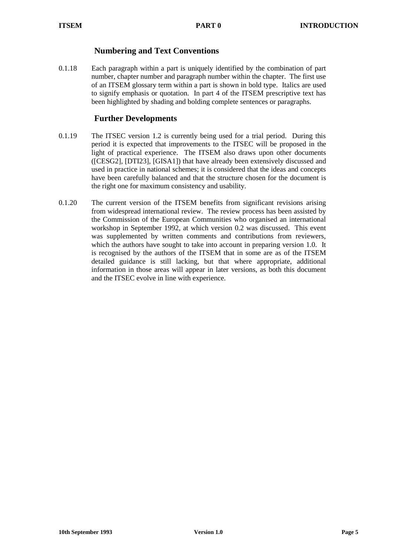### **Numbering and Text Conventions**

0.1.18 Each paragraph within a part is uniquely identified by the combination of part number, chapter number and paragraph number within the chapter. The first use of an ITSEM glossary term within a part is shown in bold type. Italics are used to signify emphasis or quotation. In part 4 of the ITSEM prescriptive text has been highlighted by shading and bolding complete sentences or paragraphs.

### **Further Developments**

- 0.1.19 The ITSEC version 1.2 is currently being used for a trial period. During this period it is expected that improvements to the ITSEC will be proposed in the light of practical experience. The ITSEM also draws upon other documents ([CESG2], [DTI23], [GISA1]) that have already been extensively discussed and used in practice in national schemes; it is considered that the ideas and concepts have been carefully balanced and that the structure chosen for the document is the right one for maximum consistency and usability.
- 0.1.20 The current version of the ITSEM benefits from significant revisions arising from widespread international review. The review process has been assisted by the Commission of the European Communities who organised an international workshop in September 1992, at which version 0.2 was discussed. This event was supplemented by written comments and contributions from reviewers, which the authors have sought to take into account in preparing version 1.0. It is recognised by the authors of the ITSEM that in some are as of the ITSEM detailed guidance is still lacking, but that where appropriate, additional information in those areas will appear in later versions, as both this document and the ITSEC evolve in line with experience.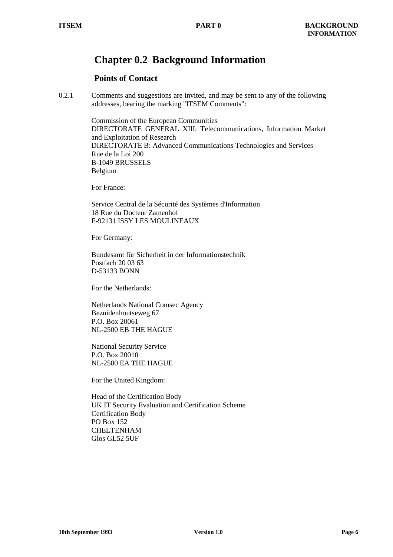## **Chapter 0.2 Background Information**

### **Points of Contact**

0.2.1 Comments and suggestions are invited, and may be sent to any of the following addresses, bearing the marking "ITSEM Comments":

> Commission of the European Communities DIRECTORATE GENERAL XIII: Telecommunications, Information Market and Exploitation of Research DIRECTORATE B: Advanced Communications Technologies and Services Rue de la Loi 200 B-1049 BRUSSELS Belgium

For France:

Service Central de la Sécurité des Systèmes d'Information 18 Rue du Docteur Zamenhof F-92131 ISSY LES MOULINEAUX

For Germany:

Bundesamt für Sicherheit in der Informationstechnik Postfach 20 03 63 D-53133 BONN

For the Netherlands:

Netherlands National Comsec Agency Bezuidenhoutseweg 67 P.O. Box 20061 NL-2500 EB THE HAGUE

National Security Service P.O. Box 20010 NL-2500 EA THE HAGUE

For the United Kingdom:

Head of the Certification Body UK IT Security Evaluation and Certification Scheme Certification Body PO Box 152 CHELTENHAM Glos GL52 5UF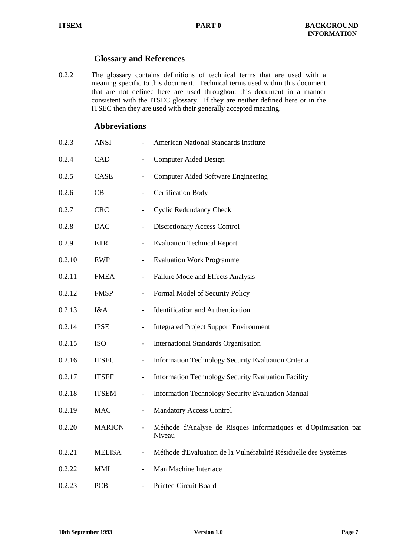### **Glossary and References**

0.2.2 The glossary contains definitions of technical terms that are used with a meaning specific to this document. Technical terms used within this document that are not defined here are used throughout this document in a manner consistent with the ITSEC glossary. If they are neither defined here or in the ITSEC then they are used with their generally accepted meaning.

### **Abbreviations**

| 0.2.3  | ANSI          |                          | American National Standards Institute                                      |
|--------|---------------|--------------------------|----------------------------------------------------------------------------|
| 0.2.4  | CAD           | -                        | <b>Computer Aided Design</b>                                               |
| 0.2.5  | CASE          | -                        | <b>Computer Aided Software Engineering</b>                                 |
| 0.2.6  | CB            |                          | <b>Certification Body</b>                                                  |
| 0.2.7  | <b>CRC</b>    |                          | <b>Cyclic Redundancy Check</b>                                             |
| 0.2.8  | <b>DAC</b>    |                          | Discretionary Access Control                                               |
| 0.2.9  | <b>ETR</b>    |                          | <b>Evaluation Technical Report</b>                                         |
| 0.2.10 | <b>EWP</b>    | -                        | <b>Evaluation Work Programme</b>                                           |
| 0.2.11 | <b>FMEA</b>   | $\overline{\phantom{0}}$ | Failure Mode and Effects Analysis                                          |
| 0.2.12 | <b>FMSP</b>   | -                        | Formal Model of Security Policy                                            |
| 0.2.13 | I&A           |                          | Identification and Authentication                                          |
| 0.2.14 | <b>IPSE</b>   | -                        | <b>Integrated Project Support Environment</b>                              |
| 0.2.15 | <b>ISO</b>    | $\overline{\phantom{0}}$ | <b>International Standards Organisation</b>                                |
| 0.2.16 | <b>ITSEC</b>  | $\overline{\phantom{0}}$ | <b>Information Technology Security Evaluation Criteria</b>                 |
| 0.2.17 | <b>ITSEF</b>  | -                        | <b>Information Technology Security Evaluation Facility</b>                 |
| 0.2.18 | <b>ITSEM</b>  |                          | <b>Information Technology Security Evaluation Manual</b>                   |
| 0.2.19 | <b>MAC</b>    | $\overline{\phantom{0}}$ | <b>Mandatory Access Control</b>                                            |
| 0.2.20 | <b>MARION</b> | $\overline{\phantom{0}}$ | Méthode d'Analyse de Risques Informatiques et d'Optimisation par<br>Niveau |
| 0.2.21 | <b>MELISA</b> |                          | Méthode d'Evaluation de la Vulnérabilité Résiduelle des Systèmes           |
| 0.2.22 | <b>MMI</b>    |                          | Man Machine Interface                                                      |
| 0.2.23 | <b>PCB</b>    |                          | <b>Printed Circuit Board</b>                                               |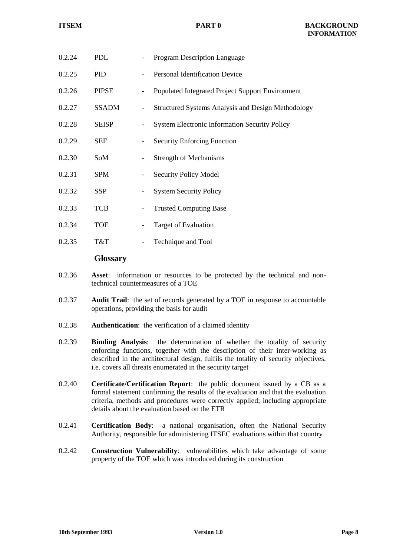| 0.2.24 | PDL          |                          | <b>Program Description Language</b>                       |
|--------|--------------|--------------------------|-----------------------------------------------------------|
| 0.2.25 | <b>PID</b>   |                          | Personal Identification Device                            |
| 0.2.26 | <b>PIPSE</b> |                          | Populated Integrated Project Support Environment          |
| 0.2.27 | <b>SSADM</b> |                          | <b>Structured Systems Analysis and Design Methodology</b> |
| 0.2.28 | <b>SEISP</b> | $\overline{\phantom{a}}$ | <b>System Electronic Information Security Policy</b>      |
| 0.2.29 | SEF          |                          | <b>Security Enforcing Function</b>                        |
| 0.2.30 | SoM          |                          | <b>Strength of Mechanisms</b>                             |
| 0.2.31 | <b>SPM</b>   |                          | <b>Security Policy Model</b>                              |
| 0.2.32 | <b>SSP</b>   |                          | <b>System Security Policy</b>                             |
| 0.2.33 | <b>TCB</b>   |                          | <b>Trusted Computing Base</b>                             |
| 0.2.34 | <b>TOE</b>   |                          | <b>Target of Evaluation</b>                               |
| 0.2.35 | T&T          |                          | Technique and Tool                                        |

### **Glossary**

- 0.2.36 **Asset**: information or resources to be protected by the technical and nontechnical countermeasures of a TOE
- 0.2.37 **Audit Trail**: the set of records generated by a TOE in response to accountable operations, providing the basis for audit
- 0.2.38 **Authentication**: the verification of a claimed identity
- 0.2.39 **Binding Analysis**: the determination of whether the totality of security enforcing functions, together with the description of their inter-working as described in the architectural design, fulfils the totality of security objectives, i.e. covers all threats enumerated in the security target
- 0.2.40 **Certificate/Certification Report**: the public document issued by a CB as a formal statement confirming the results of the evaluation and that the evaluation criteria, methods and procedures were correctly applied; including appropriate details about the evaluation based on the ETR
- 0.2.41 **Certification Body**: a national organisation, often the National Security Authority, responsible for administering ITSEC evaluations within that country
- 0.2.42 **Construction Vulnerability**: vulnerabilities which take advantage of some property of the TOE which was introduced during its construction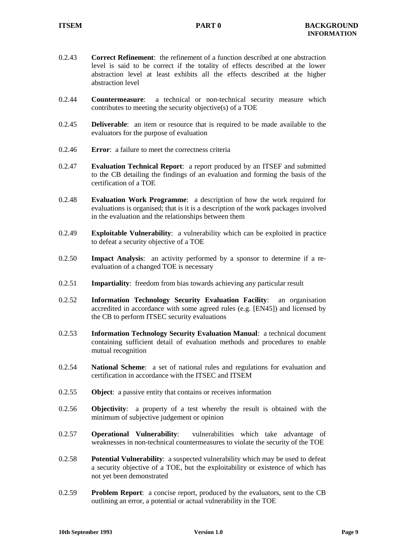- 0.2.43 **Correct Refinement**: the refinement of a function described at one abstraction level is said to be correct if the totality of effects described at the lower abstraction level at least exhibits all the effects described at the higher abstraction level
- 0.2.44 **Countermeasure**: a technical or non-technical security measure which contributes to meeting the security objective(s) of a TOE
- 0.2.45 **Deliverable**: an item or resource that is required to be made available to the evaluators for the purpose of evaluation
- 0.2.46 **Error**: a failure to meet the correctness criteria
- 0.2.47 **Evaluation Technical Report**: a report produced by an ITSEF and submitted to the CB detailing the findings of an evaluation and forming the basis of the certification of a TOE
- 0.2.48 **Evaluation Work Programme**: a description of how the work required for evaluations is organised; that is it is a description of the work packages involved in the evaluation and the relationships between them
- 0.2.49 **Exploitable Vulnerability**: a vulnerability which can be exploited in practice to defeat a security objective of a TOE
- 0.2.50 **Impact Analysis**: an activity performed by a sponsor to determine if a reevaluation of a changed TOE is necessary
- 0.2.51 **Impartiality**: freedom from bias towards achieving any particular result
- 0.2.52 **Information Technology Security Evaluation Facility**: an organisation accredited in accordance with some agreed rules (e.g. [EN45]) and licensed by the CB to perform ITSEC security evaluations
- 0.2.53 **Information Technology Security Evaluation Manual**: a technical document containing sufficient detail of evaluation methods and procedures to enable mutual recognition
- 0.2.54 **National Scheme**: a set of national rules and regulations for evaluation and certification in accordance with the ITSEC and ITSEM
- 0.2.55 **Object**: a passive entity that contains or receives information
- 0.2.56 **Objectivity**: a property of a test whereby the result is obtained with the minimum of subjective judgement or opinion
- 0.2.57 **Operational Vulnerability**: vulnerabilities which take advantage of weaknesses in non-technical countermeasures to violate the security of the TOE
- 0.2.58 **Potential Vulnerability**: a suspected vulnerability which may be used to defeat a security objective of a TOE, but the exploitability or existence of which has not yet been demonstrated
- 0.2.59 **Problem Report**: a concise report, produced by the evaluators, sent to the CB outlining an error, a potential or actual vulnerability in the TOE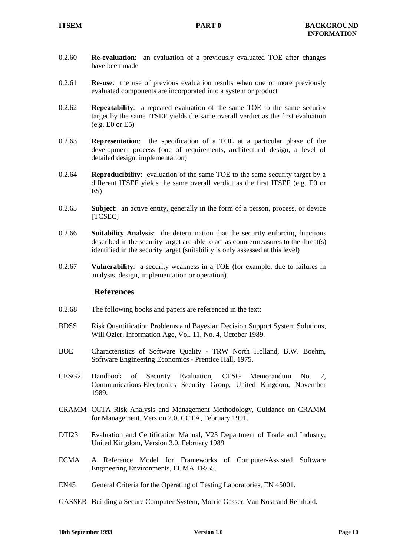- 0.2.60 **Re-evaluation**: an evaluation of a previously evaluated TOE after changes have been made
- 0.2.61 **Re-use**: the use of previous evaluation results when one or more previously evaluated components are incorporated into a system or product
- 0.2.62 **Repeatability**: a repeated evaluation of the same TOE to the same security target by the same ITSEF yields the same overall verdict as the first evaluation (e.g. E0 or E5)
- 0.2.63 **Representation**: the specification of a TOE at a particular phase of the development process (one of requirements, architectural design, a level of detailed design, implementation)
- 0.2.64 **Reproducibility**: evaluation of the same TOE to the same security target by a different ITSEF yields the same overall verdict as the first ITSEF (e.g. E0 or E5)
- 0.2.65 **Subject**: an active entity, generally in the form of a person, process, or device [TCSEC]
- 0.2.66 **Suitability Analysis**: the determination that the security enforcing functions described in the security target are able to act as countermeasures to the threat(s) identified in the security target (suitability is only assessed at this level)
- 0.2.67 **Vulnerability**: a security weakness in a TOE (for example, due to failures in analysis, design, implementation or operation).

#### **References**

- 0.2.68 The following books and papers are referenced in the text:
- BDSS Risk Quantification Problems and Bayesian Decision Support System Solutions, Will Ozier, Information Age, Vol. 11, No. 4, October 1989.
- BOE Characteristics of Software Quality TRW North Holland, B.W. Boehm, Software Engineering Economics - Prentice Hall, 1975.
- CESG2 Handbook of Security Evaluation, CESG Memorandum No. 2, Communications-Electronics Security Group, United Kingdom, November 1989.
- CRAMM CCTA Risk Analysis and Management Methodology, Guidance on CRAMM for Management, Version 2.0, CCTA, February 1991.
- DTI23 Evaluation and Certification Manual, V23 Department of Trade and Industry, United Kingdom, Version 3.0, February 1989
- ECMA A Reference Model for Frameworks of Computer-Assisted Software Engineering Environments, ECMA TR/55.
- EN45 General Criteria for the Operating of Testing Laboratories, EN 45001.
- GASSER Building a Secure Computer System, Morrie Gasser, Van Nostrand Reinhold.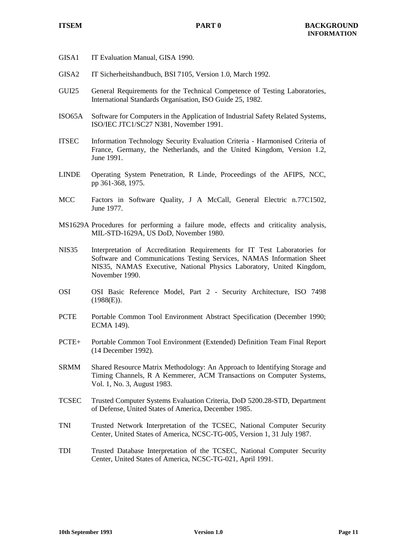- GISA1 IT Evaluation Manual, GISA 1990.
- GISA2 IT Sicherheitshandbuch, BSI 7105, Version 1.0, March 1992.
- GUI25 General Requirements for the Technical Competence of Testing Laboratories, International Standards Organisation, ISO Guide 25, 1982.
- ISO65A Software for Computers in the Application of Industrial Safety Related Systems, ISO/IEC JTC1/SC27 N381, November 1991.
- ITSEC Information Technology Security Evaluation Criteria Harmonised Criteria of France, Germany, the Netherlands, and the United Kingdom, Version 1.2, June 1991.
- LINDE Operating System Penetration, R Linde, Proceedings of the AFIPS, NCC, pp 361-368, 1975.
- MCC Factors in Software Quality, J A McCall, General Electric n.77C1502, June 1977.
- MS1629A Procedures for performing a failure mode, effects and criticality analysis, MIL-STD-1629A, US DoD, November 1980.
- NIS35 Interpretation of Accreditation Requirements for IT Test Laboratories for Software and Communications Testing Services, NAMAS Information Sheet NIS35, NAMAS Executive, National Physics Laboratory, United Kingdom, November 1990.
- OSI OSI Basic Reference Model, Part 2 Security Architecture, ISO 7498  $(1988(E)).$
- PCTE Portable Common Tool Environment Abstract Specification (December 1990; ECMA 149).
- PCTE+ Portable Common Tool Environment (Extended) Definition Team Final Report (14 December 1992).
- SRMM Shared Resource Matrix Methodology: An Approach to Identifying Storage and Timing Channels, R A Kemmerer, ACM Transactions on Computer Systems, Vol. 1, No. 3, August 1983.
- TCSEC Trusted Computer Systems Evaluation Criteria, DoD 5200.28-STD, Department of Defense, United States of America, December 1985.
- TNI Trusted Network Interpretation of the TCSEC, National Computer Security Center, United States of America, NCSC-TG-005, Version 1, 31 July 1987.
- TDI Trusted Database Interpretation of the TCSEC, National Computer Security Center, United States of America, NCSC-TG-021, April 1991.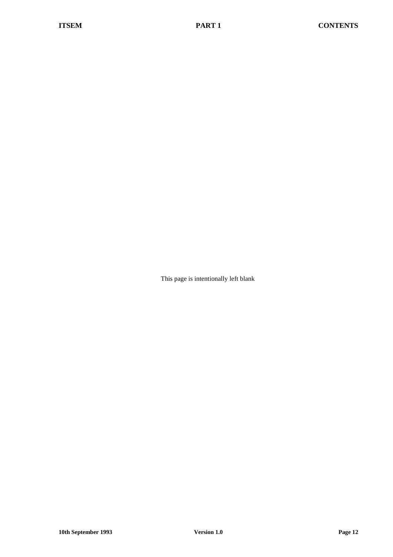This page is intentionally left blank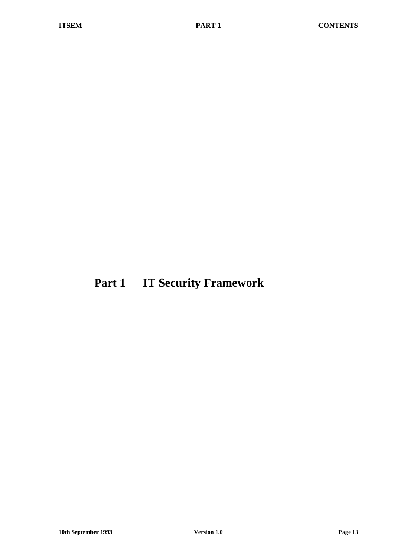**Part 1 IT Security Framework**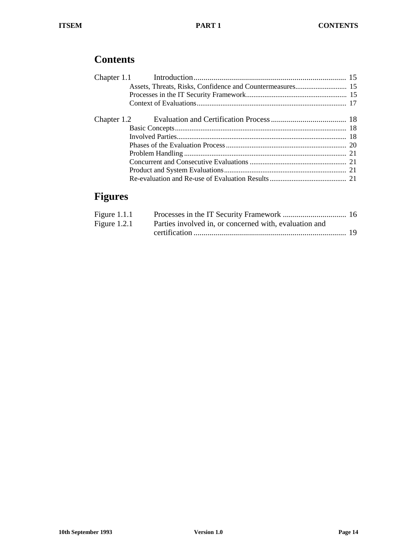## **Contents**

| Assets, Threats, Risks, Confidence and Countermeasures 15 |  |
|-----------------------------------------------------------|--|
|                                                           |  |
|                                                           |  |
|                                                           |  |
|                                                           |  |
|                                                           |  |
|                                                           |  |
|                                                           |  |
|                                                           |  |
|                                                           |  |
|                                                           |  |

## **Figures**

| Figure $1.1.1$ |                                                        |  |
|----------------|--------------------------------------------------------|--|
| Figure $1.2.1$ | Parties involved in, or concerned with, evaluation and |  |
|                |                                                        |  |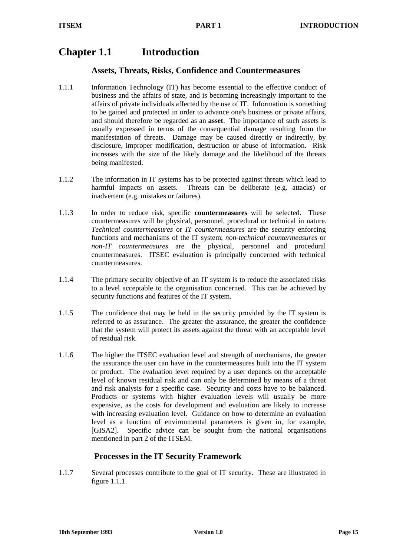### **Chapter 1.1 Introduction**

#### **Assets, Threats, Risks, Confidence and Countermeasures**

- 1.1.1 Information Technology (IT) has become essential to the effective conduct of business and the affairs of state, and is becoming increasingly important to the affairs of private individuals affected by the use of IT. Information is something to be gained and protected in order to advance one's business or private affairs, and should therefore be regarded as an **asset**. The importance of such assets is usually expressed in terms of the consequential damage resulting from the manifestation of threats. Damage may be caused directly or indirectly, by disclosure, improper modification, destruction or abuse of information. Risk increases with the size of the likely damage and the likelihood of the threats being manifested.
- 1.1.2 The information in IT systems has to be protected against threats which lead to harmful impacts on assets. Threats can be deliberate (e.g. attacks) or inadvertent (e.g. mistakes or failures).
- 1.1.3 In order to reduce risk, specific **countermeasures** will be selected. These countermeasures will be physical, personnel, procedural or technical in nature. *Technical countermeasures* or *IT countermeasures* are the security enforcing functions and mechanisms of the IT system; *non-technical countermeasures* or *non-IT countermeasures* are the physical, personnel and procedural countermeasures. ITSEC evaluation is principally concerned with technical countermeasures.
- 1.1.4 The primary security objective of an IT system is to reduce the associated risks to a level acceptable to the organisation concerned. This can be achieved by security functions and features of the IT system.
- 1.1.5 The confidence that may be held in the security provided by the IT system is referred to as assurance. The greater the assurance, the greater the confidence that the system will protect its assets against the threat with an acceptable level of residual risk.
- 1.1.6 The higher the ITSEC evaluation level and strength of mechanisms, the greater the assurance the user can have in the countermeasures built into the IT system or product. The evaluation level required by a user depends on the acceptable level of known residual risk and can only be determined by means of a threat and risk analysis for a specific case. Security and costs have to be balanced. Products or systems with higher evaluation levels will usually be more expensive, as the costs for development and evaluation are likely to increase with increasing evaluation level. Guidance on how to determine an evaluation level as a function of environmental parameters is given in, for example, [GISA2]. Specific advice can be sought from the national organisations mentioned in part 2 of the ITSEM.

#### **Processes in the IT Security Framework**

1.1.7 Several processes contribute to the goal of IT security. These are illustrated in figure 1.1.1.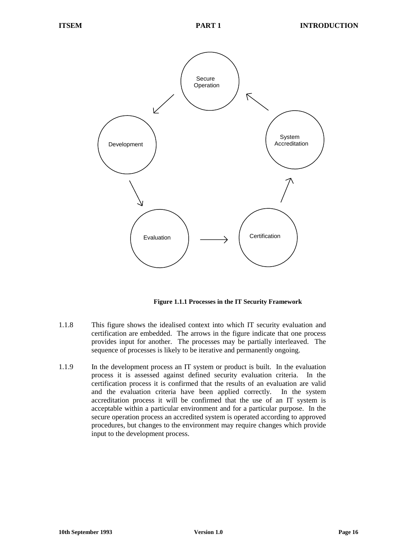

**Figure 1.1.1 Processes in the IT Security Framework**

- 1.1.8 This figure shows the idealised context into which IT security evaluation and certification are embedded. The arrows in the figure indicate that one process provides input for another. The processes may be partially interleaved. The sequence of processes is likely to be iterative and permanently ongoing.
- 1.1.9 In the development process an IT system or product is built. In the evaluation process it is assessed against defined security evaluation criteria. In the certification process it is confirmed that the results of an evaluation are valid and the evaluation criteria have been applied correctly. In the system accreditation process it will be confirmed that the use of an IT system is acceptable within a particular environment and for a particular purpose. In the secure operation process an accredited system is operated according to approved procedures, but changes to the environment may require changes which provide input to the development process.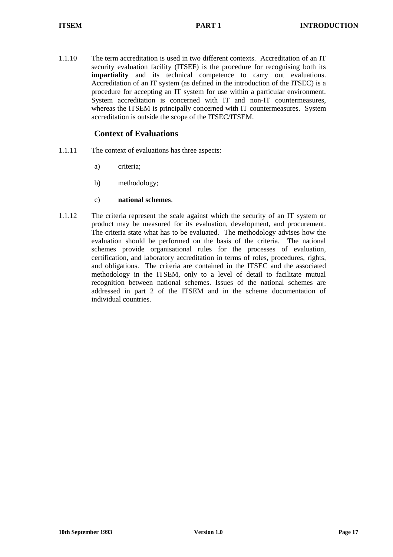1.1.10 The term accreditation is used in two different contexts. Accreditation of an IT security evaluation facility (ITSEF) is the procedure for recognising both its **impartiality** and its technical competence to carry out evaluations. Accreditation of an IT system (as defined in the introduction of the ITSEC) is a procedure for accepting an IT system for use within a particular environment. System accreditation is concerned with IT and non-IT countermeasures, whereas the ITSEM is principally concerned with IT countermeasures. System accreditation is outside the scope of the ITSEC/ITSEM.

#### **Context of Evaluations**

- 1.1.11 The context of evaluations has three aspects:
	- a) criteria;
	- b) methodology;
	- c) **national schemes**.
- 1.1.12 The criteria represent the scale against which the security of an IT system or product may be measured for its evaluation, development, and procurement. The criteria state what has to be evaluated. The methodology advises how the evaluation should be performed on the basis of the criteria. The national schemes provide organisational rules for the processes of evaluation, certification, and laboratory accreditation in terms of roles, procedures, rights, and obligations. The criteria are contained in the ITSEC and the associated methodology in the ITSEM, only to a level of detail to facilitate mutual recognition between national schemes. Issues of the national schemes are addressed in part 2 of the ITSEM and in the scheme documentation of individual countries.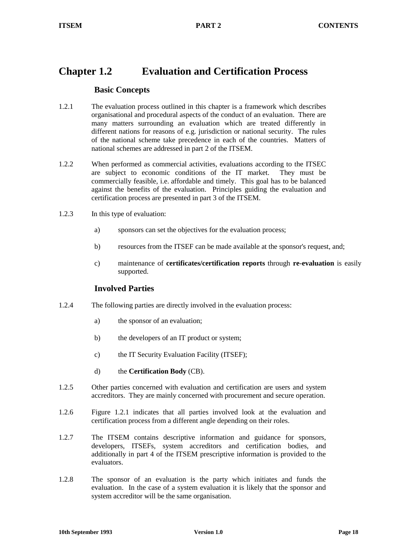### **Chapter 1.2 Evaluation and Certification Process**

### **Basic Concepts**

- 1.2.1 The evaluation process outlined in this chapter is a framework which describes organisational and procedural aspects of the conduct of an evaluation. There are many matters surrounding an evaluation which are treated differently in different nations for reasons of e.g. jurisdiction or national security. The rules of the national scheme take precedence in each of the countries. Matters of national schemes are addressed in part 2 of the ITSEM.
- 1.2.2 When performed as commercial activities, evaluations according to the ITSEC are subject to economic conditions of the IT market. They must be commercially feasible, i.e. affordable and timely. This goal has to be balanced against the benefits of the evaluation. Principles guiding the evaluation and certification process are presented in part 3 of the ITSEM.
- 1.2.3 In this type of evaluation:
	- a) sponsors can set the objectives for the evaluation process;
	- b) resources from the ITSEF can be made available at the sponsor's request, and;
	- c) maintenance of **certificates/certification reports** through **re-evaluation** is easily supported.

#### **Involved Parties**

- 1.2.4 The following parties are directly involved in the evaluation process:
	- a) the sponsor of an evaluation;
	- b) the developers of an IT product or system;
	- c) the IT Security Evaluation Facility (ITSEF);
	- d) the **Certification Body** (CB).
- 1.2.5 Other parties concerned with evaluation and certification are users and system accreditors. They are mainly concerned with procurement and secure operation.
- 1.2.6 Figure 1.2.1 indicates that all parties involved look at the evaluation and certification process from a different angle depending on their roles.
- 1.2.7 The ITSEM contains descriptive information and guidance for sponsors, developers, ITSEFs, system accreditors and certification bodies, and additionally in part 4 of the ITSEM prescriptive information is provided to the evaluators.
- 1.2.8 The sponsor of an evaluation is the party which initiates and funds the evaluation. In the case of a system evaluation it is likely that the sponsor and system accreditor will be the same organisation.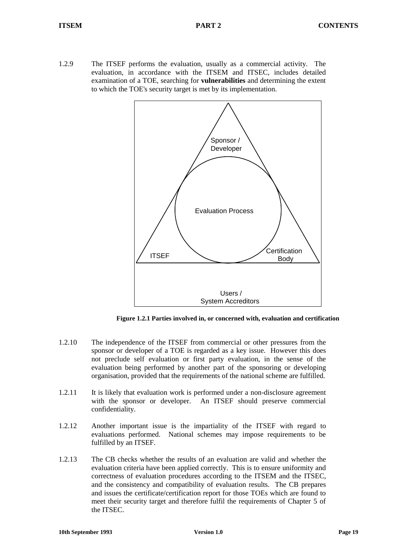1.2.9 The ITSEF performs the evaluation, usually as a commercial activity. The evaluation, in accordance with the ITSEM and ITSEC, includes detailed examination of a TOE, searching for **vulnerabilities** and determining the extent to which the TOE's security target is met by its implementation.



**Figure 1.2.1 Parties involved in, or concerned with, evaluation and certification**

- 1.2.10 The independence of the ITSEF from commercial or other pressures from the sponsor or developer of a TOE is regarded as a key issue. However this does not preclude self evaluation or first party evaluation, in the sense of the evaluation being performed by another part of the sponsoring or developing organisation, provided that the requirements of the national scheme are fulfilled.
- 1.2.11 It is likely that evaluation work is performed under a non-disclosure agreement with the sponsor or developer. An ITSEF should preserve commercial confidentiality.
- 1.2.12 Another important issue is the impartiality of the ITSEF with regard to evaluations performed. National schemes may impose requirements to be fulfilled by an ITSEF.
- 1.2.13 The CB checks whether the results of an evaluation are valid and whether the evaluation criteria have been applied correctly. This is to ensure uniformity and correctness of evaluation procedures according to the ITSEM and the ITSEC, and the consistency and compatibility of evaluation results. The CB prepares and issues the certificate/certification report for those TOEs which are found to meet their security target and therefore fulfil the requirements of Chapter 5 of the ITSEC.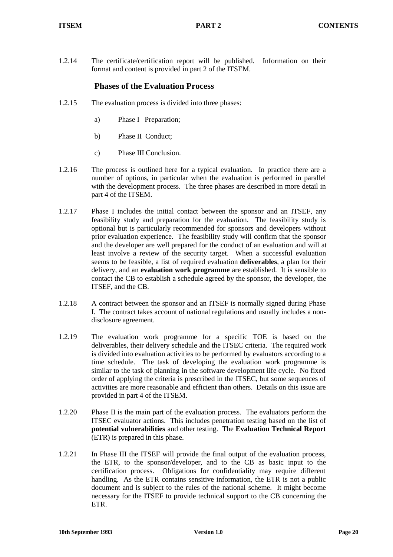1.2.14 The certificate/certification report will be published. Information on their format and content is provided in part 2 of the ITSEM.

### **Phases of the Evaluation Process**

- 1.2.15 The evaluation process is divided into three phases:
	- a) Phase I Preparation;
	- b) Phase II Conduct;
	- c) Phase III Conclusion.
- 1.2.16 The process is outlined here for a typical evaluation. In practice there are a number of options, in particular when the evaluation is performed in parallel with the development process. The three phases are described in more detail in part 4 of the ITSEM.
- 1.2.17 Phase I includes the initial contact between the sponsor and an ITSEF, any feasibility study and preparation for the evaluation. The feasibility study is optional but is particularly recommended for sponsors and developers without prior evaluation experience. The feasibility study will confirm that the sponsor and the developer are well prepared for the conduct of an evaluation and will at least involve a review of the security target. When a successful evaluation seems to be feasible, a list of required evaluation **deliverables**, a plan for their delivery, and an **evaluation work programme** are established. It is sensible to contact the CB to establish a schedule agreed by the sponsor, the developer, the ITSEF, and the CB.
- 1.2.18 A contract between the sponsor and an ITSEF is normally signed during Phase I. The contract takes account of national regulations and usually includes a nondisclosure agreement.
- 1.2.19 The evaluation work programme for a specific TOE is based on the deliverables, their delivery schedule and the ITSEC criteria. The required work is divided into evaluation activities to be performed by evaluators according to a time schedule. The task of developing the evaluation work programme is similar to the task of planning in the software development life cycle. No fixed order of applying the criteria is prescribed in the ITSEC, but some sequences of activities are more reasonable and efficient than others. Details on this issue are provided in part 4 of the ITSEM.
- 1.2.20 Phase II is the main part of the evaluation process. The evaluators perform the ITSEC evaluator actions. This includes penetration testing based on the list of **potential vulnerabilities** and other testing. The **Evaluation Technical Report** (ETR) is prepared in this phase.
- 1.2.21 In Phase III the ITSEF will provide the final output of the evaluation process, the ETR, to the sponsor/developer, and to the CB as basic input to the certification process. Obligations for confidentiality may require different handling. As the ETR contains sensitive information, the ETR is not a public document and is subject to the rules of the national scheme. It might become necessary for the ITSEF to provide technical support to the CB concerning the ETR.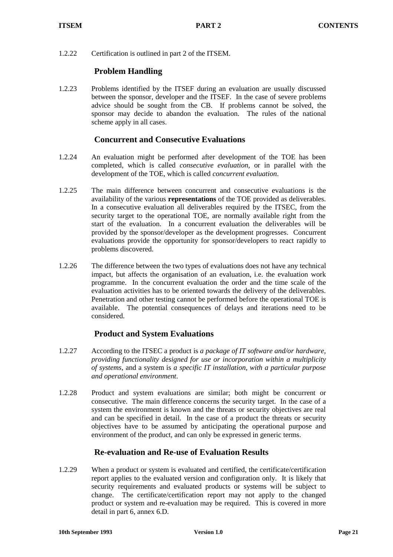1.2.22 Certification is outlined in part 2 of the ITSEM.

#### **Problem Handling**

1.2.23 Problems identified by the ITSEF during an evaluation are usually discussed between the sponsor, developer and the ITSEF. In the case of severe problems advice should be sought from the CB. If problems cannot be solved, the sponsor may decide to abandon the evaluation. The rules of the national scheme apply in all cases.

#### **Concurrent and Consecutive Evaluations**

- 1.2.24 An evaluation might be performed after development of the TOE has been completed, which is called *consecutive evaluation*, or in parallel with the development of the TOE, which is called *concurrent evaluation*.
- 1.2.25 The main difference between concurrent and consecutive evaluations is the availability of the various **representations** of the TOE provided as deliverables. In a consecutive evaluation all deliverables required by the ITSEC, from the security target to the operational TOE, are normally available right from the start of the evaluation. In a concurrent evaluation the deliverables will be provided by the sponsor/developer as the development progresses. Concurrent evaluations provide the opportunity for sponsor/developers to react rapidly to problems discovered.
- 1.2.26 The difference between the two types of evaluations does not have any technical impact, but affects the organisation of an evaluation, i.e. the evaluation work programme. In the concurrent evaluation the order and the time scale of the evaluation activities has to be oriented towards the delivery of the deliverables. Penetration and other testing cannot be performed before the operational TOE is available. The potential consequences of delays and iterations need to be considered.

### **Product and System Evaluations**

- 1.2.27 According to the ITSEC a product is *a package of IT software and/or hardware, providing functionality designed for use or incorporation within a multiplicity of systems*, and a system is *a specific IT installation, with a particular purpose and operational environment*.
- 1.2.28 Product and system evaluations are similar; both might be concurrent or consecutive. The main difference concerns the security target. In the case of a system the environment is known and the threats or security objectives are real and can be specified in detail. In the case of a product the threats or security objectives have to be assumed by anticipating the operational purpose and environment of the product, and can only be expressed in generic terms.

#### **Re-evaluation and Re-use of Evaluation Results**

1.2.29 When a product or system is evaluated and certified, the certificate/certification report applies to the evaluated version and configuration only. It is likely that security requirements and evaluated products or systems will be subject to change. The certificate/certification report may not apply to the changed product or system and re-evaluation may be required. This is covered in more detail in part 6, annex 6.D.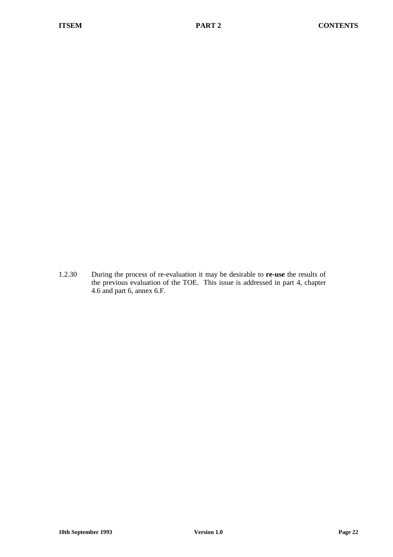1.2.30 During the process of re-evaluation it may be desirable to **re-use** the results of the previous evaluation of the TOE. This issue is addressed in part 4, chapter 4.6 and part 6, annex 6.F.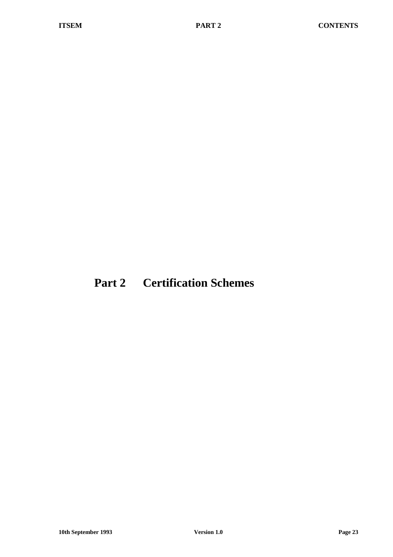**Part 2 Certification Schemes**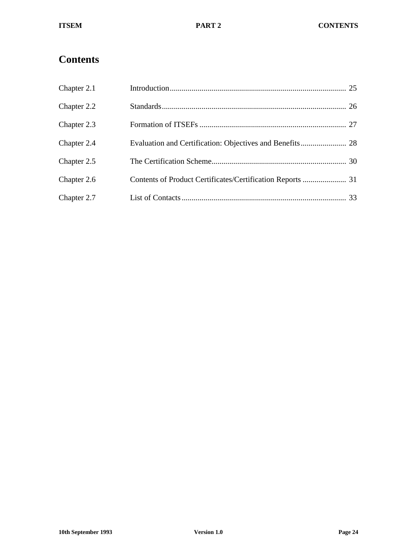## **Contents**

| Chapter 2.1 |  |
|-------------|--|
| Chapter 2.2 |  |
| Chapter 2.3 |  |
| Chapter 2.4 |  |
| Chapter 2.5 |  |
| Chapter 2.6 |  |
| Chapter 2.7 |  |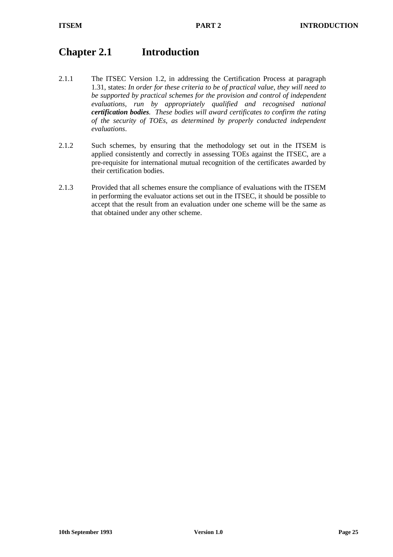### **Chapter 2.1 Introduction**

- 2.1.1 The ITSEC Version 1.2, in addressing the Certification Process at paragraph 1.31, states: *In order for these criteria to be of practical value, they will need to be supported by practical schemes for the provision and control of independent evaluations, run by appropriately qualified and recognised national certification bodies. These bodies will award certificates to confirm the rating of the security of TOEs, as determined by properly conducted independent evaluations*.
- 2.1.2 Such schemes, by ensuring that the methodology set out in the ITSEM is applied consistently and correctly in assessing TOEs against the ITSEC, are a pre-requisite for international mutual recognition of the certificates awarded by their certification bodies.
- 2.1.3 Provided that all schemes ensure the compliance of evaluations with the ITSEM in performing the evaluator actions set out in the ITSEC, it should be possible to accept that the result from an evaluation under one scheme will be the same as that obtained under any other scheme.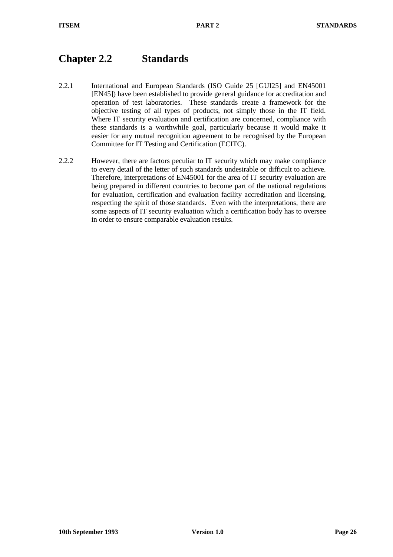### **Chapter 2.2 Standards**

- 2.2.1 International and European Standards (ISO Guide 25 [GUI25] and EN45001 [EN45]) have been established to provide general guidance for accreditation and operation of test laboratories. These standards create a framework for the objective testing of all types of products, not simply those in the IT field. Where IT security evaluation and certification are concerned, compliance with these standards is a worthwhile goal, particularly because it would make it easier for any mutual recognition agreement to be recognised by the European Committee for IT Testing and Certification (ECITC).
- 2.2.2 However, there are factors peculiar to IT security which may make compliance to every detail of the letter of such standards undesirable or difficult to achieve. Therefore, interpretations of EN45001 for the area of IT security evaluation are being prepared in different countries to become part of the national regulations for evaluation, certification and evaluation facility accreditation and licensing, respecting the spirit of those standards. Even with the interpretations, there are some aspects of IT security evaluation which a certification body has to oversee in order to ensure comparable evaluation results.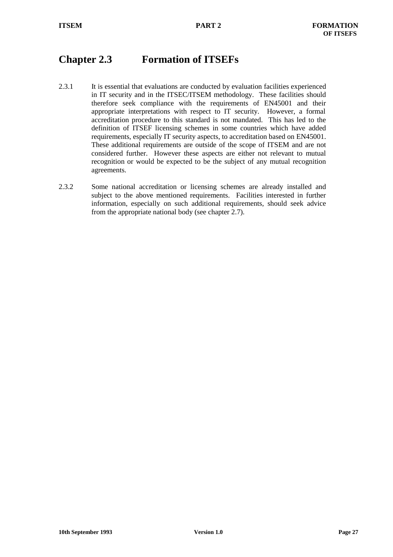## **Chapter 2.3 Formation of ITSEFs**

- 2.3.1 It is essential that evaluations are conducted by evaluation facilities experienced in IT security and in the ITSEC/ITSEM methodology. These facilities should therefore seek compliance with the requirements of EN45001 and their appropriate interpretations with respect to IT security. However, a formal accreditation procedure to this standard is not mandated. This has led to the definition of ITSEF licensing schemes in some countries which have added requirements, especially IT security aspects, to accreditation based on EN45001. These additional requirements are outside of the scope of ITSEM and are not considered further. However these aspects are either not relevant to mutual recognition or would be expected to be the subject of any mutual recognition agreements.
- 2.3.2 Some national accreditation or licensing schemes are already installed and subject to the above mentioned requirements. Facilities interested in further information, especially on such additional requirements, should seek advice from the appropriate national body (see chapter 2.7).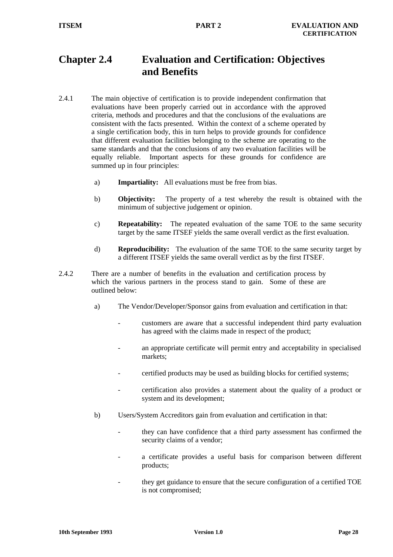## **Chapter 2.4 Evaluation and Certification: Objectives and Benefits**

- 2.4.1 The main objective of certification is to provide independent confirmation that evaluations have been properly carried out in accordance with the approved criteria, methods and procedures and that the conclusions of the evaluations are consistent with the facts presented. Within the context of a scheme operated by a single certification body, this in turn helps to provide grounds for confidence that different evaluation facilities belonging to the scheme are operating to the same standards and that the conclusions of any two evaluation facilities will be equally reliable. Important aspects for these grounds for confidence are summed up in four principles:
	- a) **Impartiality:** All evaluations must be free from bias.
	- b) **Objectivity:** The property of a test whereby the result is obtained with the minimum of subjective judgement or opinion.
	- c) **Repeatability:** The repeated evaluation of the same TOE to the same security target by the same ITSEF yields the same overall verdict as the first evaluation.
	- d) **Reproducibility:** The evaluation of the same TOE to the same security target by a different ITSEF yields the same overall verdict as by the first ITSEF.
- 2.4.2 There are a number of benefits in the evaluation and certification process by which the various partners in the process stand to gain. Some of these are outlined below:
	- a) The Vendor/Developer/Sponsor gains from evaluation and certification in that:
		- customers are aware that a successful independent third party evaluation has agreed with the claims made in respect of the product;
		- an appropriate certificate will permit entry and acceptability in specialised markets;
		- certified products may be used as building blocks for certified systems;
		- certification also provides a statement about the quality of a product or system and its development;
	- b) Users/System Accreditors gain from evaluation and certification in that:
		- they can have confidence that a third party assessment has confirmed the security claims of a vendor;
		- a certificate provides a useful basis for comparison between different products;
		- they get guidance to ensure that the secure configuration of a certified TOE is not compromised;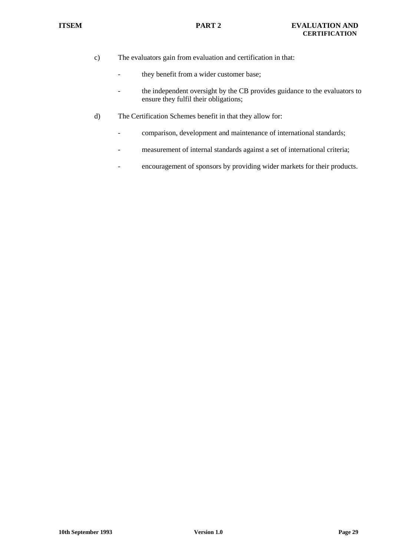- c) The evaluators gain from evaluation and certification in that:
	- they benefit from a wider customer base;
	- the independent oversight by the CB provides guidance to the evaluators to ensure they fulfil their obligations;
- d) The Certification Schemes benefit in that they allow for:
	- comparison, development and maintenance of international standards;
	- measurement of internal standards against a set of international criteria;
	- encouragement of sponsors by providing wider markets for their products.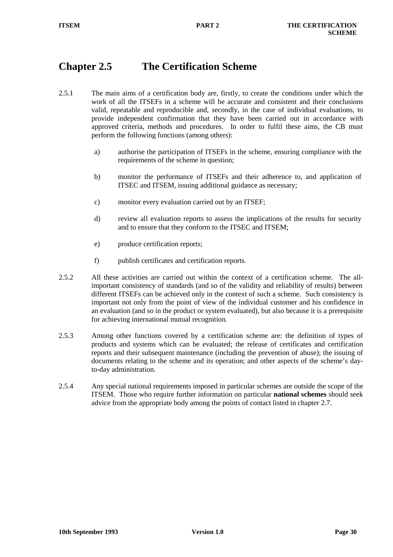## **Chapter 2.5 The Certification Scheme**

- 2.5.1 The main aims of a certification body are, firstly, to create the conditions under which the work of all the ITSEFs in a scheme will be accurate and consistent and their conclusions valid, repeatable and reproducible and, secondly, in the case of individual evaluations, to provide independent confirmation that they have been carried out in accordance with approved criteria, methods and procedures. In order to fulfil these aims, the CB must perform the following functions (among others):
	- a) authorise the participation of ITSEFs in the scheme, ensuring compliance with the requirements of the scheme in question;
	- b) monitor the performance of ITSEFs and their adherence to, and application of ITSEC and ITSEM, issuing additional guidance as necessary;
	- c) monitor every evaluation carried out by an ITSEF;
	- d) review all evaluation reports to assess the implications of the results for security and to ensure that they conform to the ITSEC and ITSEM;
	- e) produce certification reports;
	- f) publish certificates and certification reports.
- 2.5.2 All these activities are carried out within the context of a certification scheme. The allimportant consistency of standards (and so of the validity and reliability of results) between different ITSEFs can be achieved only in the context of such a scheme. Such consistency is important not only from the point of view of the individual customer and his confidence in an evaluation (and so in the product or system evaluated), but also because it is a prerequisite for achieving international mutual recognition.
- 2.5.3 Among other functions covered by a certification scheme are: the definition of types of products and systems which can be evaluated; the release of certificates and certification reports and their subsequent maintenance (including the prevention of abuse); the issuing of documents relating to the scheme and its operation; and other aspects of the scheme's dayto-day administration.
- 2.5.4 Any special national requirements imposed in particular schemes are outside the scope of the ITSEM. Those who require further information on particular **national schemes** should seek advice from the appropriate body among the points of contact listed in chapter 2.7.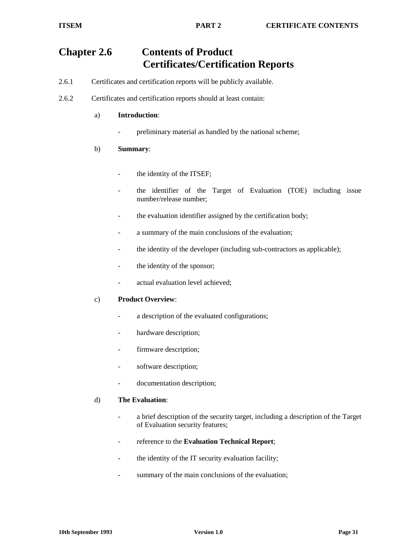## **Chapter 2.6 Contents of Product Certificates/Certification Reports**

- 2.6.1 Certificates and certification reports will be publicly available.
- 2.6.2 Certificates and certification reports should at least contain:

#### a) **Introduction**:

preliminary material as handled by the national scheme;

#### b) **Summary**:

- the identity of the ITSEF;
- the identifier of the Target of Evaluation (TOE) including issue number/release number;
- the evaluation identifier assigned by the certification body;
- a summary of the main conclusions of the evaluation;
- the identity of the developer (including sub-contractors as applicable);
- the identity of the sponsor;
- actual evaluation level achieved;

#### c) **Product Overview**:

- a description of the evaluated configurations;
- hardware description;
- firmware description;
- software description;
- documentation description;

#### d) **The Evaluation**:

- a brief description of the security target, including a description of the Target of Evaluation security features;
- reference to the **Evaluation Technical Report**;
- the identity of the IT security evaluation facility;
- summary of the main conclusions of the evaluation;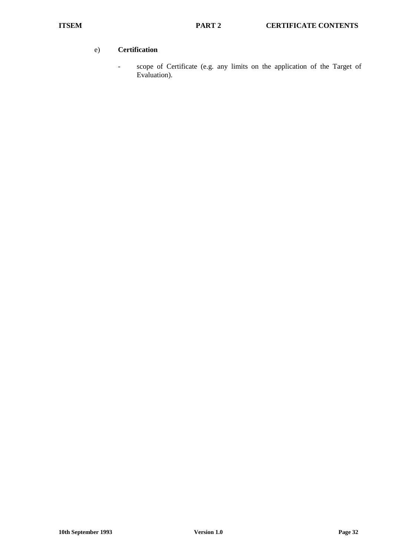#### e) **Certification**

- scope of Certificate (e.g. any limits on the application of the Target of Evaluation).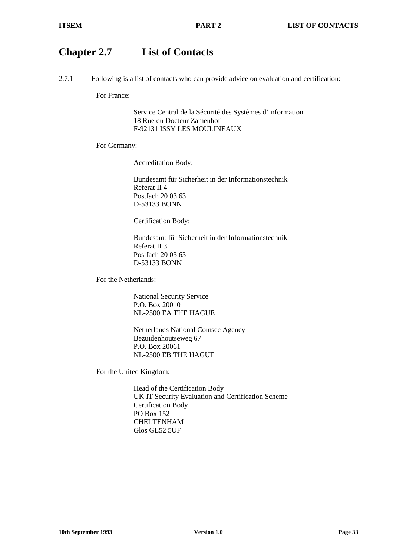## **Chapter 2.7 List of Contacts**

2.7.1 Following is a list of contacts who can provide advice on evaluation and certification:

For France:

Service Central de la Sécurité des Systèmes d'Information 18 Rue du Docteur Zamenhof F-92131 ISSY LES MOULINEAUX

For Germany:

Accreditation Body:

Bundesamt für Sicherheit in der Informationstechnik Referat II 4 Postfach 20 03 63 D-53133 BONN

Certification Body:

Bundesamt für Sicherheit in der Informationstechnik Referat II 3 Postfach 20 03 63 D-53133 BONN

For the Netherlands:

National Security Service P.O. Box 20010 NL-2500 EA THE HAGUE

Netherlands National Comsec Agency Bezuidenhoutseweg 67 P.O. Box 20061 NL-2500 EB THE HAGUE

For the United Kingdom:

Head of the Certification Body UK IT Security Evaluation and Certification Scheme Certification Body PO Box 152 CHELTENHAM Glos GL52 5UF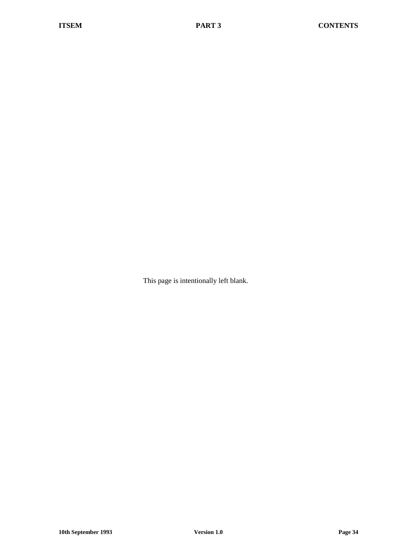This page is intentionally left blank.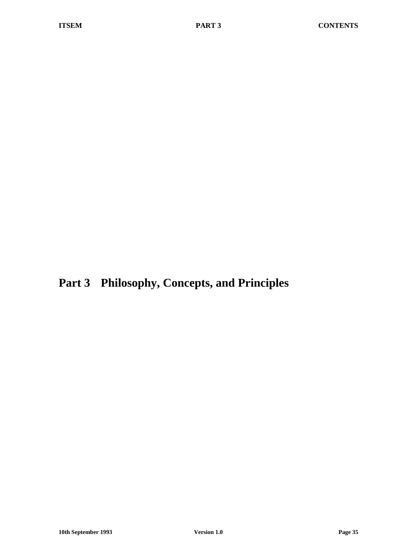# **Part 3 Philosophy, Concepts, and Principles**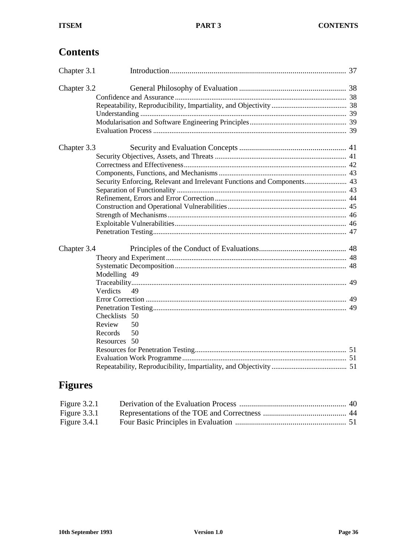## **Contents**

| Chapter 3.1 |                                                                         |  |
|-------------|-------------------------------------------------------------------------|--|
| Chapter 3.2 |                                                                         |  |
|             |                                                                         |  |
|             |                                                                         |  |
|             |                                                                         |  |
|             |                                                                         |  |
|             |                                                                         |  |
| Chapter 3.3 |                                                                         |  |
|             |                                                                         |  |
|             |                                                                         |  |
|             |                                                                         |  |
|             | Security Enforcing, Relevant and Irrelevant Functions and Components 43 |  |
|             |                                                                         |  |
|             |                                                                         |  |
|             |                                                                         |  |
|             |                                                                         |  |
|             |                                                                         |  |
|             |                                                                         |  |
| Chapter 3.4 |                                                                         |  |
|             |                                                                         |  |
|             |                                                                         |  |
|             | Modelling 49                                                            |  |
|             |                                                                         |  |
|             | Verdicts<br>49                                                          |  |
|             |                                                                         |  |
|             |                                                                         |  |
|             | Checklists 50                                                           |  |
|             | Review<br>50                                                            |  |
|             | Records<br>50                                                           |  |
|             | Resources 50                                                            |  |
|             |                                                                         |  |
|             |                                                                         |  |
|             |                                                                         |  |

# **Figures**

| Figure $3.2.1$ |  |
|----------------|--|
| Figure $3.3.1$ |  |
| Figure $3.4.1$ |  |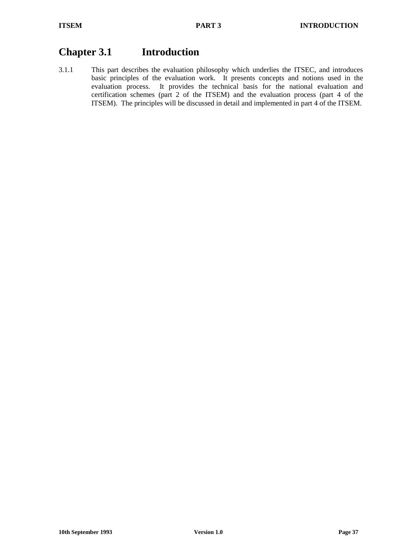## **Chapter 3.1 Introduction**

3.1.1 This part describes the evaluation philosophy which underlies the ITSEC, and introduces basic principles of the evaluation work. It presents concepts and notions used in the evaluation process. It provides the technical basis for the national evaluation and certification schemes (part 2 of the ITSEM) and the evaluation process (part 4 of the ITSEM). The principles will be discussed in detail and implemented in part 4 of the ITSEM.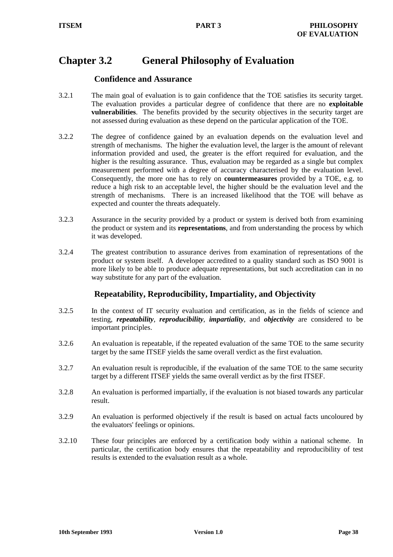## **Chapter 3.2 General Philosophy of Evaluation**

#### **Confidence and Assurance**

- 3.2.1 The main goal of evaluation is to gain confidence that the TOE satisfies its security target. The evaluation provides a particular degree of confidence that there are no **exploitable vulnerabilities**. The benefits provided by the security objectives in the security target are not assessed during evaluation as these depend on the particular application of the TOE.
- 3.2.2 The degree of confidence gained by an evaluation depends on the evaluation level and strength of mechanisms. The higher the evaluation level, the larger is the amount of relevant information provided and used, the greater is the effort required for evaluation, and the higher is the resulting assurance. Thus, evaluation may be regarded as a single but complex measurement performed with a degree of accuracy characterised by the evaluation level. Consequently, the more one has to rely on **countermeasures** provided by a TOE, e.g. to reduce a high risk to an acceptable level, the higher should be the evaluation level and the strength of mechanisms. There is an increased likelihood that the TOE will behave as expected and counter the threats adequately.
- 3.2.3 Assurance in the security provided by a product or system is derived both from examining the product or system and its **representations**, and from understanding the process by which it was developed.
- 3.2.4 The greatest contribution to assurance derives from examination of representations of the product or system itself. A developer accredited to a quality standard such as ISO 9001 is more likely to be able to produce adequate representations, but such accreditation can in no way substitute for any part of the evaluation.

#### **Repeatability, Reproducibility, Impartiality, and Objectivity**

- 3.2.5 In the context of IT security evaluation and certification, as in the fields of science and testing, *repeatability*, *reproducibility*, *impartiality*, and *objectivity* are considered to be important principles.
- 3.2.6 An evaluation is repeatable, if the repeated evaluation of the same TOE to the same security target by the same ITSEF yields the same overall verdict as the first evaluation.
- 3.2.7 An evaluation result is reproducible, if the evaluation of the same TOE to the same security target by a different ITSEF yields the same overall verdict as by the first ITSEF.
- 3.2.8 An evaluation is performed impartially, if the evaluation is not biased towards any particular result.
- 3.2.9 An evaluation is performed objectively if the result is based on actual facts uncoloured by the evaluators' feelings or opinions.
- 3.2.10 These four principles are enforced by a certification body within a national scheme. In particular, the certification body ensures that the repeatability and reproducibility of test results is extended to the evaluation result as a whole.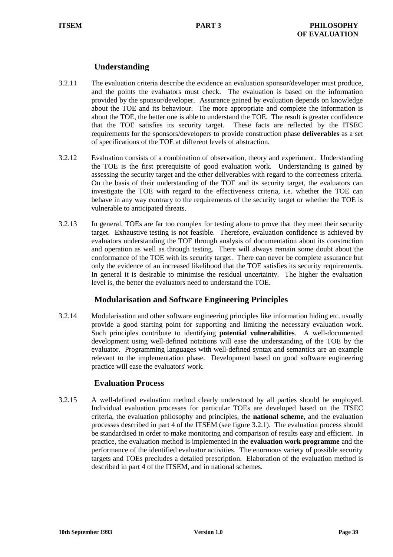#### **Understanding**

- 3.2.11 The evaluation criteria describe the evidence an evaluation sponsor/developer must produce, and the points the evaluators must check. The evaluation is based on the information provided by the sponsor/developer. Assurance gained by evaluation depends on knowledge about the TOE and its behaviour. The more appropriate and complete the information is about the TOE, the better one is able to understand the TOE. The result is greater confidence that the TOE satisfies its security target. These facts are reflected by the ITSEC requirements for the sponsors/developers to provide construction phase **deliverables** as a set of specifications of the TOE at different levels of abstraction.
- 3.2.12 Evaluation consists of a combination of observation, theory and experiment. Understanding the TOE is the first prerequisite of good evaluation work. Understanding is gained by assessing the security target and the other deliverables with regard to the correctness criteria. On the basis of their understanding of the TOE and its security target, the evaluators can investigate the TOE with regard to the effectiveness criteria, i.e. whether the TOE can behave in any way contrary to the requirements of the security target or whether the TOE is vulnerable to anticipated threats.
- 3.2.13 In general, TOEs are far too complex for testing alone to prove that they meet their security target. Exhaustive testing is not feasible. Therefore, evaluation confidence is achieved by evaluators understanding the TOE through analysis of documentation about its construction and operation as well as through testing. There will always remain some doubt about the conformance of the TOE with its security target. There can never be complete assurance but only the evidence of an increased likelihood that the TOE satisfies its security requirements. In general it is desirable to minimise the residual uncertainty. The higher the evaluation level is, the better the evaluators need to understand the TOE.

#### **Modularisation and Software Engineering Principles**

3.2.14 Modularisation and other software engineering principles like information hiding etc. usually provide a good starting point for supporting and limiting the necessary evaluation work. Such principles contribute to identifying **potential vulnerabilities**. A well-documented development using well-defined notations will ease the understanding of the TOE by the evaluator. Programming languages with well-defined syntax and semantics are an example relevant to the implementation phase. Development based on good software engineering practice will ease the evaluators' work.

#### **Evaluation Process**

3.2.15 A well-defined evaluation method clearly understood by all parties should be employed. Individual evaluation processes for particular TOEs are developed based on the ITSEC criteria, the evaluation philosophy and principles, the **national scheme**, and the evaluation processes described in part 4 of the ITSEM (see figure 3.2.1). The evaluation process should be standardised in order to make monitoring and comparison of results easy and efficient. In practice, the evaluation method is implemented in the **evaluation work programme** and the performance of the identified evaluator activities. The enormous variety of possible security targets and TOEs precludes a detailed prescription. Elaboration of the evaluation method is described in part 4 of the ITSEM, and in national schemes.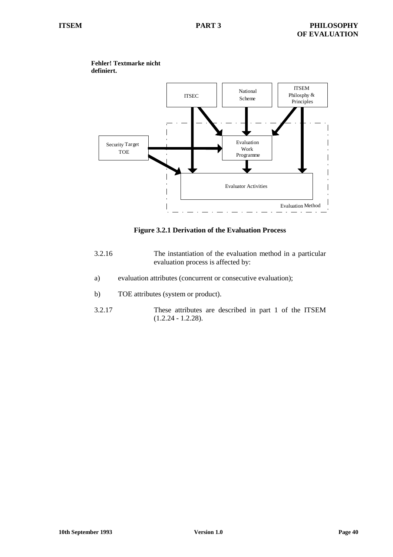

# **Figure 3.2.1 Derivation of the Evaluation Process**

- 3.2.16 The instantiation of the evaluation method in a particular evaluation process is affected by:
- a) evaluation attributes (concurrent or consecutive evaluation);
- b) TOE attributes (system or product).
- 3.2.17 These attributes are described in part 1 of the ITSEM  $(1.2.24 - 1.2.28).$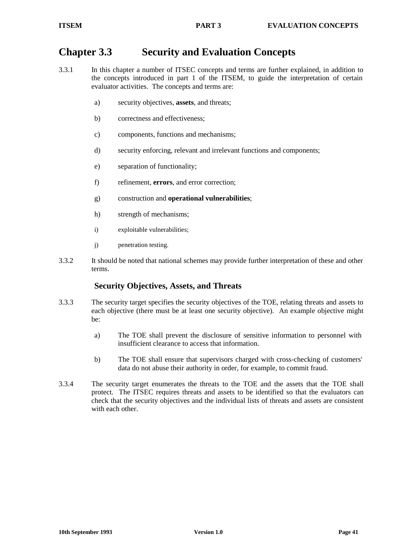## **Chapter 3.3 Security and Evaluation Concepts**

- 3.3.1 In this chapter a number of ITSEC concepts and terms are further explained, in addition to the concepts introduced in part 1 of the ITSEM, to guide the interpretation of certain evaluator activities. The concepts and terms are:
	- a) security objectives, **assets**, and threats;
	- b) correctness and effectiveness;
	- c) components, functions and mechanisms;
	- d) security enforcing, relevant and irrelevant functions and components;
	- e) separation of functionality;
	- f) refinement, **errors**, and error correction;
	- g) construction and **operational vulnerabilities**;
	- h) strength of mechanisms;
	- i) exploitable vulnerabilities;
	- j) penetration testing.
- 3.3.2 It should be noted that national schemes may provide further interpretation of these and other terms.

#### **Security Objectives, Assets, and Threats**

- 3.3.3 The security target specifies the security objectives of the TOE, relating threats and assets to each objective (there must be at least one security objective). An example objective might be:
	- a) The TOE shall prevent the disclosure of sensitive information to personnel with insufficient clearance to access that information.
	- b) The TOE shall ensure that supervisors charged with cross-checking of customers' data do not abuse their authority in order, for example, to commit fraud.
- 3.3.4 The security target enumerates the threats to the TOE and the assets that the TOE shall protect. The ITSEC requires threats and assets to be identified so that the evaluators can check that the security objectives and the individual lists of threats and assets are consistent with each other.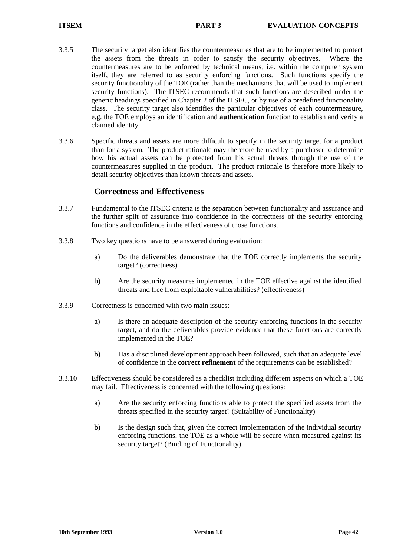- 3.3.5 The security target also identifies the countermeasures that are to be implemented to protect the assets from the threats in order to satisfy the security objectives. Where the countermeasures are to be enforced by technical means, i.e. within the computer system itself, they are referred to as security enforcing functions. Such functions specify the security functionality of the TOE (rather than the mechanisms that will be used to implement security functions). The ITSEC recommends that such functions are described under the generic headings specified in Chapter 2 of the ITSEC, or by use of a predefined functionality class. The security target also identifies the particular objectives of each countermeasure, e.g. the TOE employs an identification and **authentication** function to establish and verify a claimed identity.
- 3.3.6 Specific threats and assets are more difficult to specify in the security target for a product than for a system. The product rationale may therefore be used by a purchaser to determine how his actual assets can be protected from his actual threats through the use of the countermeasures supplied in the product. The product rationale is therefore more likely to detail security objectives than known threats and assets.

#### **Correctness and Effectiveness**

- 3.3.7 Fundamental to the ITSEC criteria is the separation between functionality and assurance and the further split of assurance into confidence in the correctness of the security enforcing functions and confidence in the effectiveness of those functions.
- 3.3.8 Two key questions have to be answered during evaluation:
	- a) Do the deliverables demonstrate that the TOE correctly implements the security target? (correctness)
	- b) Are the security measures implemented in the TOE effective against the identified threats and free from exploitable vulnerabilities? (effectiveness)
- 3.3.9 Correctness is concerned with two main issues:
	- a) Is there an adequate description of the security enforcing functions in the security target, and do the deliverables provide evidence that these functions are correctly implemented in the TOE?
	- b) Has a disciplined development approach been followed, such that an adequate level of confidence in the **correct refinement** of the requirements can be established?
- 3.3.10 Effectiveness should be considered as a checklist including different aspects on which a TOE may fail. Effectiveness is concerned with the following questions:
	- a) Are the security enforcing functions able to protect the specified assets from the threats specified in the security target? (Suitability of Functionality)
	- b) Is the design such that, given the correct implementation of the individual security enforcing functions, the TOE as a whole will be secure when measured against its security target? (Binding of Functionality)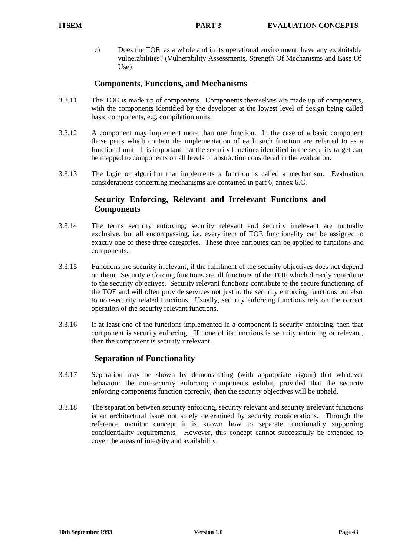c) Does the TOE, as a whole and in its operational environment, have any exploitable vulnerabilities? (Vulnerability Assessments, Strength Of Mechanisms and Ease Of Use)

#### **Components, Functions, and Mechanisms**

- 3.3.11 The TOE is made up of components. Components themselves are made up of components, with the components identified by the developer at the lowest level of design being called basic components, e.g. compilation units.
- 3.3.12 A component may implement more than one function. In the case of a basic component those parts which contain the implementation of each such function are referred to as a functional unit. It is important that the security functions identified in the security target can be mapped to components on all levels of abstraction considered in the evaluation.
- 3.3.13 The logic or algorithm that implements a function is called a mechanism. Evaluation considerations concerning mechanisms are contained in part 6, annex 6.C.

#### **Security Enforcing, Relevant and Irrelevant Functions and Components**

- 3.3.14 The terms security enforcing, security relevant and security irrelevant are mutually exclusive, but all encompassing, i.e. every item of TOE functionality can be assigned to exactly one of these three categories. These three attributes can be applied to functions and components.
- 3.3.15 Functions are security irrelevant, if the fulfilment of the security objectives does not depend on them. Security enforcing functions are all functions of the TOE which directly contribute to the security objectives. Security relevant functions contribute to the secure functioning of the TOE and will often provide services not just to the security enforcing functions but also to non-security related functions. Usually, security enforcing functions rely on the correct operation of the security relevant functions.
- 3.3.16 If at least one of the functions implemented in a component is security enforcing, then that component is security enforcing. If none of its functions is security enforcing or relevant, then the component is security irrelevant.

#### **Separation of Functionality**

- 3.3.17 Separation may be shown by demonstrating (with appropriate rigour) that whatever behaviour the non-security enforcing components exhibit, provided that the security enforcing components function correctly, then the security objectives will be upheld.
- 3.3.18 The separation between security enforcing, security relevant and security irrelevant functions is an architectural issue not solely determined by security considerations. Through the reference monitor concept it is known how to separate functionality supporting confidentiality requirements. However, this concept cannot successfully be extended to cover the areas of integrity and availability.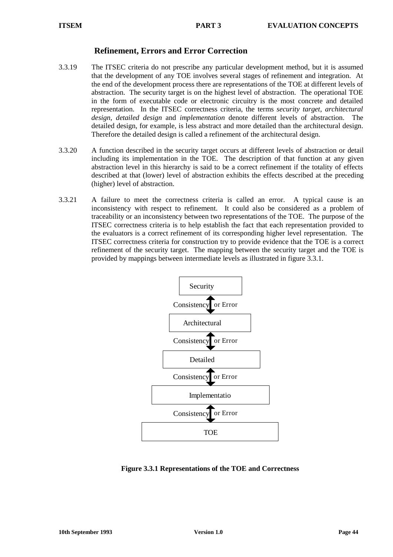#### **Refinement, Errors and Error Correction**

- 3.3.19 The ITSEC criteria do not prescribe any particular development method, but it is assumed that the development of any TOE involves several stages of refinement and integration. At the end of the development process there are representations of the TOE at different levels of abstraction. The security target is on the highest level of abstraction. The operational TOE in the form of executable code or electronic circuitry is the most concrete and detailed representation. In the ITSEC correctness criteria, the terms *security target*, *architectural design*, *detailed design* and *implementation* denote different levels of abstraction. The detailed design, for example, is less abstract and more detailed than the architectural design. Therefore the detailed design is called a refinement of the architectural design.
- 3.3.20 A function described in the security target occurs at different levels of abstraction or detail including its implementation in the TOE. The description of that function at any given abstraction level in this hierarchy is said to be a correct refinement if the totality of effects described at that (lower) level of abstraction exhibits the effects described at the preceding (higher) level of abstraction.
- 3.3.21 A failure to meet the correctness criteria is called an error. A typical cause is an inconsistency with respect to refinement. It could also be considered as a problem of traceability or an inconsistency between two representations of the TOE. The purpose of the ITSEC correctness criteria is to help establish the fact that each representation provided to the evaluators is a correct refinement of its corresponding higher level representation. The ITSEC correctness criteria for construction try to provide evidence that the TOE is a correct refinement of the security target. The mapping between the security target and the TOE is provided by mappings between intermediate levels as illustrated in figure 3.3.1.



**Figure 3.3.1 Representations of the TOE and Correctness**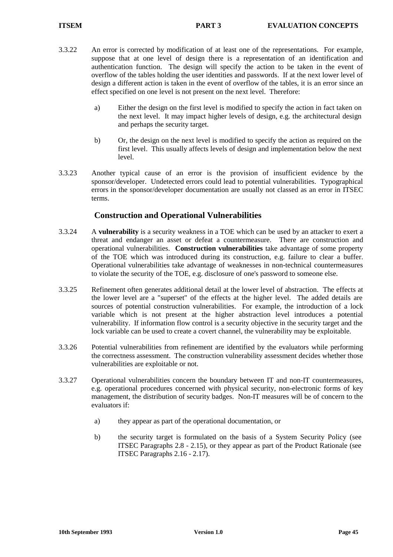- 3.3.22 An error is corrected by modification of at least one of the representations. For example, suppose that at one level of design there is a representation of an identification and authentication function. The design will specify the action to be taken in the event of overflow of the tables holding the user identities and passwords. If at the next lower level of design a different action is taken in the event of overflow of the tables, it is an error since an effect specified on one level is not present on the next level. Therefore:
	- a) Either the design on the first level is modified to specify the action in fact taken on the next level. It may impact higher levels of design, e.g. the architectural design and perhaps the security target.
	- b) Or, the design on the next level is modified to specify the action as required on the first level. This usually affects levels of design and implementation below the next level.
- 3.3.23 Another typical cause of an error is the provision of insufficient evidence by the sponsor/developer. Undetected errors could lead to potential vulnerabilities. Typographical errors in the sponsor/developer documentation are usually not classed as an error in ITSEC terms.

#### **Construction and Operational Vulnerabilities**

- 3.3.24 A **vulnerability** is a security weakness in a TOE which can be used by an attacker to exert a threat and endanger an asset or defeat a countermeasure. There are construction and operational vulnerabilities. **Construction vulnerabilities** take advantage of some property of the TOE which was introduced during its construction, e.g. failure to clear a buffer. Operational vulnerabilities take advantage of weaknesses in non-technical countermeasures to violate the security of the TOE, e.g. disclosure of one's password to someone else.
- 3.3.25 Refinement often generates additional detail at the lower level of abstraction. The effects at the lower level are a "superset" of the effects at the higher level. The added details are sources of potential construction vulnerabilities. For example, the introduction of a lock variable which is not present at the higher abstraction level introduces a potential vulnerability. If information flow control is a security objective in the security target and the lock variable can be used to create a covert channel, the vulnerability may be exploitable.
- 3.3.26 Potential vulnerabilities from refinement are identified by the evaluators while performing the correctness assessment. The construction vulnerability assessment decides whether those vulnerabilities are exploitable or not.
- 3.3.27 Operational vulnerabilities concern the boundary between IT and non-IT countermeasures, e.g. operational procedures concerned with physical security, non-electronic forms of key management, the distribution of security badges. Non-IT measures will be of concern to the evaluators if:
	- a) they appear as part of the operational documentation, or
	- b) the security target is formulated on the basis of a System Security Policy (see ITSEC Paragraphs 2.8 - 2.15), or they appear as part of the Product Rationale (see ITSEC Paragraphs 2.16 - 2.17).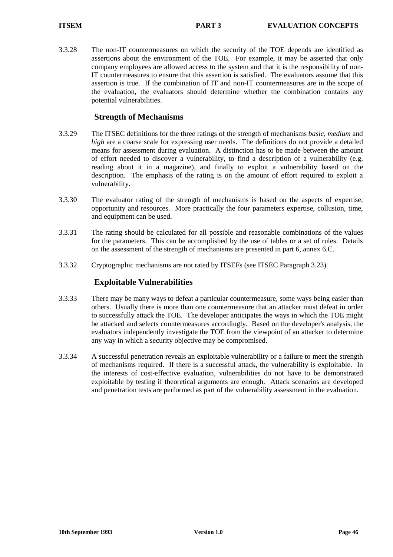3.3.28 The non-IT countermeasures on which the security of the TOE depends are identified as assertions about the environment of the TOE. For example, it may be asserted that only company employees are allowed access to the system and that it is the responsibility of non-IT countermeasures to ensure that this assertion is satisfied. The evaluators assume that this assertion is true. If the combination of IT and non-IT countermeasures are in the scope of the evaluation, the evaluators should determine whether the combination contains any potential vulnerabilities.

#### **Strength of Mechanisms**

- 3.3.29 The ITSEC definitions for the three ratings of the strength of mechanisms *basic*, *medium* and *high* are a coarse scale for expressing user needs. The definitions do not provide a detailed means for assessment during evaluation. A distinction has to be made between the amount of effort needed to discover a vulnerability, to find a description of a vulnerability (e.g. reading about it in a magazine), and finally to exploit a vulnerability based on the description. The emphasis of the rating is on the amount of effort required to exploit a vulnerability.
- 3.3.30 The evaluator rating of the strength of mechanisms is based on the aspects of expertise, opportunity and resources. More practically the four parameters expertise, collusion, time, and equipment can be used.
- 3.3.31 The rating should be calculated for all possible and reasonable combinations of the values for the parameters. This can be accomplished by the use of tables or a set of rules. Details on the assessment of the strength of mechanisms are presented in part 6, annex 6.C.
- 3.3.32 Cryptographic mechanisms are not rated by ITSEFs (see ITSEC Paragraph 3.23).

#### **Exploitable Vulnerabilities**

- 3.3.33 There may be many ways to defeat a particular countermeasure, some ways being easier than others. Usually there is more than one countermeasure that an attacker must defeat in order to successfully attack the TOE. The developer anticipates the ways in which the TOE might be attacked and selects countermeasures accordingly. Based on the developer's analysis, the evaluators independently investigate the TOE from the viewpoint of an attacker to determine any way in which a security objective may be compromised.
- 3.3.34 A successful penetration reveals an exploitable vulnerability or a failure to meet the strength of mechanisms required. If there is a successful attack, the vulnerability is exploitable. In the interests of cost-effective evaluation, vulnerabilities do not have to be demonstrated exploitable by testing if theoretical arguments are enough. Attack scenarios are developed and penetration tests are performed as part of the vulnerability assessment in the evaluation.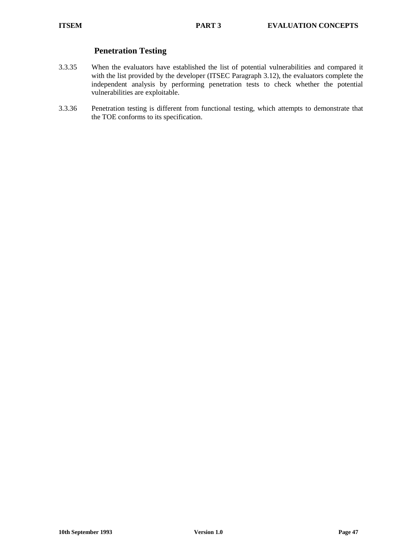#### **Penetration Testing**

- 3.3.35 When the evaluators have established the list of potential vulnerabilities and compared it with the list provided by the developer (ITSEC Paragraph 3.12), the evaluators complete the independent analysis by performing penetration tests to check whether the potential vulnerabilities are exploitable.
- 3.3.36 Penetration testing is different from functional testing, which attempts to demonstrate that the TOE conforms to its specification.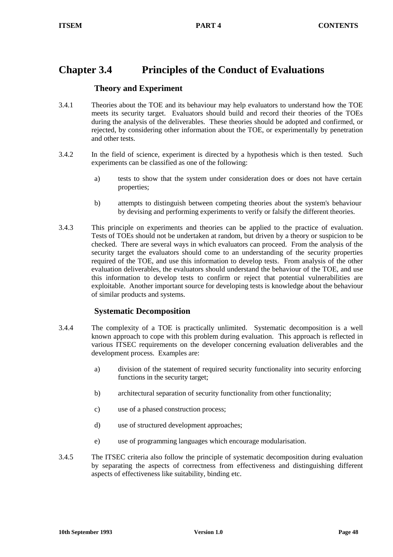### **Chapter 3.4 Principles of the Conduct of Evaluations**

#### **Theory and Experiment**

- 3.4.1 Theories about the TOE and its behaviour may help evaluators to understand how the TOE meets its security target. Evaluators should build and record their theories of the TOEs during the analysis of the deliverables. These theories should be adopted and confirmed, or rejected, by considering other information about the TOE, or experimentally by penetration and other tests.
- 3.4.2 In the field of science, experiment is directed by a hypothesis which is then tested. Such experiments can be classified as one of the following:
	- a) tests to show that the system under consideration does or does not have certain properties;
	- b) attempts to distinguish between competing theories about the system's behaviour by devising and performing experiments to verify or falsify the different theories.
- 3.4.3 This principle on experiments and theories can be applied to the practice of evaluation. Tests of TOEs should not be undertaken at random, but driven by a theory or suspicion to be checked. There are several ways in which evaluators can proceed. From the analysis of the security target the evaluators should come to an understanding of the security properties required of the TOE, and use this information to develop tests. From analysis of the other evaluation deliverables, the evaluators should understand the behaviour of the TOE, and use this information to develop tests to confirm or reject that potential vulnerabilities are exploitable. Another important source for developing tests is knowledge about the behaviour of similar products and systems.

#### **Systematic Decomposition**

- 3.4.4 The complexity of a TOE is practically unlimited. Systematic decomposition is a well known approach to cope with this problem during evaluation. This approach is reflected in various ITSEC requirements on the developer concerning evaluation deliverables and the development process. Examples are:
	- a) division of the statement of required security functionality into security enforcing functions in the security target;
	- b) architectural separation of security functionality from other functionality;
	- c) use of a phased construction process;
	- d) use of structured development approaches;
	- e) use of programming languages which encourage modularisation.
- 3.4.5 The ITSEC criteria also follow the principle of systematic decomposition during evaluation by separating the aspects of correctness from effectiveness and distinguishing different aspects of effectiveness like suitability, binding etc.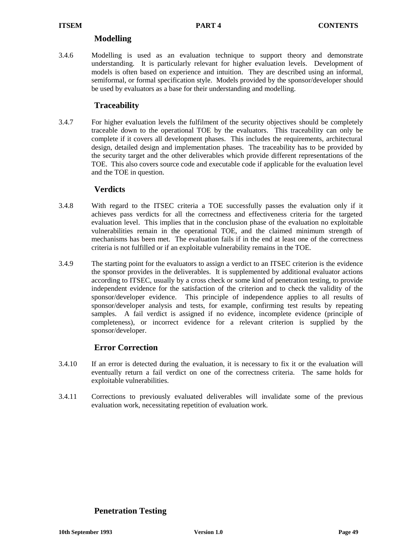#### **Modelling**

3.4.6 Modelling is used as an evaluation technique to support theory and demonstrate understanding. It is particularly relevant for higher evaluation levels. Development of models is often based on experience and intuition. They are described using an informal, semiformal, or formal specification style. Models provided by the sponsor/developer should be used by evaluators as a base for their understanding and modelling.

#### **Traceability**

3.4.7 For higher evaluation levels the fulfilment of the security objectives should be completely traceable down to the operational TOE by the evaluators. This traceability can only be complete if it covers all development phases. This includes the requirements, architectural design, detailed design and implementation phases. The traceability has to be provided by the security target and the other deliverables which provide different representations of the TOE. This also covers source code and executable code if applicable for the evaluation level and the TOE in question.

#### **Verdicts**

- 3.4.8 With regard to the ITSEC criteria a TOE successfully passes the evaluation only if it achieves pass verdicts for all the correctness and effectiveness criteria for the targeted evaluation level. This implies that in the conclusion phase of the evaluation no exploitable vulnerabilities remain in the operational TOE, and the claimed minimum strength of mechanisms has been met. The evaluation fails if in the end at least one of the correctness criteria is not fulfilled or if an exploitable vulnerability remains in the TOE.
- 3.4.9 The starting point for the evaluators to assign a verdict to an ITSEC criterion is the evidence the sponsor provides in the deliverables. It is supplemented by additional evaluator actions according to ITSEC, usually by a cross check or some kind of penetration testing, to provide independent evidence for the satisfaction of the criterion and to check the validity of the sponsor/developer evidence. This principle of independence applies to all results of sponsor/developer analysis and tests, for example, confirming test results by repeating samples. A fail verdict is assigned if no evidence, incomplete evidence (principle of completeness), or incorrect evidence for a relevant criterion is supplied by the sponsor/developer.

#### **Error Correction**

- 3.4.10 If an error is detected during the evaluation, it is necessary to fix it or the evaluation will eventually return a fail verdict on one of the correctness criteria. The same holds for exploitable vulnerabilities.
- 3.4.11 Corrections to previously evaluated deliverables will invalidate some of the previous evaluation work, necessitating repetition of evaluation work.

#### **Penetration Testing**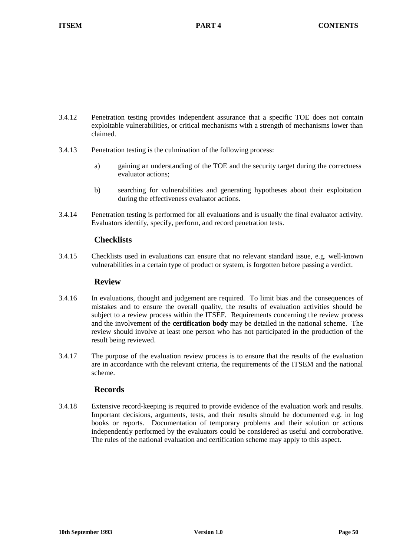- 3.4.12 Penetration testing provides independent assurance that a specific TOE does not contain exploitable vulnerabilities, or critical mechanisms with a strength of mechanisms lower than claimed.
- 3.4.13 Penetration testing is the culmination of the following process:
	- a) gaining an understanding of the TOE and the security target during the correctness evaluator actions;
	- b) searching for vulnerabilities and generating hypotheses about their exploitation during the effectiveness evaluator actions.
- 3.4.14 Penetration testing is performed for all evaluations and is usually the final evaluator activity. Evaluators identify, specify, perform, and record penetration tests.

#### **Checklists**

3.4.15 Checklists used in evaluations can ensure that no relevant standard issue, e.g. well-known vulnerabilities in a certain type of product or system, is forgotten before passing a verdict.

#### **Review**

- 3.4.16 In evaluations, thought and judgement are required. To limit bias and the consequences of mistakes and to ensure the overall quality, the results of evaluation activities should be subject to a review process within the ITSEF. Requirements concerning the review process and the involvement of the **certification body** may be detailed in the national scheme. The review should involve at least one person who has not participated in the production of the result being reviewed.
- 3.4.17 The purpose of the evaluation review process is to ensure that the results of the evaluation are in accordance with the relevant criteria, the requirements of the ITSEM and the national scheme.

#### **Records**

3.4.18 Extensive record-keeping is required to provide evidence of the evaluation work and results. Important decisions, arguments, tests, and their results should be documented e.g. in log books or reports. Documentation of temporary problems and their solution or actions independently performed by the evaluators could be considered as useful and corroborative. The rules of the national evaluation and certification scheme may apply to this aspect.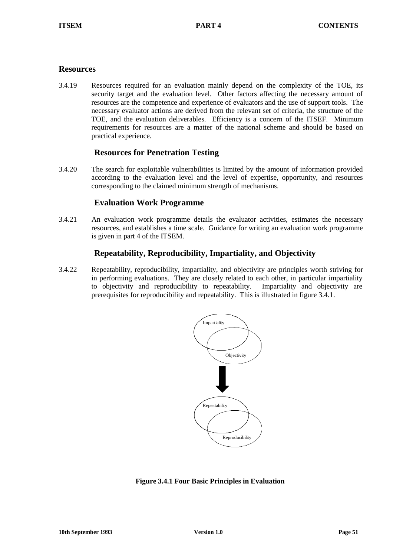#### **Resources**

3.4.19 Resources required for an evaluation mainly depend on the complexity of the TOE, its security target and the evaluation level. Other factors affecting the necessary amount of resources are the competence and experience of evaluators and the use of support tools. The necessary evaluator actions are derived from the relevant set of criteria, the structure of the TOE, and the evaluation deliverables. Efficiency is a concern of the ITSEF. Minimum requirements for resources are a matter of the national scheme and should be based on practical experience.

#### **Resources for Penetration Testing**

3.4.20 The search for exploitable vulnerabilities is limited by the amount of information provided according to the evaluation level and the level of expertise, opportunity, and resources corresponding to the claimed minimum strength of mechanisms.

#### **Evaluation Work Programme**

3.4.21 An evaluation work programme details the evaluator activities, estimates the necessary resources, and establishes a time scale. Guidance for writing an evaluation work programme is given in part 4 of the ITSEM.

#### **Repeatability, Reproducibility, Impartiality, and Objectivity**

3.4.22 Repeatability, reproducibility, impartiality, and objectivity are principles worth striving for in performing evaluations. They are closely related to each other, in particular impartiality to objectivity and reproducibility to repeatability. Impartiality and objectivity are prerequisites for reproducibility and repeatability. This is illustrated in figure 3.4.1.



**Figure 3.4.1 Four Basic Principles in Evaluation**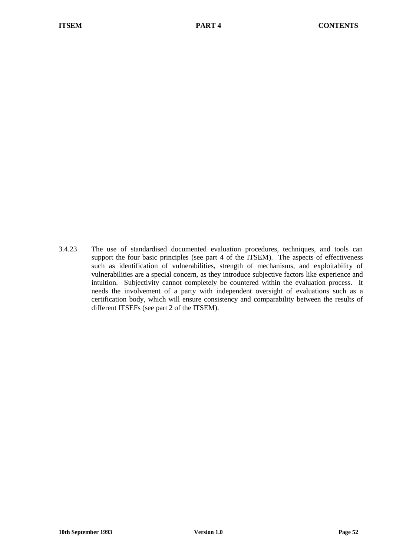3.4.23 The use of standardised documented evaluation procedures, techniques, and tools can support the four basic principles (see part 4 of the ITSEM). The aspects of effectiveness such as identification of vulnerabilities, strength of mechanisms, and exploitability of vulnerabilities are a special concern, as they introduce subjective factors like experience and intuition. Subjectivity cannot completely be countered within the evaluation process. It needs the involvement of a party with independent oversight of evaluations such as a certification body, which will ensure consistency and comparability between the results of different ITSEFs (see part 2 of the ITSEM).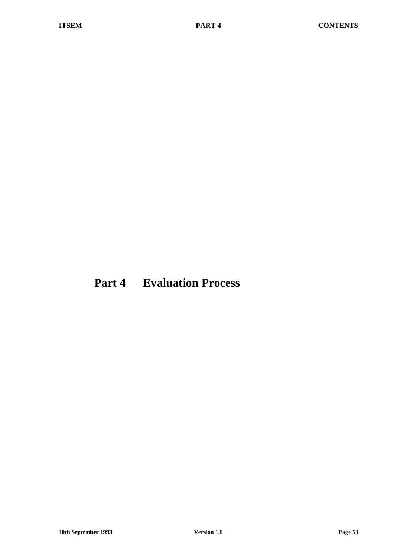**Part 4 Evaluation Process**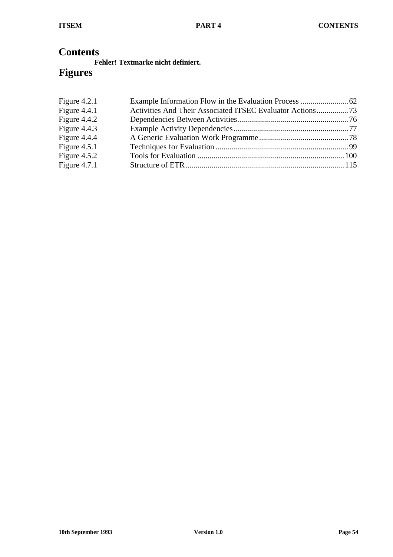### **Contents**

**Fehler! Textmarke nicht definiert.**

# **Figures**

| Figure $4.2.1$ |                                                           |  |
|----------------|-----------------------------------------------------------|--|
| Figure $4.4.1$ | Activities And Their Associated ITSEC Evaluator Actions73 |  |
| Figure $4.4.2$ |                                                           |  |
| Figure $4.4.3$ |                                                           |  |
| Figure 4.4.4   |                                                           |  |
| Figure $4.5.1$ |                                                           |  |
| Figure $4.5.2$ |                                                           |  |
| Figure $4.7.1$ |                                                           |  |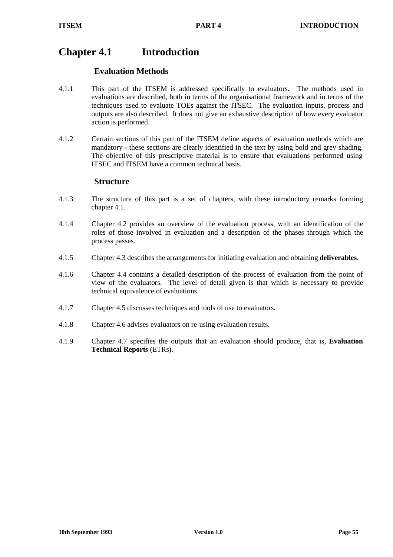## **Chapter 4.1 Introduction**

#### **Evaluation Methods**

- 4.1.1 This part of the ITSEM is addressed specifically to evaluators. The methods used in evaluations are described, both in terms of the organisational framework and in terms of the techniques used to evaluate TOEs against the ITSEC. The evaluation inputs, process and outputs are also described. It does not give an exhaustive description of how every evaluator action is performed.
- 4.1.2 Certain sections of this part of the ITSEM define aspects of evaluation methods which are mandatory - these sections are clearly identified in the text by using bold and grey shading. The objective of this prescriptive material is to ensure that evaluations performed using ITSEC and ITSEM have a common technical basis.

#### **Structure**

- 4.1.3 The structure of this part is a set of chapters, with these introductory remarks forming chapter 4.1.
- 4.1.4 Chapter 4.2 provides an overview of the evaluation process, with an identification of the roles of those involved in evaluation and a description of the phases through which the process passes.
- 4.1.5 Chapter 4.3 describes the arrangements for initiating evaluation and obtaining **deliverables**.
- 4.1.6 Chapter 4.4 contains a detailed description of the process of evaluation from the point of view of the evaluators. The level of detail given is that which is necessary to provide technical equivalence of evaluations.
- 4.1.7 Chapter 4.5 discusses techniques and tools of use to evaluators.
- 4.1.8 Chapter 4.6 advises evaluators on re-using evaluation results.
- 4.1.9 Chapter 4.7 specifies the outputs that an evaluation should produce, that is, **Evaluation Technical Reports** (ETRs).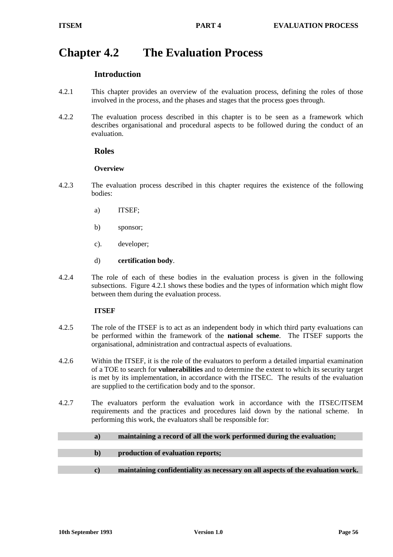# **Chapter 4.2 The Evaluation Process**

#### **Introduction**

- 4.2.1 This chapter provides an overview of the evaluation process, defining the roles of those involved in the process, and the phases and stages that the process goes through.
- 4.2.2 The evaluation process described in this chapter is to be seen as a framework which describes organisational and procedural aspects to be followed during the conduct of an evaluation.

#### **Roles**

#### **Overview**

- 4.2.3 The evaluation process described in this chapter requires the existence of the following bodies:
	- a) ITSEF;
	- b) sponsor;
	- c). developer;
	- d) **certification body**.
- 4.2.4 The role of each of these bodies in the evaluation process is given in the following subsections. Figure 4.2.1 shows these bodies and the types of information which might flow between them during the evaluation process.

#### **ITSEF**

- 4.2.5 The role of the ITSEF is to act as an independent body in which third party evaluations can be performed within the framework of the **national scheme**. The ITSEF supports the organisational, administration and contractual aspects of evaluations.
- 4.2.6 Within the ITSEF, it is the role of the evaluators to perform a detailed impartial examination of a TOE to search for **vulnerabilities** and to determine the extent to which its security target is met by its implementation, in accordance with the ITSEC. The results of the evaluation are supplied to the certification body and to the sponsor.
- 4.2.7 The evaluators perform the evaluation work in accordance with the ITSEC/ITSEM requirements and the practices and procedures laid down by the national scheme. In performing this work, the evaluators shall be responsible for:

#### **a) maintaining a record of all the work performed during the evaluation;**

#### **b) production of evaluation reports;**

#### **c) maintaining confidentiality as necessary on all aspects of the evaluation work.**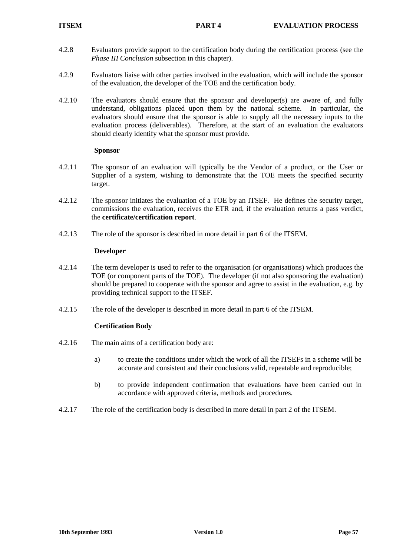- 4.2.8 Evaluators provide support to the certification body during the certification process (see the *Phase III Conclusion* subsection in this chapter).
- 4.2.9 Evaluators liaise with other parties involved in the evaluation, which will include the sponsor of the evaluation, the developer of the TOE and the certification body.
- 4.2.10 The evaluators should ensure that the sponsor and developer(s) are aware of, and fully understand, obligations placed upon them by the national scheme. In particular, the evaluators should ensure that the sponsor is able to supply all the necessary inputs to the evaluation process (deliverables). Therefore, at the start of an evaluation the evaluators should clearly identify what the sponsor must provide.

#### **Sponsor**

- 4.2.11 The sponsor of an evaluation will typically be the Vendor of a product, or the User or Supplier of a system, wishing to demonstrate that the TOE meets the specified security target.
- 4.2.12 The sponsor initiates the evaluation of a TOE by an ITSEF. He defines the security target, commissions the evaluation, receives the ETR and, if the evaluation returns a pass verdict, the **certificate/certification report**.
- 4.2.13 The role of the sponsor is described in more detail in part 6 of the ITSEM.

#### **Developer**

- 4.2.14 The term developer is used to refer to the organisation (or organisations) which produces the TOE (or component parts of the TOE). The developer (if not also sponsoring the evaluation) should be prepared to cooperate with the sponsor and agree to assist in the evaluation, e.g. by providing technical support to the ITSEF.
- 4.2.15 The role of the developer is described in more detail in part 6 of the ITSEM.

#### **Certification Body**

- 4.2.16 The main aims of a certification body are:
	- a) to create the conditions under which the work of all the ITSEFs in a scheme will be accurate and consistent and their conclusions valid, repeatable and reproducible;
	- b) to provide independent confirmation that evaluations have been carried out in accordance with approved criteria, methods and procedures.
- 4.2.17 The role of the certification body is described in more detail in part 2 of the ITSEM.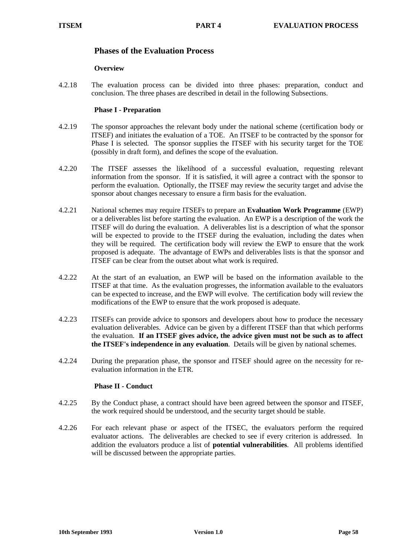#### **Phases of the Evaluation Process**

#### **Overview**

4.2.18 The evaluation process can be divided into three phases: preparation, conduct and conclusion. The three phases are described in detail in the following Subsections.

#### **Phase I - Preparation**

- 4.2.19 The sponsor approaches the relevant body under the national scheme (certification body or ITSEF) and initiates the evaluation of a TOE. An ITSEF to be contracted by the sponsor for Phase I is selected. The sponsor supplies the ITSEF with his security target for the TOE (possibly in draft form), and defines the scope of the evaluation.
- 4.2.20 The ITSEF assesses the likelihood of a successful evaluation, requesting relevant information from the sponsor. If it is satisfied, it will agree a contract with the sponsor to perform the evaluation. Optionally, the ITSEF may review the security target and advise the sponsor about changes necessary to ensure a firm basis for the evaluation.
- 4.2.21 National schemes may require ITSEFs to prepare an **Evaluation Work Programme** (EWP) or a deliverables list before starting the evaluation. An EWP is a description of the work the ITSEF will do during the evaluation. A deliverables list is a description of what the sponsor will be expected to provide to the ITSEF during the evaluation, including the dates when they will be required. The certification body will review the EWP to ensure that the work proposed is adequate. The advantage of EWPs and deliverables lists is that the sponsor and ITSEF can be clear from the outset about what work is required.
- 4.2.22 At the start of an evaluation, an EWP will be based on the information available to the ITSEF at that time. As the evaluation progresses, the information available to the evaluators can be expected to increase, and the EWP will evolve. The certification body will review the modifications of the EWP to ensure that the work proposed is adequate.
- 4.2.23 ITSEFs can provide advice to sponsors and developers about how to produce the necessary evaluation deliverables. Advice can be given by a different ITSEF than that which performs the evaluation. **If an ITSEF gives advice, the advice given must not be such as to affect the ITSEF's independence in any evaluation**. Details will be given by national schemes.
- 4.2.24 During the preparation phase, the sponsor and ITSEF should agree on the necessity for reevaluation information in the ETR.

#### **Phase II - Conduct**

- 4.2.25 By the Conduct phase, a contract should have been agreed between the sponsor and ITSEF, the work required should be understood, and the security target should be stable.
- 4.2.26 For each relevant phase or aspect of the ITSEC, the evaluators perform the required evaluator actions. The deliverables are checked to see if every criterion is addressed. In addition the evaluators produce a list of **potential vulnerabilities**. All problems identified will be discussed between the appropriate parties.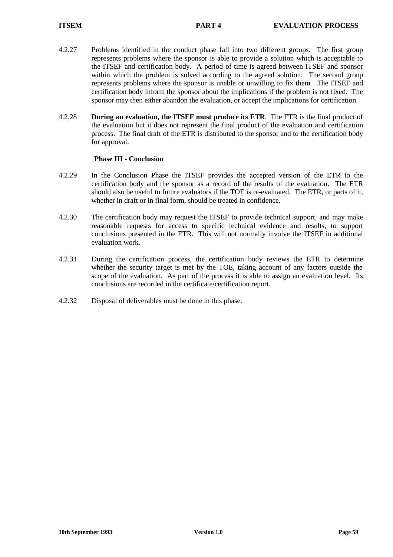- 4.2.27 Problems identified in the conduct phase fall into two different groups. The first group represents problems where the sponsor is able to provide a solution which is acceptable to the ITSEF and certification body. A period of time is agreed between ITSEF and sponsor within which the problem is solved according to the agreed solution. The second group represents problems where the sponsor is unable or unwilling to fix them. The ITSEF and certification body inform the sponsor about the implications if the problem is not fixed. The sponsor may then either abandon the evaluation, or accept the implications for certification.
- 4.2.28 **During an evaluation, the ITSEF must produce its ETR**. The ETR is the final product of the evaluation but it does not represent the final product of the evaluation and certification process. The final draft of the ETR is distributed to the sponsor and to the certification body for approval.

#### **Phase III - Conclusion**

- 4.2.29 In the Conclusion Phase the ITSEF provides the accepted version of the ETR to the certification body and the sponsor as a record of the results of the evaluation. The ETR should also be useful to future evaluators if the TOE is re-evaluated. The ETR, or parts of it, whether in draft or in final form, should be treated in confidence.
- 4.2.30 The certification body may request the ITSEF to provide technical support, and may make reasonable requests for access to specific technical evidence and results, to support conclusions presented in the ETR. This will not normally involve the ITSEF in additional evaluation work.
- 4.2.31 During the certification process, the certification body reviews the ETR to determine whether the security target is met by the TOE, taking account of any factors outside the scope of the evaluation. As part of the process it is able to assign an evaluation level. Its conclusions are recorded in the certificate/certification report.
- 4.2.32 Disposal of deliverables must be done in this phase.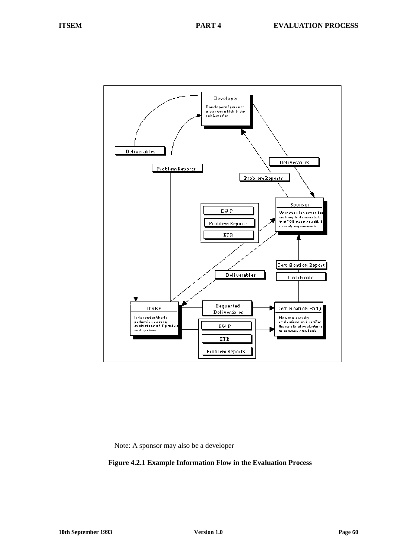

Note: A sponsor may also be a developer

#### **Figure 4.2.1 Example Information Flow in the Evaluation Process**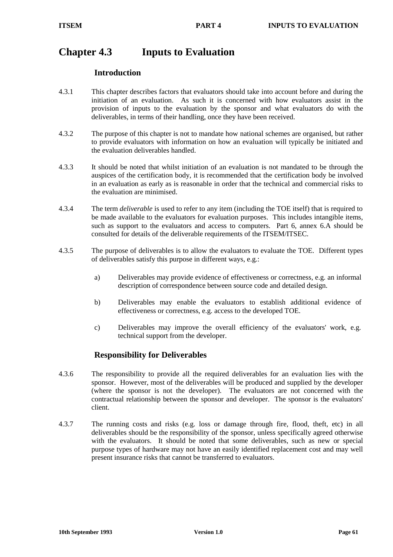## **Chapter 4.3 Inputs to Evaluation**

#### **Introduction**

- 4.3.1 This chapter describes factors that evaluators should take into account before and during the initiation of an evaluation. As such it is concerned with how evaluators assist in the provision of inputs to the evaluation by the sponsor and what evaluators do with the deliverables, in terms of their handling, once they have been received.
- 4.3.2 The purpose of this chapter is not to mandate how national schemes are organised, but rather to provide evaluators with information on how an evaluation will typically be initiated and the evaluation deliverables handled.
- 4.3.3 It should be noted that whilst initiation of an evaluation is not mandated to be through the auspices of the certification body, it is recommended that the certification body be involved in an evaluation as early as is reasonable in order that the technical and commercial risks to the evaluation are minimised.
- 4.3.4 The term *deliverable* is used to refer to any item (including the TOE itself) that is required to be made available to the evaluators for evaluation purposes. This includes intangible items, such as support to the evaluators and access to computers. Part 6, annex 6.A should be consulted for details of the deliverable requirements of the ITSEM/ITSEC.
- 4.3.5 The purpose of deliverables is to allow the evaluators to evaluate the TOE. Different types of deliverables satisfy this purpose in different ways, e.g.:
	- a) Deliverables may provide evidence of effectiveness or correctness, e.g. an informal description of correspondence between source code and detailed design.
	- b) Deliverables may enable the evaluators to establish additional evidence of effectiveness or correctness, e.g. access to the developed TOE.
	- c) Deliverables may improve the overall efficiency of the evaluators' work, e.g. technical support from the developer.

#### **Responsibility for Deliverables**

- 4.3.6 The responsibility to provide all the required deliverables for an evaluation lies with the sponsor. However, most of the deliverables will be produced and supplied by the developer (where the sponsor is not the developer). The evaluators are not concerned with the contractual relationship between the sponsor and developer. The sponsor is the evaluators' client.
- 4.3.7 The running costs and risks (e.g. loss or damage through fire, flood, theft, etc) in all deliverables should be the responsibility of the sponsor, unless specifically agreed otherwise with the evaluators. It should be noted that some deliverables, such as new or special purpose types of hardware may not have an easily identified replacement cost and may well present insurance risks that cannot be transferred to evaluators.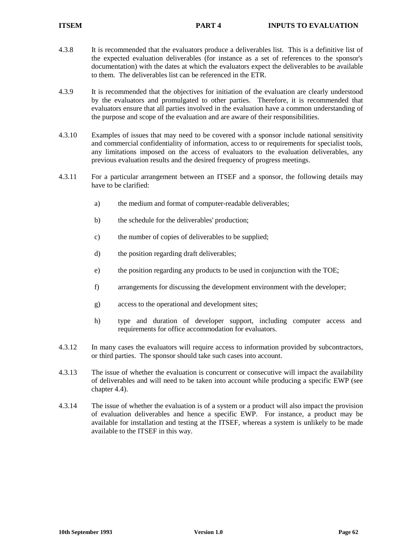- 4.3.8 It is recommended that the evaluators produce a deliverables list. This is a definitive list of the expected evaluation deliverables (for instance as a set of references to the sponsor's documentation) with the dates at which the evaluators expect the deliverables to be available to them. The deliverables list can be referenced in the ETR.
- 4.3.9 It is recommended that the objectives for initiation of the evaluation are clearly understood by the evaluators and promulgated to other parties. Therefore, it is recommended that evaluators ensure that all parties involved in the evaluation have a common understanding of the purpose and scope of the evaluation and are aware of their responsibilities.
- 4.3.10 Examples of issues that may need to be covered with a sponsor include national sensitivity and commercial confidentiality of information, access to or requirements for specialist tools, any limitations imposed on the access of evaluators to the evaluation deliverables, any previous evaluation results and the desired frequency of progress meetings.
- 4.3.11 For a particular arrangement between an ITSEF and a sponsor, the following details may have to be clarified:
	- a) the medium and format of computer-readable deliverables;
	- b) the schedule for the deliverables' production;
	- c) the number of copies of deliverables to be supplied;
	- d) the position regarding draft deliverables;
	- e) the position regarding any products to be used in conjunction with the TOE;
	- f) arrangements for discussing the development environment with the developer;
	- g) access to the operational and development sites;
	- h) type and duration of developer support, including computer access and requirements for office accommodation for evaluators.
- 4.3.12 In many cases the evaluators will require access to information provided by subcontractors, or third parties. The sponsor should take such cases into account.
- 4.3.13 The issue of whether the evaluation is concurrent or consecutive will impact the availability of deliverables and will need to be taken into account while producing a specific EWP (see chapter 4.4).
- 4.3.14 The issue of whether the evaluation is of a system or a product will also impact the provision of evaluation deliverables and hence a specific EWP. For instance, a product may be available for installation and testing at the ITSEF, whereas a system is unlikely to be made available to the ITSEF in this way.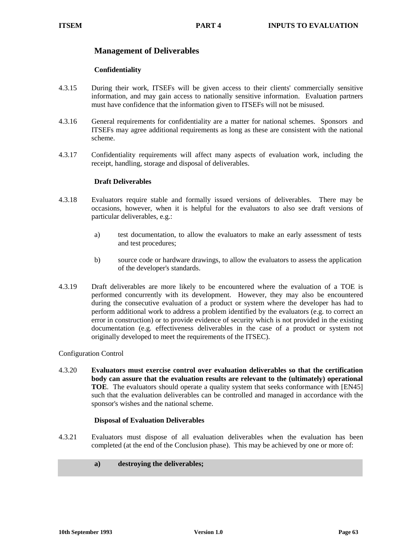#### **Management of Deliverables**

#### **Confidentiality**

- 4.3.15 During their work, ITSEFs will be given access to their clients' commercially sensitive information, and may gain access to nationally sensitive information. Evaluation partners must have confidence that the information given to ITSEFs will not be misused.
- 4.3.16 General requirements for confidentiality are a matter for national schemes. Sponsors and ITSEFs may agree additional requirements as long as these are consistent with the national scheme.
- 4.3.17 Confidentiality requirements will affect many aspects of evaluation work, including the receipt, handling, storage and disposal of deliverables.

#### **Draft Deliverables**

- 4.3.18 Evaluators require stable and formally issued versions of deliverables. There may be occasions, however, when it is helpful for the evaluators to also see draft versions of particular deliverables, e.g.:
	- a) test documentation, to allow the evaluators to make an early assessment of tests and test procedures;
	- b) source code or hardware drawings, to allow the evaluators to assess the application of the developer's standards.
- 4.3.19 Draft deliverables are more likely to be encountered where the evaluation of a TOE is performed concurrently with its development. However, they may also be encountered during the consecutive evaluation of a product or system where the developer has had to perform additional work to address a problem identified by the evaluators (e.g. to correct an error in construction) or to provide evidence of security which is not provided in the existing documentation (e.g. effectiveness deliverables in the case of a product or system not originally developed to meet the requirements of the ITSEC).

#### Configuration Control

4.3.20 **Evaluators must exercise control over evaluation deliverables so that the certification body can assure that the evaluation results are relevant to the (ultimately) operational TOE**. The evaluators should operate a quality system that seeks conformance with [EN45] such that the evaluation deliverables can be controlled and managed in accordance with the sponsor's wishes and the national scheme.

#### **Disposal of Evaluation Deliverables**

4.3.21 Evaluators must dispose of all evaluation deliverables when the evaluation has been completed (at the end of the Conclusion phase). This may be achieved by one or more of:

#### **a) destroying the deliverables;**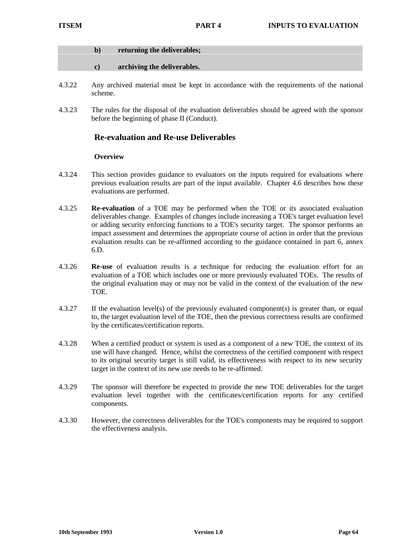| b) | returning the deliverables; |  |
|----|-----------------------------|--|
|    |                             |  |

#### **c) archiving the deliverables.**

- 4.3.22 Any archived material must be kept in accordance with the requirements of the national scheme.
- 4.3.23 The rules for the disposal of the evaluation deliverables should be agreed with the sponsor before the beginning of phase II (Conduct).

# **Re-evaluation and Re-use Deliverables**

#### **Overview**

- 4.3.24 This section provides guidance to evaluators on the inputs required for evaluations where previous evaluation results are part of the input available. Chapter 4.6 describes how these evaluations are performed.
- 4.3.25 **Re-evaluation** of a TOE may be performed when the TOE or its associated evaluation deliverables change. Examples of changes include increasing a TOE's target evaluation level or adding security enforcing functions to a TOE's security target. The sponsor performs an impact assessment and determines the appropriate course of action in order that the previous evaluation results can be re-affirmed according to the guidance contained in part 6, annex 6.D.
- 4.3.26 **Re-use** of evaluation results is a technique for reducing the evaluation effort for an evaluation of a TOE which includes one or more previously evaluated TOEs. The results of the original evaluation may or may not be valid in the context of the evaluation of the new TOE.
- 4.3.27 If the evaluation level(s) of the previously evaluated component(s) is greater than, or equal to, the target evaluation level of the TOE, then the previous correctness results are confirmed by the certificates/certification reports.
- 4.3.28 When a certified product or system is used as a component of a new TOE, the context of its use will have changed. Hence, whilst the correctness of the certified component with respect to its original security target is still valid, its effectiveness with respect to its new security target in the context of its new use needs to be re-affirmed.
- 4.3.29 The sponsor will therefore be expected to provide the new TOE deliverables for the target evaluation level together with the certificates/certification reports for any certified components.
- 4.3.30 However, the correctness deliverables for the TOE's components may be required to support the effectiveness analysis.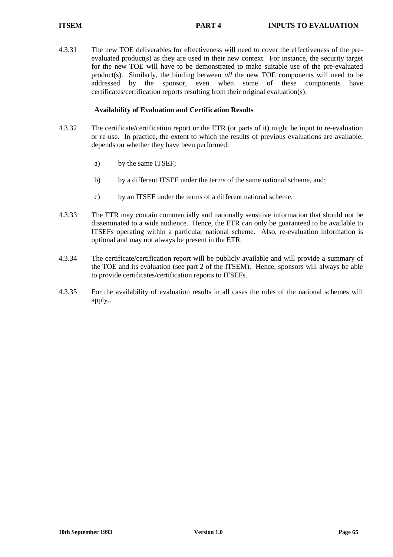4.3.31 The new TOE deliverables for effectiveness will need to cover the effectiveness of the preevaluated product(s) as they are used in their new context. For instance, the security target for the new TOE will have to be demonstrated to make suitable use of the pre-evaluated product(s). Similarly, the binding between *all* the new TOE components will need to be addressed by the sponsor, even when some of these components have certificates/certification reports resulting from their original evaluation(s).

#### **Availability of Evaluation and Certification Results**

- 4.3.32 The certificate/certification report or the ETR (or parts of it) might be input to re-evaluation or re-use. In practice, the extent to which the results of previous evaluations are available, depends on whether they have been performed:
	- a) by the same ITSEF;
	- b) by a different ITSEF under the terms of the same national scheme, and;
	- c) by an ITSEF under the terms of a different national scheme.
- 4.3.33 The ETR may contain commercially and nationally sensitive information that should not be disseminated to a wide audience. Hence, the ETR can only be guaranteed to be available to ITSEFs operating within a particular national scheme. Also, re-evaluation information is optional and may not always be present in the ETR.
- 4.3.34 The certificate/certification report will be publicly available and will provide a summary of the TOE and its evaluation (see part 2 of the ITSEM). Hence, sponsors will always be able to provide certificates/certification reports to ITSEFs.
- 4.3.35 For the availability of evaluation results in all cases the rules of the national schemes will apply..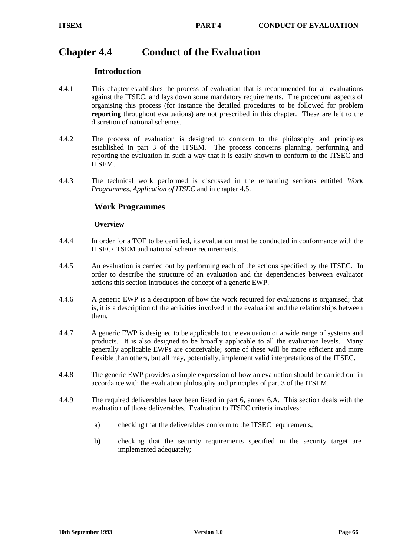# **Chapter 4.4 Conduct of the Evaluation**

# **Introduction**

- 4.4.1 This chapter establishes the process of evaluation that is recommended for all evaluations against the ITSEC, and lays down some mandatory requirements. The procedural aspects of organising this process (for instance the detailed procedures to be followed for problem **reporting** throughout evaluations) are not prescribed in this chapter. These are left to the discretion of national schemes.
- 4.4.2 The process of evaluation is designed to conform to the philosophy and principles established in part 3 of the ITSEM. The process concerns planning, performing and reporting the evaluation in such a way that it is easily shown to conform to the ITSEC and ITSEM.
- 4.4.3 The technical work performed is discussed in the remaining sections entitled *Work Programmes*, *Application of ITSEC* and in chapter 4.5.

# **Work Programmes**

#### **Overview**

- 4.4.4 In order for a TOE to be certified, its evaluation must be conducted in conformance with the ITSEC/ITSEM and national scheme requirements.
- 4.4.5 An evaluation is carried out by performing each of the actions specified by the ITSEC. In order to describe the structure of an evaluation and the dependencies between evaluator actions this section introduces the concept of a generic EWP.
- 4.4.6 A generic EWP is a description of how the work required for evaluations is organised; that is, it is a description of the activities involved in the evaluation and the relationships between them.
- 4.4.7 A generic EWP is designed to be applicable to the evaluation of a wide range of systems and products. It is also designed to be broadly applicable to all the evaluation levels. Many generally applicable EWPs are conceivable; some of these will be more efficient and more flexible than others, but all may, potentially, implement valid interpretations of the ITSEC.
- 4.4.8 The generic EWP provides a simple expression of how an evaluation should be carried out in accordance with the evaluation philosophy and principles of part 3 of the ITSEM.
- 4.4.9 The required deliverables have been listed in part 6, annex 6.A. This section deals with the evaluation of those deliverables. Evaluation to ITSEC criteria involves:
	- a) checking that the deliverables conform to the ITSEC requirements;
	- b) checking that the security requirements specified in the security target are implemented adequately;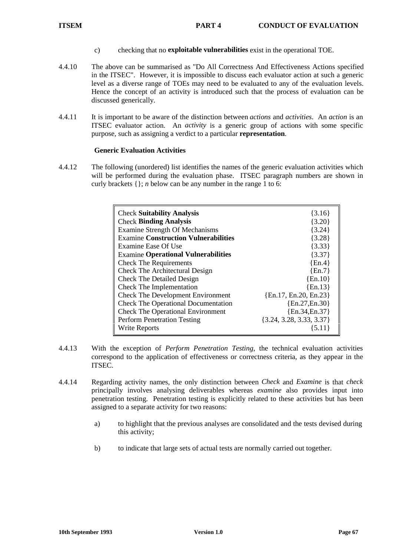- c) checking that no **exploitable vulnerabilities** exist in the operational TOE.
- 4.4.10 The above can be summarised as "Do All Correctness And Effectiveness Actions specified in the ITSEC". However, it is impossible to discuss each evaluator action at such a generic level as a diverse range of TOEs may need to be evaluated to any of the evaluation levels. Hence the concept of an activity is introduced such that the process of evaluation can be discussed generically.
- 4.4.11 It is important to be aware of the distinction between *actions* and *activities*. An *action* is an ITSEC evaluator action. An *activity* is a generic group of actions with some specific purpose, such as assigning a verdict to a particular **representation**.

#### **Generic Evaluation Activities**

4.4.12 The following (unordered) list identifies the names of the generic evaluation activities which will be performed during the evaluation phase. ITSEC paragraph numbers are shown in curly brackets {}; *n* below can be any number in the range 1 to 6:

| <b>Check Suitability Analysis</b>           | $\{3.16\}$                   |
|---------------------------------------------|------------------------------|
| <b>Check Binding Analysis</b>               | $\{3.20\}$                   |
| <b>Examine Strength Of Mechanisms</b>       | ${3.24}$                     |
| <b>Examine Construction Vulnerabilities</b> | ${3.28}$                     |
| Examine Ease Of Use                         | ${3.33}$                     |
| <b>Examine Operational Vulnerabilities</b>  | ${3.37}$                     |
| <b>Check The Requirements</b>               | $\{En.4\}$                   |
| <b>Check The Architectural Design</b>       | ${En.7}$                     |
| <b>Check The Detailed Design</b>            | $\{En.10\}$                  |
| <b>Check The Implementation</b>             | $\{En.13\}$                  |
| <b>Check The Development Environment</b>    | ${En.17, En.20, En.23}$      |
| <b>Check The Operational Documentation</b>  | $\{En.27, En.30\}$           |
| <b>Check The Operational Environment</b>    | ${En.34, En.37}$             |
| <b>Perform Penetration Testing</b>          | $\{3.24, 3.28, 3.33, 3.37\}$ |
| Write Reports                               | ${5.11}$                     |

- 4.4.13 With the exception of *Perform Penetration Testing*, the technical evaluation activities correspond to the application of effectiveness or correctness criteria, as they appear in the ITSEC.
- 4.4.14 Regarding activity names, the only distinction between *Check* and *Examine* is that *check* principally involves analysing deliverables whereas *examine* also provides input into penetration testing. Penetration testing is explicitly related to these activities but has been assigned to a separate activity for two reasons:
	- a) to highlight that the previous analyses are consolidated and the tests devised during this activity;
	- b) to indicate that large sets of actual tests are normally carried out together.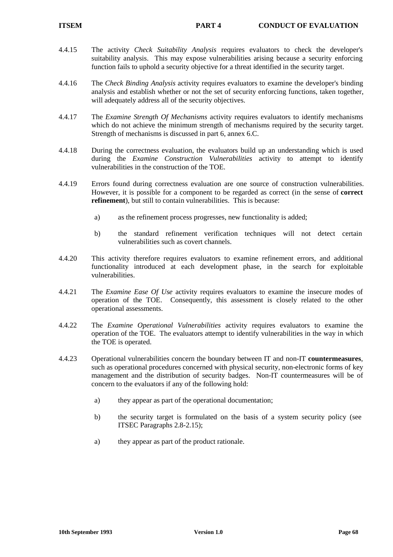- 4.4.15 The activity *Check Suitability Analysis* requires evaluators to check the developer's suitability analysis. This may expose vulnerabilities arising because a security enforcing function fails to uphold a security objective for a threat identified in the security target.
- 4.4.16 The *Check Binding Analysis* activity requires evaluators to examine the developer's binding analysis and establish whether or not the set of security enforcing functions, taken together, will adequately address all of the security objectives.
- 4.4.17 The *Examine Strength Of Mechanisms* activity requires evaluators to identify mechanisms which do not achieve the minimum strength of mechanisms required by the security target. Strength of mechanisms is discussed in part 6, annex 6.C.
- 4.4.18 During the correctness evaluation, the evaluators build up an understanding which is used during the *Examine Construction Vulnerabilities* activity to attempt to identify vulnerabilities in the construction of the TOE.
- 4.4.19 Errors found during correctness evaluation are one source of construction vulnerabilities. However, it is possible for a component to be regarded as correct (in the sense of **correct refinement**), but still to contain vulnerabilities. This is because:
	- a) as the refinement process progresses, new functionality is added;
	- b) the standard refinement verification techniques will not detect certain vulnerabilities such as covert channels.
- 4.4.20 This activity therefore requires evaluators to examine refinement errors, and additional functionality introduced at each development phase, in the search for exploitable vulnerabilities.
- 4.4.21 The *Examine Ease Of Use* activity requires evaluators to examine the insecure modes of operation of the TOE. Consequently, this assessment is closely related to the other operational assessments.
- 4.4.22 The *Examine Operational Vulnerabilities* activity requires evaluators to examine the operation of the TOE. The evaluators attempt to identify vulnerabilities in the way in which the TOE is operated.
- 4.4.23 Operational vulnerabilities concern the boundary between IT and non-IT **countermeasures**, such as operational procedures concerned with physical security, non-electronic forms of key management and the distribution of security badges. Non-IT countermeasures will be of concern to the evaluators if any of the following hold:
	- a) they appear as part of the operational documentation;
	- b) the security target is formulated on the basis of a system security policy (see ITSEC Paragraphs 2.8-2.15);
	- a) they appear as part of the product rationale.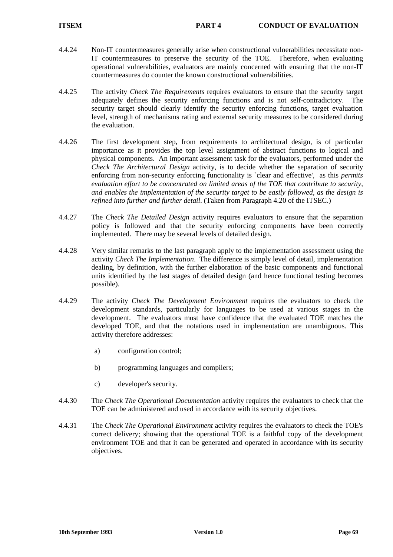- 4.4.24 Non-IT countermeasures generally arise when constructional vulnerabilities necessitate non-IT countermeasures to preserve the security of the TOE. Therefore, when evaluating operational vulnerabilities, evaluators are mainly concerned with ensuring that the non-IT countermeasures do counter the known constructional vulnerabilities.
- 4.4.25 The activity *Check The Requirements* requires evaluators to ensure that the security target adequately defines the security enforcing functions and is not self-contradictory. The security target should clearly identify the security enforcing functions, target evaluation level, strength of mechanisms rating and external security measures to be considered during the evaluation.
- 4.4.26 The first development step, from requirements to architectural design, is of particular importance as it provides the top level assignment of abstract functions to logical and physical components. An important assessment task for the evaluators, performed under the *Check The Architectural Design* activity, is to decide whether the separation of security enforcing from non-security enforcing functionality is `clear and effective', as this *permits evaluation effort to be concentrated on limited areas of the TOE that contribute to security, and enables the implementation of the security target to be easily followed, as the design is refined into further and further detail*. (Taken from Paragraph 4.20 of the ITSEC.)
- 4.4.27 The *Check The Detailed Design* activity requires evaluators to ensure that the separation policy is followed and that the security enforcing components have been correctly implemented. There may be several levels of detailed design.
- 4.4.28 Very similar remarks to the last paragraph apply to the implementation assessment using the activity *Check The Implementation*. The difference is simply level of detail, implementation dealing, by definition, with the further elaboration of the basic components and functional units identified by the last stages of detailed design (and hence functional testing becomes possible).
- 4.4.29 The activity *Check The Development Environment* requires the evaluators to check the development standards, particularly for languages to be used at various stages in the development. The evaluators must have confidence that the evaluated TOE matches the developed TOE, and that the notations used in implementation are unambiguous. This activity therefore addresses:
	- a) configuration control;
	- b) programming languages and compilers;
	- c) developer's security.
- 4.4.30 The *Check The Operational Documentation* activity requires the evaluators to check that the TOE can be administered and used in accordance with its security objectives.
- 4.4.31 The *Check The Operational Environment* activity requires the evaluators to check the TOE's correct delivery; showing that the operational TOE is a faithful copy of the development environment TOE and that it can be generated and operated in accordance with its security objectives.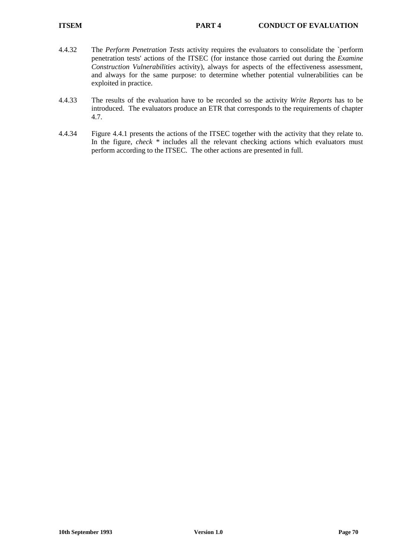- 4.4.32 The *Perform Penetration Tests* activity requires the evaluators to consolidate the `perform penetration tests' actions of the ITSEC (for instance those carried out during the *Examine Construction Vulnerabilities* activity), always for aspects of the effectiveness assessment, and always for the same purpose: to determine whether potential vulnerabilities can be exploited in practice.
- 4.4.33 The results of the evaluation have to be recorded so the activity *Write Reports* has to be introduced. The evaluators produce an ETR that corresponds to the requirements of chapter 4.7.
- 4.4.34 Figure 4.4.1 presents the actions of the ITSEC together with the activity that they relate to. In the figure, *check* \* includes all the relevant checking actions which evaluators must perform according to the ITSEC. The other actions are presented in full.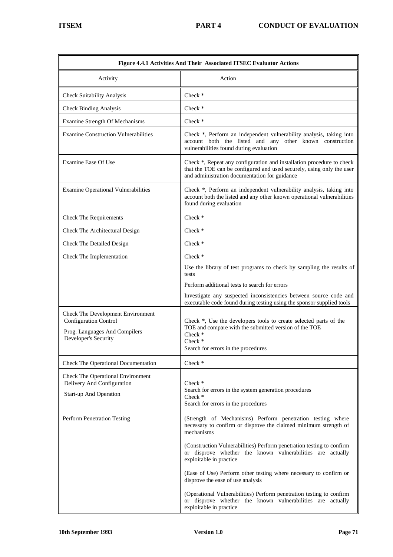| Figure 4.4.1 Activities And Their Associated ITSEC Evaluator Actions                                                              |                                                                                                                                                                                                      |  |  |  |  |
|-----------------------------------------------------------------------------------------------------------------------------------|------------------------------------------------------------------------------------------------------------------------------------------------------------------------------------------------------|--|--|--|--|
| Activity                                                                                                                          | Action                                                                                                                                                                                               |  |  |  |  |
| <b>Check Suitability Analysis</b>                                                                                                 | $Check *$                                                                                                                                                                                            |  |  |  |  |
| <b>Check Binding Analysis</b>                                                                                                     | Check *                                                                                                                                                                                              |  |  |  |  |
| <b>Examine Strength Of Mechanisms</b>                                                                                             | Check *                                                                                                                                                                                              |  |  |  |  |
| <b>Examine Construction Vulnerabilities</b>                                                                                       | Check *, Perform an independent vulnerability analysis, taking into<br>account both the listed and any other known construction<br>vulnerabilities found during evaluation                           |  |  |  |  |
| Examine Ease Of Use                                                                                                               | Check *, Repeat any configuration and installation procedure to check<br>that the TOE can be configured and used securely, using only the user<br>and administration documentation for guidance      |  |  |  |  |
| <b>Examine Operational Vulnerabilities</b>                                                                                        | Check *, Perform an independent vulnerability analysis, taking into<br>account both the listed and any other known operational vulnerabilities<br>found during evaluation                            |  |  |  |  |
| <b>Check The Requirements</b>                                                                                                     | Check *                                                                                                                                                                                              |  |  |  |  |
| Check The Architectural Design                                                                                                    | Check <sup>*</sup>                                                                                                                                                                                   |  |  |  |  |
| Check The Detailed Design                                                                                                         | Check *                                                                                                                                                                                              |  |  |  |  |
| Check The Implementation                                                                                                          | Check *                                                                                                                                                                                              |  |  |  |  |
|                                                                                                                                   | Use the library of test programs to check by sampling the results of<br>tests                                                                                                                        |  |  |  |  |
|                                                                                                                                   | Perform additional tests to search for errors                                                                                                                                                        |  |  |  |  |
|                                                                                                                                   | Investigate any suspected inconsistencies between source code and<br>executable code found during testing using the sponsor supplied tools                                                           |  |  |  |  |
| <b>Check The Development Environment</b><br><b>Configuration Control</b><br>Prog. Languages And Compilers<br>Developer's Security | Check *, Use the developers tools to create selected parts of the<br>TOE and compare with the submitted version of the TOE<br>Check $*$<br>Check <sup>*</sup><br>Search for errors in the procedures |  |  |  |  |
| <b>Check The Operational Documentation</b>                                                                                        | Check $*$                                                                                                                                                                                            |  |  |  |  |
| <b>Check The Operational Environment</b><br>Delivery And Configuration<br>Start-up And Operation                                  | Check <sup>*</sup><br>Search for errors in the system generation procedures<br>Check $*$<br>Search for errors in the procedures                                                                      |  |  |  |  |
| Perform Penetration Testing                                                                                                       | (Strength of Mechanisms) Perform penetration testing where<br>necessary to confirm or disprove the claimed minimum strength of<br>mechanisms                                                         |  |  |  |  |
|                                                                                                                                   | (Construction Vulnerabilities) Perform penetration testing to confirm<br>or disprove whether the known vulnerabilities are actually<br>exploitable in practice                                       |  |  |  |  |
|                                                                                                                                   | (Ease of Use) Perform other testing where necessary to confirm or<br>disprove the ease of use analysis                                                                                               |  |  |  |  |
|                                                                                                                                   | (Operational Vulnerabilities) Perform penetration testing to confirm<br>or disprove whether the known vulnerabilities are actually<br>exploitable in practice                                        |  |  |  |  |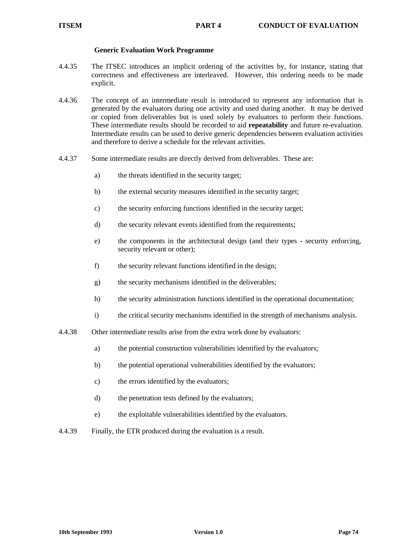#### **Generic Evaluation Work Programme**

- 4.4.35 The ITSEC introduces an implicit ordering of the activities by, for instance, stating that correctness and effectiveness are interleaved. However, this ordering needs to be made explicit.
- 4.4.36 The concept of an intermediate result is introduced to represent any information that is generated by the evaluators during one activity and used during another. It may be derived or copied from deliverables but is used solely by evaluators to perform their functions. These intermediate results should be recorded to aid **repeatability** and future re-evaluation. Intermediate results can be used to derive generic dependencies between evaluation activities and therefore to derive a schedule for the relevant activities.
- 4.4.37 Some intermediate results are directly derived from deliverables. These are:
	- a) the threats identified in the security target;
	- b) the external security measures identified in the security target;
	- c) the security enforcing functions identified in the security target;
	- d) the security relevant events identified from the requirements;
	- e) the components in the architectural design (and their types security enforcing, security relevant or other);
	- f) the security relevant functions identified in the design;
	- g) the security mechanisms identified in the deliverables;
	- h) the security administration functions identified in the operational documentation;
	- i) the critical security mechanisms identified in the strength of mechanisms analysis.
- 4.4.38 Other intermediate results arise from the extra work done by evaluators:
	- a) the potential construction vulnerabilities identified by the evaluators;
	- b) the potential operational vulnerabilities identified by the evaluators;
	- c) the errors identified by the evaluators;
	- d) the penetration tests defined by the evaluators;
	- e) the exploitable vulnerabilities identified by the evaluators.
- 4.4.39 Finally, the ETR produced during the evaluation is a result.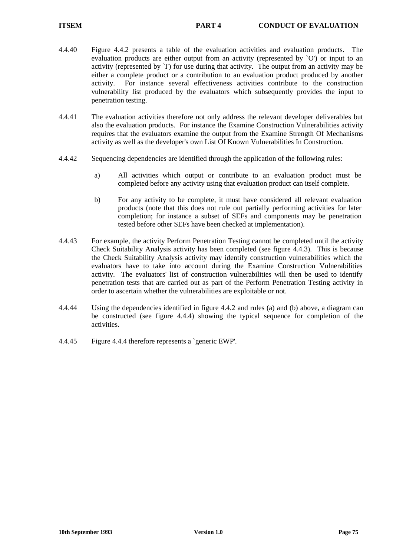- 4.4.40 Figure 4.4.2 presents a table of the evaluation activities and evaluation products. The evaluation products are either output from an activity (represented by `O') or input to an activity (represented by `I') for use during that activity. The output from an activity may be either a complete product or a contribution to an evaluation product produced by another activity. For instance several effectiveness activities contribute to the construction vulnerability list produced by the evaluators which subsequently provides the input to penetration testing.
- 4.4.41 The evaluation activities therefore not only address the relevant developer deliverables but also the evaluation products. For instance the Examine Construction Vulnerabilities activity requires that the evaluators examine the output from the Examine Strength Of Mechanisms activity as well as the developer's own List Of Known Vulnerabilities In Construction.
- 4.4.42 Sequencing dependencies are identified through the application of the following rules:
	- a) All activities which output or contribute to an evaluation product must be completed before any activity using that evaluation product can itself complete.
	- b) For any activity to be complete, it must have considered all relevant evaluation products (note that this does not rule out partially performing activities for later completion; for instance a subset of SEFs and components may be penetration tested before other SEFs have been checked at implementation).
- 4.4.43 For example, the activity Perform Penetration Testing cannot be completed until the activity Check Suitability Analysis activity has been completed (see figure 4.4.3). This is because the Check Suitability Analysis activity may identify construction vulnerabilities which the evaluators have to take into account during the Examine Construction Vulnerabilities activity. The evaluators' list of construction vulnerabilities will then be used to identify penetration tests that are carried out as part of the Perform Penetration Testing activity in order to ascertain whether the vulnerabilities are exploitable or not.
- 4.4.44 Using the dependencies identified in figure 4.4.2 and rules (a) and (b) above, a diagram can be constructed (see figure 4.4.4) showing the typical sequence for completion of the activities.
- 4.4.45 Figure 4.4.4 therefore represents a `generic EWP'.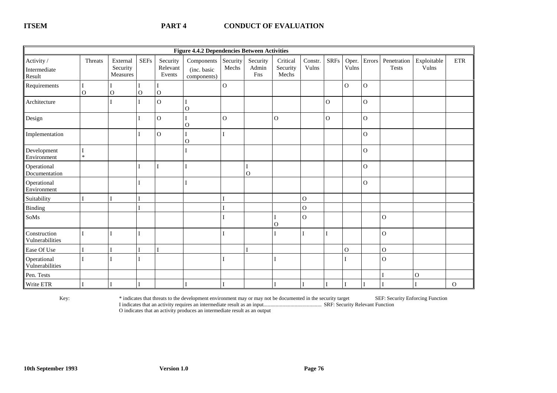| ITSEM | PART <sub>4</sub> | <b>CONDUCT OF EVALUATION</b> |
|-------|-------------------|------------------------------|
|       |                   |                              |

| Figure 4.4.2 Dependencies Between Activities |         |                                  |              |                                |                                          |                   |                          |                               |                  |             |             |                |                             |                      |             |
|----------------------------------------------|---------|----------------------------------|--------------|--------------------------------|------------------------------------------|-------------------|--------------------------|-------------------------------|------------------|-------------|-------------|----------------|-----------------------------|----------------------|-------------|
| Activity /<br>Intermediate<br>Result         | Threats | External<br>Security<br>Measures | <b>SEFs</b>  | Security<br>Relevant<br>Events | Components<br>(inc. basic<br>components) | Security<br>Mechs | Security<br>Admin<br>Fns | Critical<br>Security<br>Mechs | Constr.<br>Vulns | <b>SRFs</b> | Vulns       | Oper. Errors   | Penetration<br><b>Tests</b> | Exploitable<br>Vulns | <b>ETR</b>  |
| Requirements                                 | O       | $\overline{O}$                   | $\mathbf{O}$ | $\mathbf O$                    |                                          | $\mathbf{O}$      |                          |                               |                  |             | $\mathbf O$ | $\mathcal{O}$  |                             |                      |             |
| Architecture                                 |         |                                  |              | $\overline{O}$                 | $\mathbf{O}$                             |                   |                          |                               |                  | $\mathbf O$ |             | $\mathbf O$    |                             |                      |             |
| Design                                       |         |                                  |              | $\overline{O}$                 | $\Omega$                                 | $\Omega$          |                          | $\mathbf{O}$                  |                  | $\mathbf O$ |             | $\mathbf O$    |                             |                      |             |
| Implementation                               |         |                                  |              | $\overline{O}$                 | $\Omega$                                 |                   |                          |                               |                  |             |             | $\mathbf O$    |                             |                      |             |
| Development<br>Environment                   | $\ast$  |                                  |              |                                |                                          |                   |                          |                               |                  |             |             | $\overline{O}$ |                             |                      |             |
| Operational<br>Documentation                 |         |                                  |              |                                |                                          |                   | $\Omega$                 |                               |                  |             |             | $\mathbf O$    |                             |                      |             |
| Operational<br>Environment                   |         |                                  |              |                                |                                          |                   |                          |                               |                  |             |             | $\mathbf O$    |                             |                      |             |
| Suitability                                  |         |                                  |              |                                |                                          |                   |                          |                               | $\overline{O}$   |             |             |                |                             |                      |             |
| Binding                                      |         |                                  |              |                                |                                          |                   |                          |                               | $\mathcal{O}$    |             |             |                |                             |                      |             |
| SoMs                                         |         |                                  |              |                                |                                          |                   |                          | $\Omega$                      | $\mathbf{O}$     |             |             |                | $\mathbf{O}$                |                      |             |
| Construction<br>Vulnerabilities              |         |                                  |              |                                |                                          |                   |                          |                               |                  |             |             |                | $\Omega$                    |                      |             |
| Ease Of Use                                  |         |                                  |              |                                |                                          |                   |                          |                               |                  |             | $\mathbf O$ |                | $\mathcal{O}$               |                      |             |
| Operational<br>Vulnerabilities               |         |                                  |              |                                |                                          |                   |                          |                               |                  |             | I           |                | $\mathbf{O}$                |                      |             |
| Pen. Tests                                   |         |                                  |              |                                |                                          |                   |                          |                               |                  |             |             |                |                             | O                    |             |
| <b>Write ETR</b>                             |         |                                  |              |                                |                                          |                   |                          |                               |                  |             | I           |                |                             |                      | $\mathbf O$ |

Key: \* indicates that threats to the development environment may or may not be documented in the security target SEF: Security Enforcing Function I indicates that an activity requires an intermediate result as an input........................................... SRF: Security Relevant Function O indicates that an activity produces an intermediate result as an output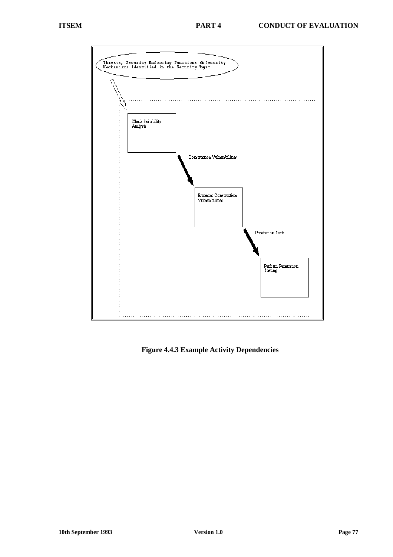

**Figure 4.4.3 Example Activity Dependencies**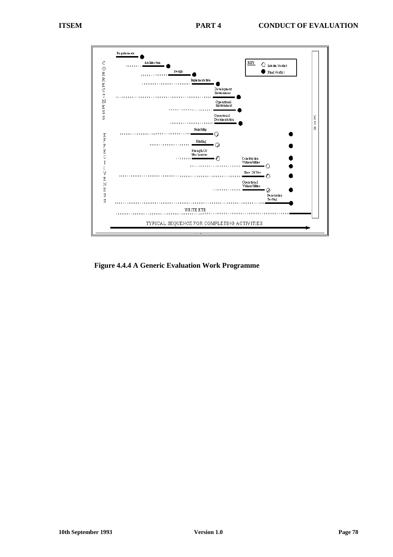

**Figure 4.4.4 A Generic Evaluation Work Programme**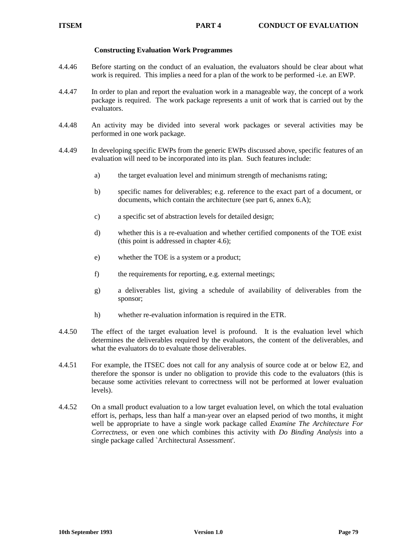#### **Constructing Evaluation Work Programmes**

- 4.4.46 Before starting on the conduct of an evaluation, the evaluators should be clear about what work is required. This implies a need for a plan of the work to be performed -i.e. an EWP.
- 4.4.47 In order to plan and report the evaluation work in a manageable way, the concept of a work package is required. The work package represents a unit of work that is carried out by the evaluators.
- 4.4.48 An activity may be divided into several work packages or several activities may be performed in one work package.
- 4.4.49 In developing specific EWPs from the generic EWPs discussed above, specific features of an evaluation will need to be incorporated into its plan. Such features include:
	- a) the target evaluation level and minimum strength of mechanisms rating;
	- b) specific names for deliverables; e.g. reference to the exact part of a document, or documents, which contain the architecture (see part 6, annex 6.A);
	- c) a specific set of abstraction levels for detailed design;
	- d) whether this is a re-evaluation and whether certified components of the TOE exist (this point is addressed in chapter 4.6);
	- e) whether the TOE is a system or a product;
	- f) the requirements for reporting, e.g. external meetings;
	- g) a deliverables list, giving a schedule of availability of deliverables from the sponsor;
	- h) whether re-evaluation information is required in the ETR.
- 4.4.50 The effect of the target evaluation level is profound. It is the evaluation level which determines the deliverables required by the evaluators, the content of the deliverables, and what the evaluators do to evaluate those deliverables.
- 4.4.51 For example, the ITSEC does not call for any analysis of source code at or below E2, and therefore the sponsor is under no obligation to provide this code to the evaluators (this is because some activities relevant to correctness will not be performed at lower evaluation levels).
- 4.4.52 On a small product evaluation to a low target evaluation level, on which the total evaluation effort is, perhaps, less than half a man-year over an elapsed period of two months, it might well be appropriate to have a single work package called *Examine The Architecture For Correctness*, or even one which combines this activity with *Do Binding Analysis* into a single package called `Architectural Assessment'.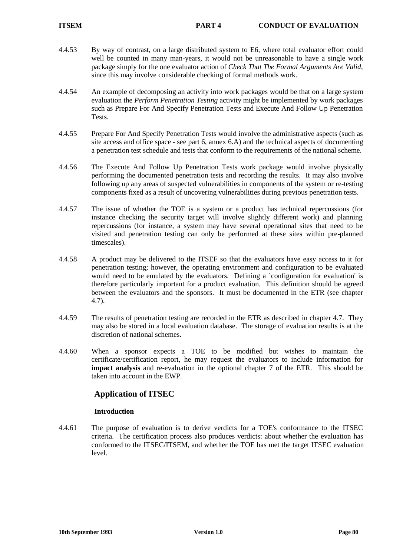- 4.4.53 By way of contrast, on a large distributed system to E6, where total evaluator effort could well be counted in many man-years, it would not be unreasonable to have a single work package simply for the one evaluator action of *Check That The Formal Arguments Are Valid*, since this may involve considerable checking of formal methods work.
- 4.4.54 An example of decomposing an activity into work packages would be that on a large system evaluation the *Perform Penetration Testing* activity might be implemented by work packages such as Prepare For And Specify Penetration Tests and Execute And Follow Up Penetration Tests.
- 4.4.55 Prepare For And Specify Penetration Tests would involve the administrative aspects (such as site access and office space - see part 6, annex 6.A) and the technical aspects of documenting a penetration test schedule and tests that conform to the requirements of the national scheme.
- 4.4.56 The Execute And Follow Up Penetration Tests work package would involve physically performing the documented penetration tests and recording the results. It may also involve following up any areas of suspected vulnerabilities in components of the system or re-testing components fixed as a result of uncovering vulnerabilities during previous penetration tests.
- 4.4.57 The issue of whether the TOE is a system or a product has technical repercussions (for instance checking the security target will involve slightly different work) and planning repercussions (for instance, a system may have several operational sites that need to be visited and penetration testing can only be performed at these sites within pre-planned timescales).
- 4.4.58 A product may be delivered to the ITSEF so that the evaluators have easy access to it for penetration testing; however, the operating environment and configuration to be evaluated would need to be emulated by the evaluators. Defining a `configuration for evaluation' is therefore particularly important for a product evaluation. This definition should be agreed between the evaluators and the sponsors. It must be documented in the ETR (see chapter 4.7).
- 4.4.59 The results of penetration testing are recorded in the ETR as described in chapter 4.7. They may also be stored in a local evaluation database. The storage of evaluation results is at the discretion of national schemes.
- 4.4.60 When a sponsor expects a TOE to be modified but wishes to maintain the certificate/certification report, he may request the evaluators to include information for **impact analysis** and re-evaluation in the optional chapter 7 of the ETR. This should be taken into account in the EWP.

# **Application of ITSEC**

## **Introduction**

4.4.61 The purpose of evaluation is to derive verdicts for a TOE's conformance to the ITSEC criteria. The certification process also produces verdicts: about whether the evaluation has conformed to the ITSEC/ITSEM, and whether the TOE has met the target ITSEC evaluation level.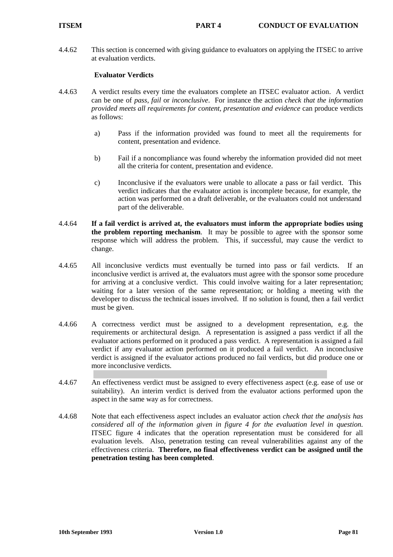4.4.62 This section is concerned with giving guidance to evaluators on applying the ITSEC to arrive at evaluation verdicts.

#### **Evaluator Verdicts**

- 4.4.63 A verdict results every time the evaluators complete an ITSEC evaluator action. A verdict can be one of *pass*, *fail* or *inconclusive*. For instance the action *check that the information provided meets all requirements for content, presentation and evidence* can produce verdicts as follows:
	- a) Pass if the information provided was found to meet all the requirements for content, presentation and evidence.
	- b) Fail if a noncompliance was found whereby the information provided did not meet all the criteria for content, presentation and evidence.
	- c) Inconclusive if the evaluators were unable to allocate a pass or fail verdict. This verdict indicates that the evaluator action is incomplete because, for example, the action was performed on a draft deliverable, or the evaluators could not understand part of the deliverable.
- 4.4.64 **If a fail verdict is arrived at, the evaluators must inform the appropriate bodies using the problem reporting mechanism**. It may be possible to agree with the sponsor some response which will address the problem. This, if successful, may cause the verdict to change.
- 4.4.65 All inconclusive verdicts must eventually be turned into pass or fail verdicts. If an inconclusive verdict is arrived at, the evaluators must agree with the sponsor some procedure for arriving at a conclusive verdict. This could involve waiting for a later representation; waiting for a later version of the same representation; or holding a meeting with the developer to discuss the technical issues involved. If no solution is found, then a fail verdict must be given.
- 4.4.66 A correctness verdict must be assigned to a development representation, e.g. the requirements or architectural design. A representation is assigned a pass verdict if all the evaluator actions performed on it produced a pass verdict. A representation is assigned a fail verdict if any evaluator action performed on it produced a fail verdict. An inconclusive verdict is assigned if the evaluator actions produced no fail verdicts, but did produce one or more inconclusive verdicts.
- 4.4.67 An effectiveness verdict must be assigned to every effectiveness aspect (e.g. ease of use or suitability). An interim verdict is derived from the evaluator actions performed upon the aspect in the same way as for correctness.
- 4.4.68 Note that each effectiveness aspect includes an evaluator action *check that the analysis has considered all of the information given in figure 4 for the evaluation level in question*. ITSEC figure 4 indicates that the operation representation must be considered for all evaluation levels. Also, penetration testing can reveal vulnerabilities against any of the effectiveness criteria. **Therefore, no final effectiveness verdict can be assigned until the penetration testing has been completed**.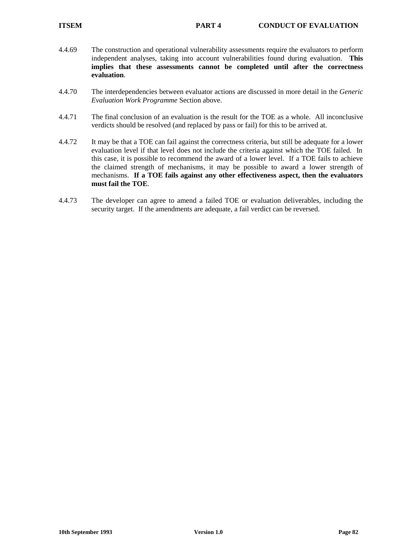- 4.4.69 The construction and operational vulnerability assessments require the evaluators to perform independent analyses, taking into account vulnerabilities found during evaluation. **This implies that these assessments cannot be completed until after the correctness evaluation**.
- 4.4.70 The interdependencies between evaluator actions are discussed in more detail in the *Generic Evaluation Work Programme* Section above.
- 4.4.71 The final conclusion of an evaluation is the result for the TOE as a whole. All inconclusive verdicts should be resolved (and replaced by pass or fail) for this to be arrived at.
- 4.4.72 It may be that a TOE can fail against the correctness criteria, but still be adequate for a lower evaluation level if that level does not include the criteria against which the TOE failed. In this case, it is possible to recommend the award of a lower level. If a TOE fails to achieve the claimed strength of mechanisms, it may be possible to award a lower strength of mechanisms. **If a TOE fails against any other effectiveness aspect, then the evaluators must fail the TOE**.
- 4.4.73 The developer can agree to amend a failed TOE or evaluation deliverables, including the security target. If the amendments are adequate, a fail verdict can be reversed.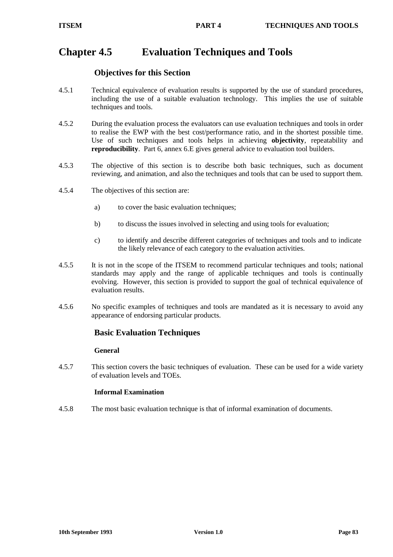# **Chapter 4.5 Evaluation Techniques and Tools**

# **Objectives for this Section**

- 4.5.1 Technical equivalence of evaluation results is supported by the use of standard procedures, including the use of a suitable evaluation technology. This implies the use of suitable techniques and tools.
- 4.5.2 During the evaluation process the evaluators can use evaluation techniques and tools in order to realise the EWP with the best cost/performance ratio, and in the shortest possible time. Use of such techniques and tools helps in achieving **objectivity**, repeatability and **reproducibility**. Part 6, annex 6.E gives general advice to evaluation tool builders.
- 4.5.3 The objective of this section is to describe both basic techniques, such as document reviewing, and animation, and also the techniques and tools that can be used to support them.
- 4.5.4 The objectives of this section are:
	- a) to cover the basic evaluation techniques;
	- b) to discuss the issues involved in selecting and using tools for evaluation;
	- c) to identify and describe different categories of techniques and tools and to indicate the likely relevance of each category to the evaluation activities.
- 4.5.5 It is not in the scope of the ITSEM to recommend particular techniques and tools; national standards may apply and the range of applicable techniques and tools is continually evolving. However, this section is provided to support the goal of technical equivalence of evaluation results.
- 4.5.6 No specific examples of techniques and tools are mandated as it is necessary to avoid any appearance of endorsing particular products.

# **Basic Evaluation Techniques**

#### **General**

4.5.7 This section covers the basic techniques of evaluation. These can be used for a wide variety of evaluation levels and TOEs.

## **Informal Examination**

4.5.8 The most basic evaluation technique is that of informal examination of documents.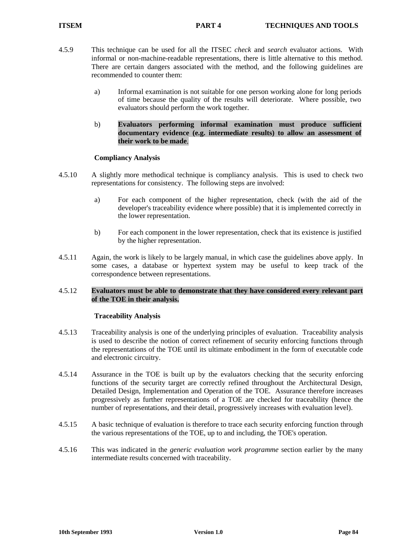- 4.5.9 This technique can be used for all the ITSEC *check* and *search* evaluator actions. With informal or non-machine-readable representations, there is little alternative to this method. There are certain dangers associated with the method, and the following guidelines are recommended to counter them:
	- a) Informal examination is not suitable for one person working alone for long periods of time because the quality of the results will deteriorate. Where possible, two evaluators should perform the work together.
	- b) **Evaluators performing informal examination must produce sufficient documentary evidence (e.g. intermediate results) to allow an assessment of their work to be made**.

#### **Compliancy Analysis**

- 4.5.10 A slightly more methodical technique is compliancy analysis. This is used to check two representations for consistency. The following steps are involved:
	- a) For each component of the higher representation, check (with the aid of the developer's traceability evidence where possible) that it is implemented correctly in the lower representation.
	- b) For each component in the lower representation, check that its existence is justified by the higher representation.
- 4.5.11 Again, the work is likely to be largely manual, in which case the guidelines above apply. In some cases, a database or hypertext system may be useful to keep track of the correspondence between representations.

#### 4.5.12 **Evaluators must be able to demonstrate that they have considered every relevant part of the TOE in their analysis.**

#### **Traceability Analysis**

- 4.5.13 Traceability analysis is one of the underlying principles of evaluation. Traceability analysis is used to describe the notion of correct refinement of security enforcing functions through the representations of the TOE until its ultimate embodiment in the form of executable code and electronic circuitry.
- 4.5.14 Assurance in the TOE is built up by the evaluators checking that the security enforcing functions of the security target are correctly refined throughout the Architectural Design, Detailed Design, Implementation and Operation of the TOE. Assurance therefore increases progressively as further representations of a TOE are checked for traceability (hence the number of representations, and their detail, progressively increases with evaluation level).
- 4.5.15 A basic technique of evaluation is therefore to trace each security enforcing function through the various representations of the TOE, up to and including, the TOE's operation.
- 4.5.16 This was indicated in the *generic evaluation work programme* section earlier by the many intermediate results concerned with traceability.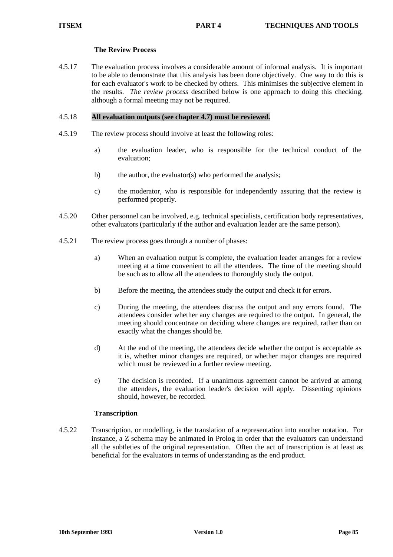#### **The Review Process**

4.5.17 The evaluation process involves a considerable amount of informal analysis. It is important to be able to demonstrate that this analysis has been done objectively. One way to do this is for each evaluator's work to be checked by others. This minimises the subjective element in the results. *The review process* described below is one approach to doing this checking, although a formal meeting may not be required.

#### 4.5.18 **All evaluation outputs (see chapter 4.7) must be reviewed.**

- 4.5.19 The review process should involve at least the following roles:
	- a) the evaluation leader, who is responsible for the technical conduct of the evaluation;
	- b) the author, the evaluator(s) who performed the analysis;
	- c) the moderator, who is responsible for independently assuring that the review is performed properly.
- 4.5.20 Other personnel can be involved, e.g. technical specialists, certification body representatives, other evaluators (particularly if the author and evaluation leader are the same person).
- 4.5.21 The review process goes through a number of phases:
	- a) When an evaluation output is complete, the evaluation leader arranges for a review meeting at a time convenient to all the attendees. The time of the meeting should be such as to allow all the attendees to thoroughly study the output.
	- b) Before the meeting, the attendees study the output and check it for errors.
	- c) During the meeting, the attendees discuss the output and any errors found. The attendees consider whether any changes are required to the output. In general, the meeting should concentrate on deciding where changes are required, rather than on exactly what the changes should be.
	- d) At the end of the meeting, the attendees decide whether the output is acceptable as it is, whether minor changes are required, or whether major changes are required which must be reviewed in a further review meeting.
	- e) The decision is recorded. If a unanimous agreement cannot be arrived at among the attendees, the evaluation leader's decision will apply. Dissenting opinions should, however, be recorded.

#### **Transcription**

4.5.22 Transcription, or modelling, is the translation of a representation into another notation. For instance, a Z schema may be animated in Prolog in order that the evaluators can understand all the subtleties of the original representation. Often the act of transcription is at least as beneficial for the evaluators in terms of understanding as the end product.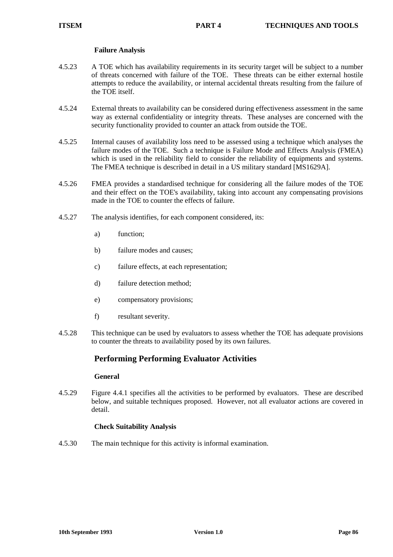#### **Failure Analysis**

- 4.5.23 A TOE which has availability requirements in its security target will be subject to a number of threats concerned with failure of the TOE. These threats can be either external hostile attempts to reduce the availability, or internal accidental threats resulting from the failure of the TOE itself.
- 4.5.24 External threats to availability can be considered during effectiveness assessment in the same way as external confidentiality or integrity threats. These analyses are concerned with the security functionality provided to counter an attack from outside the TOE.
- 4.5.25 Internal causes of availability loss need to be assessed using a technique which analyses the failure modes of the TOE. Such a technique is Failure Mode and Effects Analysis (FMEA) which is used in the reliability field to consider the reliability of equipments and systems. The FMEA technique is described in detail in a US military standard [MS1629A].
- 4.5.26 FMEA provides a standardised technique for considering all the failure modes of the TOE and their effect on the TOE's availability, taking into account any compensating provisions made in the TOE to counter the effects of failure.
- 4.5.27 The analysis identifies, for each component considered, its:
	- a) function;
	- b) failure modes and causes;
	- c) failure effects, at each representation;
	- d) failure detection method;
	- e) compensatory provisions;
	- f) resultant severity.
- 4.5.28 This technique can be used by evaluators to assess whether the TOE has adequate provisions to counter the threats to availability posed by its own failures.

# **Performing Performing Evaluator Activities**

#### **General**

4.5.29 Figure 4.4.1 specifies all the activities to be performed by evaluators. These are described below, and suitable techniques proposed. However, not all evaluator actions are covered in detail.

## **Check Suitability Analysis**

4.5.30 The main technique for this activity is informal examination.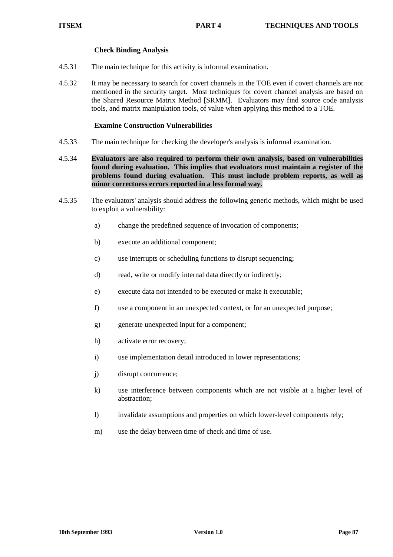#### **Check Binding Analysis**

- 4.5.31 The main technique for this activity is informal examination.
- 4.5.32 It may be necessary to search for covert channels in the TOE even if covert channels are not mentioned in the security target. Most techniques for covert channel analysis are based on the Shared Resource Matrix Method [SRMM]. Evaluators may find source code analysis tools, and matrix manipulation tools, of value when applying this method to a TOE.

#### **Examine Construction Vulnerabilities**

- 4.5.33 The main technique for checking the developer's analysis is informal examination.
- 4.5.34 **Evaluators are also required to perform their own analysis, based on vulnerabilities found during evaluation. This implies that evaluators must maintain a register of the problems found during evaluation. This must include problem reports, as well as minor correctness errors reported in a less formal way.**
- 4.5.35 The evaluators' analysis should address the following generic methods, which might be used to exploit a vulnerability:
	- a) change the predefined sequence of invocation of components;
	- b) execute an additional component;
	- c) use interrupts or scheduling functions to disrupt sequencing;
	- d) read, write or modify internal data directly or indirectly;
	- e) execute data not intended to be executed or make it executable;
	- f) use a component in an unexpected context, or for an unexpected purpose;
	- g) generate unexpected input for a component;
	- h) activate error recovery;
	- i) use implementation detail introduced in lower representations;
	- j) disrupt concurrence;
	- k) use interference between components which are not visible at a higher level of abstraction;
	- l) invalidate assumptions and properties on which lower-level components rely;
	- m) use the delay between time of check and time of use.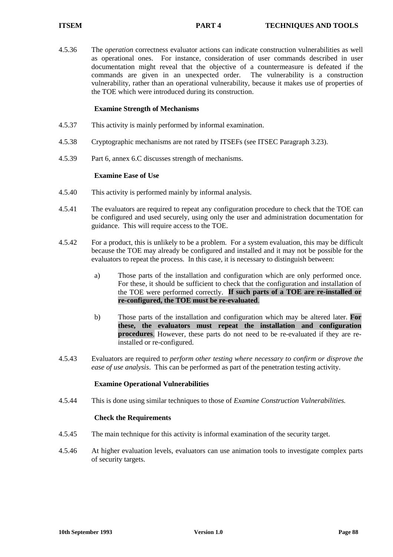4.5.36 The *operation* correctness evaluator actions can indicate construction vulnerabilities as well as operational ones. For instance, consideration of user commands described in user documentation might reveal that the objective of a countermeasure is defeated if the commands are given in an unexpected order. The vulnerability is a construction vulnerability, rather than an operational vulnerability, because it makes use of properties of the TOE which were introduced during its construction.

#### **Examine Strength of Mechanisms**

- 4.5.37 This activity is mainly performed by informal examination.
- 4.5.38 Cryptographic mechanisms are not rated by ITSEFs (see ITSEC Paragraph 3.23).
- 4.5.39 Part 6, annex 6.C discusses strength of mechanisms.

#### **Examine Ease of Use**

- 4.5.40 This activity is performed mainly by informal analysis.
- 4.5.41 The evaluators are required to repeat any configuration procedure to check that the TOE can be configured and used securely, using only the user and administration documentation for guidance. This will require access to the TOE.
- 4.5.42 For a product, this is unlikely to be a problem. For a system evaluation, this may be difficult because the TOE may already be configured and installed and it may not be possible for the evaluators to repeat the process. In this case, it is necessary to distinguish between:
	- a) Those parts of the installation and configuration which are only performed once. For these, it should be sufficient to check that the configuration and installation of the TOE were performed correctly. **If such parts of a TOE are re-installed or re-configured, the TOE must be re-evaluated**.
	- b) Those parts of the installation and configuration which may be altered later. **For these, the evaluators must repeat the installation and configuration procedures**. However, these parts do not need to be re-evaluated if they are reinstalled or re-configured.
- 4.5.43 Evaluators are required to *perform other testing where necessary to confirm or disprove the ease of use analysis*. This can be performed as part of the penetration testing activity.

#### **Examine Operational Vulnerabilities**

4.5.44 This is done using similar techniques to those of *Examine Construction Vulnerabilities.*

#### **Check the Requirements**

- 4.5.45 The main technique for this activity is informal examination of the security target.
- 4.5.46 At higher evaluation levels, evaluators can use animation tools to investigate complex parts of security targets.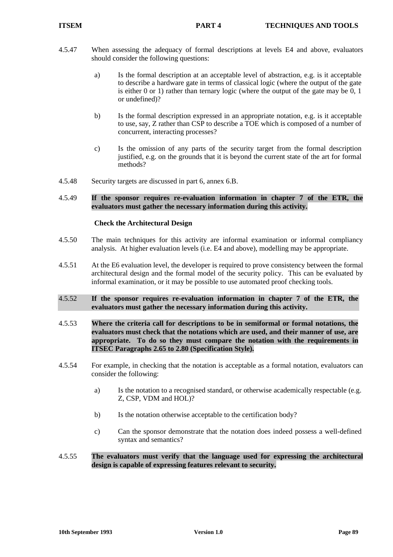- 4.5.47 When assessing the adequacy of formal descriptions at levels E4 and above, evaluators should consider the following questions:
	- a) Is the formal description at an acceptable level of abstraction, e.g. is it acceptable to describe a hardware gate in terms of classical logic (where the output of the gate is either 0 or 1) rather than ternary logic (where the output of the gate may be 0, 1 or undefined)?
	- b) Is the formal description expressed in an appropriate notation, e.g. is it acceptable to use, say, Z rather than CSP to describe a TOE which is composed of a number of concurrent, interacting processes?
	- c) Is the omission of any parts of the security target from the formal description justified, e.g. on the grounds that it is beyond the current state of the art for formal methods?
- 4.5.48 Security targets are discussed in part 6, annex 6.B.

#### 4.5.49 **If the sponsor requires re-evaluation information in chapter 7 of the ETR, the evaluators must gather the necessary information during this activity.**

#### **Check the Architectural Design**

- 4.5.50 The main techniques for this activity are informal examination or informal compliancy analysis. At higher evaluation levels (i.e. E4 and above), modelling may be appropriate.
- 4.5.51 At the E6 evaluation level, the developer is required to prove consistency between the formal architectural design and the formal model of the security policy. This can be evaluated by informal examination, or it may be possible to use automated proof checking tools.
- 4.5.52 **If the sponsor requires re-evaluation information in chapter 7 of the ETR, the evaluators must gather the necessary information during this activity.**
- 4.5.53 **Where the criteria call for descriptions to be in semiformal or formal notations, the evaluators must check that the notations which are used, and their manner of use, are appropriate. To do so they must compare the notation with the requirements in ITSEC Paragraphs 2.65 to 2.80 (Specification Style).**
- 4.5.54 For example, in checking that the notation is acceptable as a formal notation, evaluators can consider the following:
	- a) Is the notation to a recognised standard, or otherwise academically respectable (e.g. Z, CSP, VDM and HOL)?
	- b) Is the notation otherwise acceptable to the certification body?
	- c) Can the sponsor demonstrate that the notation does indeed possess a well-defined syntax and semantics?

#### 4.5.55 **The evaluators must verify that the language used for expressing the architectural design is capable of expressing features relevant to security.**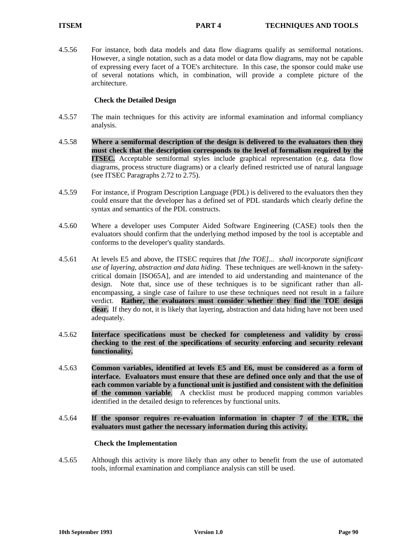4.5.56 For instance, both data models and data flow diagrams qualify as semiformal notations. However, a single notation, such as a data model or data flow diagrams, may not be capable of expressing every facet of a TOE's architecture. In this case, the sponsor could make use of several notations which, in combination, will provide a complete picture of the architecture.

#### **Check the Detailed Design**

- 4.5.57 The main techniques for this activity are informal examination and informal compliancy analysis.
- 4.5.58 **Where a semiformal description of the design is delivered to the evaluators then they must check that the description corresponds to the level of formalism required by the ITSEC.** Acceptable semiformal styles include graphical representation (e.g. data flow diagrams, process structure diagrams) or a clearly defined restricted use of natural language (see ITSEC Paragraphs 2.72 to 2.75).
- 4.5.59 For instance, if Program Description Language (PDL) is delivered to the evaluators then they could ensure that the developer has a defined set of PDL standards which clearly define the syntax and semantics of the PDL constructs.
- 4.5.60 Where a developer uses Computer Aided Software Engineering (CASE) tools then the evaluators should confirm that the underlying method imposed by the tool is acceptable and conforms to the developer's quality standards.
- 4.5.61 At levels E5 and above, the ITSEC requires that *[the TOE]... shall incorporate significant use of layering, abstraction and data hiding.* These techniques are well-known in the safetycritical domain [ISO65A], and are intended to aid understanding and maintenance of the design. Note that, since use of these techniques is to be significant rather than allencompassing, a single case of failure to use these techniques need not result in a failure verdict. **Rather, the evaluators must consider whether they find the TOE design clear.** If they do not, it is likely that layering, abstraction and data hiding have not been used adequately.
- 4.5.62 **Interface specifications must be checked for completeness and validity by crosschecking to the rest of the specifications of security enforcing and security relevant functionality.**
- 4.5.63 **Common variables, identified at levels E5 and E6, must be considered as a form of interface. Evaluators must ensure that these are defined once only and that the use of each common variable by a functional unit is justified and consistent with the definition of the common variable**. A checklist must be produced mapping common variables identified in the detailed design to references by functional units.
- 4.5.64 **If the sponsor requires re-evaluation information in chapter 7 of the ETR, the evaluators must gather the necessary information during this activity.**

#### **Check the Implementation**

4.5.65 Although this activity is more likely than any other to benefit from the use of automated tools, informal examination and compliance analysis can still be used.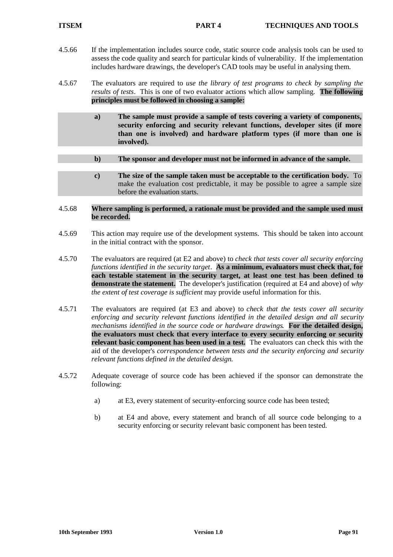- 4.5.66 If the implementation includes source code, static source code analysis tools can be used to assess the code quality and search for particular kinds of vulnerability. If the implementation includes hardware drawings, the developer's CAD tools may be useful in analysing them.
- 4.5.67 The evaluators are required to *use the library of test programs to check by sampling the results of tests*. This is one of two evaluator actions which allow sampling. **The following principles must be followed in choosing a sample:**
	- **a) The sample must provide a sample of tests covering a variety of components, security enforcing and security relevant functions, developer sites (if more than one is involved) and hardware platform types (if more than one is involved).**
	- **b) The sponsor and developer must not be informed in advance of the sample.**
	- **c) The size of the sample taken must be acceptable to the certification body.** To make the evaluation cost predictable, it may be possible to agree a sample size before the evaluation starts.

#### 4.5.68 **Where sampling is performed, a rationale must be provided and the sample used must be recorded.**

- 4.5.69 This action may require use of the development systems. This should be taken into account in the initial contract with the sponsor.
- 4.5.70 The evaluators are required (at E2 and above) to *check that tests cover all security enforcing functions identified in the security target*. **As a minimum, evaluators must check that, for each testable statement in the security target, at least one test has been defined to demonstrate the statement.** The developer's justification (required at E4 and above) of *why the extent of test coverage is sufficient* may provide useful information for this.
- 4.5.71 The evaluators are required (at E3 and above) to *check that the tests cover all security enforcing and security relevant functions identified in the detailed design and all security mechanisms identified in the source code or hardware drawings*. **For the detailed design, the evaluators must check that every interface to every security enforcing or security relevant basic component has been used in a test.** The evaluators can check this with the aid of the developer's *correspondence between tests and the security enforcing and security relevant functions defined in the detailed design*.
- 4.5.72 Adequate coverage of source code has been achieved if the sponsor can demonstrate the following:
	- a) at E3, every statement of security-enforcing source code has been tested;
	- b) at E4 and above, every statement and branch of all source code belonging to a security enforcing or security relevant basic component has been tested.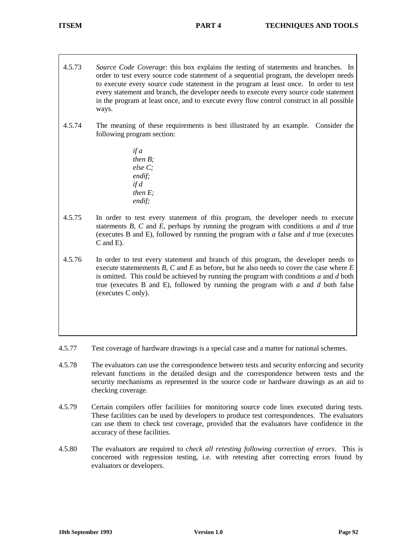- 4.5.73 *Source Code Coverage*: this box explains the testing of statements and branches. In order to test every source code statement of a sequential program, the developer needs to execute every source code statement in the program at least once. In order to test every statement and branch, the developer needs to execute every source code statement in the program at least once, and to execute every flow control construct in all possible ways.
- 4.5.74 The meaning of these requirements is best illustrated by an example. Consider the following program section:

*if a then B; else C; endif; if d then E; endif;*

4.5.75 In order to test every statement of this program, the developer needs to execute statements *B*, *C* and *E*, perhaps by running the program with conditions *a* and *d* true (executes B and E), followed by running the program with *a* false and *d* true (executes C and E).

4.5.76 In order to test every statement and branch of this program, the developer needs to execute statemements *B*, *C* and *E* as before, but he also needs to cover the case where *E* is omitted. This could be achieved by running the program with conditions *a* and *d* both true (executes B and E), followed by running the program with *a* and *d* both false (executes C only).

- 4.5.77 Test coverage of hardware drawings is a special case and a matter for national schemes.
- 4.5.78 The evaluators can use the correspondence between tests and security enforcing and security relevant functions in the detailed design and the correspondence between tests and the security mechanisms as represented in the source code or hardware drawings as an aid to checking coverage.
- 4.5.79 Certain compilers offer facilities for monitoring source code lines executed during tests. These facilities can be used by developers to produce test correspondences. The evaluators can use them to check test coverage, provided that the evaluators have confidence in the accuracy of these facilities.
- 4.5.80 The evaluators are required to *check all retesting following correction of errors*. This is concerned with regression testing, i.e. with retesting after correcting errors found by evaluators or developers.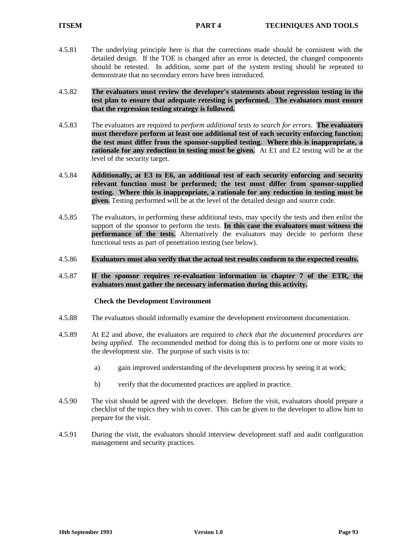- 4.5.81 The underlying principle here is that the corrections made should be consistent with the detailed design. If the TOE is changed after an error is detected, the changed components should be retested. In addition, some part of the system testing should be repeated to demonstrate that no secondary errors have been introduced.
- 4.5.82 **The evaluators must review the developer's statements about regression testing in the test plan to ensure that adequate retesting is performed. The evaluators must ensure that the regression testing strategy is followed.**
- 4.5.83 The evaluators are required to *perform additional tests to search for errors*. **The evaluators must therefore perform at least one additional test of each security enforcing function; the test must differ from the sponsor-supplied testing. Where this is inappropriate, a rationale for any reduction in testing must be given.** At E1 and E2 testing will be at the level of the security target.
- 4.5.84 **Additionally, at E3 to E6, an additional test of each security enforcing and security relevant function must be performed; the test must differ from sponsor-supplied testing. Where this is inappropriate, a rationale for any reduction in testing must be given.** Testing performed will be at the level of the detailed design and source code.
- 4.5.85 The evaluators, in performing these additional tests, may specify the tests and then enlist the support of the sponsor to perform the tests. **In this case the evaluators must witness the performance of the tests.** Alternatively the evaluators may decide to perform these functional tests as part of penetration testing (see below).
- 4.5.86 **Evaluators must also verify that the actual test results conform to the expected results.**
- 4.5.87 **If the sponsor requires re-evaluation information in chapter 7 of the ETR, the evaluators must gather the necessary information during this activity.**

#### **Check the Development Environment**

- 4.5.88 The evaluators should informally examine the development environment documentation.
- 4.5.89 At E2 and above, the evaluators are required to *check that the documented procedures are being applied*. The recommended method for doing this is to perform one or more visits to the development site. The purpose of such visits is to:
	- a) gain improved understanding of the development process by seeing it at work;
	- b) verify that the documented practices are applied in practice.
- 4.5.90 The visit should be agreed with the developer. Before the visit, evaluators should prepare a checklist of the topics they wish to cover. This can be given to the developer to allow him to prepare for the visit.
- 4.5.91 During the visit, the evaluators should interview development staff and audit configuration management and security practices.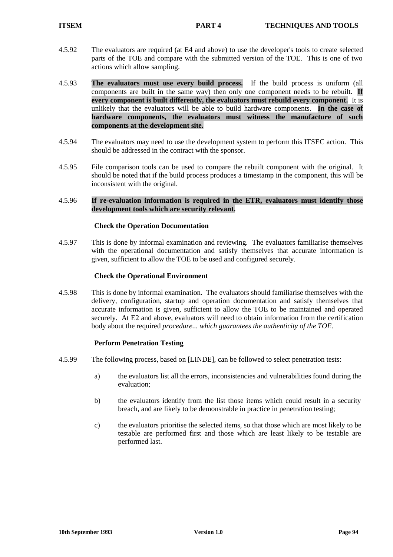- 4.5.92 The evaluators are required (at E4 and above) to use the developer's tools to create selected parts of the TOE and compare with the submitted version of the TOE. This is one of two actions which allow sampling.
- 4.5.93 **The evaluators must use every build process.** If the build process is uniform (all components are built in the same way) then only one component needs to be rebuilt. **If every component is built differently, the evaluators must rebuild every component.** It is unlikely that the evaluators will be able to build hardware components. **In the case of hardware components, the evaluators must witness the manufacture of such components at the development site.**
- 4.5.94 The evaluators may need to use the development system to perform this ITSEC action. This should be addressed in the contract with the sponsor.
- 4.5.95 File comparison tools can be used to compare the rebuilt component with the original. It should be noted that if the build process produces a timestamp in the component, this will be inconsistent with the original.

#### 4.5.96 **If re-evaluation information is required in the ETR, evaluators must identify those development tools which are security relevant.**

#### **Check the Operation Documentation**

4.5.97 This is done by informal examination and reviewing. The evaluators familiarise themselves with the operational documentation and satisfy themselves that accurate information is given, sufficient to allow the TOE to be used and configured securely.

#### **Check the Operational Environment**

4.5.98 This is done by informal examination. The evaluators should familiarise themselves with the delivery, configuration, startup and operation documentation and satisfy themselves that accurate information is given, sufficient to allow the TOE to be maintained and operated securely. At E2 and above, evaluators will need to obtain information from the certification body about the required *procedure... which guarantees the authenticity of the TOE.*

#### **Perform Penetration Testing**

- 4.5.99 The following process, based on [LINDE], can be followed to select penetration tests:
	- a) the evaluators list all the errors, inconsistencies and vulnerabilities found during the evaluation;
	- b) the evaluators identify from the list those items which could result in a security breach, and are likely to be demonstrable in practice in penetration testing;
	- c) the evaluators prioritise the selected items, so that those which are most likely to be testable are performed first and those which are least likely to be testable are performed last.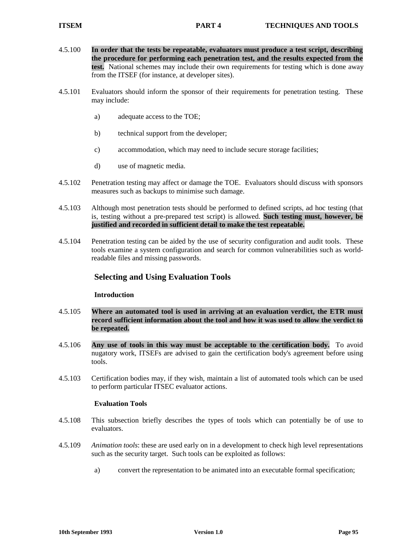- 4.5.100 **In order that the tests be repeatable, evaluators must produce a test script, describing the procedure for performing each penetration test, and the results expected from the test.** National schemes may include their own requirements for testing which is done away from the ITSEF (for instance, at developer sites).
- 4.5.101 Evaluators should inform the sponsor of their requirements for penetration testing. These may include:
	- a) adequate access to the TOE;
	- b) technical support from the developer;
	- c) accommodation, which may need to include secure storage facilities;
	- d) use of magnetic media.
- 4.5.102 Penetration testing may affect or damage the TOE. Evaluators should discuss with sponsors measures such as backups to minimise such damage.
- 4.5.103 Although most penetration tests should be performed to defined scripts, ad hoc testing (that is, testing without a pre-prepared test script) is allowed. **Such testing must, however, be justified and recorded in sufficient detail to make the test repeatable.**
- 4.5.104 Penetration testing can be aided by the use of security configuration and audit tools. These tools examine a system configuration and search for common vulnerabilities such as worldreadable files and missing passwords.

### **Selecting and Using Evaluation Tools**

#### **Introduction**

- 4.5.105 **Where an automated tool is used in arriving at an evaluation verdict, the ETR must record sufficient information about the tool and how it was used to allow the verdict to be repeated.**
- 4.5.106 **Any use of tools in this way must be acceptable to the certification body.** To avoid nugatory work, ITSEFs are advised to gain the certification body's agreement before using tools.
- 4.5.103 Certification bodies may, if they wish, maintain a list of automated tools which can be used to perform particular ITSEC evaluator actions.

#### **Evaluation Tools**

- 4.5.108 This subsection briefly describes the types of tools which can potentially be of use to evaluators.
- 4.5.109 *Animation tools*: these are used early on in a development to check high level representations such as the security target. Such tools can be exploited as follows:
	- a) convert the representation to be animated into an executable formal specification;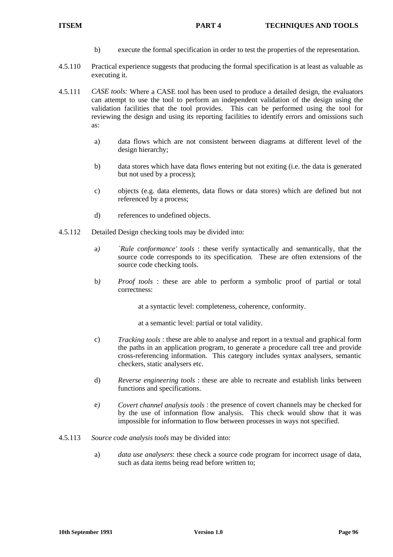- b) execute the formal specification in order to test the properties of the representation.
- 4.5.110 Practical experience suggests that producing the formal specification is at least as valuable as executing it.
- 4.5.111 *CASE tools:* Where a CASE tool has been used to produce a detailed design, the evaluators can attempt to use the tool to perform an independent validation of the design using the validation facilities that the tool provides. This can be performed using the tool for reviewing the design and using its reporting facilities to identify errors and omissions such as:
	- a) data flows which are not consistent between diagrams at different level of the design hierarchy;
	- b) data stores which have data flows entering but not exiting (i.e. the data is generated but not used by a process);
	- c) objects (e.g. data elements, data flows or data stores) which are defined but not referenced by a process;
	- d) references to undefined objects.
- 4.5.112 Detailed Design checking tools may be divided into:
	- a*) `Rule conformance' tools* : these verify syntactically and semantically, that the source code corresponds to its specification. These are often extensions of the source code checking tools.
	- b*) Proof tools* : these are able to perform a symbolic proof of partial or total correctness:

at a syntactic level: completeness, coherence, conformity.

at a semantic level: partial or total validity.

- c) *Tracking tools* : these are able to analyse and report in a textual and graphical form the paths in an application program, to generate a procedure call tree and provide cross-referencing information. This category includes syntax analysers, semantic checkers, static analysers etc.
- d) *Reverse engineering tools* : these are able to recreate and establish links between functions and specifications.
- e*) Covert channel analysis tools* : the presence of covert channels may be checked for by the use of information flow analysis. This check would show that it was impossible for information to flow between processes in ways not specified.
- 4.5.113 *Source code analysis tools* may be divided into:
	- a) *data use analysers*: these check a source code program for incorrect usage of data, such as data items being read before written to;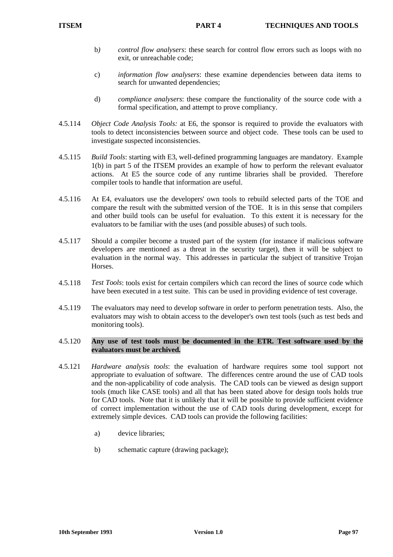- b*) control flow analysers*: these search for control flow errors such as loops with no exit, or unreachable code;
- c) *information flow analysers*: these examine dependencies between data items to search for unwanted dependencies;
- d) *compliance analysers*: these compare the functionality of the source code with a formal specification, and attempt to prove compliancy.
- 4.5.114 *Object Code Analysis Tools:* at E6, the sponsor is required to provide the evaluators with tools to detect inconsistencies between source and object code. These tools can be used to investigate suspected inconsistencies.
- 4.5.115 *Build Tools*: starting with E3, well-defined programming languages are mandatory. Example 1(b) in part 5 of the ITSEM provides an example of how to perform the relevant evaluator actions. At E5 the source code of any runtime libraries shall be provided. Therefore compiler tools to handle that information are useful.
- 4.5.116 At E4, evaluators use the developers' own tools to rebuild selected parts of the TOE and compare the result with the submitted version of the TOE. It is in this sense that compilers and other build tools can be useful for evaluation. To this extent it is necessary for the evaluators to be familiar with the uses (and possible abuses) of such tools.
- 4.5.117 Should a compiler become a trusted part of the system (for instance if malicious software developers are mentioned as a threat in the security target), then it will be subject to evaluation in the normal way. This addresses in particular the subject of transitive Trojan **Horses**
- 4.5.118 *Test Tools*: tools exist for certain compilers which can record the lines of source code which have been executed in a test suite. This can be used in providing evidence of test coverage.
- 4.5.119 The evaluators may need to develop software in order to perform penetration tests. Also, the evaluators may wish to obtain access to the developer's own test tools (such as test beds and monitoring tools).

#### 4.5.120 **Any use of test tools must be documented in the ETR. Test software used by the evaluators must be archived.**

- 4.5.121 *Hardware analysis tools*: the evaluation of hardware requires some tool support not appropriate to evaluation of software. The differences centre around the use of CAD tools and the non-applicability of code analysis. The CAD tools can be viewed as design support tools (much like CASE tools) and all that has been stated above for design tools holds true for CAD tools. Note that it is unlikely that it will be possible to provide sufficient evidence of correct implementation without the use of CAD tools during development, except for extremely simple devices. CAD tools can provide the following facilities:
	- a) device libraries;
	- b) schematic capture (drawing package);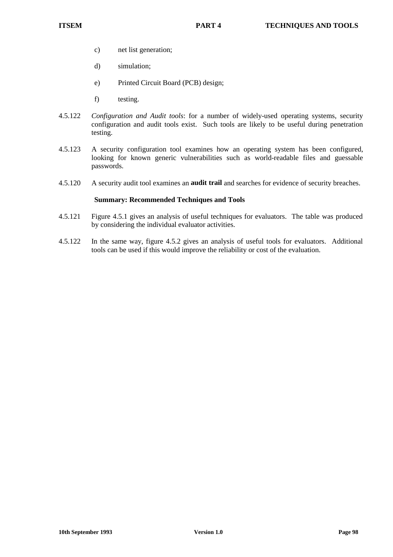- c) net list generation;
- d) simulation;
- e) Printed Circuit Board (PCB) design;
- f) testing.
- 4.5.122 *Configuration and Audit tools*: for a number of widely-used operating systems, security configuration and audit tools exist. Such tools are likely to be useful during penetration testing.
- 4.5.123 A security configuration tool examines how an operating system has been configured, looking for known generic vulnerabilities such as world-readable files and guessable passwords.
- 4.5.120 A security audit tool examines an **audit trail** and searches for evidence of security breaches.

#### **Summary: Recommended Techniques and Tools**

- 4.5.121 Figure 4.5.1 gives an analysis of useful techniques for evaluators. The table was produced by considering the individual evaluator activities.
- 4.5.122 In the same way, figure 4.5.2 gives an analysis of useful tools for evaluators. Additional tools can be used if this would improve the reliability or cost of the evaluation.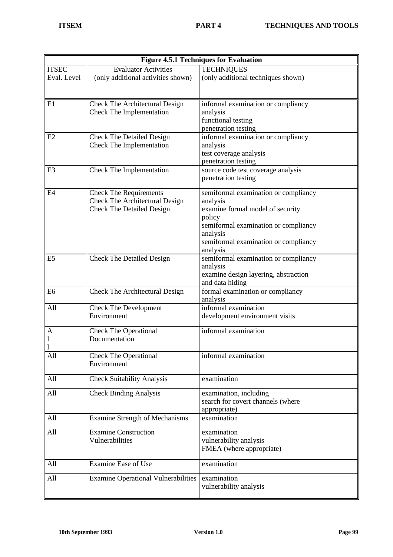| <b>Figure 4.5.1 Techniques for Evaluation</b> |                                            |                                      |  |  |  |
|-----------------------------------------------|--------------------------------------------|--------------------------------------|--|--|--|
| <b>ITSEC</b>                                  | <b>Evaluator Activities</b>                | <b>TECHNIQUES</b>                    |  |  |  |
| Eval. Level                                   | (only additional activities shown)         | (only additional techniques shown)   |  |  |  |
|                                               |                                            |                                      |  |  |  |
| E1                                            | Check The Architectural Design             | informal examination or compliancy   |  |  |  |
|                                               | <b>Check The Implementation</b>            | analysis                             |  |  |  |
|                                               |                                            | functional testing                   |  |  |  |
|                                               |                                            | penetration testing                  |  |  |  |
| E2                                            | <b>Check The Detailed Design</b>           | informal examination or compliancy   |  |  |  |
|                                               | <b>Check The Implementation</b>            | analysis                             |  |  |  |
|                                               |                                            | test coverage analysis               |  |  |  |
|                                               |                                            | penetration testing                  |  |  |  |
| E <sub>3</sub>                                | <b>Check The Implementation</b>            | source code test coverage analysis   |  |  |  |
|                                               |                                            | penetration testing                  |  |  |  |
| E <sub>4</sub>                                | <b>Check The Requirements</b>              | semiformal examination or compliancy |  |  |  |
|                                               | Check The Architectural Design             | analysis                             |  |  |  |
|                                               | <b>Check The Detailed Design</b>           | examine formal model of security     |  |  |  |
|                                               |                                            | policy                               |  |  |  |
|                                               |                                            | semiformal examination or compliancy |  |  |  |
|                                               |                                            | analysis                             |  |  |  |
|                                               |                                            | semiformal examination or compliancy |  |  |  |
|                                               |                                            | analysis                             |  |  |  |
| E <sub>5</sub>                                | <b>Check The Detailed Design</b>           | semiformal examination or compliancy |  |  |  |
|                                               |                                            | analysis                             |  |  |  |
|                                               |                                            | examine design layering, abstraction |  |  |  |
|                                               |                                            | and data hiding                      |  |  |  |
| E <sub>6</sub>                                | <b>Check The Architectural Design</b>      | formal examination or compliancy     |  |  |  |
| All                                           | <b>Check The Development</b>               | analysis<br>informal examination     |  |  |  |
|                                               | Environment                                | development environment visits       |  |  |  |
|                                               |                                            |                                      |  |  |  |
| A                                             | <b>Check The Operational</b>               | informal examination                 |  |  |  |
| $\mathbf{1}$                                  | Documentation                              |                                      |  |  |  |
| $\mathbf{1}$                                  |                                            |                                      |  |  |  |
| All                                           | <b>Check The Operational</b>               | informal examination                 |  |  |  |
|                                               | Environment                                |                                      |  |  |  |
| All                                           | <b>Check Suitability Analysis</b>          | examination                          |  |  |  |
|                                               |                                            |                                      |  |  |  |
| All                                           | <b>Check Binding Analysis</b>              | examination, including               |  |  |  |
|                                               |                                            | search for covert channels (where    |  |  |  |
|                                               |                                            | appropriate)                         |  |  |  |
| All                                           | <b>Examine Strength of Mechanisms</b>      | examination                          |  |  |  |
| All                                           | <b>Examine Construction</b>                | examination                          |  |  |  |
|                                               | Vulnerabilities                            | vulnerability analysis               |  |  |  |
|                                               |                                            | FMEA (where appropriate)             |  |  |  |
| All                                           | <b>Examine Ease of Use</b>                 | examination                          |  |  |  |
| All                                           | <b>Examine Operational Vulnerabilities</b> | examination                          |  |  |  |
|                                               |                                            | vulnerability analysis               |  |  |  |
|                                               |                                            |                                      |  |  |  |
|                                               |                                            |                                      |  |  |  |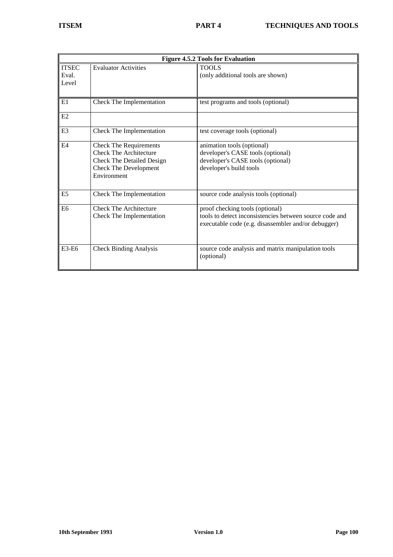|                                | <b>Figure 4.5.2 Tools for Evaluation</b>                                                                                                          |                                                                                                                                                   |  |  |  |  |
|--------------------------------|---------------------------------------------------------------------------------------------------------------------------------------------------|---------------------------------------------------------------------------------------------------------------------------------------------------|--|--|--|--|
| <b>ITSEC</b><br>Eval.<br>Level | <b>Evaluator Activities</b>                                                                                                                       | <b>TOOLS</b><br>(only additional tools are shown)                                                                                                 |  |  |  |  |
| E1                             | <b>Check The Implementation</b>                                                                                                                   | test programs and tools (optional)                                                                                                                |  |  |  |  |
| E2                             |                                                                                                                                                   |                                                                                                                                                   |  |  |  |  |
| E <sub>3</sub>                 | Check The Implementation                                                                                                                          | test coverage tools (optional)                                                                                                                    |  |  |  |  |
| E4                             | <b>Check The Requirements</b><br><b>Check The Architecture</b><br><b>Check The Detailed Design</b><br><b>Check The Development</b><br>Environment | animation tools (optional)<br>developer's CASE tools (optional)<br>developer's CASE tools (optional)<br>developer's build tools                   |  |  |  |  |
| E <sub>5</sub>                 | <b>Check The Implementation</b>                                                                                                                   | source code analysis tools (optional)                                                                                                             |  |  |  |  |
| E <sub>6</sub>                 | <b>Check The Architecture</b><br>Check The Implementation                                                                                         | proof checking tools (optional)<br>tools to detect inconsistencies between source code and<br>executable code (e.g. disassembler and/or debugger) |  |  |  |  |
| E3-E6                          | <b>Check Binding Analysis</b>                                                                                                                     | source code analysis and matrix manipulation tools<br>(optional)                                                                                  |  |  |  |  |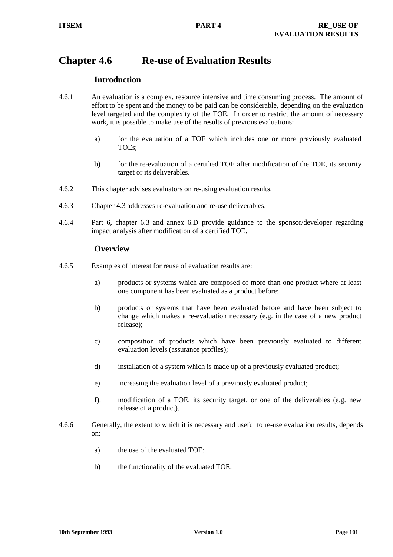# **Chapter 4.6** Re-use of Evaluation Results

# **Introduction**

- 4.6.1 An evaluation is a complex, resource intensive and time consuming process. The amount of effort to be spent and the money to be paid can be considerable, depending on the evaluation level targeted and the complexity of the TOE. In order to restrict the amount of necessary work, it is possible to make use of the results of previous evaluations:
	- a) for the evaluation of a TOE which includes one or more previously evaluated TOEs;
	- b) for the re-evaluation of a certified TOE after modification of the TOE, its security target or its deliverables.
- 4.6.2 This chapter advises evaluators on re-using evaluation results.
- 4.6.3 Chapter 4.3 addresses re-evaluation and re-use deliverables.
- 4.6.4 Part 6, chapter 6.3 and annex 6.D provide guidance to the sponsor/developer regarding impact analysis after modification of a certified TOE.

# **Overview**

- 4.6.5 Examples of interest for reuse of evaluation results are:
	- a) products or systems which are composed of more than one product where at least one component has been evaluated as a product before;
	- b) products or systems that have been evaluated before and have been subject to change which makes a re-evaluation necessary (e.g. in the case of a new product release);
	- c) composition of products which have been previously evaluated to different evaluation levels (assurance profiles);
	- d) installation of a system which is made up of a previously evaluated product;
	- e) increasing the evaluation level of a previously evaluated product;
	- f). modification of a TOE, its security target, or one of the deliverables (e.g. new release of a product).
- 4.6.6 Generally, the extent to which it is necessary and useful to re-use evaluation results, depends on:
	- a) the use of the evaluated TOE;
	- b) the functionality of the evaluated TOE;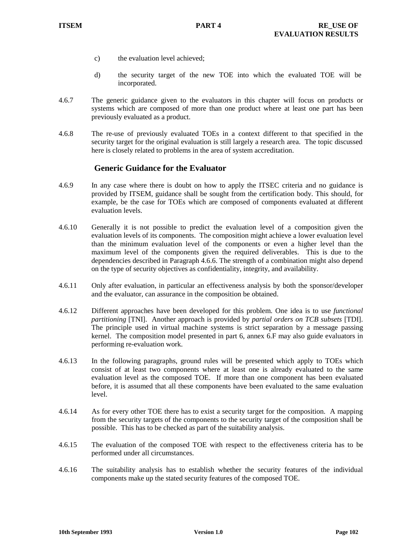- c) the evaluation level achieved;
- d) the security target of the new TOE into which the evaluated TOE will be incorporated.
- 4.6.7 The generic guidance given to the evaluators in this chapter will focus on products or systems which are composed of more than one product where at least one part has been previously evaluated as a product.
- 4.6.8 The re-use of previously evaluated TOEs in a context different to that specified in the security target for the original evaluation is still largely a research area. The topic discussed here is closely related to problems in the area of system accreditation.

#### **Generic Guidance for the Evaluator**

- 4.6.9 In any case where there is doubt on how to apply the ITSEC criteria and no guidance is provided by ITSEM, guidance shall be sought from the certification body. This should, for example, be the case for TOEs which are composed of components evaluated at different evaluation levels.
- 4.6.10 Generally it is not possible to predict the evaluation level of a composition given the evaluation levels of its components. The composition might achieve a lower evaluation level than the minimum evaluation level of the components or even a higher level than the maximum level of the components given the required deliverables. This is due to the dependencies described in Paragraph 4.6.6. The strength of a combination might also depend on the type of security objectives as confidentiality, integrity, and availability.
- 4.6.11 Only after evaluation, in particular an effectiveness analysis by both the sponsor/developer and the evaluator, can assurance in the composition be obtained.
- 4.6.12 Different approaches have been developed for this problem. One idea is to use *functional partitioning* [TNI]. Another approach is provided by *partial orders on TCB subsets* [TDI]. The principle used in virtual machine systems is strict separation by a message passing kernel. The composition model presented in part 6, annex 6.F may also guide evaluators in performing re-evaluation work.
- 4.6.13 In the following paragraphs, ground rules will be presented which apply to TOEs which consist of at least two components where at least one is already evaluated to the same evaluation level as the composed TOE. If more than one component has been evaluated before, it is assumed that all these components have been evaluated to the same evaluation level.
- 4.6.14 As for every other TOE there has to exist a security target for the composition. A mapping from the security targets of the components to the security target of the composition shall be possible. This has to be checked as part of the suitability analysis.
- 4.6.15 The evaluation of the composed TOE with respect to the effectiveness criteria has to be performed under all circumstances.
- 4.6.16 The suitability analysis has to establish whether the security features of the individual components make up the stated security features of the composed TOE.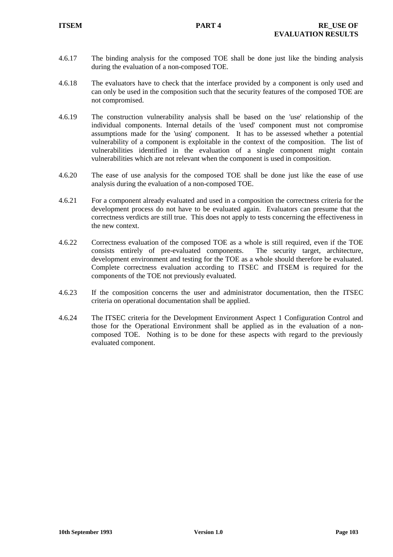- 4.6.17 The binding analysis for the composed TOE shall be done just like the binding analysis during the evaluation of a non-composed TOE.
- 4.6.18 The evaluators have to check that the interface provided by a component is only used and can only be used in the composition such that the security features of the composed TOE are not compromised.
- 4.6.19 The construction vulnerability analysis shall be based on the 'use' relationship of the individual components. Internal details of the 'used' component must not compromise assumptions made for the 'using' component. It has to be assessed whether a potential vulnerability of a component is exploitable in the context of the composition. The list of vulnerabilities identified in the evaluation of a single component might contain vulnerabilities which are not relevant when the component is used in composition.
- 4.6.20 The ease of use analysis for the composed TOE shall be done just like the ease of use analysis during the evaluation of a non-composed TOE.
- 4.6.21 For a component already evaluated and used in a composition the correctness criteria for the development process do not have to be evaluated again. Evaluators can presume that the correctness verdicts are still true. This does not apply to tests concerning the effectiveness in the new context.
- 4.6.22 Correctness evaluation of the composed TOE as a whole is still required, even if the TOE consists entirely of pre-evaluated components. The security target, architecture, development environment and testing for the TOE as a whole should therefore be evaluated. Complete correctness evaluation according to ITSEC and ITSEM is required for the components of the TOE not previously evaluated.
- 4.6.23 If the composition concerns the user and administrator documentation, then the ITSEC criteria on operational documentation shall be applied.
- 4.6.24 The ITSEC criteria for the Development Environment Aspect 1 Configuration Control and those for the Operational Environment shall be applied as in the evaluation of a noncomposed TOE. Nothing is to be done for these aspects with regard to the previously evaluated component.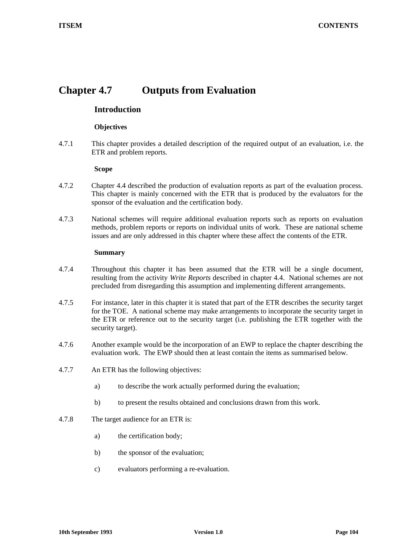## **Chapter 4.7 Outputs from Evaluation**

#### **Introduction**

#### **Objectives**

4.7.1 This chapter provides a detailed description of the required output of an evaluation, i.e. the ETR and problem reports.

#### **Scope**

- 4.7.2 Chapter 4.4 described the production of evaluation reports as part of the evaluation process. This chapter is mainly concerned with the ETR that is produced by the evaluators for the sponsor of the evaluation and the certification body.
- 4.7.3 National schemes will require additional evaluation reports such as reports on evaluation methods, problem reports or reports on individual units of work. These are national scheme issues and are only addressed in this chapter where these affect the contents of the ETR.

#### **Summary**

- 4.7.4 Throughout this chapter it has been assumed that the ETR will be a single document, resulting from the activity *Write Reports* described in chapter 4.4. National schemes are not precluded from disregarding this assumption and implementing different arrangements.
- 4.7.5 For instance, later in this chapter it is stated that part of the ETR describes the security target for the TOE. A national scheme may make arrangements to incorporate the security target in the ETR or reference out to the security target (i.e. publishing the ETR together with the security target).
- 4.7.6 Another example would be the incorporation of an EWP to replace the chapter describing the evaluation work. The EWP should then at least contain the items as summarised below.
- 4.7.7 An ETR has the following objectives:
	- a) to describe the work actually performed during the evaluation;
	- b) to present the results obtained and conclusions drawn from this work.
- 4.7.8 The target audience for an ETR is:
	- a) the certification body;
	- b) the sponsor of the evaluation;
	- c) evaluators performing a re-evaluation.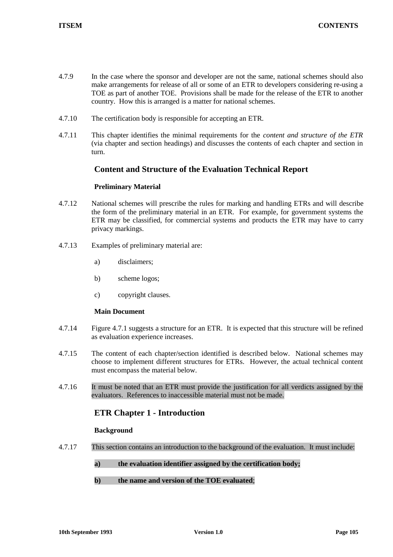- 4.7.9 In the case where the sponsor and developer are not the same, national schemes should also make arrangements for release of all or some of an ETR to developers considering re-using a TOE as part of another TOE. Provisions shall be made for the release of the ETR to another country. How this is arranged is a matter for national schemes.
- 4.7.10 The certification body is responsible for accepting an ETR.
- 4.7.11 This chapter identifies the minimal requirements for the *content and structure of the ETR* (via chapter and section headings) and discusses the contents of each chapter and section in turn.

#### **Content and Structure of the Evaluation Technical Report**

#### **Preliminary Material**

- 4.7.12 National schemes will prescribe the rules for marking and handling ETRs and will describe the form of the preliminary material in an ETR. For example, for government systems the ETR may be classified, for commercial systems and products the ETR may have to carry privacy markings.
- 4.7.13 Examples of preliminary material are:
	- a) disclaimers;
	- b) scheme logos;
	- c) copyright clauses.

#### **Main Document**

- 4.7.14 Figure 4.7.1 suggests a structure for an ETR. It is expected that this structure will be refined as evaluation experience increases.
- 4.7.15 The content of each chapter/section identified is described below. National schemes may choose to implement different structures for ETRs. However, the actual technical content must encompass the material below.
- 4.7.16 It must be noted that an ETR must provide the justification for all verdicts assigned by the evaluators. References to inaccessible material must not be made.

#### **ETR Chapter 1 - Introduction**

#### **Background**

- 4.7.17 This section contains an introduction to the background of the evaluation. It must include:
	- **a) the evaluation identifier assigned by the certification body;**
	- **b) the name and version of the TOE evaluated**;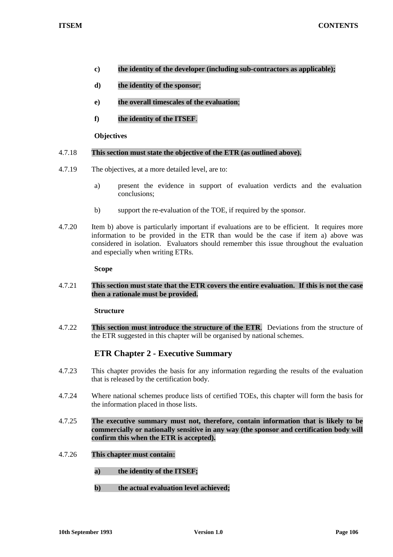- **c) the identity of the developer (including sub-contractors as applicable);**
- **d) the identity of the sponsor**;
- **e) the overall timescales of the evaluation**;
- **f) the identity of the ITSEF**.

#### **Objectives**

#### 4.7.18 **This section must state the objective of the ETR (as outlined above).**

- 4.7.19 The objectives, at a more detailed level, are to:
	- a) present the evidence in support of evaluation verdicts and the evaluation conclusions;
	- b) support the re-evaluation of the TOE, if required by the sponsor.
- 4.7.20 Item b) above is particularly important if evaluations are to be efficient. It requires more information to be provided in the ETR than would be the case if item a) above was considered in isolation. Evaluators should remember this issue throughout the evaluation and especially when writing ETRs.

#### **Scope**

4.7.21 **This section must state that the ETR covers the entire evaluation. If this is not the case then a rationale must be provided.**

#### **Structure**

4.7.22 **This section must introduce the structure of the ETR**. Deviations from the structure of the ETR suggested in this chapter will be organised by national schemes.

#### **ETR Chapter 2 - Executive Summary**

- 4.7.23 This chapter provides the basis for any information regarding the results of the evaluation that is released by the certification body.
- 4.7.24 Where national schemes produce lists of certified TOEs, this chapter will form the basis for the information placed in those lists.
- 4.7.25 **The executive summary must not, therefore, contain information that is likely to be commercially or nationally sensitive in any way (the sponsor and certification body will confirm this when the ETR is accepted).**
- 4.7.26 **This chapter must contain:**
	- **a) the identity of the ITSEF;**
	- **b) the actual evaluation level achieved;**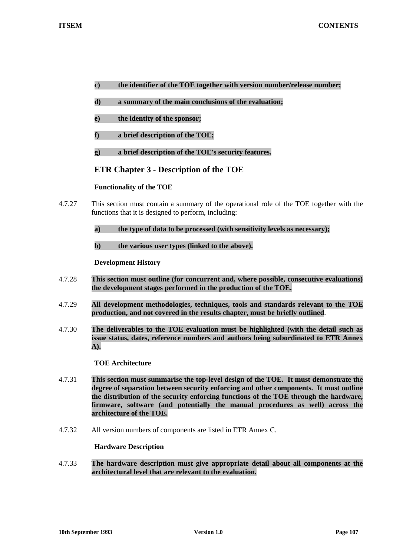- **c) the identifier of the TOE together with version number/release number;**
- **d) a summary of the main conclusions of the evaluation;**
- **e) the identity of the sponsor;**
- **f) a brief description of the TOE;**
- **g) a brief description of the TOE's security features.**

#### **ETR Chapter 3 - Description of the TOE**

#### **Functionality of the TOE**

- 4.7.27 This section must contain a summary of the operational role of the TOE together with the functions that it is designed to perform, including:
	- **a) the type of data to be processed (with sensitivity levels as necessary);**
	- **b) the various user types (linked to the above).**

**Development History**

- 4.7.28 **This section must outline (for concurrent and, where possible, consecutive evaluations) the development stages performed in the production of the TOE.**
- 4.7.29 **All development methodologies, techniques, tools and standards relevant to the TOE production, and not covered in the results chapter, must be briefly outlined**.
- 4.7.30 **The deliverables to the TOE evaluation must be highlighted (with the detail such as issue status, dates, reference numbers and authors being subordinated to ETR Annex A).**

**TOE Architecture**

- 4.7.31 **This section must summarise the top-level design of the TOE. It must demonstrate the degree of separation between security enforcing and other components. It must outline the distribution of the security enforcing functions of the TOE through the hardware, firmware, software (and potentially the manual procedures as well) across the architecture of the TOE.**
- 4.7.32 All version numbers of components are listed in ETR Annex C.

#### **Hardware Description**

4.7.33 **The hardware description must give appropriate detail about all components at the architectural level that are relevant to the evaluation.**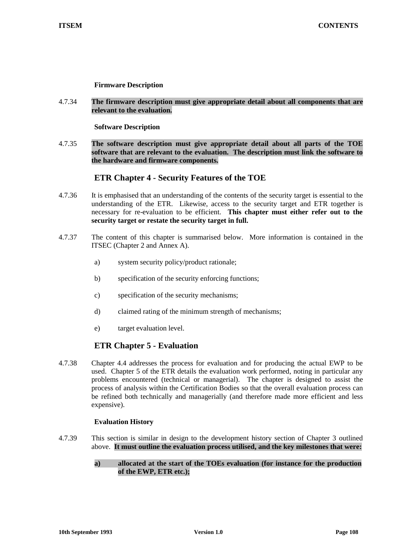**Firmware Description**

4.7.34 **The firmware description must give appropriate detail about all components that are relevant to the evaluation.**

**Software Description**

4.7.35 **The software description must give appropriate detail about all parts of the TOE software that are relevant to the evaluation. The description must link the software to the hardware and firmware components.**

#### **ETR Chapter 4 - Security Features of the TOE**

- 4.7.36 It is emphasised that an understanding of the contents of the security target is essential to the understanding of the ETR. Likewise, access to the security target and ETR together is necessary for re-evaluation to be efficient. **This chapter must either refer out to the security target or restate the security target in full.**
- 4.7.37 The content of this chapter is summarised below. More information is contained in the ITSEC (Chapter 2 and Annex A).
	- a) system security policy/product rationale;
	- b) specification of the security enforcing functions;
	- c) specification of the security mechanisms;
	- d) claimed rating of the minimum strength of mechanisms;
	- e) target evaluation level.

#### **ETR Chapter 5 - Evaluation**

4.7.38 Chapter 4.4 addresses the process for evaluation and for producing the actual EWP to be used. Chapter 5 of the ETR details the evaluation work performed, noting in particular any problems encountered (technical or managerial). The chapter is designed to assist the process of analysis within the Certification Bodies so that the overall evaluation process can be refined both technically and managerially (and therefore made more efficient and less expensive).

#### **Evaluation History**

4.7.39 This section is similar in design to the development history section of Chapter 3 outlined above. **It must outline the evaluation process utilised, and the key milestones that were:**

#### **a) allocated at the start of the TOEs evaluation (for instance for the production of the EWP, ETR etc.);**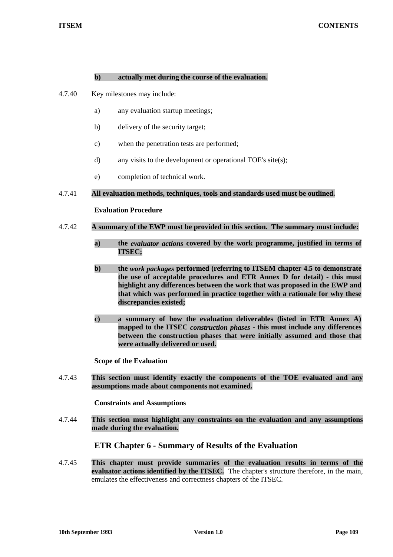#### **b) actually met during the course of the evaluation.**

- 4.7.40 Key milestones may include:
	- a) any evaluation startup meetings;
	- b) delivery of the security target;
	- c) when the penetration tests are performed;
	- d) any visits to the development or operational TOE's site(s);
	- e) completion of technical work.

#### 4.7.41 **All evaluation methods, techniques, tools and standards used must be outlined.**

#### **Evaluation Procedure**

#### 4.7.42 **A summary of the EWP must be provided in this section. The summary must include:**

- **a) the** *evaluator actions* **covered by the work programme, justified in terms of ITSEC;**
- **b) the** *work packages* **performed (referring to ITSEM chapter 4.5 to demonstrate the use of acceptable procedures and ETR Annex D for detail) - this must highlight any differences between the work that was proposed in the EWP and that which was performed in practice together with a rationale for why these discrepancies existed;**
- **c) a summary of how the evaluation deliverables (listed in ETR Annex A) mapped to the ITSEC** *construction phases* **- this must include any differences between the construction phases that were initially assumed and those that were actually delivered or used.**

**Scope of the Evaluation**

4.7.43 **This section must identify exactly the components of the TOE evaluated and any assumptions made about components not examined.**

**Constraints and Assumptions**

4.7.44 **This section must highlight any constraints on the evaluation and any assumptions made during the evaluation.**

#### **ETR Chapter 6 - Summary of Results of the Evaluation**

4.7.45 **This chapter must provide summaries of the evaluation results in terms of the evaluator actions identified by the ITSEC.** The chapter's structure therefore, in the main, emulates the effectiveness and correctness chapters of the ITSEC.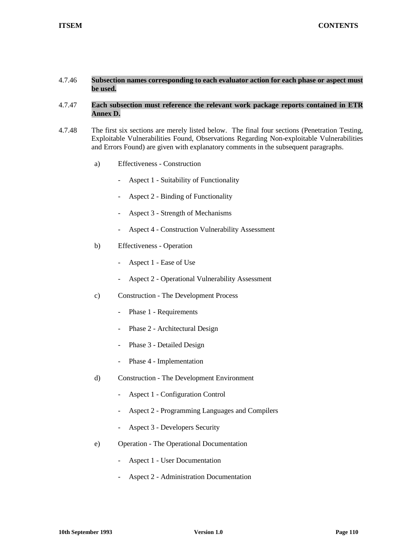#### 4.7.46 **Subsection names corresponding to each evaluator action for each phase or aspect must be used.**

#### 4.7.47 **Each subsection must reference the relevant work package reports contained in ETR Annex D.**

- 4.7.48 The first six sections are merely listed below. The final four sections (Penetration Testing, Exploitable Vulnerabilities Found, Observations Regarding Non-exploitable Vulnerabilities and Errors Found) are given with explanatory comments in the subsequent paragraphs.
	- a) Effectiveness Construction
		- Aspect 1 Suitability of Functionality
		- Aspect 2 Binding of Functionality
		- Aspect 3 Strength of Mechanisms
		- Aspect 4 Construction Vulnerability Assessment
	- b) Effectiveness Operation
		- Aspect 1 Ease of Use
		- Aspect 2 Operational Vulnerability Assessment
	- c) Construction The Development Process
		- Phase 1 Requirements
		- Phase 2 Architectural Design
		- Phase 3 Detailed Design
		- Phase 4 Implementation
	- d) Construction The Development Environment
		- Aspect 1 Configuration Control
		- Aspect 2 Programming Languages and Compilers
		- Aspect 3 Developers Security
	- e) Operation The Operational Documentation
		- Aspect 1 User Documentation
		- Aspect 2 Administration Documentation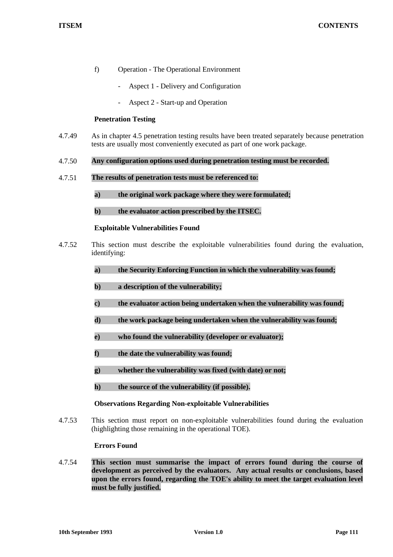- f) Operation The Operational Environment
	- Aspect 1 Delivery and Configuration
	- Aspect 2 Start-up and Operation

#### **Penetration Testing**

- 4.7.49 As in chapter 4.5 penetration testing results have been treated separately because penetration tests are usually most conveniently executed as part of one work package.
- 4.7.50 **Any configuration options used during penetration testing must be recorded.**

#### 4.7.51 **The results of penetration tests must be referenced to:**

- **a) the original work package where they were formulated;**
- **b) the evaluator action prescribed by the ITSEC.**

#### **Exploitable Vulnerabilities Found**

- 4.7.52 This section must describe the exploitable vulnerabilities found during the evaluation, identifying:
	- **a) the Security Enforcing Function in which the vulnerability was found;**
	- **b) a description of the vulnerability;**
	- **c) the evaluator action being undertaken when the vulnerability was found;**
	- **d) the work package being undertaken when the vulnerability was found;**
	- **e) who found the vulnerability (developer or evaluator);**
	- **f) the date the vulnerability was found;**
	- **g) whether the vulnerability was fixed (with date) or not;**
	- **h) the source of the vulnerability (if possible).**

#### **Observations Regarding Non-exploitable Vulnerabilities**

4.7.53 This section must report on non-exploitable vulnerabilities found during the evaluation (highlighting those remaining in the operational TOE).

#### **Errors Found**

4.7.54 **This section must summarise the impact of errors found during the course of development as perceived by the evaluators. Any actual results or conclusions, based upon the errors found, regarding the TOE's ability to meet the target evaluation level must be fully justified.**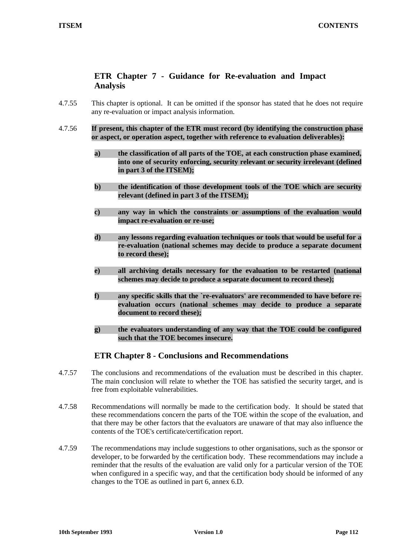#### **ETR Chapter 7 - Guidance for Re-evaluation and Impact Analysis**

- 4.7.55 This chapter is optional. It can be omitted if the sponsor has stated that he does not require any re-evaluation or impact analysis information.
- 4.7.56 **If present, this chapter of the ETR must record (by identifying the construction phase or aspect, or operation aspect, together with reference to evaluation deliverables):**
	- **a) the classification of all parts of the TOE, at each construction phase examined, into one of security enforcing, security relevant or security irrelevant (defined in part 3 of the ITSEM);**
	- **b) the identification of those development tools of the TOE which are security relevant (defined in part 3 of the ITSEM);**
	- **c) any way in which the constraints or assumptions of the evaluation would impact re-evaluation or re-use;**
	- **d) any lessons regarding evaluation techniques or tools that would be useful for a re-evaluation (national schemes may decide to produce a separate document to record these);**
	- **e) all archiving details necessary for the evaluation to be restarted (national schemes may decide to produce a separate document to record these);**
	- **f) any specific skills that the `re-evaluators' are recommended to have before reevaluation occurs (national schemes may decide to produce a separate document to record these);**
	- **g) the evaluators understanding of any way that the TOE could be configured such that the TOE becomes insecure.**

#### **ETR Chapter 8 - Conclusions and Recommendations**

- 4.7.57 The conclusions and recommendations of the evaluation must be described in this chapter. The main conclusion will relate to whether the TOE has satisfied the security target, and is free from exploitable vulnerabilities.
- 4.7.58 Recommendations will normally be made to the certification body. It should be stated that these recommendations concern the parts of the TOE within the scope of the evaluation, and that there may be other factors that the evaluators are unaware of that may also influence the contents of the TOE's certificate/certification report.
- 4.7.59 The recommendations may include suggestions to other organisations, such as the sponsor or developer, to be forwarded by the certification body. These recommendations may include a reminder that the results of the evaluation are valid only for a particular version of the TOE when configured in a specific way, and that the certification body should be informed of any changes to the TOE as outlined in part 6, annex 6.D.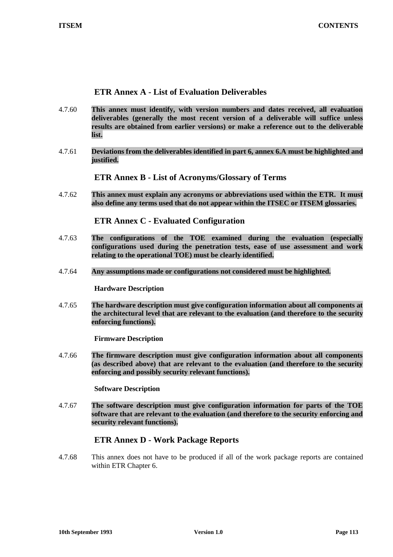**ETR Annex A - List of Evaluation Deliverables**

- 4.7.60 **This annex must identify, with version numbers and dates received, all evaluation deliverables (generally the most recent version of a deliverable will suffice unless results are obtained from earlier versions) or make a reference out to the deliverable list.**
- 4.7.61 **Deviations from the deliverables identified in part 6, annex 6.A must be highlighted and justified.**

**ETR Annex B - List of Acronyms/Glossary of Terms**

4.7.62 **This annex must explain any acronyms or abbreviations used within the ETR. It must also define any terms used that do not appear within the ITSEC or ITSEM glossaries.**

**ETR Annex C - Evaluated Configuration**

- 4.7.63 **The configurations of the TOE examined during the evaluation (especially configurations used during the penetration tests, ease of use assessment and work relating to the operational TOE) must be clearly identified.**
- 4.7.64 **Any assumptions made or configurations not considered must be highlighted.**

**Hardware Description**

4.7.65 **The hardware description must give configuration information about all components at the architectural level that are relevant to the evaluation (and therefore to the security enforcing functions).**

**Firmware Description**

4.7.66 **The firmware description must give configuration information about all components (as described above) that are relevant to the evaluation (and therefore to the security enforcing and possibly security relevant functions).**

**Software Description**

4.7.67 **The software description must give configuration information for parts of the TOE software that are relevant to the evaluation (and therefore to the security enforcing and security relevant functions).**

#### **ETR Annex D - Work Package Reports**

4.7.68 This annex does not have to be produced if all of the work package reports are contained within ETR Chapter 6.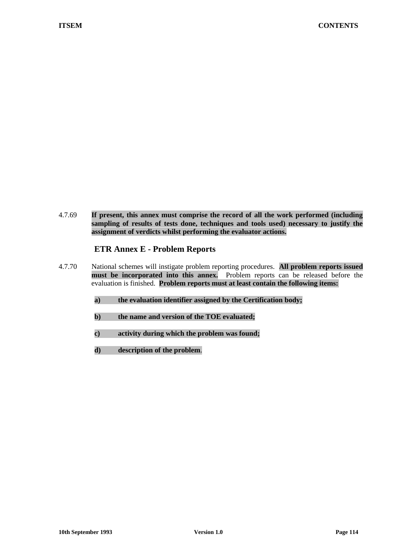4.7.69 **If present, this annex must comprise the record of all the work performed (including sampling of results of tests done, techniques and tools used) necessary to justify the assignment of verdicts whilst performing the evaluator actions.**

#### **ETR Annex E - Problem Reports**

- 4.7.70 National schemes will instigate problem reporting procedures. **All problem reports issued must be incorporated into this annex.** Problem reports can be released before the evaluation is finished. **Problem reports must at least contain the following items:**
	- **a) the evaluation identifier assigned by the Certification body;**
	- **b) the name and version of the TOE evaluated;**
	- **c) activity during which the problem was found;**
	- **d) description of the problem**.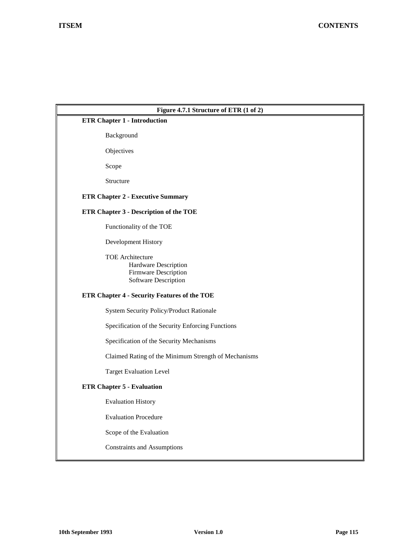## **Figure 4.7.1 Structure of ETR (1 of 2) ETR Chapter 1 - Introduction** Background **Objectives** Scope Structure **ETR Chapter 2 - Executive Summary ETR Chapter 3 - Description of the TOE** Functionality of the TOE Development History TOE Architecture Hardware Description Firmware Description Software Description **ETR Chapter 4 - Security Features of the TOE** System Security Policy/Product Rationale Specification of the Security Enforcing Functions Specification of the Security Mechanisms Claimed Rating of the Minimum Strength of Mechanisms Target Evaluation Level **ETR Chapter 5 - Evaluation** Evaluation History Evaluation Procedure Scope of the Evaluation Constraints and Assumptions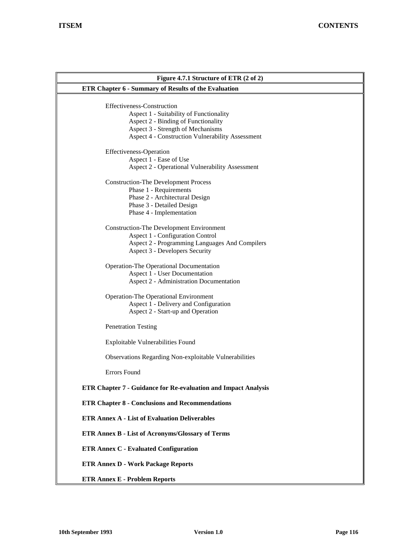| Figure 4.7.1 Structure of ETR (2 of 2)                                              |  |
|-------------------------------------------------------------------------------------|--|
| <b>ETR Chapter 6 - Summary of Results of the Evaluation</b>                         |  |
|                                                                                     |  |
| Effectiveness-Construction                                                          |  |
| Aspect 1 - Suitability of Functionality                                             |  |
| Aspect 2 - Binding of Functionality<br>Aspect 3 - Strength of Mechanisms            |  |
| Aspect 4 - Construction Vulnerability Assessment                                    |  |
|                                                                                     |  |
| <b>Effectiveness-Operation</b>                                                      |  |
| Aspect 1 - Ease of Use                                                              |  |
| Aspect 2 - Operational Vulnerability Assessment                                     |  |
| <b>Construction-The Development Process</b>                                         |  |
| Phase 1 - Requirements                                                              |  |
| Phase 2 - Architectural Design                                                      |  |
| Phase 3 - Detailed Design                                                           |  |
| Phase 4 - Implementation                                                            |  |
|                                                                                     |  |
| <b>Construction-The Development Environment</b><br>Aspect 1 - Configuration Control |  |
| Aspect 2 - Programming Languages And Compilers                                      |  |
| Aspect 3 - Developers Security                                                      |  |
|                                                                                     |  |
| <b>Operation-The Operational Documentation</b>                                      |  |
| <b>Aspect 1 - User Documentation</b>                                                |  |
| Aspect 2 - Administration Documentation                                             |  |
| <b>Operation-The Operational Environment</b>                                        |  |
| Aspect 1 - Delivery and Configuration                                               |  |
| Aspect 2 - Start-up and Operation                                                   |  |
|                                                                                     |  |
| <b>Penetration Testing</b>                                                          |  |
| <b>Exploitable Vulnerabilities Found</b>                                            |  |
|                                                                                     |  |
| Observations Regarding Non-exploitable Vulnerabilities                              |  |
|                                                                                     |  |
| <b>Errors Found</b>                                                                 |  |
| <b>ETR Chapter 7 - Guidance for Re-evaluation and Impact Analysis</b>               |  |
|                                                                                     |  |
| <b>ETR Chapter 8 - Conclusions and Recommendations</b>                              |  |
| <b>ETR Annex A - List of Evaluation Deliverables</b>                                |  |
| <b>ETR Annex B - List of Acronyms/Glossary of Terms</b>                             |  |
| <b>ETR Annex C - Evaluated Configuration</b>                                        |  |
| <b>ETR Annex D - Work Package Reports</b>                                           |  |
| <b>ETR Annex E - Problem Reports</b>                                                |  |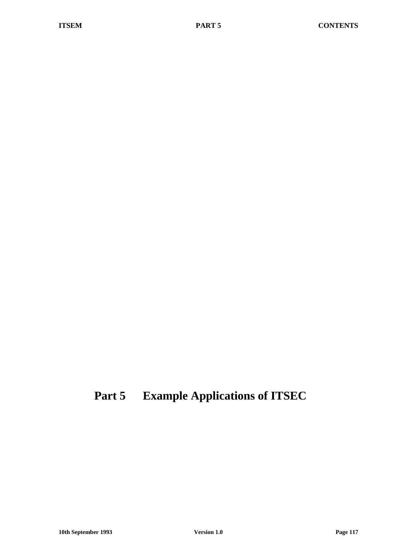# **Part 5 Example Applications of ITSEC**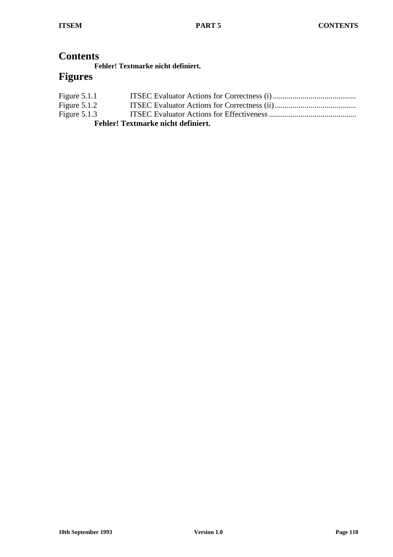## **Contents**

**Fehler! Textmarke nicht definiert.**

## **Figures**

| Figure $5.1.1$ |                                           |
|----------------|-------------------------------------------|
| Figure $5.1.2$ |                                           |
| Figure $5.1.3$ |                                           |
|                | <b>Fehler! Textmarke nicht definiert.</b> |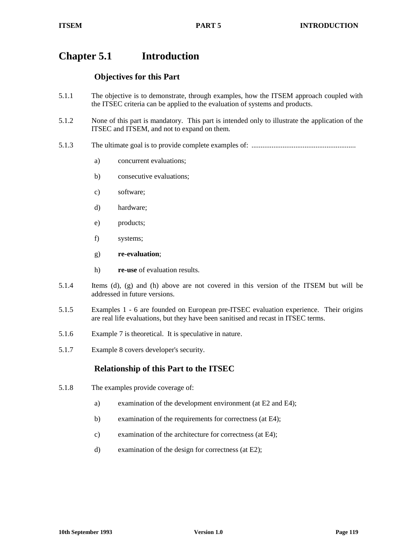## **Chapter 5.1 Introduction**

#### **Objectives for this Part**

- 5.1.1 The objective is to demonstrate, through examples, how the ITSEM approach coupled with the ITSEC criteria can be applied to the evaluation of systems and products.
- 5.1.2 None of this part is mandatory. This part is intended only to illustrate the application of the ITSEC and ITSEM, and not to expand on them.
- 5.1.3 The ultimate goal is to provide complete examples of: .........................................................
	- a) concurrent evaluations;
	- b) consecutive evaluations;
	- c) software;
	- d) hardware;
	- e) products;
	- f) systems;
	- g) **re-evaluation**;
	- h) **re-use** of evaluation results.
- 5.1.4 Items (d), (g) and (h) above are not covered in this version of the ITSEM but will be addressed in future versions.
- 5.1.5 Examples 1 6 are founded on European pre-ITSEC evaluation experience. Their origins are real life evaluations, but they have been sanitised and recast in ITSEC terms.
- 5.1.6 Example 7 is theoretical. It is speculative in nature.
- 5.1.7 Example 8 covers developer's security.

#### **Relationship of this Part to the ITSEC**

- 5.1.8 The examples provide coverage of:
	- a) examination of the development environment (at E2 and E4);
	- b) examination of the requirements for correctness (at E4);
	- c) examination of the architecture for correctness (at E4);
	- d) examination of the design for correctness (at E2);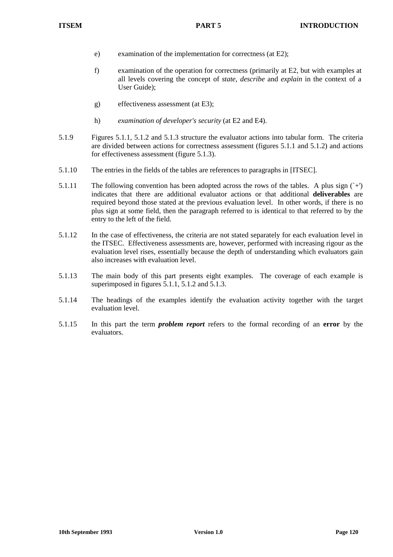- e) examination of the implementation for correctness (at E2);
- f) examination of the operation for correctness (primarily at E2, but with examples at all levels covering the concept of *state, describe* and *explain* in the context of a User Guide);
- g) effectiveness assessment (at E3);
- h) *examination of developer's security* (at E2 and E4).
- 5.1.9 Figures 5.1.1, 5.1.2 and 5.1.3 structure the evaluator actions into tabular form. The criteria are divided between actions for correctness assessment (figures 5.1.1 and 5.1.2) and actions for effectiveness assessment (figure 5.1.3).
- 5.1.10 The entries in the fields of the tables are references to paragraphs in [ITSEC].
- 5.1.11 The following convention has been adopted across the rows of the tables. A plus sign  $(†)$ indicates that there are additional evaluator actions or that additional **deliverables** are required beyond those stated at the previous evaluation level. In other words, if there is no plus sign at some field, then the paragraph referred to is identical to that referred to by the entry to the left of the field.
- 5.1.12 In the case of effectiveness, the criteria are not stated separately for each evaluation level in the ITSEC. Effectiveness assessments are, however, performed with increasing rigour as the evaluation level rises, essentially because the depth of understanding which evaluators gain also increases with evaluation level.
- 5.1.13 The main body of this part presents eight examples. The coverage of each example is superimposed in figures 5.1.1, 5.1.2 and 5.1.3.
- 5.1.14 The headings of the examples identify the evaluation activity together with the target evaluation level.
- 5.1.15 In this part the term *problem report* refers to the formal recording of an **error** by the evaluators.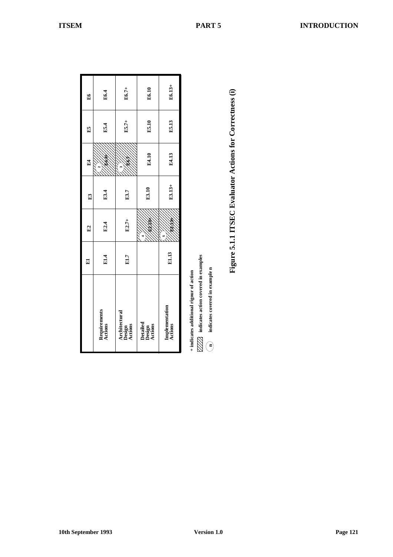|                                    | $\Xi$ | E       | E3       | $E_4$ | E5    | E6     |
|------------------------------------|-------|---------|----------|-------|-------|--------|
| Requirements<br>Actions            | E1.4  | E2.4    | E3.4     |       | E5.4  | E6.4   |
| Architectural<br>Design<br>Actions | E1.7  | $E2.7+$ | E3.7     |       | E5.7+ | E6.7+  |
| Detailed<br>Design<br>Actions      |       |         | E3.10    | E4.10 | E5.10 | E6.10  |
| Implementation<br>Actions          | E1.13 |         | $E3.13+$ | E4.13 | E5.13 | E6.13+ |

+ indicates additional rigour of action **+ indicates additional rigour of action**

 $\sqrt{2}/\sqrt{2}$  indicates action covered in examples **indicates action covered in examples**

indicates covered in example n **indicates covered in example n n** Figure 5.1.1 ITSEC Evaluator Actions for Correctness (i) **Figure 5.1.1 ITSEC Evaluator Actions for Correctness (i)**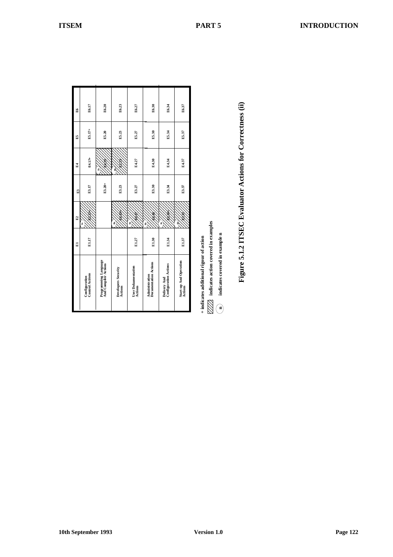|               | E6.17                            | E6.20                                               | E6.23                          | E6.27                         | E6.30                                                                                          | E6.34                                 | E6.37                                                                          |                                                                                                                   |  |
|---------------|----------------------------------|-----------------------------------------------------|--------------------------------|-------------------------------|------------------------------------------------------------------------------------------------|---------------------------------------|--------------------------------------------------------------------------------|-------------------------------------------------------------------------------------------------------------------|--|
| ES            | $\mathbf{E5.17}+$                | E5.20                                               | E5.23                          | E5.27                         | E5.30                                                                                          | E5.34                                 | E5.37                                                                          |                                                                                                                   |  |
| E4            | E4.17+                           | `≞`                                                 | a                              | E4.27                         | E4.30                                                                                          | E4.34                                 | E4.37                                                                          | Figure 5.1.2 ITSEC Evaluator Actions for Correctness (ii)                                                         |  |
| $\mathbf E$   | E3.17                            | $E3.20+$                                            | E3.23                          | E3.27                         | E3.30                                                                                          | E3.34                                 | E3.37                                                                          |                                                                                                                   |  |
| $\mathbb{E}2$ | Ą.                               |                                                     | $\mathbf{r}$                   | 444<br>$\mathbf{a}$           | EZA<br>ŝ                                                                                       | \$2,84<br>$\boldsymbol{\mathsf{s}}$   | 겲                                                                              |                                                                                                                   |  |
| $\Xi$         | E1.17                            |                                                     |                                | E1.27                         | E1.30                                                                                          | E1.34                                 | E1.37                                                                          |                                                                                                                   |  |
|               | Configuration<br>Control Actions | <b>Programming Language</b><br>And Compiler Actions | Developers Security<br>Actions | User Dokumentation<br>Actions | $\begin{array}{c} \text{Administration} \\ \text{Documentation} \\ \text{Actions} \end{array}$ | Delivery And<br>Configuration Actions | $\begin{array}{c} \text{Start-up And Operation} \\ \text{Actions} \end{array}$ | indicates action covered in examples<br>indicates covered in example n<br>+ indicates additional rigour of action |  |
|               |                                  |                                                     |                                |                               |                                                                                                |                                       |                                                                                |                                                                                                                   |  |
|               |                                  |                                                     |                                |                               |                                                                                                |                                       |                                                                                |                                                                                                                   |  |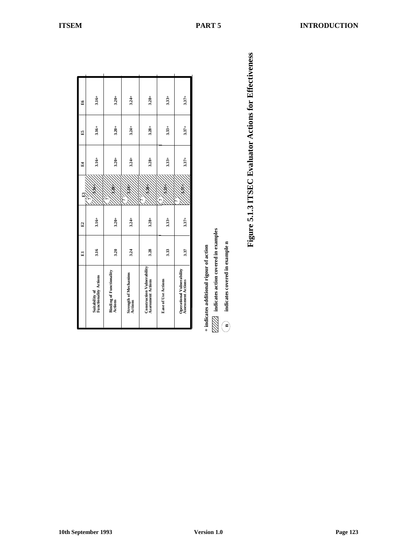| E4                | $3.16 +$                                | $3.20 +$                                   | $3.24 +$<br>Q.                          | $3.28 +$                                                | $3.33 +$<br>Ş       | $3.37 +$                                               |
|-------------------|-----------------------------------------|--------------------------------------------|-----------------------------------------|---------------------------------------------------------|---------------------|--------------------------------------------------------|
| ≌<br>$\mathbb E2$ | $\mathbf{r}$<br>$3.16 +$                | $3.20 +$                                   | $3.24 +$                                | $3.28 +$                                                | $3.33 +$            | $3.37 +$                                               |
| $\Xi$             | 3.16                                    | 3.20                                       | 3.24                                    | 3.28                                                    | 3.33                | 3.37                                                   |
|                   | Suitability of<br>Functionality Actions | <b>Binding of Functionality</b><br>Actions | <b>Strength of Mechanims</b><br>Actions | <b>Construction Vulnerability</b><br>Assessment Actions | Ease of Use Actions | <b>Operational Vulnerability</b><br>Assessment Actions |
|                   |                                         |                                            |                                         |                                                         |                     |                                                        |
|                   |                                         |                                            |                                         |                                                         |                     |                                                        |
|                   |                                         |                                            |                                         |                                                         |                     |                                                        |
|                   |                                         |                                            |                                         |                                                         |                     |                                                        |

**Figure 5.1.3 ITSEC Evaluator Actions for Effectiveness**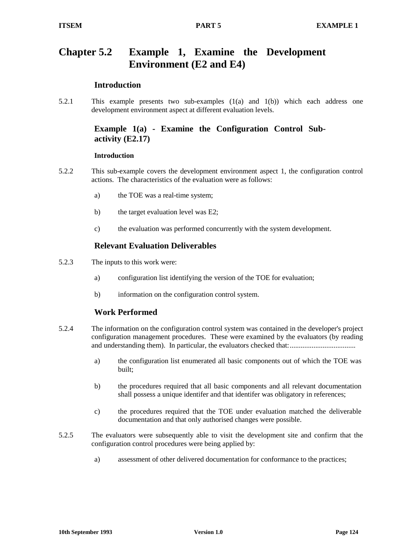## **Chapter 5.2 Example 1, Examine the Development Environment (E2 and E4)**

#### **Introduction**

5.2.1 This example presents two sub-examples (1(a) and 1(b)) which each address one development environment aspect at different evaluation levels.

#### **Example 1(a) - Examine the Configuration Control Subactivity (E2.17)**

#### **Introduction**

- 5.2.2 This sub-example covers the development environment aspect 1, the configuration control actions. The characteristics of the evaluation were as follows:
	- a) the TOE was a real-time system;
	- b) the target evaluation level was E2;
	- c) the evaluation was performed concurrently with the system development.

#### **Relevant Evaluation Deliverables**

- 5.2.3 The inputs to this work were:
	- a) configuration list identifying the version of the TOE for evaluation;
	- b) information on the configuration control system.

#### **Work Performed**

- 5.2.4 The information on the configuration control system was contained in the developer's project configuration management procedures. These were examined by the evaluators (by reading and understanding them). In particular, the evaluators checked that:....................................
	- a) the configuration list enumerated all basic components out of which the TOE was built;
	- b) the procedures required that all basic components and all relevant documentation shall possess a unique identifer and that identifer was obligatory in references;
	- c) the procedures required that the TOE under evaluation matched the deliverable documentation and that only authorised changes were possible.
- 5.2.5 The evaluators were subsequently able to visit the development site and confirm that the configuration control procedures were being applied by:
	- a) assessment of other delivered documentation for conformance to the practices;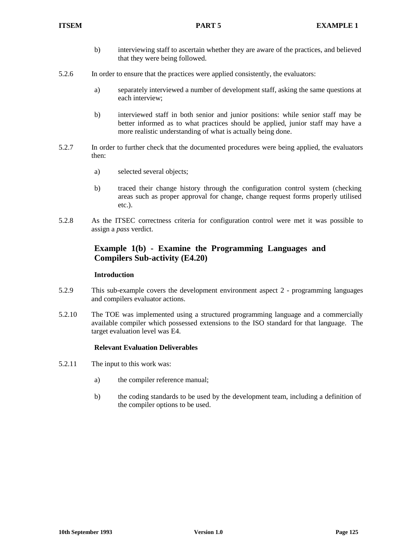- b) interviewing staff to ascertain whether they are aware of the practices, and believed that they were being followed.
- 5.2.6 In order to ensure that the practices were applied consistently, the evaluators:
	- a) separately interviewed a number of development staff, asking the same questions at each interview;
	- b) interviewed staff in both senior and junior positions: while senior staff may be better informed as to what practices should be applied, junior staff may have a more realistic understanding of what is actually being done.
- 5.2.7 In order to further check that the documented procedures were being applied, the evaluators then:
	- a) selected several objects;
	- b) traced their change history through the configuration control system (checking areas such as proper approval for change, change request forms properly utilised etc.).
- 5.2.8 As the ITSEC correctness criteria for configuration control were met it was possible to assign a *pass* verdict.

#### **Example 1(b) - Examine the Programming Languages and Compilers Sub-activity (E4.20)**

#### **Introduction**

- 5.2.9 This sub-example covers the development environment aspect 2 programming languages and compilers evaluator actions.
- 5.2.10 The TOE was implemented using a structured programming language and a commercially available compiler which possessed extensions to the ISO standard for that language. The target evaluation level was E4.

#### **Relevant Evaluation Deliverables**

- 5.2.11 The input to this work was:
	- a) the compiler reference manual;
	- b) the coding standards to be used by the development team, including a definition of the compiler options to be used.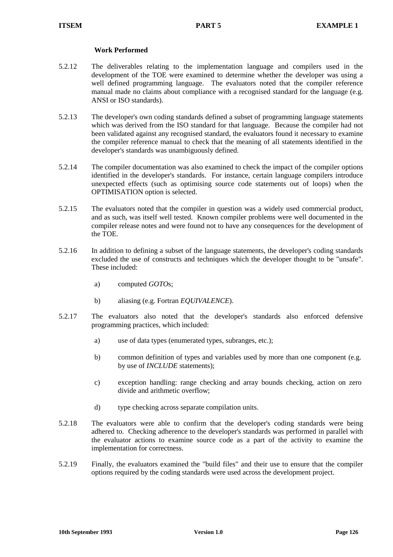#### **Work Performed**

- 5.2.12 The deliverables relating to the implementation language and compilers used in the development of the TOE were examined to determine whether the developer was using a well defined programming language. The evaluators noted that the compiler reference manual made no claims about compliance with a recognised standard for the language (e.g. ANSI or ISO standards).
- 5.2.13 The developer's own coding standards defined a subset of programming language statements which was derived from the ISO standard for that language. Because the compiler had not been validated against any recognised standard, the evaluators found it necessary to examine the compiler reference manual to check that the meaning of all statements identified in the developer's standards was unambiguously defined.
- 5.2.14 The compiler documentation was also examined to check the impact of the compiler options identified in the developer's standards. For instance, certain language compilers introduce unexpected effects (such as optimising source code statements out of loops) when the OPTIMISATION option is selected.
- 5.2.15 The evaluators noted that the compiler in question was a widely used commercial product, and as such, was itself well tested. Known compiler problems were well documented in the compiler release notes and were found not to have any consequences for the development of the TOE.
- 5.2.16 In addition to defining a subset of the language statements, the developer's coding standards excluded the use of constructs and techniques which the developer thought to be "unsafe". These included:
	- a) computed *GOTO*s;
	- b) aliasing (e.g. Fortran *EQUIVALENCE*).
- 5.2.17 The evaluators also noted that the developer's standards also enforced defensive programming practices, which included:
	- a) use of data types (enumerated types, subranges, etc.);
	- b) common definition of types and variables used by more than one component (e.g. by use of *INCLUDE* statements);
	- c) exception handling: range checking and array bounds checking, action on zero divide and arithmetic overflow;
	- d) type checking across separate compilation units.
- 5.2.18 The evaluators were able to confirm that the developer's coding standards were being adhered to. Checking adherence to the developer's standards was performed in parallel with the evaluator actions to examine source code as a part of the activity to examine the implementation for correctness.
- 5.2.19 Finally, the evaluators examined the "build files" and their use to ensure that the compiler options required by the coding standards were used across the development project.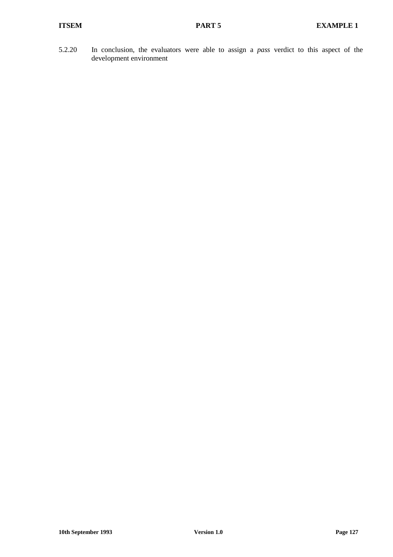5.2.20 In conclusion, the evaluators were able to assign a *pass* verdict to this aspect of the development environment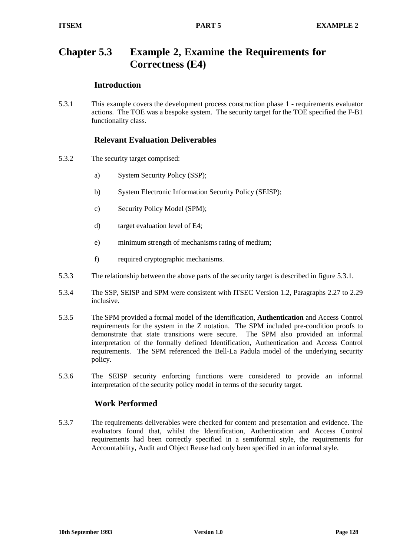## **Chapter 5.3 Example 2, Examine the Requirements for Correctness (E4)**

#### **Introduction**

5.3.1 This example covers the development process construction phase 1 - requirements evaluator actions. The TOE was a bespoke system. The security target for the TOE specified the F-B1 functionality class.

#### **Relevant Evaluation Deliverables**

- 5.3.2 The security target comprised:
	- a) System Security Policy (SSP);
	- b) System Electronic Information Security Policy (SEISP);
	- c) Security Policy Model (SPM);
	- d) target evaluation level of E4;
	- e) minimum strength of mechanisms rating of medium;
	- f) required cryptographic mechanisms.
- 5.3.3 The relationship between the above parts of the security target is described in figure 5.3.1.
- 5.3.4 The SSP, SEISP and SPM were consistent with ITSEC Version 1.2, Paragraphs 2.27 to 2.29 inclusive.
- 5.3.5 The SPM provided a formal model of the Identification, **Authentication** and Access Control requirements for the system in the Z notation. The SPM included pre-condition proofs to demonstrate that state transitions were secure. The SPM also provided an informal interpretation of the formally defined Identification, Authentication and Access Control requirements. The SPM referenced the Bell-La Padula model of the underlying security policy.
- 5.3.6 The SEISP security enforcing functions were considered to provide an informal interpretation of the security policy model in terms of the security target.

#### **Work Performed**

5.3.7 The requirements deliverables were checked for content and presentation and evidence. The evaluators found that, whilst the Identification, Authentication and Access Control requirements had been correctly specified in a semiformal style, the requirements for Accountability, Audit and Object Reuse had only been specified in an informal style.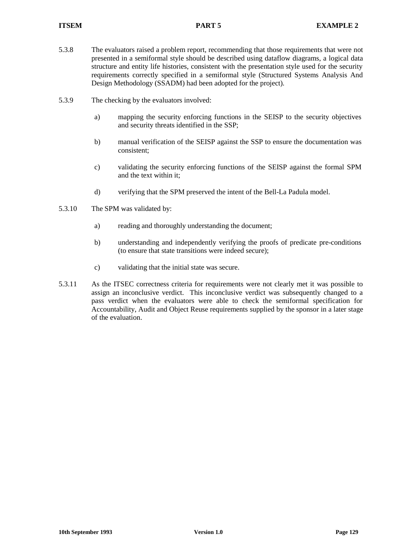- 5.3.8 The evaluators raised a problem report, recommending that those requirements that were not presented in a semiformal style should be described using dataflow diagrams, a logical data structure and entity life histories, consistent with the presentation style used for the security requirements correctly specified in a semiformal style (Structured Systems Analysis And Design Methodology (SSADM) had been adopted for the project).
- 5.3.9 The checking by the evaluators involved:
	- a) mapping the security enforcing functions in the SEISP to the security objectives and security threats identified in the SSP;
	- b) manual verification of the SEISP against the SSP to ensure the documentation was consistent;
	- c) validating the security enforcing functions of the SEISP against the formal SPM and the text within it;
	- d) verifying that the SPM preserved the intent of the Bell-La Padula model.
- 5.3.10 The SPM was validated by:
	- a) reading and thoroughly understanding the document;
	- b) understanding and independently verifying the proofs of predicate pre-conditions (to ensure that state transitions were indeed secure);
	- c) validating that the initial state was secure.
- 5.3.11 As the ITSEC correctness criteria for requirements were not clearly met it was possible to assign an inconclusive verdict. This inconclusive verdict was subsequently changed to a pass verdict when the evaluators were able to check the semiformal specification for Accountability, Audit and Object Reuse requirements supplied by the sponsor in a later stage of the evaluation.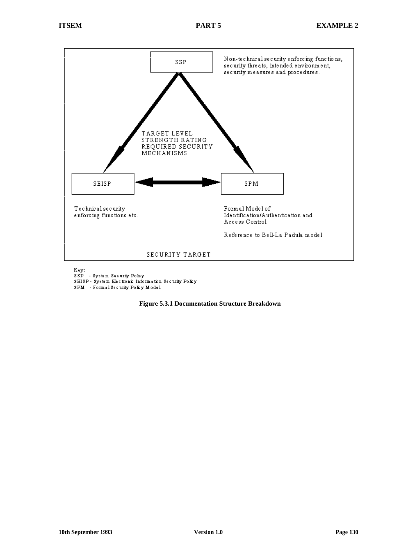

Key:<br>SSP – System Security Policy<br>SEISP – System Electronic Information Security Policy<br>SPM – Formal Security Policy Model

SPM - Formal Security Policy Model

**Figure 5.3.1 Documentation Structure Breakdown**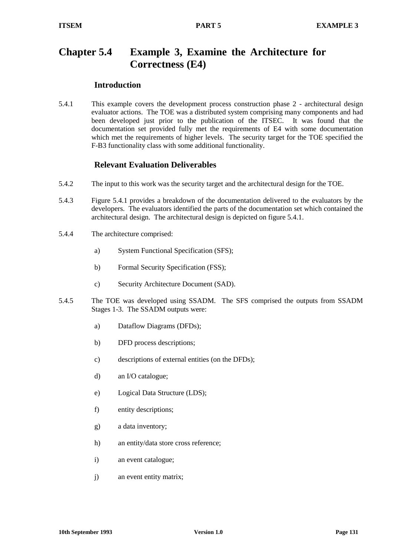## **Chapter 5.4 Example 3, Examine the Architecture for Correctness (E4)**

#### **Introduction**

5.4.1 This example covers the development process construction phase 2 - architectural design evaluator actions. The TOE was a distributed system comprising many components and had been developed just prior to the publication of the ITSEC. It was found that the documentation set provided fully met the requirements of E4 with some documentation which met the requirements of higher levels. The security target for the TOE specified the F-B3 functionality class with some additional functionality.

#### **Relevant Evaluation Deliverables**

- 5.4.2 The input to this work was the security target and the architectural design for the TOE.
- 5.4.3 Figure 5.4.1 provides a breakdown of the documentation delivered to the evaluators by the developers. The evaluators identified the parts of the documentation set which contained the architectural design. The architectural design is depicted on figure 5.4.1.
- 5.4.4 The architecture comprised:
	- a) System Functional Specification (SFS);
	- b) Formal Security Specification (FSS);
	- c) Security Architecture Document (SAD).
- 5.4.5 The TOE was developed using SSADM. The SFS comprised the outputs from SSADM Stages 1-3. The SSADM outputs were:
	- a) Dataflow Diagrams (DFDs);
	- b) DFD process descriptions;
	- c) descriptions of external entities (on the DFDs);
	- d) an I/O catalogue;
	- e) Logical Data Structure (LDS);
	- f) entity descriptions;
	- g) a data inventory;
	- h) an entity/data store cross reference;
	- i) an event catalogue;
	- j) an event entity matrix;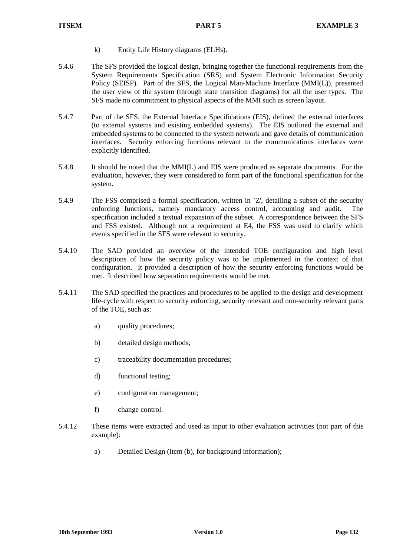- k) Entity Life History diagrams (ELHs).
- 5.4.6 The SFS provided the logical design, bringing together the functional requirements from the System Requirements Specification (SRS) and System Electronic Information Security Policy (SEISP). Part of the SFS, the Logical Man-Machine Interface (MMI(L)), presented the user view of the system (through state transition diagrams) for all the user types. The SFS made no commitment to physical aspects of the MMI such as screen layout.
- 5.4.7 Part of the SFS, the External Interface Specifications (EIS), defined the external interfaces (to external systems and existing embedded systems). The EIS outlined the external and embedded systems to be connected to the system network and gave details of communication interfaces. Security enforcing functions relevant to the communications interfaces were explicitly identified.
- 5.4.8 It should be noted that the MMI(L) and EIS were produced as separate documents. For the evaluation, however, they were considered to form part of the functional specification for the system.
- 5.4.9 The FSS comprised a formal specification, written in `Z', detailing a subset of the security enforcing functions, namely mandatory access control, accounting and audit. The specification included a textual expansion of the subset. A correspondence between the SFS and FSS existed. Although not a requirement at E4, the FSS was used to clarify which events specified in the SFS were relevant to security.
- 5.4.10 The SAD provided an overview of the intended TOE configuration and high level descriptions of how the security policy was to be implemented in the context of that configuration. It provided a description of how the security enforcing functions would be met. It described how separation requirements would be met.
- 5.4.11 The SAD specified the practices and procedures to be applied to the design and development life-cycle with respect to security enforcing, security relevant and non-security relevant parts of the TOE, such as:
	- a) quality procedures;
	- b) detailed design methods;
	- c) traceability documentation procedures;
	- d) functional testing;
	- e) configuration management;
	- f) change control.
- 5.4.12 These items were extracted and used as input to other evaluation activities (not part of this example):
	- a) Detailed Design (item (b), for background information);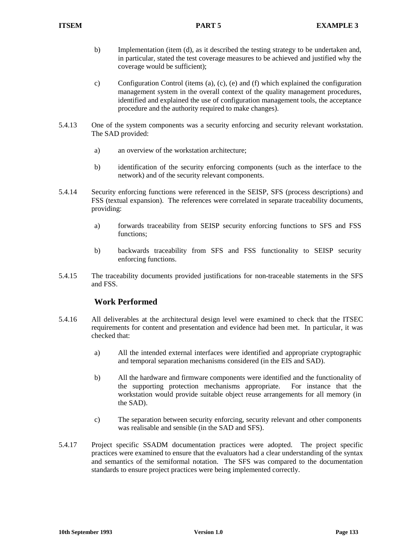- b) Implementation (item (d), as it described the testing strategy to be undertaken and, in particular, stated the test coverage measures to be achieved and justified why the coverage would be sufficient);
- c) Configuration Control (items (a), (c), (e) and (f) which explained the configuration management system in the overall context of the quality management procedures, identified and explained the use of configuration management tools, the acceptance procedure and the authority required to make changes).
- 5.4.13 One of the system components was a security enforcing and security relevant workstation. The SAD provided:
	- a) an overview of the workstation architecture;
	- b) identification of the security enforcing components (such as the interface to the network) and of the security relevant components.
- 5.4.14 Security enforcing functions were referenced in the SEISP, SFS (process descriptions) and FSS (textual expansion). The references were correlated in separate traceability documents, providing:
	- a) forwards traceability from SEISP security enforcing functions to SFS and FSS functions;
	- b) backwards traceability from SFS and FSS functionality to SEISP security enforcing functions.
- 5.4.15 The traceability documents provided justifications for non-traceable statements in the SFS and FSS.

#### **Work Performed**

- 5.4.16 All deliverables at the architectural design level were examined to check that the ITSEC requirements for content and presentation and evidence had been met. In particular, it was checked that:
	- a) All the intended external interfaces were identified and appropriate cryptographic and temporal separation mechanisms considered (in the EIS and SAD).
	- b) All the hardware and firmware components were identified and the functionality of the supporting protection mechanisms appropriate. For instance that the workstation would provide suitable object reuse arrangements for all memory (in the SAD).
	- c) The separation between security enforcing, security relevant and other components was realisable and sensible (in the SAD and SFS).
- 5.4.17 Project specific SSADM documentation practices were adopted. The project specific practices were examined to ensure that the evaluators had a clear understanding of the syntax and semantics of the semiformal notation. The SFS was compared to the documentation standards to ensure project practices were being implemented correctly.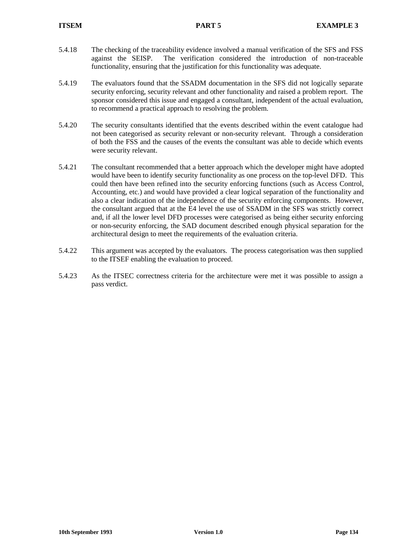- 5.4.18 The checking of the traceability evidence involved a manual verification of the SFS and FSS against the SEISP. The verification considered the introduction of non-traceable functionality, ensuring that the justification for this functionality was adequate.
- 5.4.19 The evaluators found that the SSADM documentation in the SFS did not logically separate security enforcing, security relevant and other functionality and raised a problem report. The sponsor considered this issue and engaged a consultant, independent of the actual evaluation, to recommend a practical approach to resolving the problem.
- 5.4.20 The security consultants identified that the events described within the event catalogue had not been categorised as security relevant or non-security relevant. Through a consideration of both the FSS and the causes of the events the consultant was able to decide which events were security relevant.
- 5.4.21 The consultant recommended that a better approach which the developer might have adopted would have been to identify security functionality as one process on the top-level DFD. This could then have been refined into the security enforcing functions (such as Access Control, Accounting, etc.) and would have provided a clear logical separation of the functionality and also a clear indication of the independence of the security enforcing components. However, the consultant argued that at the E4 level the use of SSADM in the SFS was strictly correct and, if all the lower level DFD processes were categorised as being either security enforcing or non-security enforcing, the SAD document described enough physical separation for the architectural design to meet the requirements of the evaluation criteria.
- 5.4.22 This argument was accepted by the evaluators. The process categorisation was then supplied to the ITSEF enabling the evaluation to proceed.
- 5.4.23 As the ITSEC correctness criteria for the architecture were met it was possible to assign a pass verdict.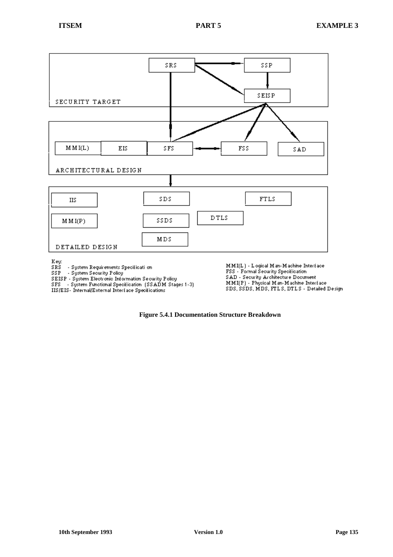

Key:

SRS - System Requirements Specificati on<br>SSP - System Security Policy

SETSP - System Electronic Information Security Policy<br>SETSP - System Electronic Information (SSADM Stages 1-3)<br>IIS/EIS- Internal/External Interface Specifications

MMI(L) - Logical Man-Machine Interface FSS - Formal Security Specification SAD - Security Architecture Document MMI(P) - Physical Man-Machine Interface<br>SDS, SSDS, MDS, FTLS, DTLS - Detailed Design

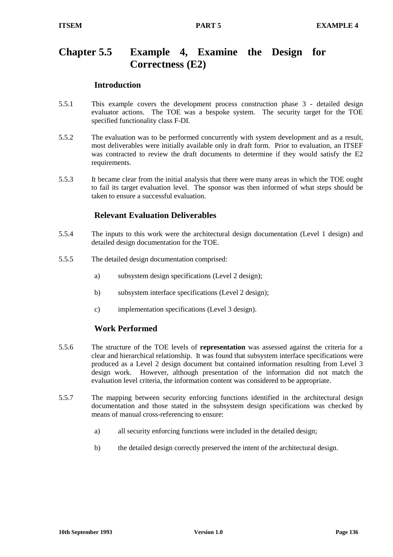### **Chapter 5.5 Example 4, Examine the Design for Correctness (E2)**

#### **Introduction**

- 5.5.1 This example covers the development process construction phase 3 detailed design evaluator actions. The TOE was a bespoke system. The security target for the TOE specified functionality class F-DI.
- 5.5.2 The evaluation was to be performed concurrently with system development and as a result, most deliverables were initially available only in draft form. Prior to evaluation, an ITSEF was contracted to review the draft documents to determine if they would satisfy the E2 requirements.
- 5.5.3 It became clear from the initial analysis that there were many areas in which the TOE ought to fail its target evaluation level. The sponsor was then informed of what steps should be taken to ensure a successful evaluation.

#### **Relevant Evaluation Deliverables**

- 5.5.4 The inputs to this work were the architectural design documentation (Level 1 design) and detailed design documentation for the TOE.
- 5.5.5 The detailed design documentation comprised:
	- a) subsystem design specifications (Level 2 design);
	- b) subsystem interface specifications (Level 2 design);
	- c) implementation specifications (Level 3 design).

#### **Work Performed**

- 5.5.6 The structure of the TOE levels of **representation** was assessed against the criteria for a clear and hierarchical relationship. It was found that subsystem interface specifications were produced as a Level 2 design document but contained information resulting from Level 3 design work. However, although presentation of the information did not match the evaluation level criteria, the information content was considered to be appropriate.
- 5.5.7 The mapping between security enforcing functions identified in the architectural design documentation and those stated in the subsystem design specifications was checked by means of manual cross-referencing to ensure:
	- a) all security enforcing functions were included in the detailed design;
	- b) the detailed design correctly preserved the intent of the architectural design.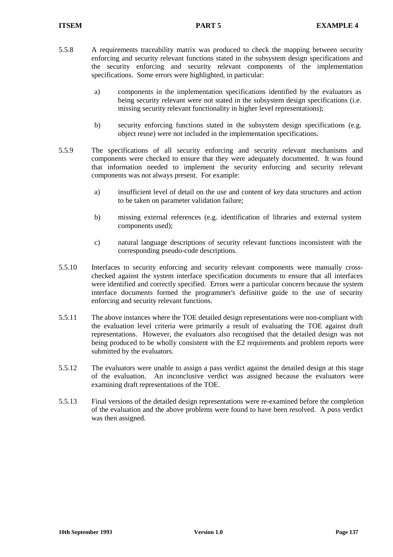- 5.5.8 A requirements traceability matrix was produced to check the mapping between security enforcing and security relevant functions stated in the subsystem design specifications and the security enforcing and security relevant components of the implementation specifications. Some errors were highlighted, in particular:
	- a) components in the implementation specifications identified by the evaluators as being security relevant were not stated in the subsystem design specifications (i.e. missing security relevant functionality in higher level representations);
	- b) security enforcing functions stated in the subsystem design specifications (e.g. object reuse) were not included in the implementation specifications.
- 5.5.9 The specifications of all security enforcing and security relevant mechanisms and components were checked to ensure that they were adequately documented. It was found that information needed to implement the security enforcing and security relevant components was not always present. For example:
	- a) insufficient level of detail on the use and content of key data structures and action to be taken on parameter validation failure;
	- b) missing external references (e.g. identification of libraries and external system components used);
	- c) natural language descriptions of security relevant functions inconsistent with the corresponding pseudo-code descriptions.
- 5.5.10 Interfaces to security enforcing and security relevant components were manually crosschecked against the system interface specification documents to ensure that all interfaces were identified and correctly specified. Errors were a particular concern because the system interface documents formed the programmer's definitive guide to the use of security enforcing and security relevant functions.
- 5.5.11 The above instances where the TOE detailed design representations were non-compliant with the evaluation level criteria were primarily a result of evaluating the TOE against draft representations. However, the evaluators also recognised that the detailed design was not being produced to be wholly consistent with the E2 requirements and problem reports were submitted by the evaluators.
- 5.5.12 The evaluators were unable to assign a pass verdict against the detailed design at this stage of the evaluation. An inconclusive verdict was assigned because the evaluators were examining draft representations of the TOE.
- 5.5.13 Final versions of the detailed design representations were re-examined before the completion of the evaluation and the above problems were found to have been resolved. A *pass* verdict was then assigned.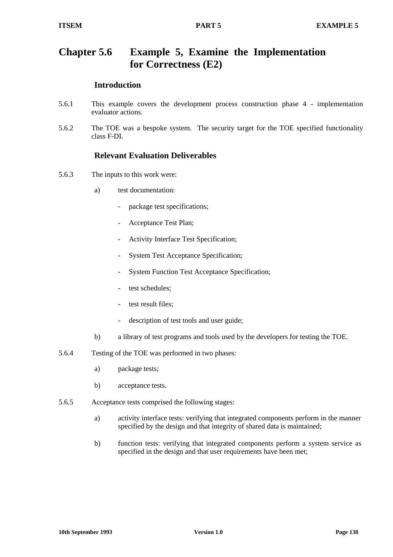# **Chapter 5.6 Example 5, Examine the Implementation for Correctness (E2)**

# **Introduction**

- 5.6.1 This example covers the development process construction phase 4 implementation evaluator actions.
- 5.6.2 The TOE was a bespoke system. The security target for the TOE specified functionality class F-DI.

# **Relevant Evaluation Deliverables**

- 5.6.3 The inputs to this work were:
	- a) test documentation:
		- package test specifications;
		- Acceptance Test Plan:
		- Activity Interface Test Specification;
		- System Test Acceptance Specification;
		- System Function Test Acceptance Specification;
		- test schedules:
		- test result files;
		- description of test tools and user guide;
	- b) a library of test programs and tools used by the developers for testing the TOE.
- 5.6.4 Testing of the TOE was performed in two phases:
	- a) package tests;
	- b) acceptance tests.
- 5.6.5 Acceptance tests comprised the following stages:
	- a) activity interface tests: verifying that integrated components perform in the manner specified by the design and that integrity of shared data is maintained;
	- b) function tests: verifying that integrated components perform a system service as specified in the design and that user requirements have been met;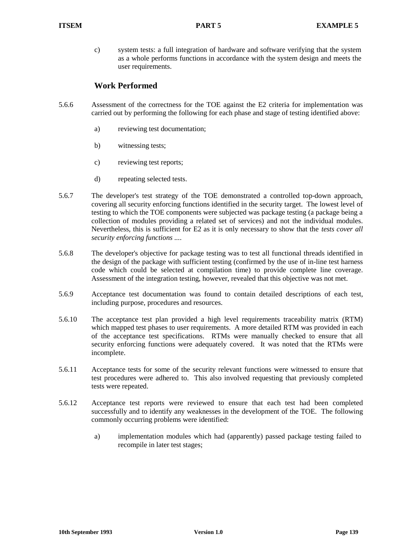c) system tests: a full integration of hardware and software verifying that the system as a whole performs functions in accordance with the system design and meets the user requirements.

- 5.6.6 Assessment of the correctness for the TOE against the E2 criteria for implementation was carried out by performing the following for each phase and stage of testing identified above:
	- a) reviewing test documentation;
	- b) witnessing tests;
	- c) reviewing test reports;
	- d) repeating selected tests.
- 5.6.7 The developer's test strategy of the TOE demonstrated a controlled top-down approach, covering all security enforcing functions identified in the security target. The lowest level of testing to which the TOE components were subjected was package testing (a package being a collection of modules providing a related set of services) and not the individual modules. Nevertheless, this is sufficient for E2 as it is only necessary to show that the *tests cover all security enforcing functions ...*.
- 5.6.8 The developer's objective for package testing was to test all functional threads identified in the design of the package with sufficient testing (confirmed by the use of in-line test harness code which could be selected at compilation time) to provide complete line coverage. Assessment of the integration testing, however, revealed that this objective was not met.
- 5.6.9 Acceptance test documentation was found to contain detailed descriptions of each test, including purpose, procedures and resources.
- 5.6.10 The acceptance test plan provided a high level requirements traceability matrix (RTM) which mapped test phases to user requirements. A more detailed RTM was provided in each of the acceptance test specifications. RTMs were manually checked to ensure that all security enforcing functions were adequately covered. It was noted that the RTMs were incomplete.
- 5.6.11 Acceptance tests for some of the security relevant functions were witnessed to ensure that test procedures were adhered to. This also involved requesting that previously completed tests were repeated.
- 5.6.12 Acceptance test reports were reviewed to ensure that each test had been completed successfully and to identify any weaknesses in the development of the TOE. The following commonly occurring problems were identified:
	- a) implementation modules which had (apparently) passed package testing failed to recompile in later test stages;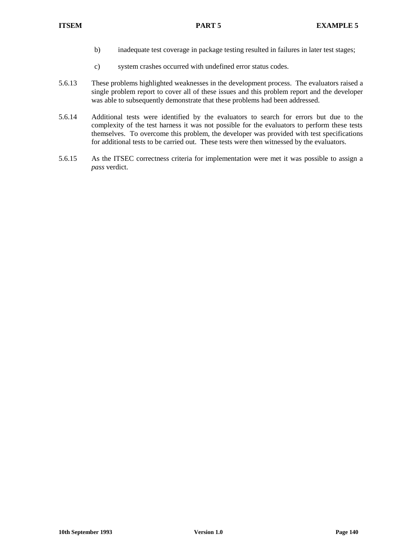- b) inadequate test coverage in package testing resulted in failures in later test stages;
- c) system crashes occurred with undefined error status codes.
- 5.6.13 These problems highlighted weaknesses in the development process. The evaluators raised a single problem report to cover all of these issues and this problem report and the developer was able to subsequently demonstrate that these problems had been addressed.
- 5.6.14 Additional tests were identified by the evaluators to search for errors but due to the complexity of the test harness it was not possible for the evaluators to perform these tests themselves. To overcome this problem, the developer was provided with test specifications for additional tests to be carried out. These tests were then witnessed by the evaluators.
- 5.6.15 As the ITSEC correctness criteria for implementation were met it was possible to assign a *pass* verdict.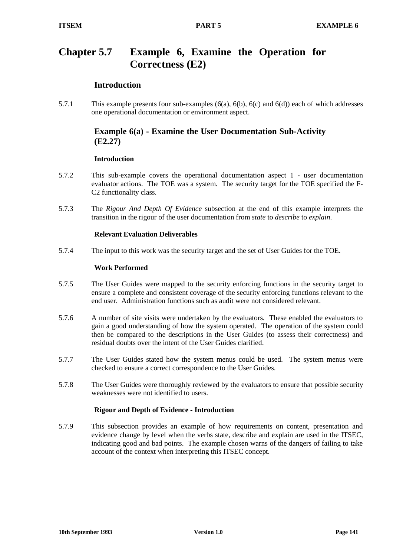# **Chapter 5.7 Example 6, Examine the Operation for Correctness (E2)**

# **Introduction**

5.7.1 This example presents four sub-examples (6(a), 6(b), 6(c) and 6(d)) each of which addresses one operational documentation or environment aspect.

# **Example 6(a) - Examine the User Documentation Sub-Activity (E2.27)**

# **Introduction**

- 5.7.2 This sub-example covers the operational documentation aspect 1 user documentation evaluator actions. The TOE was a system. The security target for the TOE specified the F-C2 functionality class.
- 5.7.3 The *Rigour And Depth Of Evidence* subsection at the end of this example interprets the transition in the rigour of the user documentation from *state* to *describe* to *explain*.

# **Relevant Evaluation Deliverables**

5.7.4 The input to this work was the security target and the set of User Guides for the TOE.

# **Work Performed**

- 5.7.5 The User Guides were mapped to the security enforcing functions in the security target to ensure a complete and consistent coverage of the security enforcing functions relevant to the end user. Administration functions such as audit were not considered relevant.
- 5.7.6 A number of site visits were undertaken by the evaluators. These enabled the evaluators to gain a good understanding of how the system operated. The operation of the system could then be compared to the descriptions in the User Guides (to assess their correctness) and residual doubts over the intent of the User Guides clarified.
- 5.7.7 The User Guides stated how the system menus could be used. The system menus were checked to ensure a correct correspondence to the User Guides.
- 5.7.8 The User Guides were thoroughly reviewed by the evaluators to ensure that possible security weaknesses were not identified to users.

# **Rigour and Depth of Evidence - Introduction**

5.7.9 This subsection provides an example of how requirements on content, presentation and evidence change by level when the verbs state, describe and explain are used in the ITSEC, indicating good and bad points. The example chosen warns of the dangers of failing to take account of the context when interpreting this ITSEC concept.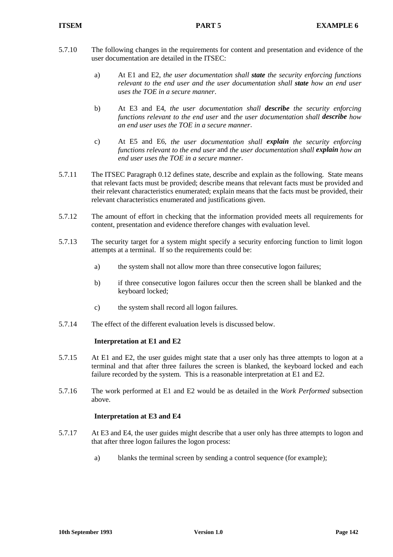- 5.7.10 The following changes in the requirements for content and presentation and evidence of the user documentation are detailed in the ITSEC:
	- a) At E1 and E2, *the user documentation shall state the security enforcing functions relevant to the end user and the user documentation shall state how an end user uses the TOE in a secure manner*.
	- b) At E3 and E4, *the user documentation shall describe the security enforcing functions relevant to the end user* and *the user documentation shall describe how an end user uses the TOE in a secure manner*.
	- c) At E5 and E6, *the user documentation shall explain the security enforcing functions relevant to the end user* and *the user documentation shall explain how an end user uses the TOE in a secure manner*.
- 5.7.11 The ITSEC Paragraph 0.12 defines state, describe and explain as the following. State means that relevant facts must be provided; describe means that relevant facts must be provided and their relevant characteristics enumerated; explain means that the facts must be provided, their relevant characteristics enumerated and justifications given.
- 5.7.12 The amount of effort in checking that the information provided meets all requirements for content, presentation and evidence therefore changes with evaluation level.
- 5.7.13 The security target for a system might specify a security enforcing function to limit logon attempts at a terminal. If so the requirements could be:
	- a) the system shall not allow more than three consecutive logon failures;
	- b) if three consecutive logon failures occur then the screen shall be blanked and the keyboard locked;
	- c) the system shall record all logon failures.
- 5.7.14 The effect of the different evaluation levels is discussed below.

# **Interpretation at E1 and E2**

- 5.7.15 At E1 and E2, the user guides might state that a user only has three attempts to logon at a terminal and that after three failures the screen is blanked, the keyboard locked and each failure recorded by the system. This is a reasonable interpretation at E1 and E2.
- 5.7.16 The work performed at E1 and E2 would be as detailed in the *Work Performed* subsection above.

# **Interpretation at E3 and E4**

- 5.7.17 At E3 and E4, the user guides might describe that a user only has three attempts to logon and that after three logon failures the logon process:
	- a) blanks the terminal screen by sending a control sequence (for example);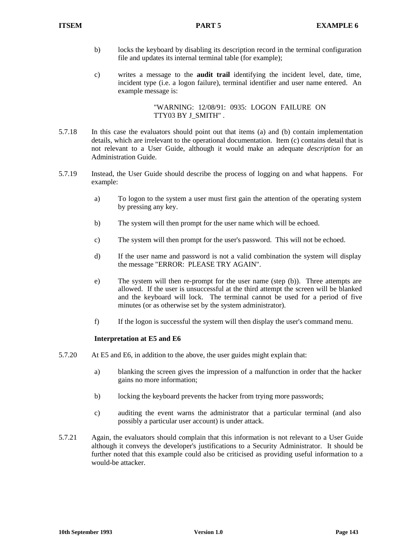- b) locks the keyboard by disabling its description record in the terminal configuration file and updates its internal terminal table (for example);
- c) writes a message to the **audit trail** identifying the incident level, date, time, incident type (i.e. a logon failure), terminal identifier and user name entered. An example message is:

"WARNING: 12/08/91: 0935: LOGON FAILURE ON TTY03 BY J\_SMITH" .

- 5.7.18 In this case the evaluators should point out that items (a) and (b) contain implementation details, which are irrelevant to the operational documentation. Item (c) contains detail that is not relevant to a User Guide, although it would make an adequate *description* for an Administration Guide.
- 5.7.19 Instead, the User Guide should describe the process of logging on and what happens. For example:
	- a) To logon to the system a user must first gain the attention of the operating system by pressing any key.
	- b) The system will then prompt for the user name which will be echoed.
	- c) The system will then prompt for the user's password. This will not be echoed.
	- d) If the user name and password is not a valid combination the system will display the message "ERROR: PLEASE TRY AGAIN".
	- e) The system will then re-prompt for the user name (step (b)). Three attempts are allowed. If the user is unsuccessful at the third attempt the screen will be blanked and the keyboard will lock. The terminal cannot be used for a period of five minutes (or as otherwise set by the system administrator).
	- f) If the logon is successful the system will then display the user's command menu.

# **Interpretation at E5 and E6**

- 5.7.20 At E5 and E6, in addition to the above, the user guides might explain that:
	- a) blanking the screen gives the impression of a malfunction in order that the hacker gains no more information;
	- b) locking the keyboard prevents the hacker from trying more passwords;
	- c) auditing the event warns the administrator that a particular terminal (and also possibly a particular user account) is under attack.
- 5.7.21 Again, the evaluators should complain that this information is not relevant to a User Guide although it conveys the developer's justifications to a Security Administrator. It should be further noted that this example could also be criticised as providing useful information to a would-be attacker.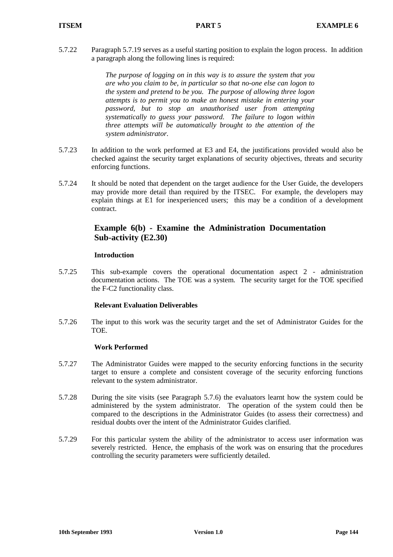5.7.22 Paragraph 5.7.19 serves as a useful starting position to explain the logon process. In addition a paragraph along the following lines is required:

> *The purpose of logging on in this way is to assure the system that you are who you claim to be, in particular so that no-one else can logon to the system and pretend to be you. The purpose of allowing three logon attempts is to permit you to make an honest mistake in entering your password, but to stop an unauthorised user from attempting systematically to guess your password. The failure to logon within three attempts will be automatically brought to the attention of the system administrator.*

- 5.7.23 In addition to the work performed at E3 and E4, the justifications provided would also be checked against the security target explanations of security objectives, threats and security enforcing functions.
- 5.7.24 It should be noted that dependent on the target audience for the User Guide, the developers may provide more detail than required by the ITSEC. For example, the developers may explain things at E1 for inexperienced users; this may be a condition of a development contract.

# **Example 6(b) - Examine the Administration Documentation Sub-activity (E2.30)**

# **Introduction**

5.7.25 This sub-example covers the operational documentation aspect 2 - administration documentation actions. The TOE was a system. The security target for the TOE specified the F-C2 functionality class.

# **Relevant Evaluation Deliverables**

5.7.26 The input to this work was the security target and the set of Administrator Guides for the TOE.

- 5.7.27 The Administrator Guides were mapped to the security enforcing functions in the security target to ensure a complete and consistent coverage of the security enforcing functions relevant to the system administrator.
- 5.7.28 During the site visits (see Paragraph 5.7.6) the evaluators learnt how the system could be administered by the system administrator. The operation of the system could then be compared to the descriptions in the Administrator Guides (to assess their correctness) and residual doubts over the intent of the Administrator Guides clarified.
- 5.7.29 For this particular system the ability of the administrator to access user information was severely restricted. Hence, the emphasis of the work was on ensuring that the procedures controlling the security parameters were sufficiently detailed.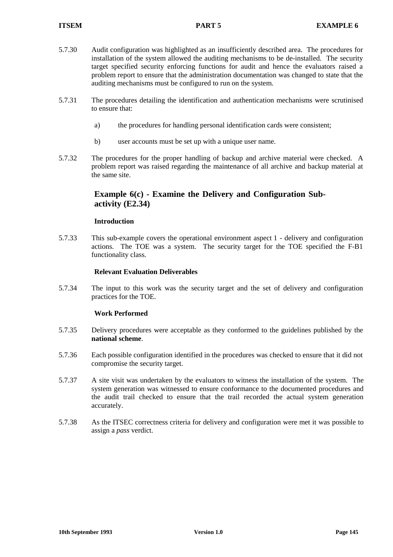- 5.7.30 Audit configuration was highlighted as an insufficiently described area. The procedures for installation of the system allowed the auditing mechanisms to be de-installed. The security target specified security enforcing functions for audit and hence the evaluators raised a problem report to ensure that the administration documentation was changed to state that the auditing mechanisms must be configured to run on the system.
- 5.7.31 The procedures detailing the identification and authentication mechanisms were scrutinised to ensure that:
	- a) the procedures for handling personal identification cards were consistent;
	- b) user accounts must be set up with a unique user name.
- 5.7.32 The procedures for the proper handling of backup and archive material were checked. A problem report was raised regarding the maintenance of all archive and backup material at the same site.

# **Example 6(c) - Examine the Delivery and Configuration Subactivity (E2.34)**

# **Introduction**

5.7.33 This sub-example covers the operational environment aspect 1 - delivery and configuration actions. The TOE was a system. The security target for the TOE specified the F-B1 functionality class.

# **Relevant Evaluation Deliverables**

5.7.34 The input to this work was the security target and the set of delivery and configuration practices for the TOE.

- 5.7.35 Delivery procedures were acceptable as they conformed to the guidelines published by the **national scheme**.
- 5.7.36 Each possible configuration identified in the procedures was checked to ensure that it did not compromise the security target.
- 5.7.37 A site visit was undertaken by the evaluators to witness the installation of the system. The system generation was witnessed to ensure conformance to the documented procedures and the audit trail checked to ensure that the trail recorded the actual system generation accurately.
- 5.7.38 As the ITSEC correctness criteria for delivery and configuration were met it was possible to assign a *pass* verdict.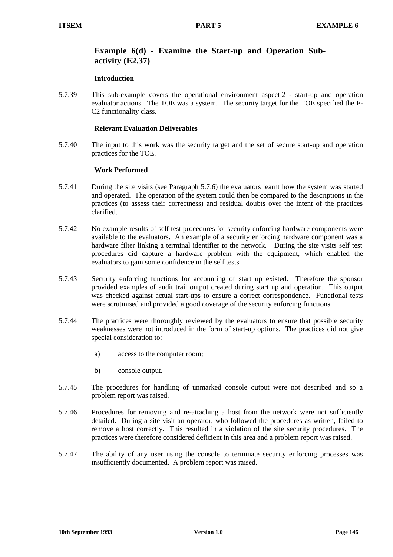# **Example 6(d) - Examine the Start-up and Operation Subactivity (E2.37)**

#### **Introduction**

5.7.39 This sub-example covers the operational environment aspect 2 - start-up and operation evaluator actions. The TOE was a system. The security target for the TOE specified the F-C2 functionality class.

#### **Relevant Evaluation Deliverables**

5.7.40 The input to this work was the security target and the set of secure start-up and operation practices for the TOE.

- 5.7.41 During the site visits (see Paragraph 5.7.6) the evaluators learnt how the system was started and operated. The operation of the system could then be compared to the descriptions in the practices (to assess their correctness) and residual doubts over the intent of the practices clarified.
- 5.7.42 No example results of self test procedures for security enforcing hardware components were available to the evaluators. An example of a security enforcing hardware component was a hardware filter linking a terminal identifier to the network. During the site visits self test procedures did capture a hardware problem with the equipment, which enabled the evaluators to gain some confidence in the self tests.
- 5.7.43 Security enforcing functions for accounting of start up existed. Therefore the sponsor provided examples of audit trail output created during start up and operation. This output was checked against actual start-ups to ensure a correct correspondence. Functional tests were scrutinised and provided a good coverage of the security enforcing functions.
- 5.7.44 The practices were thoroughly reviewed by the evaluators to ensure that possible security weaknesses were not introduced in the form of start-up options. The practices did not give special consideration to:
	- a) access to the computer room;
	- b) console output.
- 5.7.45 The procedures for handling of unmarked console output were not described and so a problem report was raised.
- 5.7.46 Procedures for removing and re-attaching a host from the network were not sufficiently detailed. During a site visit an operator, who followed the procedures as written, failed to remove a host correctly. This resulted in a violation of the site security procedures. The practices were therefore considered deficient in this area and a problem report was raised.
- 5.7.47 The ability of any user using the console to terminate security enforcing processes was insufficiently documented. A problem report was raised.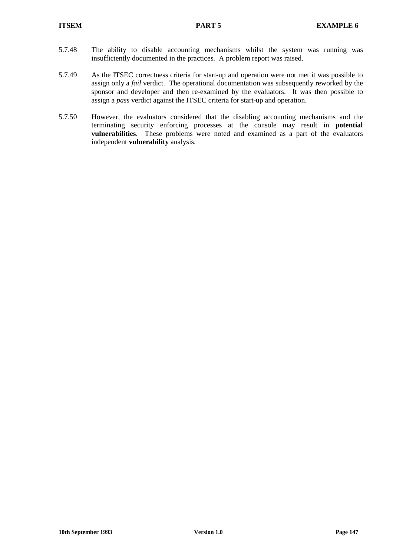- 5.7.48 The ability to disable accounting mechanisms whilst the system was running was insufficiently documented in the practices. A problem report was raised.
- 5.7.49 As the ITSEC correctness criteria for start-up and operation were not met it was possible to assign only a *fail* verdict. The operational documentation was subsequently reworked by the sponsor and developer and then re-examined by the evaluators. It was then possible to assign a *pass* verdict against the ITSEC criteria for start-up and operation.
- 5.7.50 However, the evaluators considered that the disabling accounting mechanisms and the terminating security enforcing processes at the console may result in **potential vulnerabilities**. These problems were noted and examined as a part of the evaluators independent **vulnerability** analysis.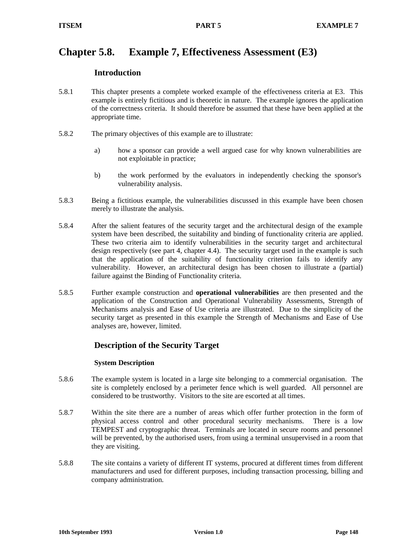# **Chapter 5.8. Example 7, Effectiveness Assessment (E3)**

# **Introduction**

- 5.8.1 This chapter presents a complete worked example of the effectiveness criteria at E3. This example is entirely fictitious and is theoretic in nature. The example ignores the application of the correctness criteria. It should therefore be assumed that these have been applied at the appropriate time.
- 5.8.2 The primary objectives of this example are to illustrate:
	- a) how a sponsor can provide a well argued case for why known vulnerabilities are not exploitable in practice;
	- b) the work performed by the evaluators in independently checking the sponsor's vulnerability analysis.
- 5.8.3 Being a fictitious example, the vulnerabilities discussed in this example have been chosen merely to illustrate the analysis.
- 5.8.4 After the salient features of the security target and the architectural design of the example system have been described, the suitability and binding of functionality criteria are applied. These two criteria aim to identify vulnerabilities in the security target and architectural design respectively (see part 4, chapter 4.4). The security target used in the example is such that the application of the suitability of functionality criterion fails to identify any vulnerability. However, an architectural design has been chosen to illustrate a (partial) failure against the Binding of Functionality criteria.
- 5.8.5 Further example construction and **operational vulnerabilities** are then presented and the application of the Construction and Operational Vulnerability Assessments, Strength of Mechanisms analysis and Ease of Use criteria are illustrated. Due to the simplicity of the security target as presented in this example the Strength of Mechanisms and Ease of Use analyses are, however, limited.

# **Description of the Security Target**

# **System Description**

- 5.8.6 The example system is located in a large site belonging to a commercial organisation. The site is completely enclosed by a perimeter fence which is well guarded. All personnel are considered to be trustworthy. Visitors to the site are escorted at all times.
- 5.8.7 Within the site there are a number of areas which offer further protection in the form of physical access control and other procedural security mechanisms. There is a low TEMPEST and cryptographic threat. Terminals are located in secure rooms and personnel will be prevented, by the authorised users, from using a terminal unsupervised in a room that they are visiting.
- 5.8.8 The site contains a variety of different IT systems, procured at different times from different manufacturers and used for different purposes, including transaction processing, billing and company administration.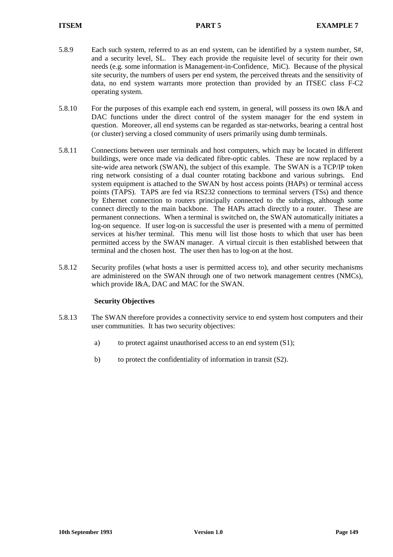- 5.8.9 Each such system, referred to as an end system, can be identified by a system number, S#, and a security level, SL. They each provide the requisite level of security for their own needs (e.g. some information is Management-in-Confidence, MiC). Because of the physical site security, the numbers of users per end system, the perceived threats and the sensitivity of data, no end system warrants more protection than provided by an ITSEC class F-C2 operating system.
- 5.8.10 For the purposes of this example each end system, in general, will possess its own I&A and DAC functions under the direct control of the system manager for the end system in question. Moreover, all end systems can be regarded as star-networks, bearing a central host (or cluster) serving a closed community of users primarily using dumb terminals.
- 5.8.11 Connections between user terminals and host computers, which may be located in different buildings, were once made via dedicated fibre-optic cables. These are now replaced by a site-wide area network (SWAN), the subject of this example. The SWAN is a TCP/IP token ring network consisting of a dual counter rotating backbone and various subrings. End system equipment is attached to the SWAN by host access points (HAPs) or terminal access points (TAPS). TAPS are fed via RS232 connections to terminal servers (TSs) and thence by Ethernet connection to routers principally connected to the subrings, although some connect directly to the main backbone. The HAPs attach directly to a router. These are permanent connections. When a terminal is switched on, the SWAN automatically initiates a log-on sequence. If user log-on is successful the user is presented with a menu of permitted services at his/her terminal. This menu will list those hosts to which that user has been permitted access by the SWAN manager. A virtual circuit is then established between that terminal and the chosen host. The user then has to log-on at the host.
- 5.8.12 Security profiles (what hosts a user is permitted access to), and other security mechanisms are administered on the SWAN through one of two network management centres (NMCs), which provide I&A, DAC and MAC for the SWAN.

# **Security Objectives**

- 5.8.13 The SWAN therefore provides a connectivity service to end system host computers and their user communities. It has two security objectives:
	- a) to protect against unauthorised access to an end system (S1);
	- b) to protect the confidentiality of information in transit (S2).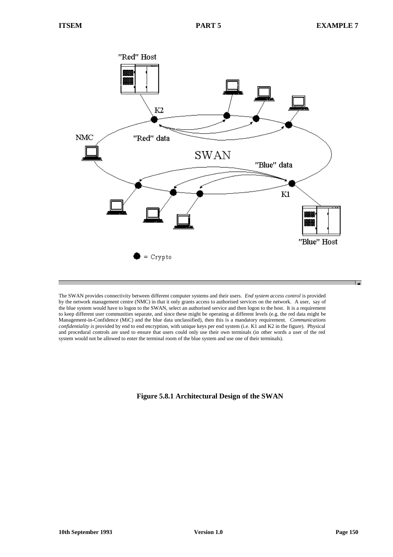

The SWAN provides connectivity between different computer systems and their users. *End system access control* is provided by the network management centre (NMC) in that it only grants access to authorised services on the network. A user, say of the blue system would have to logon to the SWAN, select an authorised service and then logon to the host. It is a requirement to keep different user communities separate, and since these might be operating at different levels (e.g. the red data might be Management-in-Confidence (MiC) and the blue data unclassified), then this is a mandatory requirement. *Communications confidentiality is* provided by end to end encryption, with unique keys per end system (i.e. K1 and K2 in the figure). Physical and procedural controls are used to ensure that users could only use their own terminals (in other words a user of the red system would not be allowed to enter the terminal room of the blue system and use one of their terminals).

**Figure 5.8.1 Architectural Design of the SWAN**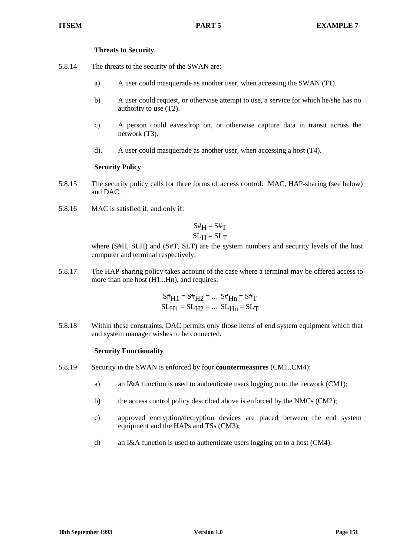# **Threats to Security**

- 5.8.14 The threats to the security of the SWAN are:
	- a) A user could masquerade as another user, when accessing the SWAN (T1).
	- b) A user could request, or otherwise attempt to use, a service for which he/she has no authority to use (T2).
	- c) A person could eavesdrop on, or otherwise capture data in transit across the network (T3).
	- d). A user could masquerade as another user, when accessing a host (T4).

# **Security Policy**

- 5.8.15 The security policy calls for three forms of access control: MAC, HAP-sharing (see below) and DAC.
- 5.8.16 MAC is satisfied if, and only if:

$$
S^{\#}H = S^{\#}T
$$

$$
SL_H = SL_T
$$

where (S#H, SLH) and (S#T, SLT) are the system numbers and security levels of the host computer and terminal respectively.

5.8.17 The HAP-sharing policy takes account of the case where a terminal may be offered access to more than one host (H1...Hn), and requires:

$$
S#_{H1} = S#_{H2} = ... S#_{Hn} = S#_{T}
$$
  
 $SL_{H1} = SL_{H2} = ... SL_{Hn} = SL_{T}$ 

5.8.18 Within these constraints, DAC permits only those items of end system equipment which that end system manager wishes to be connected.

# **Security Functionality**

- 5.8.19 Security in the SWAN is enforced by four **countermeasures** (CM1..CM4):
	- a) an I&A function is used to authenticate users logging onto the network (CM1);
	- b) the access control policy described above is enforced by the NMCs (CM2);
	- c) approved encryption/decryption devices are placed between the end system equipment and the HAPs and TSs (CM3);
	- d) an I&A function is used to authenticate users logging on to a host (CM4).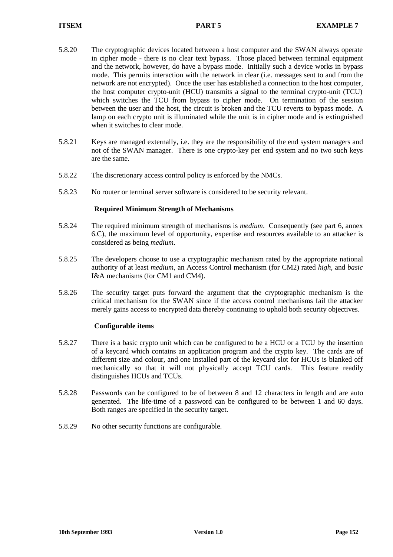- 5.8.20 The cryptographic devices located between a host computer and the SWAN always operate in cipher mode - there is no clear text bypass. Those placed between terminal equipment and the network, however, do have a bypass mode. Initially such a device works in bypass mode. This permits interaction with the network in clear (i.e. messages sent to and from the network are not encrypted). Once the user has established a connection to the host computer, the host computer crypto-unit (HCU) transmits a signal to the terminal crypto-unit (TCU) which switches the TCU from bypass to cipher mode. On termination of the session between the user and the host, the circuit is broken and the TCU reverts to bypass mode. A lamp on each crypto unit is illuminated while the unit is in cipher mode and is extinguished when it switches to clear mode.
- 5.8.21 Keys are managed externally, i.e. they are the responsibility of the end system managers and not of the SWAN manager. There is one crypto-key per end system and no two such keys are the same.
- 5.8.22 The discretionary access control policy is enforced by the NMCs.
- 5.8.23 No router or terminal server software is considered to be security relevant.

# **Required Minimum Strength of Mechanisms**

- 5.8.24 The required minimum strength of mechanisms is *medium*. Consequently (see part 6, annex 6.C), the maximum level of opportunity, expertise and resources available to an attacker is considered as being *medium*.
- 5.8.25 The developers choose to use a cryptographic mechanism rated by the appropriate national authority of at least *medium*, an Access Control mechanism (for CM2) rated *high*, and *basic* I&A mechanisms (for CM1 and CM4).
- 5.8.26 The security target puts forward the argument that the cryptographic mechanism is the critical mechanism for the SWAN since if the access control mechanisms fail the attacker merely gains access to encrypted data thereby continuing to uphold both security objectives.

# **Configurable items**

- 5.8.27 There is a basic crypto unit which can be configured to be a HCU or a TCU by the insertion of a keycard which contains an application program and the crypto key. The cards are of different size and colour, and one installed part of the keycard slot for HCUs is blanked off mechanically so that it will not physically accept TCU cards. This feature readily distinguishes HCUs and TCUs.
- 5.8.28 Passwords can be configured to be of between 8 and 12 characters in length and are auto generated. The life-time of a password can be configured to be between 1 and 60 days. Both ranges are specified in the security target.
- 5.8.29 No other security functions are configurable.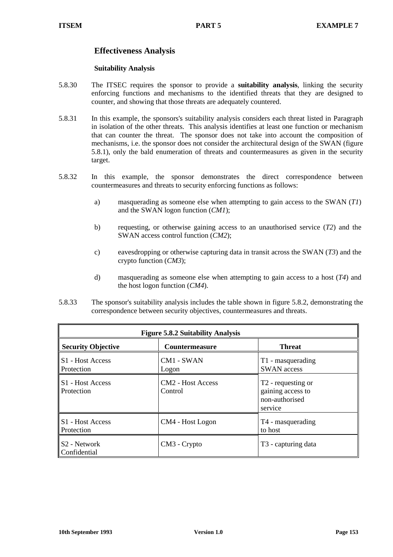# **Effectiveness Analysis**

#### **Suitability Analysis**

- 5.8.30 The ITSEC requires the sponsor to provide a **suitability analysis**, linking the security enforcing functions and mechanisms to the identified threats that they are designed to counter, and showing that those threats are adequately countered.
- 5.8.31 In this example, the sponsors's suitability analysis considers each threat listed in Paragraph in isolation of the other threats. This analysis identifies at least one function or mechanism that can counter the threat. The sponsor does not take into account the composition of mechanisms, i.e. the sponsor does not consider the architectural design of the SWAN (figure 5.8.1), only the bald enumeration of threats and countermeasures as given in the security target.
- 5.8.32 In this example, the sponsor demonstrates the direct correspondence between countermeasures and threats to security enforcing functions as follows:
	- a) masquerading as someone else when attempting to gain access to the SWAN (*T1*) and the SWAN logon function (*CM1*);
	- b) requesting, or otherwise gaining access to an unauthorised service (*T2*) and the SWAN access control function (*CM2*);
	- c) eavesdropping or otherwise capturing data in transit across the SWAN (*T3*) and the crypto function (*CM3*);
	- d) masquerading as someone else when attempting to gain access to a host (*T4*) and the host logon function (*CM4*).
- 5.8.33 The sponsor's suitability analysis includes the table shown in figure 5.8.2, demonstrating the correspondence between security objectives, countermeasures and threats.

| <b>Figure 5.8.2 Suitability Analysis</b>   |                                          |                                                                                  |  |  |
|--------------------------------------------|------------------------------------------|----------------------------------------------------------------------------------|--|--|
| <b>Security Objective</b>                  | <b>Countermeasure</b>                    | <b>Threat</b>                                                                    |  |  |
| S <sub>1</sub> - Host Access<br>Protection | CM1 - SWAN<br>Logon                      | T1 - masquerading<br><b>SWAN</b> access                                          |  |  |
| S <sub>1</sub> - Host Access<br>Protection | CM <sub>2</sub> - Host Access<br>Control | T <sub>2</sub> - requesting or<br>gaining access to<br>non-authorised<br>service |  |  |
| S <sub>1</sub> - Host Access<br>Protection | CM4 - Host Logon                         | T4 - masquerading<br>to host                                                     |  |  |
| S <sub>2</sub> - Network<br>Confidential   | CM <sub>3</sub> - Crypto                 | T <sub>3</sub> - capturing data                                                  |  |  |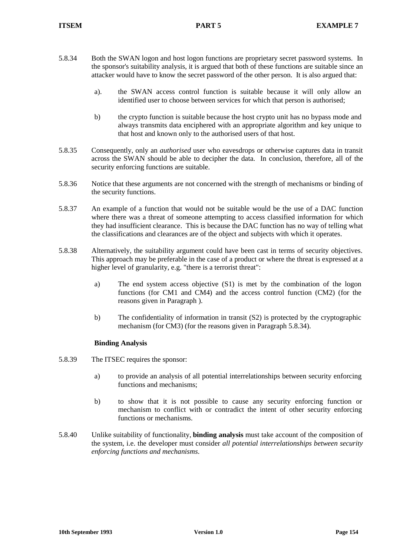- 5.8.34 Both the SWAN logon and host logon functions are proprietary secret password systems. In the sponsor's suitability analysis, it is argued that both of these functions are suitable since an attacker would have to know the secret password of the other person. It is also argued that:
	- a). the SWAN access control function is suitable because it will only allow an identified user to choose between services for which that person is authorised;
	- b) the crypto function is suitable because the host crypto unit has no bypass mode and always transmits data enciphered with an appropriate algorithm and key unique to that host and known only to the authorised users of that host.
- 5.8.35 Consequently, only an *authorised* user who eavesdrops or otherwise captures data in transit across the SWAN should be able to decipher the data. In conclusion, therefore, all of the security enforcing functions are suitable.
- 5.8.36 Notice that these arguments are not concerned with the strength of mechanisms or binding of the security functions.
- 5.8.37 An example of a function that would not be suitable would be the use of a DAC function where there was a threat of someone attempting to access classified information for which they had insufficient clearance. This is because the DAC function has no way of telling what the classifications and clearances are of the object and subjects with which it operates.
- 5.8.38 Alternatively, the suitability argument could have been cast in terms of security objectives. This approach may be preferable in the case of a product or where the threat is expressed at a higher level of granularity, e.g. "there is a terrorist threat":
	- a) The end system access objective (S1) is met by the combination of the logon functions (for CM1 and CM4) and the access control function (CM2) (for the reasons given in Paragraph ).
	- b) The confidentiality of information in transit (S2) is protected by the cryptographic mechanism (for CM3) (for the reasons given in Paragraph 5.8.34).

# **Binding Analysis**

- 5.8.39 The ITSEC requires the sponsor:
	- a) to provide an analysis of all potential interrelationships between security enforcing functions and mechanisms;
	- b) to show that it is not possible to cause any security enforcing function or mechanism to conflict with or contradict the intent of other security enforcing functions or mechanisms.
- 5.8.40 Unlike suitability of functionality, **binding analysis** must take account of the composition of the system, i.e. the developer must consider *all potential interrelationships between security enforcing functions and mechanisms*.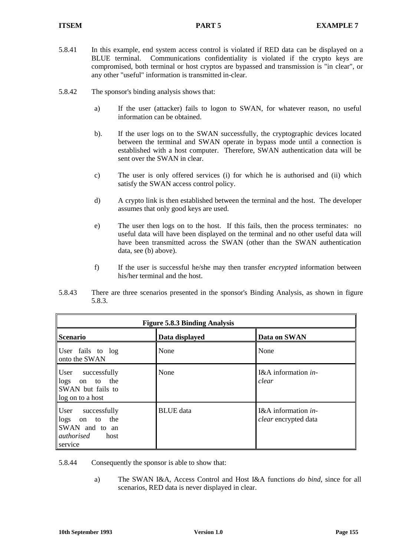- 5.8.41 In this example, end system access control is violated if RED data can be displayed on a BLUE terminal. Communications confidentiality is violated if the crypto keys are compromised, both terminal or host cryptos are bypassed and transmission is "in clear", or any other "useful" information is transmitted in-clear.
- 5.8.42 The sponsor's binding analysis shows that:
	- a) If the user (attacker) fails to logon to SWAN, for whatever reason, no useful information can be obtained.
	- b). If the user logs on to the SWAN successfully, the cryptographic devices located between the terminal and SWAN operate in bypass mode until a connection is established with a host computer. Therefore, SWAN authentication data will be sent over the SWAN in clear.
	- c) The user is only offered services (i) for which he is authorised and (ii) which satisfy the SWAN access control policy.
	- d) A crypto link is then established between the terminal and the host. The developer assumes that only good keys are used.
	- e) The user then logs on to the host. If this fails, then the process terminates: no useful data will have been displayed on the terminal and no other useful data will have been transmitted across the SWAN (other than the SWAN authentication data, see (b) above).
	- f) If the user is successful he/she may then transfer *encrypted* information between his/her terminal and the host.
- 5.8.43 There are three scenarios presented in the sponsor's Binding Analysis, as shown in figure 5.8.3.

| <b>Figure 5.8.3 Binding Analysis</b>                                                        |                  |                                                         |  |  |
|---------------------------------------------------------------------------------------------|------------------|---------------------------------------------------------|--|--|
| <b>Scenario</b>                                                                             | Data displayed   | Data on SWAN                                            |  |  |
| User fails to log<br>onto the SWAN                                                          | None             | None                                                    |  |  |
| $\parallel$ User successfully<br>logs on to the<br>SWAN but fails to<br>$\log$ on to a host | None             | $K^2$ A information <i>in</i> -<br>clear                |  |  |
| User successfully<br>$\log s$ on to the<br>SWAN and to an<br>service                        | <b>BLUE</b> data | $K^2$ A information <i>in</i> -<br>clear encrypted data |  |  |

5.8.44 Consequently the sponsor is able to show that:

a) The SWAN I&A, Access Control and Host I&A functions *do bind*, since for all scenarios, RED data is never displayed in clear.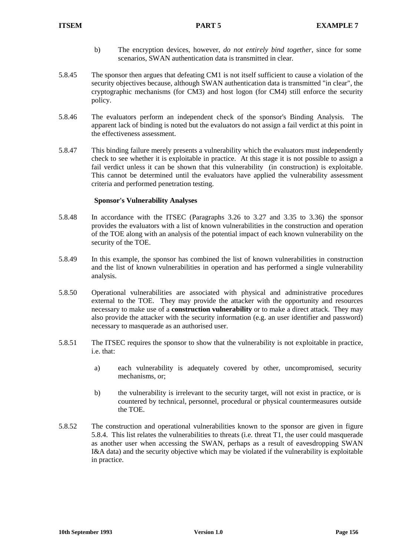- b) The encryption devices, however, *do not entirely bind together*, since for some scenarios, SWAN authentication data is transmitted in clear.
- 5.8.45 The sponsor then argues that defeating CM1 is not itself sufficient to cause a violation of the security objectives because, although SWAN authentication data is transmitted "in clear", the cryptographic mechanisms (for CM3) and host logon (for CM4) still enforce the security policy.
- 5.8.46 The evaluators perform an independent check of the sponsor's Binding Analysis. The apparent lack of binding is noted but the evaluators do not assign a fail verdict at this point in the effectiveness assessment.
- 5.8.47 This binding failure merely presents a vulnerability which the evaluators must independently check to see whether it is exploitable in practice. At this stage it is not possible to assign a fail verdict unless it can be shown that this vulnerability (in construction) is exploitable. This cannot be determined until the evaluators have applied the vulnerability assessment criteria and performed penetration testing.

#### **Sponsor's Vulnerability Analyses**

- 5.8.48 In accordance with the ITSEC (Paragraphs 3.26 to 3.27 and 3.35 to 3.36) the sponsor provides the evaluators with a list of known vulnerabilities in the construction and operation of the TOE along with an analysis of the potential impact of each known vulnerability on the security of the TOE.
- 5.8.49 In this example, the sponsor has combined the list of known vulnerabilities in construction and the list of known vulnerabilities in operation and has performed a single vulnerability analysis.
- 5.8.50 Operational vulnerabilities are associated with physical and administrative procedures external to the TOE. They may provide the attacker with the opportunity and resources necessary to make use of a **construction vulnerability** or to make a direct attack. They may also provide the attacker with the security information (e.g. an user identifier and password) necessary to masquerade as an authorised user.
- 5.8.51 The ITSEC requires the sponsor to show that the vulnerability is not exploitable in practice, i.e. that:
	- a) each vulnerability is adequately covered by other, uncompromised, security mechanisms, or;
	- b) the vulnerability is irrelevant to the security target, will not exist in practice, or is countered by technical, personnel, procedural or physical countermeasures outside the TOE.
- 5.8.52 The construction and operational vulnerabilities known to the sponsor are given in figure 5.8.4. This list relates the vulnerabilities to threats (i.e. threat T1, the user could masquerade as another user when accessing the SWAN, perhaps as a result of eavesdropping SWAN I&A data) and the security objective which may be violated if the vulnerability is exploitable in practice.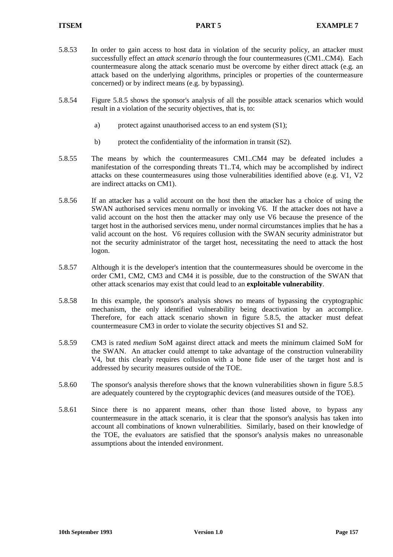- 5.8.53 In order to gain access to host data in violation of the security policy, an attacker must successfully effect an *attack scenario* through the four countermeasures (CM1..CM4). Each countermeasure along the attack scenario must be overcome by either direct attack (e.g. an attack based on the underlying algorithms, principles or properties of the countermeasure concerned) or by indirect means (e.g. by bypassing).
- 5.8.54 Figure 5.8.5 shows the sponsor's analysis of all the possible attack scenarios which would result in a violation of the security objectives, that is, to:
	- a) protect against unauthorised access to an end system (S1);
	- b) protect the confidentiality of the information in transit (S2).
- 5.8.55 The means by which the countermeasures CM1..CM4 may be defeated includes a manifestation of the corresponding threats T1..T4, which may be accomplished by indirect attacks on these countermeasures using those vulnerabilities identified above (e.g. V1, V2 are indirect attacks on CM1).
- 5.8.56 If an attacker has a valid account on the host then the attacker has a choice of using the SWAN authorised services menu normally or invoking V6. If the attacker does not have a valid account on the host then the attacker may only use V6 because the presence of the target host in the authorised services menu, under normal circumstances implies that he has a valid account on the host. V6 requires collusion with the SWAN security administrator but not the security administrator of the target host, necessitating the need to attack the host logon.
- 5.8.57 Although it is the developer's intention that the countermeasures should be overcome in the order CM1, CM2, CM3 and CM4 it is possible, due to the construction of the SWAN that other attack scenarios may exist that could lead to an **exploitable vulnerability**.
- 5.8.58 In this example, the sponsor's analysis shows no means of bypassing the cryptographic mechanism, the only identified vulnerability being deactivation by an accomplice. Therefore, for each attack scenario shown in figure 5.8.5, the attacker must defeat countermeasure CM3 in order to violate the security objectives S1 and S2.
- 5.8.59 CM3 is rated *medium* SoM against direct attack and meets the minimum claimed SoM for the SWAN. An attacker could attempt to take advantage of the construction vulnerability V4, but this clearly requires collusion with a bone fide user of the target host and is addressed by security measures outside of the TOE.
- 5.8.60 The sponsor's analysis therefore shows that the known vulnerabilities shown in figure 5.8.5 are adequately countered by the cryptographic devices (and measures outside of the TOE).
- 5.8.61 Since there is no apparent means, other than those listed above, to bypass any countermeasure in the attack scenario, it is clear that the sponsor's analysis has taken into account all combinations of known vulnerabilities. Similarly, based on their knowledge of the TOE, the evaluators are satisfied that the sponsor's analysis makes no unreasonable assumptions about the intended environment.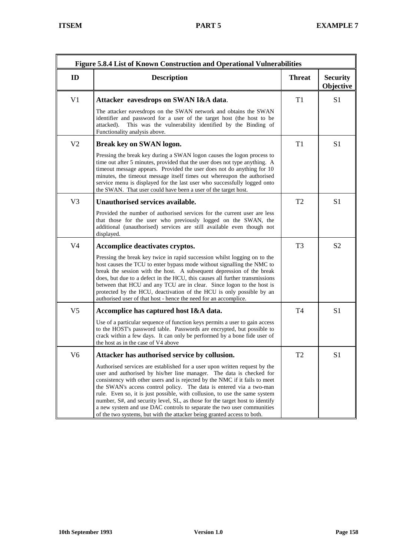| ID             | Figure 5.8.4 List of Known Construction and Operational Vulnerabilities<br><b>Description</b>                                                                                                                                                                                                                                                                                                                                                                                                                                                                                                                               | <b>Threat</b>  | <b>Security</b><br>Objective |
|----------------|-----------------------------------------------------------------------------------------------------------------------------------------------------------------------------------------------------------------------------------------------------------------------------------------------------------------------------------------------------------------------------------------------------------------------------------------------------------------------------------------------------------------------------------------------------------------------------------------------------------------------------|----------------|------------------------------|
| V <sub>1</sub> | Attacker eavesdrops on SWAN I&A data.                                                                                                                                                                                                                                                                                                                                                                                                                                                                                                                                                                                       | T <sub>1</sub> | S <sub>1</sub>               |
|                | The attacker eavesdrops on the SWAN network and obtains the SWAN<br>identifier and password for a user of the target host (the host to be<br>attacked).<br>This was the vulnerability identified by the Binding of<br>Functionality analysis above.                                                                                                                                                                                                                                                                                                                                                                         |                |                              |
| V <sub>2</sub> | Break key on SWAN logon.                                                                                                                                                                                                                                                                                                                                                                                                                                                                                                                                                                                                    | T1             | S <sub>1</sub>               |
|                | Pressing the break key during a SWAN logon causes the logon process to<br>time out after 5 minutes, provided that the user does not type anything. A<br>timeout message appears. Provided the user does not do anything for 10<br>minutes, the timeout message itself times out whereupon the authorised<br>service menu is displayed for the last user who successfully logged onto<br>the SWAN. That user could have been a user of the target host.                                                                                                                                                                      |                |                              |
| V <sub>3</sub> | Unauthorised services available.                                                                                                                                                                                                                                                                                                                                                                                                                                                                                                                                                                                            | T <sub>2</sub> | S <sub>1</sub>               |
|                | Provided the number of authorised services for the current user are less<br>that those for the user who previously logged on the SWAN, the<br>additional (unauthorised) services are still available even though not<br>displayed.                                                                                                                                                                                                                                                                                                                                                                                          |                |                              |
| V <sub>4</sub> | Accomplice deactivates cryptos.                                                                                                                                                                                                                                                                                                                                                                                                                                                                                                                                                                                             | T <sub>3</sub> | S <sub>2</sub>               |
|                | Pressing the break key twice in rapid succession whilst logging on to the<br>host causes the TCU to enter bypass mode without signalling the NMC to<br>break the session with the host. A subsequent depression of the break<br>does, but due to a defect in the HCU, this causes all further transmissions<br>between that HCU and any TCU are in clear. Since logon to the host is<br>protected by the HCU, deactivation of the HCU is only possible by an<br>authorised user of that host - hence the need for an accomplice.                                                                                            |                |                              |
| V <sub>5</sub> | Accomplice has captured host I&A data.                                                                                                                                                                                                                                                                                                                                                                                                                                                                                                                                                                                      | T <sub>4</sub> | S <sub>1</sub>               |
|                | Use of a particular sequence of function keys permits a user to gain access<br>to the HOST's password table. Passwords are encrypted, but possible to<br>crack within a few days. It can only be performed by a bone fide user of<br>the host as in the case of V4 above                                                                                                                                                                                                                                                                                                                                                    |                |                              |
| V <sub>6</sub> | Attacker has authorised service by collusion.                                                                                                                                                                                                                                                                                                                                                                                                                                                                                                                                                                               | T <sub>2</sub> | S <sub>1</sub>               |
|                | Authorised services are established for a user upon written request by the<br>user and authorised by his/her line manager. The data is checked for<br>consistency with other users and is rejected by the NMC if it fails to meet<br>the SWAN's access control policy. The data is entered via a two-man<br>rule. Even so, it is just possible, with collusion, to use the same system<br>number, S#, and security level, SL, as those for the target host to identify<br>a new system and use DAC controls to separate the two user communities<br>of the two systems, but with the attacker being granted access to both. |                |                              |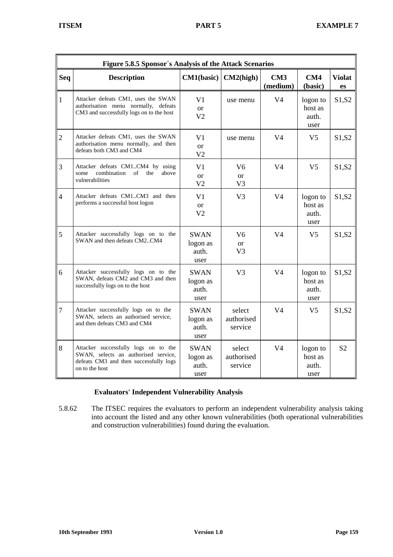| Figure 5.8.5 Sponsor's Analysis of the Attack Scenarios |                                                                                                                                          |                                                   |                                                   |                 |                                      |                     |
|---------------------------------------------------------|------------------------------------------------------------------------------------------------------------------------------------------|---------------------------------------------------|---------------------------------------------------|-----------------|--------------------------------------|---------------------|
| Seq                                                     | <b>Description</b>                                                                                                                       | CM1(basic)                                        | $CM2$ (high)                                      | CM3<br>(medium) | CM4<br>(basic)                       | <b>Violat</b><br>es |
| $\mathbf{1}$                                            | Attacker defeats CM1, uses the SWAN<br>authorisation menu normally, defeats<br>CM3 and successfully logs on to the host                  | V <sub>1</sub><br><b>or</b><br>V <sub>2</sub>     | use menu                                          | V <sub>4</sub>  | logon to<br>host as<br>auth.<br>user | S1, S2              |
| $\overline{2}$                                          | Attacker defeats CM1, uses the SWAN<br>authorisation menu normally, and then<br>defeats both CM3 and CM4                                 | V <sub>1</sub><br><b>or</b><br>V <sub>2</sub>     | use menu                                          | V4              | V <sub>5</sub>                       | S1, S2              |
| 3                                                       | Attacker defeats CM1CM4 by using<br>combination<br>some<br>of<br>the<br>above<br>vulnerabilities                                         | V <sub>1</sub><br><sub>or</sub><br>V <sub>2</sub> | V6<br><b>or</b><br>V <sub>3</sub>                 | V <sub>4</sub>  | V <sub>5</sub>                       | S1, S2              |
| $\overline{4}$                                          | Attacker defeats CM1CM3 and then<br>performs a successful host logon                                                                     | V <sub>1</sub><br><b>or</b><br>V <sub>2</sub>     | V <sub>3</sub>                                    | V4              | logon to<br>host as<br>auth.<br>user | S1, S2              |
| 5                                                       | Attacker successfully logs on to the<br>SWAN and then defeats CM2CM4                                                                     | <b>SWAN</b><br>logon as<br>auth.<br>user          | V <sub>6</sub><br><sub>or</sub><br>V <sub>3</sub> | V <sub>4</sub>  | V <sub>5</sub>                       | S1, S2              |
| 6                                                       | Attacker successfully logs on to the<br>SWAN, defeats CM2 and CM3 and then<br>successfully logs on to the host                           | SWAN<br>logon as<br>auth.<br>user                 | V <sub>3</sub>                                    | V <sub>4</sub>  | logon to<br>host as<br>auth.<br>user | S1, S2              |
| $\overline{7}$                                          | Attacker successfully logs on to the<br>SWAN, selects an authorised service,<br>and then defeats CM3 and CM4                             | <b>SWAN</b><br>logon as<br>auth.<br>user          | select<br>authorised<br>service                   | V <sub>4</sub>  | V <sub>5</sub>                       | S1, S2              |
| $8\,$                                                   | Attacker successfully logs on to the<br>SWAN, selects an authorised service,<br>defeats CM3 and then successfully logs<br>on to the host | <b>SWAN</b><br>logon as<br>auth.<br>user          | select<br>authorised<br>service                   | V <sub>4</sub>  | logon to<br>host as<br>auth.<br>user | S <sub>2</sub>      |

# **Evaluators' Independent Vulnerability Analysis**

5.8.62 The ITSEC requires the evaluators to perform an independent vulnerability analysis taking into account the listed and any other known vulnerabilities (both operational vulnerabilities and construction vulnerabilities) found during the evaluation.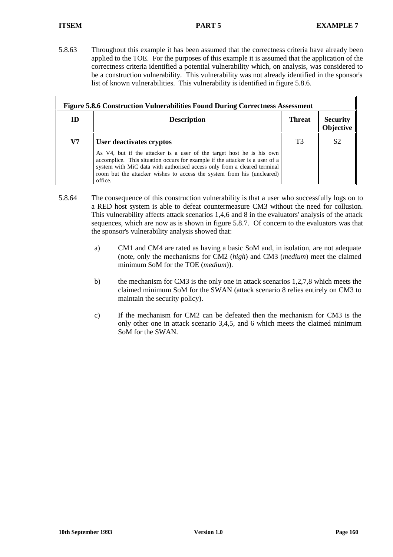5.8.63 Throughout this example it has been assumed that the correctness criteria have already been applied to the TOE. For the purposes of this example it is assumed that the application of the correctness criteria identified a potential vulnerability which, on analysis, was considered to be a construction vulnerability. This vulnerability was not already identified in the sponsor's list of known vulnerabilities. This vulnerability is identified in figure 5.8.6.

| <b>Figure 5.8.6 Construction Vulnerabilities Found During Correctness Assessment</b> |                                                                                                                                                                                                                                                                                                                        |               |                              |  |
|--------------------------------------------------------------------------------------|------------------------------------------------------------------------------------------------------------------------------------------------------------------------------------------------------------------------------------------------------------------------------------------------------------------------|---------------|------------------------------|--|
| ID                                                                                   | <b>Description</b>                                                                                                                                                                                                                                                                                                     | <b>Threat</b> | <b>Security</b><br>Objective |  |
| V <sub>7</sub>                                                                       | User deactivates cryptos                                                                                                                                                                                                                                                                                               | T3            | S2                           |  |
|                                                                                      | As V4, but if the attacker is a user of the target host he is his own<br>accomplice. This situation occurs for example if the attacker is a user of a<br>system with MiC data with authorised access only from a cleared terminal<br>room but the attacker wishes to access the system from his (uncleared)<br>office. |               |                              |  |

- 5.8.64 The consequence of this construction vulnerability is that a user who successfully logs on to a RED host system is able to defeat countermeasure CM3 without the need for collusion. This vulnerability affects attack scenarios 1,4,6 and 8 in the evaluators' analysis of the attack sequences, which are now as is shown in figure 5.8.7. Of concern to the evaluators was that the sponsor's vulnerability analysis showed that:
	- a) CM1 and CM4 are rated as having a basic SoM and, in isolation, are not adequate (note, only the mechanisms for CM2 (*high*) and CM3 (*medium*) meet the claimed minimum SoM for the TOE (*medium*)).
	- b) the mechanism for CM3 is the only one in attack scenarios 1,2,7,8 which meets the claimed minimum SoM for the SWAN (attack scenario 8 relies entirely on CM3 to maintain the security policy).
	- c) If the mechanism for CM2 can be defeated then the mechanism for CM3 is the only other one in attack scenario 3,4,5, and 6 which meets the claimed minimum SoM for the SWAN.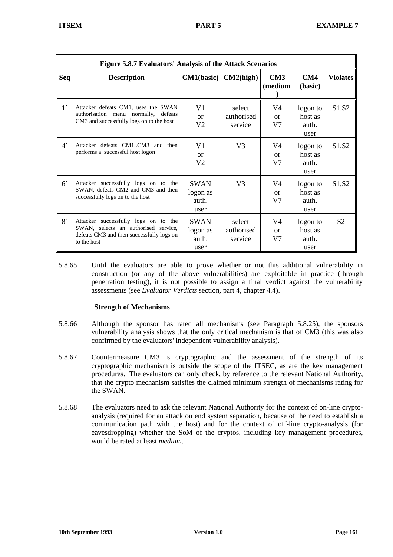| Figure 5.8.7 Evaluators' Analysis of the Attack Scenarios |                                                                                                                                          |                                          |                                 |                      |                                      |                                 |
|-----------------------------------------------------------|------------------------------------------------------------------------------------------------------------------------------------------|------------------------------------------|---------------------------------|----------------------|--------------------------------------|---------------------------------|
| Seq                                                       | <b>Description</b>                                                                                                                       | CM1(basic)                               | $CM2$ (high)                    | CM3<br>(medium       | CM4<br>(basic)                       | <b>Violates</b>                 |
| $1^{\circ}$                                               | Attacker defeats CM1, uses the SWAN<br>authorisation menu normally, defeats<br>CM3 and successfully logs on to the host                  | V1<br>$\alpha$<br>V <sub>2</sub>         | select<br>authorised<br>service | V4<br>$\alpha$<br>V7 | logon to<br>host as<br>auth.<br>user | S1, S2                          |
| $4^{\circ}$                                               | Attacker defeats CM1CM3 and then<br>performs a successful host logon                                                                     | V1<br><b>or</b><br>V2                    | V <sub>3</sub>                  | V4<br>$\alpha$<br>V7 | logon to<br>host as<br>auth.<br>user | S <sub>1</sub> , S <sub>2</sub> |
| 6 <sup>°</sup>                                            | Attacker successfully logs on to the<br>SWAN, defeats CM2 and CM3 and then<br>successfully logs on to the host                           | <b>SWAN</b><br>logon as<br>auth.<br>user | V <sub>3</sub>                  | V4<br>$\alpha$<br>V7 | logon to<br>host as<br>auth.<br>user | S1, S2                          |
| $8^{\circ}$                                               | Attacker successfully logs on to the<br>SWAN, selects an authorised service,<br>defeats CM3 and then successfully logs on<br>to the host | <b>SWAN</b><br>logon as<br>auth.<br>user | select<br>authorised<br>service | V4<br>$\alpha$<br>V7 | logon to<br>host as<br>auth.<br>user | S <sub>2</sub>                  |

5.8.65 Until the evaluators are able to prove whether or not this additional vulnerability in construction (or any of the above vulnerabilities) are exploitable in practice (through penetration testing), it is not possible to assign a final verdict against the vulnerability assessments (see *Evaluator Verdicts* section, part 4, chapter 4.4).

# **Strength of Mechanisms**

- 5.8.66 Although the sponsor has rated all mechanisms (see Paragraph 5.8.25), the sponsors vulnerability analysis shows that the only critical mechanism is that of CM3 (this was also confirmed by the evaluators' independent vulnerability analysis).
- 5.8.67 Countermeasure CM3 is cryptographic and the assessment of the strength of its cryptographic mechanism is outside the scope of the ITSEC, as are the key management procedures. The evaluators can only check, by reference to the relevant National Authority, that the crypto mechanism satisfies the claimed minimum strength of mechanisms rating for the SWAN.
- 5.8.68 The evaluators need to ask the relevant National Authority for the context of on-line cryptoanalysis (required for an attack on end system separation, because of the need to establish a communication path with the host) and for the context of off-line crypto-analysis (for eavesdropping) whether the SoM of the cryptos, including key management procedures, would be rated at least *medium*.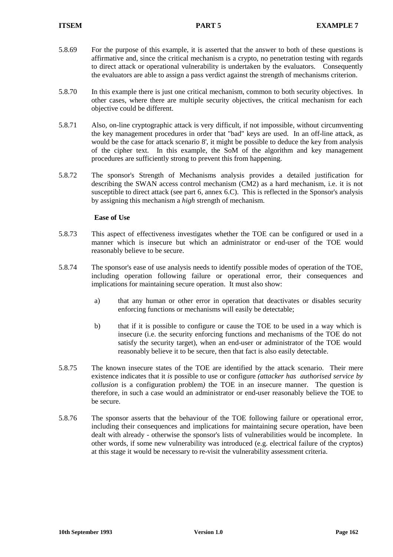- 5.8.69 For the purpose of this example, it is asserted that the answer to both of these questions is affirmative and, since the critical mechanism is a crypto, no penetration testing with regards to direct attack or operational vulnerability is undertaken by the evaluators. Consequently the evaluators are able to assign a pass verdict against the strength of mechanisms criterion.
- 5.8.70 In this example there is just one critical mechanism, common to both security objectives. In other cases, where there are multiple security objectives, the critical mechanism for each objective could be different.
- 5.8.71 Also, on-line cryptographic attack is very difficult, if not impossible, without circumventing the key management procedures in order that "bad" keys are used. In an off-line attack, as would be the case for attack scenario 8', it might be possible to deduce the key from analysis of the cipher text. In this example, the SoM of the algorithm and key management procedures are sufficiently strong to prevent this from happening.
- 5.8.72 The sponsor's Strength of Mechanisms analysis provides a detailed justification for describing the SWAN access control mechanism (CM2) as a hard mechanism, i.e. it is not susceptible to direct attack (see part 6, annex 6.C). This is reflected in the Sponsor's analysis by assigning this mechanism a *high* strength of mechanism.

# **Ease of Use**

- 5.8.73 This aspect of effectiveness investigates whether the TOE can be configured or used in a manner which is insecure but which an administrator or end-user of the TOE would reasonably believe to be secure.
- 5.8.74 The sponsor's ease of use analysis needs to identify possible modes of operation of the TOE, including operation following failure or operational error, their consequences and implications for maintaining secure operation. It must also show:
	- a) that any human or other error in operation that deactivates or disables security enforcing functions or mechanisms will easily be detectable;
	- b) that if it is possible to configure or cause the TOE to be used in a way which is insecure (i.e. the security enforcing functions and mechanisms of the TOE do not satisfy the security target), when an end-user or administrator of the TOE would reasonably believe it to be secure, then that fact is also easily detectable.
- 5.8.75 The known insecure states of the TOE are identified by the attack scenario. Their mere existence indicates that it *is* possible to use or configure *(attacker has authorised service by collusion* is a configuration problem*)* the TOE in an insecure manner. The question is therefore, in such a case would an administrator or end-user reasonably believe the TOE to be secure.
- 5.8.76 The sponsor asserts that the behaviour of the TOE following failure or operational error, including their consequences and implications for maintaining secure operation, have been dealt with already - otherwise the sponsor's lists of vulnerabilities would be incomplete. In other words, if some new vulnerability was introduced (e.g. electrical failure of the cryptos) at this stage it would be necessary to re-visit the vulnerability assessment criteria.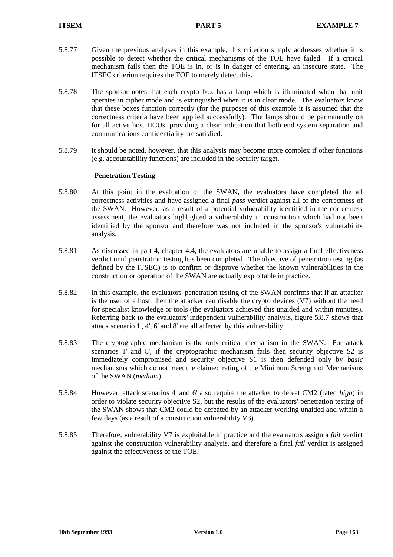- 5.8.77 Given the previous analyses in this example, this criterion simply addresses whether it is possible to detect whether the critical mechanisms of the TOE have failed. If a critical mechanism fails then the TOE is in, or is in danger of entering, an insecure state. The ITSEC criterion requires the TOE to merely detect this.
- 5.8.78 The sponsor notes that each crypto box has a lamp which is illuminated when that unit operates in cipher mode and is extinguished when it is in clear mode. The evaluators know that these boxes function correctly (for the purposes of this example it is assumed that the correctness criteria have been applied successfully). The lamps should be permanently on for all active host HCUs, providing a clear indication that both end system separation and communications confidentiality are satisfied.
- 5.8.79 It should be noted, however, that this analysis may become more complex if other functions (e.g. accountability functions) are included in the security target.

# **Penetration Testing**

- 5.8.80 At this point in the evaluation of the SWAN, the evaluators have completed the all correctness activities and have assigned a final *pass* verdict against all of the correctness of the SWAN. However, as a result of a potential vulnerability identified in the correctness assessment, the evaluators highlighted a vulnerability in construction which had not been identified by the sponsor and therefore was not included in the sponsor's vulnerability analysis.
- 5.8.81 As discussed in part 4, chapter 4.4, the evaluators are unable to assign a final effectiveness verdict until penetration testing has been completed. The objective of penetration testing (as defined by the ITSEC) is to confirm or disprove whether the known vulnerabilities in the construction or operation of the SWAN are actually exploitable in practice.
- 5.8.82 In this example, the evaluators' penetration testing of the SWAN confirms that if an attacker is the user of a host, then the attacker can disable the crypto devices (V7) without the need for specialist knowledge or tools (the evaluators achieved this unaided and within minutes). Referring back to the evaluators' independent vulnerability analysis, figure 5.8.7 shows that attack scenario 1', 4', 6' and 8' are all affected by this vulnerability.
- 5.8.83 The cryptographic mechanism is the only critical mechanism in the SWAN. For attack scenarios 1' and 8', if the cryptographic mechanism fails then security objective S2 is immediately compromised and security objective S1 is then defended only by *basic* mechanisms which do not meet the claimed rating of the Minimum Strength of Mechanisms of the SWAN (*medium*).
- 5.8.84 However, attack scenarios 4' and 6' also require the attacker to defeat CM2 (rated *high*) in order to violate security objective S2, but the results of the evaluators' penetration testing of the SWAN shows that CM2 could be defeated by an attacker working unaided and within a few days (as a result of a construction vulnerability V3).
- 5.8.85 Therefore, vulnerability V7 is exploitable in practice and the evaluators assign a *fail* verdict against the construction vulnerability analysis, and therefore a final *fail* verdict is assigned against the effectiveness of the TOE.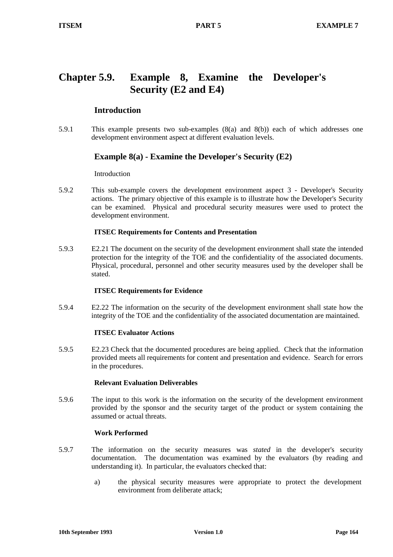# **Chapter 5.9. Example 8, Examine the Developer's Security (E2 and E4)**

# **Introduction**

5.9.1 This example presents two sub-examples (8(a) and 8(b)) each of which addresses one development environment aspect at different evaluation levels.

# **Example 8(a) - Examine the Developer's Security (E2)**

Introduction

5.9.2 This sub-example covers the development environment aspect 3 - Developer's Security actions. The primary objective of this example is to illustrate how the Developer's Security can be examined. Physical and procedural security measures were used to protect the development environment.

# **ITSEC Requirements for Contents and Presentation**

5.9.3 E2.21 The document on the security of the development environment shall state the intended protection for the integrity of the TOE and the confidentiality of the associated documents. Physical, procedural, personnel and other security measures used by the developer shall be stated.

# **ITSEC Requirements for Evidence**

5.9.4 E2.22 The information on the security of the development environment shall state how the integrity of the TOE and the confidentiality of the associated documentation are maintained.

# **ITSEC Evaluator Actions**

5.9.5 E2.23 Check that the documented procedures are being applied. Check that the information provided meets all requirements for content and presentation and evidence. Search for errors in the procedures.

# **Relevant Evaluation Deliverables**

5.9.6 The input to this work is the information on the security of the development environment provided by the sponsor and the security target of the product or system containing the assumed or actual threats.

- 5.9.7 The information on the security measures was *stated* in the developer's security documentation. The documentation was examined by the evaluators (by reading and understanding it). In particular, the evaluators checked that:
	- a) the physical security measures were appropriate to protect the development environment from deliberate attack;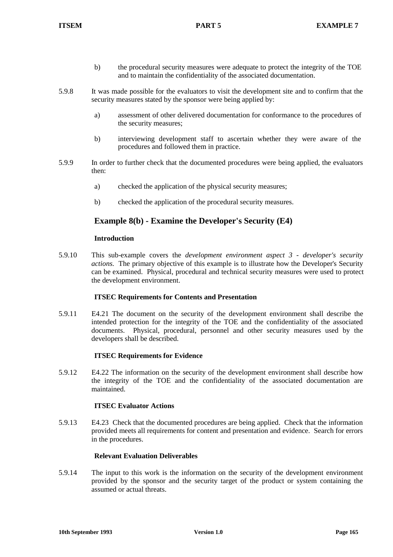- b) the procedural security measures were adequate to protect the integrity of the TOE and to maintain the confidentiality of the associated documentation.
- 5.9.8 It was made possible for the evaluators to visit the development site and to confirm that the security measures stated by the sponsor were being applied by:
	- a) assessment of other delivered documentation for conformance to the procedures of the security measures;
	- b) interviewing development staff to ascertain whether they were aware of the procedures and followed them in practice.
- 5.9.9 In order to further check that the documented procedures were being applied, the evaluators then:
	- a) checked the application of the physical security measures;
	- b) checked the application of the procedural security measures.

# **Example 8(b) - Examine the Developer's Security (E4)**

# **Introduction**

5.9.10 This sub-example covers the *development environment aspect 3 - developer's security actions.* The primary objective of this example is to illustrate how the Developer's Security can be examined. Physical, procedural and technical security measures were used to protect the development environment.

# **ITSEC Requirements for Contents and Presentation**

5.9.11 E4.21 The document on the security of the development environment shall describe the intended protection for the integrity of the TOE and the confidentiality of the associated documents. Physical, procedural, personnel and other security measures used by the developers shall be described.

# **ITSEC Requirements for Evidence**

5.9.12 E4.22 The information on the security of the development environment shall describe how the integrity of the TOE and the confidentiality of the associated documentation are maintained.

# **ITSEC Evaluator Actions**

5.9.13 E4.23 Check that the documented procedures are being applied. Check that the information provided meets all requirements for content and presentation and evidence. Search for errors in the procedures.

# **Relevant Evaluation Deliverables**

5.9.14 The input to this work is the information on the security of the development environment provided by the sponsor and the security target of the product or system containing the assumed or actual threats.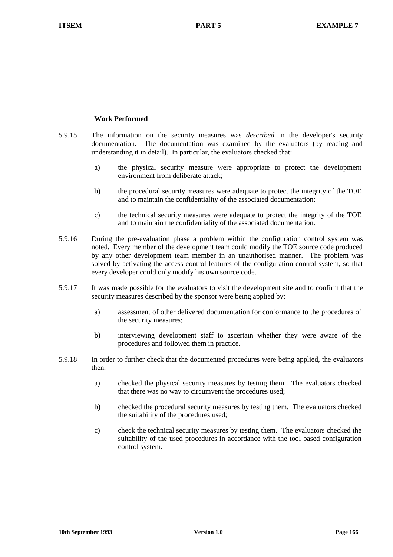- 5.9.15 The information on the security measures was *described* in the developer's security documentation. The documentation was examined by the evaluators (by reading and understanding it in detail). In particular, the evaluators checked that:
	- a) the physical security measure were appropriate to protect the development environment from deliberate attack;
	- b) the procedural security measures were adequate to protect the integrity of the TOE and to maintain the confidentiality of the associated documentation;
	- c) the technical security measures were adequate to protect the integrity of the TOE and to maintain the confidentiality of the associated documentation.
- 5.9.16 During the pre-evaluation phase a problem within the configuration control system was noted. Every member of the development team could modify the TOE source code produced by any other development team member in an unauthorised manner. The problem was solved by activating the access control features of the configuration control system, so that every developer could only modify his own source code.
- 5.9.17 It was made possible for the evaluators to visit the development site and to confirm that the security measures described by the sponsor were being applied by:
	- a) assessment of other delivered documentation for conformance to the procedures of the security measures;
	- b) interviewing development staff to ascertain whether they were aware of the procedures and followed them in practice.
- 5.9.18 In order to further check that the documented procedures were being applied, the evaluators then:
	- a) checked the physical security measures by testing them. The evaluators checked that there was no way to circumvent the procedures used;
	- b) checked the procedural security measures by testing them. The evaluators checked the suitability of the procedures used;
	- c) check the technical security measures by testing them. The evaluators checked the suitability of the used procedures in accordance with the tool based configuration control system.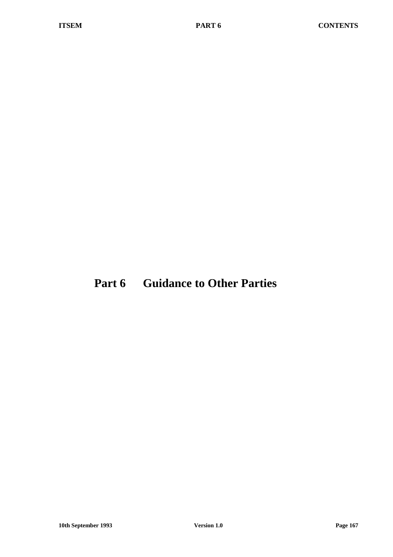# **Part 6 Guidance to Other Parties**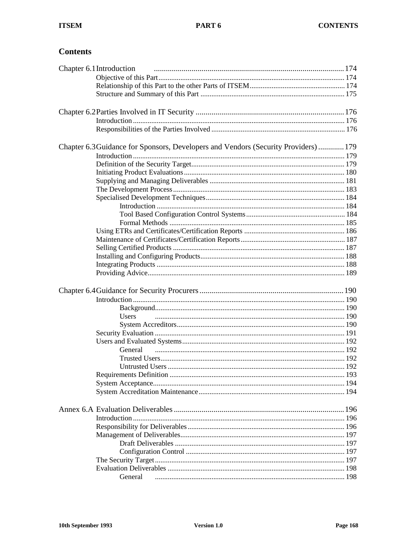# **Contents**

| Chapter 6.1 Introduction                                                            |  |
|-------------------------------------------------------------------------------------|--|
|                                                                                     |  |
|                                                                                     |  |
|                                                                                     |  |
|                                                                                     |  |
|                                                                                     |  |
|                                                                                     |  |
|                                                                                     |  |
| Chapter 6.3 Guidance for Sponsors, Developers and Vendors (Security Providers)  179 |  |
|                                                                                     |  |
|                                                                                     |  |
|                                                                                     |  |
|                                                                                     |  |
|                                                                                     |  |
|                                                                                     |  |
|                                                                                     |  |
|                                                                                     |  |
|                                                                                     |  |
|                                                                                     |  |
|                                                                                     |  |
|                                                                                     |  |
|                                                                                     |  |
|                                                                                     |  |
|                                                                                     |  |
|                                                                                     |  |
|                                                                                     |  |
|                                                                                     |  |
|                                                                                     |  |
| <b>Users</b>                                                                        |  |
|                                                                                     |  |
|                                                                                     |  |
|                                                                                     |  |
|                                                                                     |  |
|                                                                                     |  |
|                                                                                     |  |
|                                                                                     |  |
|                                                                                     |  |
|                                                                                     |  |
|                                                                                     |  |
|                                                                                     |  |
|                                                                                     |  |
|                                                                                     |  |
|                                                                                     |  |
|                                                                                     |  |
|                                                                                     |  |
|                                                                                     |  |
|                                                                                     |  |
| General                                                                             |  |
|                                                                                     |  |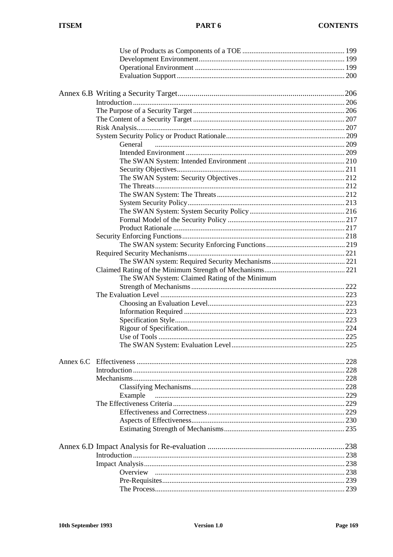| General                                        |  |
|------------------------------------------------|--|
|                                                |  |
|                                                |  |
|                                                |  |
|                                                |  |
|                                                |  |
|                                                |  |
|                                                |  |
|                                                |  |
|                                                |  |
|                                                |  |
|                                                |  |
|                                                |  |
|                                                |  |
|                                                |  |
|                                                |  |
|                                                |  |
| The SWAN System: Claimed Rating of the Minimum |  |
|                                                |  |
|                                                |  |
|                                                |  |
|                                                |  |
|                                                |  |
|                                                |  |
|                                                |  |
|                                                |  |
|                                                |  |
|                                                |  |
|                                                |  |
|                                                |  |
|                                                |  |
| Example                                        |  |
|                                                |  |
|                                                |  |
|                                                |  |
|                                                |  |
|                                                |  |
|                                                |  |
|                                                |  |
|                                                |  |
|                                                |  |
|                                                |  |
|                                                |  |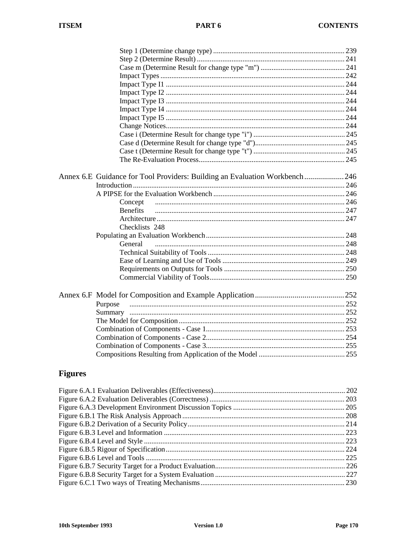| Annex 6.E Guidance for Tool Providers: Building an Evaluation Workbench246 |  |
|----------------------------------------------------------------------------|--|
|                                                                            |  |
|                                                                            |  |
| Concept                                                                    |  |
| <b>Benefits</b>                                                            |  |
|                                                                            |  |
| Checklists 248                                                             |  |
|                                                                            |  |
| General                                                                    |  |
|                                                                            |  |
|                                                                            |  |
|                                                                            |  |
|                                                                            |  |
|                                                                            |  |
|                                                                            |  |
| Purpose                                                                    |  |
|                                                                            |  |
|                                                                            |  |
|                                                                            |  |
|                                                                            |  |
|                                                                            |  |
|                                                                            |  |
|                                                                            |  |

# **Figures**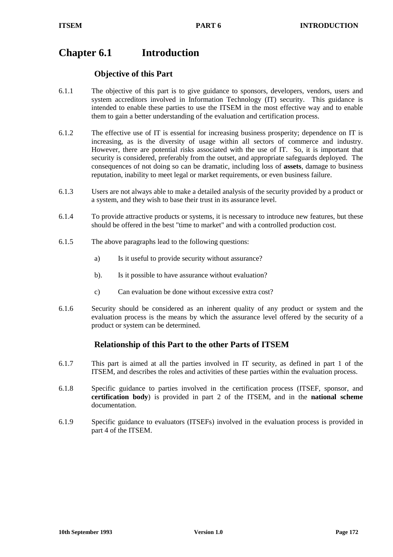# **Chapter 6.1 Introduction**

# **Objective of this Part**

- 6.1.1 The objective of this part is to give guidance to sponsors, developers, vendors, users and system accreditors involved in Information Technology (IT) security. This guidance is intended to enable these parties to use the ITSEM in the most effective way and to enable them to gain a better understanding of the evaluation and certification process.
- 6.1.2 The effective use of IT is essential for increasing business prosperity; dependence on IT is increasing, as is the diversity of usage within all sectors of commerce and industry. However, there are potential risks associated with the use of IT. So, it is important that security is considered, preferably from the outset, and appropriate safeguards deployed. The consequences of not doing so can be dramatic, including loss of **assets**, damage to business reputation, inability to meet legal or market requirements, or even business failure.
- 6.1.3 Users are not always able to make a detailed analysis of the security provided by a product or a system, and they wish to base their trust in its assurance level.
- 6.1.4 To provide attractive products or systems, it is necessary to introduce new features, but these should be offered in the best "time to market" and with a controlled production cost.
- 6.1.5 The above paragraphs lead to the following questions:
	- a) Is it useful to provide security without assurance?
	- b). Is it possible to have assurance without evaluation?
	- c) Can evaluation be done without excessive extra cost?
- 6.1.6 Security should be considered as an inherent quality of any product or system and the evaluation process is the means by which the assurance level offered by the security of a product or system can be determined.

# **Relationship of this Part to the other Parts of ITSEM**

- 6.1.7 This part is aimed at all the parties involved in IT security, as defined in part 1 of the ITSEM, and describes the roles and activities of these parties within the evaluation process.
- 6.1.8 Specific guidance to parties involved in the certification process (ITSEF, sponsor, and **certification body**) is provided in part 2 of the ITSEM, and in the **national scheme** documentation.
- 6.1.9 Specific guidance to evaluators (ITSEFs) involved in the evaluation process is provided in part 4 of the ITSEM.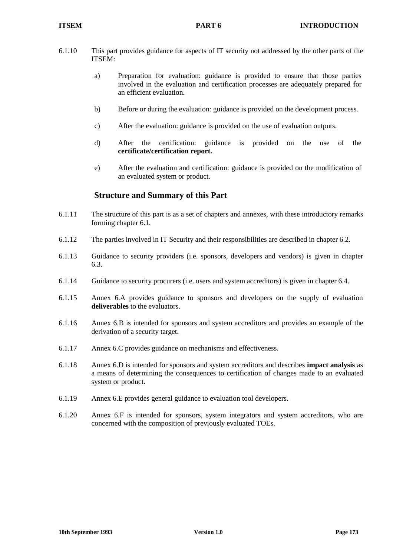- 6.1.10 This part provides guidance for aspects of IT security not addressed by the other parts of the ITSEM:
	- a) Preparation for evaluation: guidance is provided to ensure that those parties involved in the evaluation and certification processes are adequately prepared for an efficient evaluation.
	- b) Before or during the evaluation: guidance is provided on the development process.
	- c) After the evaluation: guidance is provided on the use of evaluation outputs.
	- d) After the certification: guidance is provided on the use of the **certificate/certification report.**
	- e) After the evaluation and certification: guidance is provided on the modification of an evaluated system or product.

# **Structure and Summary of this Part**

- 6.1.11 The structure of this part is as a set of chapters and annexes, with these introductory remarks forming chapter 6.1.
- 6.1.12 The parties involved in IT Security and their responsibilities are described in chapter 6.2.
- 6.1.13 Guidance to security providers (i.e. sponsors, developers and vendors) is given in chapter 6.3.
- 6.1.14 Guidance to security procurers (i.e. users and system accreditors) is given in chapter 6.4.
- 6.1.15 Annex 6.A provides guidance to sponsors and developers on the supply of evaluation **deliverables** to the evaluators.
- 6.1.16 Annex 6.B is intended for sponsors and system accreditors and provides an example of the derivation of a security target.
- 6.1.17 Annex 6.C provides guidance on mechanisms and effectiveness.
- 6.1.18 Annex 6.D is intended for sponsors and system accreditors and describes **impact analysis** as a means of determining the consequences to certification of changes made to an evaluated system or product.
- 6.1.19 Annex 6.E provides general guidance to evaluation tool developers.
- 6.1.20 Annex 6.F is intended for sponsors, system integrators and system accreditors, who are concerned with the composition of previously evaluated TOEs.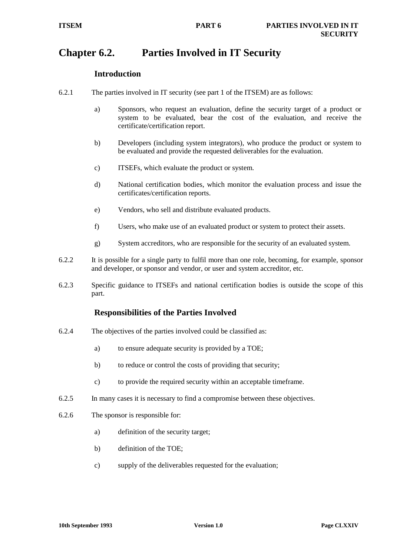# **Chapter 6.2. Parties Involved in IT Security**

# **Introduction**

- 6.2.1 The parties involved in IT security (see part 1 of the ITSEM) are as follows:
	- a) Sponsors, who request an evaluation, define the security target of a product or system to be evaluated, bear the cost of the evaluation, and receive the certificate/certification report.
	- b) Developers (including system integrators), who produce the product or system to be evaluated and provide the requested deliverables for the evaluation.
	- c) ITSEFs, which evaluate the product or system.
	- d) National certification bodies, which monitor the evaluation process and issue the certificates/certification reports.
	- e) Vendors, who sell and distribute evaluated products.
	- f) Users, who make use of an evaluated product or system to protect their assets.
	- g) System accreditors, who are responsible for the security of an evaluated system.
- 6.2.2 It is possible for a single party to fulfil more than one role, becoming, for example, sponsor and developer, or sponsor and vendor, or user and system accreditor, etc.
- 6.2.3 Specific guidance to ITSEFs and national certification bodies is outside the scope of this part.

# **Responsibilities of the Parties Involved**

- 6.2.4 The objectives of the parties involved could be classified as:
	- a) to ensure adequate security is provided by a TOE;
	- b) to reduce or control the costs of providing that security;
	- c) to provide the required security within an acceptable timeframe.
- 6.2.5 In many cases it is necessary to find a compromise between these objectives.
- 6.2.6 The sponsor is responsible for:
	- a) definition of the security target;
	- b) definition of the TOE;
	- c) supply of the deliverables requested for the evaluation;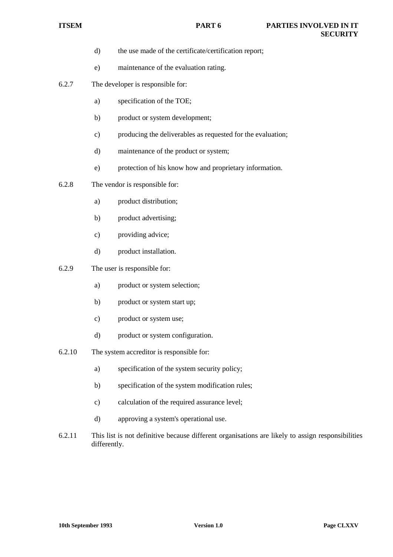- d) the use made of the certificate/certification report;
- e) maintenance of the evaluation rating.
- 6.2.7 The developer is responsible for:
	- a) specification of the TOE;
	- b) product or system development;
	- c) producing the deliverables as requested for the evaluation;
	- d) maintenance of the product or system;
	- e) protection of his know how and proprietary information.
- 6.2.8 The vendor is responsible for:
	- a) product distribution;
	- b) product advertising;
	- c) providing advice;
	- d) product installation.
- 6.2.9 The user is responsible for:
	- a) product or system selection;
	- b) product or system start up;
	- c) product or system use;
	- d) product or system configuration.
- 6.2.10 The system accreditor is responsible for:
	- a) specification of the system security policy;
	- b) specification of the system modification rules;
	- c) calculation of the required assurance level;
	- d) approving a system's operational use.
- 6.2.11 This list is not definitive because different organisations are likely to assign responsibilities differently.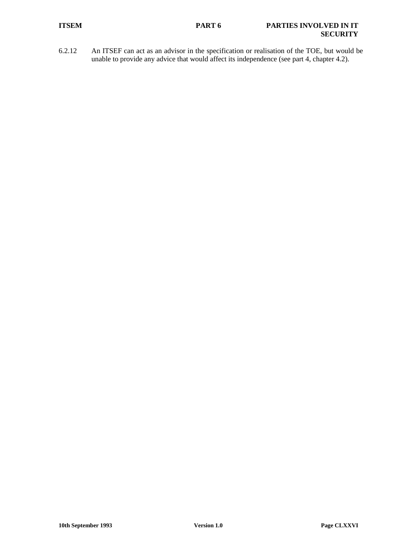6.2.12 An ITSEF can act as an advisor in the specification or realisation of the TOE, but would be unable to provide any advice that would affect its independence (see part 4, chapter 4.2).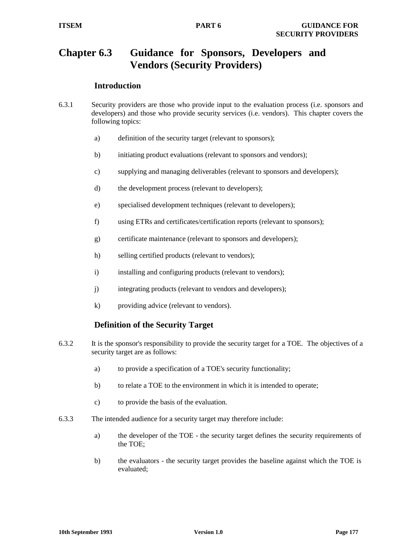# **Chapter 6.3 Guidance for Sponsors, Developers and Vendors (Security Providers)**

# **Introduction**

- 6.3.1 Security providers are those who provide input to the evaluation process (i.e. sponsors and developers) and those who provide security services (i.e. vendors). This chapter covers the following topics:
	- a) definition of the security target (relevant to sponsors);
	- b) initiating product evaluations (relevant to sponsors and vendors);
	- c) supplying and managing deliverables (relevant to sponsors and developers);
	- d) the development process (relevant to developers);
	- e) specialised development techniques (relevant to developers);
	- f) using ETRs and certificates/certification reports (relevant to sponsors);
	- g) certificate maintenance (relevant to sponsors and developers);
	- h) selling certified products (relevant to vendors);
	- i) installing and configuring products (relevant to vendors);
	- j) integrating products (relevant to vendors and developers);
	- k) providing advice (relevant to vendors).

#### **Definition of the Security Target**

- 6.3.2 It is the sponsor's responsibility to provide the security target for a TOE. The objectives of a security target are as follows:
	- a) to provide a specification of a TOE's security functionality;
	- b) to relate a TOE to the environment in which it is intended to operate;
	- c) to provide the basis of the evaluation.
- 6.3.3 The intended audience for a security target may therefore include:
	- a) the developer of the TOE the security target defines the security requirements of the TOE;
	- b) the evaluators the security target provides the baseline against which the TOE is evaluated;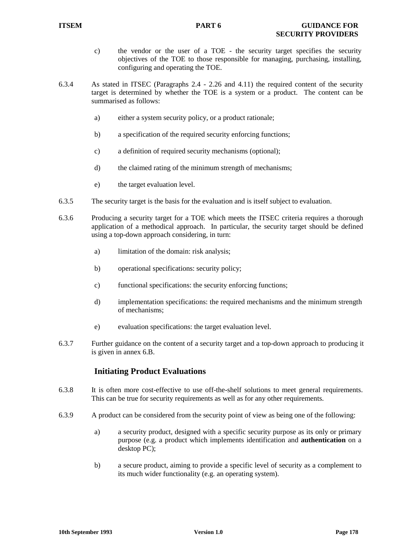- c) the vendor or the user of a TOE the security target specifies the security objectives of the TOE to those responsible for managing, purchasing, installing, configuring and operating the TOE.
- 6.3.4 As stated in ITSEC (Paragraphs 2.4 2.26 and 4.11) the required content of the security target is determined by whether the TOE is a system or a product. The content can be summarised as follows:
	- a) either a system security policy, or a product rationale;
	- b) a specification of the required security enforcing functions;
	- c) a definition of required security mechanisms (optional);
	- d) the claimed rating of the minimum strength of mechanisms;
	- e) the target evaluation level.
- 6.3.5 The security target is the basis for the evaluation and is itself subject to evaluation.
- 6.3.6 Producing a security target for a TOE which meets the ITSEC criteria requires a thorough application of a methodical approach. In particular, the security target should be defined using a top-down approach considering, in turn:
	- a) limitation of the domain: risk analysis;
	- b) operational specifications: security policy;
	- c) functional specifications: the security enforcing functions;
	- d) implementation specifications: the required mechanisms and the minimum strength of mechanisms;
	- e) evaluation specifications: the target evaluation level.
- 6.3.7 Further guidance on the content of a security target and a top-down approach to producing it is given in annex 6.B.

#### **Initiating Product Evaluations**

- 6.3.8 It is often more cost-effective to use off-the-shelf solutions to meet general requirements. This can be true for security requirements as well as for any other requirements.
- 6.3.9 A product can be considered from the security point of view as being one of the following:
	- a) a security product, designed with a specific security purpose as its only or primary purpose (e.g. a product which implements identification and **authentication** on a desktop PC);
	- b) a secure product, aiming to provide a specific level of security as a complement to its much wider functionality (e.g. an operating system).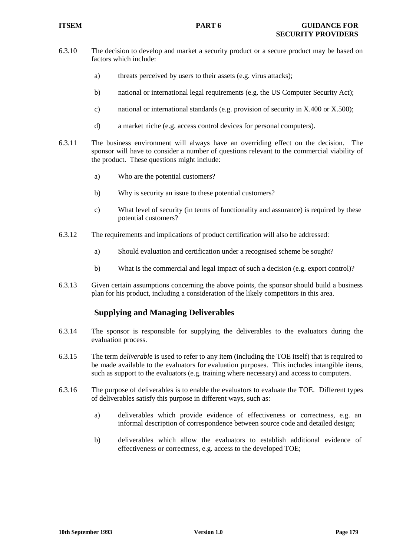- 6.3.10 The decision to develop and market a security product or a secure product may be based on factors which include:
	- a) threats perceived by users to their assets (e.g. virus attacks);
	- b) national or international legal requirements (e.g. the US Computer Security Act);
	- c) national or international standards (e.g. provision of security in X.400 or X.500);
	- d) a market niche (e.g. access control devices for personal computers).
- 6.3.11 The business environment will always have an overriding effect on the decision. The sponsor will have to consider a number of questions relevant to the commercial viability of the product. These questions might include:
	- a) Who are the potential customers?
	- b) Why is security an issue to these potential customers?
	- c) What level of security (in terms of functionality and assurance) is required by these potential customers?
- 6.3.12 The requirements and implications of product certification will also be addressed:
	- a) Should evaluation and certification under a recognised scheme be sought?
	- b) What is the commercial and legal impact of such a decision (e.g. export control)?
- 6.3.13 Given certain assumptions concerning the above points, the sponsor should build a business plan for his product, including a consideration of the likely competitors in this area.

#### **Supplying and Managing Deliverables**

- 6.3.14 The sponsor is responsible for supplying the deliverables to the evaluators during the evaluation process.
- 6.3.15 The term *deliverabl*e is used to refer to any item (including the TOE itself) that is required to be made available to the evaluators for evaluation purposes. This includes intangible items, such as support to the evaluators (e.g. training where necessary) and access to computers.
- 6.3.16 The purpose of deliverables is to enable the evaluators to evaluate the TOE. Different types of deliverables satisfy this purpose in different ways, such as:
	- a) deliverables which provide evidence of effectiveness or correctness, e.g. an informal description of correspondence between source code and detailed design;
	- b) deliverables which allow the evaluators to establish additional evidence of effectiveness or correctness, e.g. access to the developed TOE;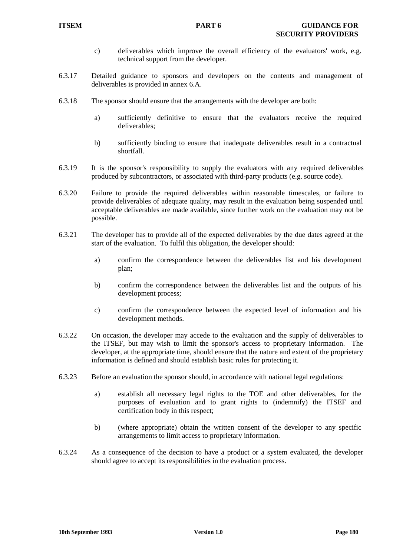- c) deliverables which improve the overall efficiency of the evaluators' work, e.g. technical support from the developer.
- 6.3.17 Detailed guidance to sponsors and developers on the contents and management of deliverables is provided in annex 6.A.
- 6.3.18 The sponsor should ensure that the arrangements with the developer are both:
	- a) sufficiently definitive to ensure that the evaluators receive the required deliverables;
	- b) sufficiently binding to ensure that inadequate deliverables result in a contractual shortfall.
- 6.3.19 It is the sponsor's responsibility to supply the evaluators with any required deliverables produced by subcontractors, or associated with third-party products (e.g. source code).
- 6.3.20 Failure to provide the required deliverables within reasonable timescales, or failure to provide deliverables of adequate quality, may result in the evaluation being suspended until acceptable deliverables are made available, since further work on the evaluation may not be possible.
- 6.3.21 The developer has to provide all of the expected deliverables by the due dates agreed at the start of the evaluation. To fulfil this obligation, the developer should:
	- a) confirm the correspondence between the deliverables list and his development plan;
	- b) confirm the correspondence between the deliverables list and the outputs of his development process;
	- c) confirm the correspondence between the expected level of information and his development methods.
- 6.3.22 On occasion, the developer may accede to the evaluation and the supply of deliverables to the ITSEF, but may wish to limit the sponsor's access to proprietary information. The developer, at the appropriate time, should ensure that the nature and extent of the proprietary information is defined and should establish basic rules for protecting it.
- 6.3.23 Before an evaluation the sponsor should, in accordance with national legal regulations:
	- a) establish all necessary legal rights to the TOE and other deliverables, for the purposes of evaluation and to grant rights to (indemnify) the ITSEF and certification body in this respect;
	- b) (where appropriate) obtain the written consent of the developer to any specific arrangements to limit access to proprietary information.
- 6.3.24 As a consequence of the decision to have a product or a system evaluated, the developer should agree to accept its responsibilities in the evaluation process.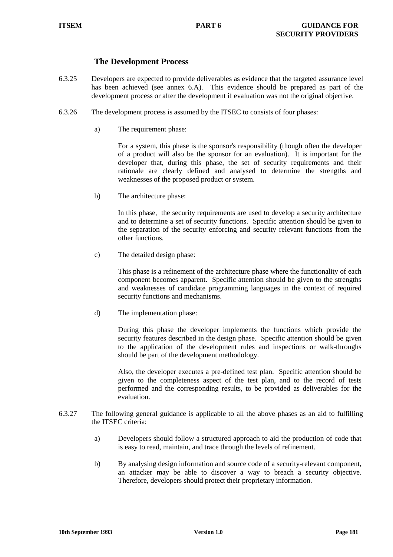## **The Development Process**

- 6.3.25 Developers are expected to provide deliverables as evidence that the targeted assurance level has been achieved (see annex 6.A). This evidence should be prepared as part of the development process or after the development if evaluation was not the original objective.
- 6.3.26 The development process is assumed by the ITSEC to consists of four phases:
	- a) The requirement phase:

For a system, this phase is the sponsor's responsibility (though often the developer of a product will also be the sponsor for an evaluation). It is important for the developer that, during this phase, the set of security requirements and their rationale are clearly defined and analysed to determine the strengths and weaknesses of the proposed product or system.

b) The architecture phase:

In this phase, the security requirements are used to develop a security architecture and to determine a set of security functions. Specific attention should be given to the separation of the security enforcing and security relevant functions from the other functions.

c) The detailed design phase:

This phase is a refinement of the architecture phase where the functionality of each component becomes apparent. Specific attention should be given to the strengths and weaknesses of candidate programming languages in the context of required security functions and mechanisms.

d) The implementation phase:

During this phase the developer implements the functions which provide the security features described in the design phase. Specific attention should be given to the application of the development rules and inspections or walk-throughs should be part of the development methodology.

Also, the developer executes a pre-defined test plan. Specific attention should be given to the completeness aspect of the test plan, and to the record of tests performed and the corresponding results, to be provided as deliverables for the evaluation.

- 6.3.27 The following general guidance is applicable to all the above phases as an aid to fulfilling the ITSEC criteria:
	- a) Developers should follow a structured approach to aid the production of code that is easy to read, maintain, and trace through the levels of refinement.
	- b) By analysing design information and source code of a security-relevant component, an attacker may be able to discover a way to breach a security objective. Therefore, developers should protect their proprietary information.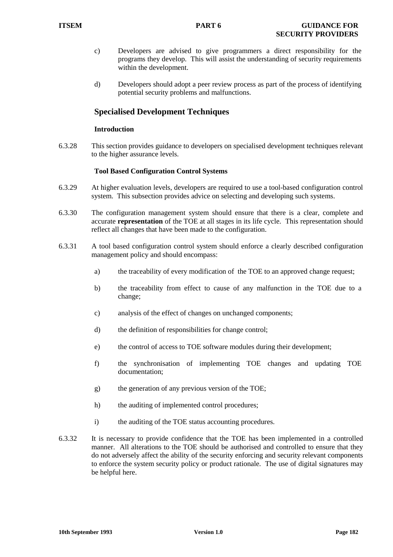- c) Developers are advised to give programmers a direct responsibility for the programs they develop. This will assist the understanding of security requirements within the development.
- d) Developers should adopt a peer review process as part of the process of identifying potential security problems and malfunctions.

# **Specialised Development Techniques**

#### **Introduction**

6.3.28 This section provides guidance to developers on specialised development techniques relevant to the higher assurance levels.

#### **Tool Based Configuration Control Systems**

- 6.3.29 At higher evaluation levels, developers are required to use a tool-based configuration control system. This subsection provides advice on selecting and developing such systems.
- 6.3.30 The configuration management system should ensure that there is a clear, complete and accurate **representation** of the TOE at all stages in its life cycle. This representation should reflect all changes that have been made to the configuration.
- 6.3.31 A tool based configuration control system should enforce a clearly described configuration management policy and should encompass:
	- a) the traceability of every modification of the TOE to an approved change request;
	- b) the traceability from effect to cause of any malfunction in the TOE due to a change;
	- c) analysis of the effect of changes on unchanged components;
	- d) the definition of responsibilities for change control;
	- e) the control of access to TOE software modules during their development;
	- f) the synchronisation of implementing TOE changes and updating TOE documentation;
	- g) the generation of any previous version of the TOE;
	- h) the auditing of implemented control procedures;
	- i) the auditing of the TOE status accounting procedures.
- 6.3.32 It is necessary to provide confidence that the TOE has been implemented in a controlled manner. All alterations to the TOE should be authorised and controlled to ensure that they do not adversely affect the ability of the security enforcing and security relevant components to enforce the system security policy or product rationale. The use of digital signatures may be helpful here.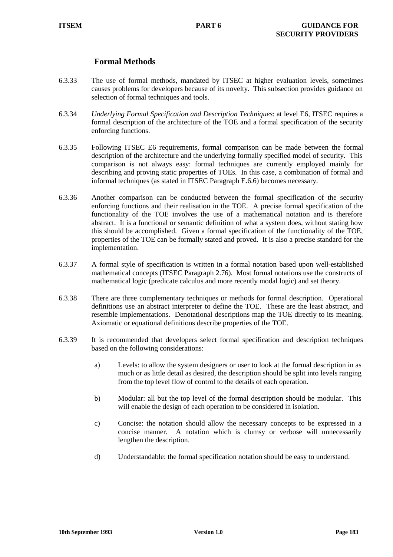# **Formal Methods**

- 6.3.33 The use of formal methods, mandated by ITSEC at higher evaluation levels, sometimes causes problems for developers because of its novelty. This subsection provides guidance on selection of formal techniques and tools.
- 6.3.34 *Underlying Formal Specification and Description Techniques*: at level E6, ITSEC requires a formal description of the architecture of the TOE and a formal specification of the security enforcing functions.
- 6.3.35 Following ITSEC E6 requirements, formal comparison can be made between the formal description of the architecture and the underlying formally specified model of security. This comparison is not always easy: formal techniques are currently employed mainly for describing and proving static properties of TOEs. In this case, a combination of formal and informal techniques (as stated in ITSEC Paragraph E.6.6) becomes necessary.
- 6.3.36 Another comparison can be conducted between the formal specification of the security enforcing functions and their realisation in the TOE. A precise formal specification of the functionality of the TOE involves the use of a mathematical notation and is therefore abstract. It is a functional or semantic definition of what a system does, without stating how this should be accomplished. Given a formal specification of the functionality of the TOE, properties of the TOE can be formally stated and proved. It is also a precise standard for the implementation.
- 6.3.37 A formal style of specification is written in a formal notation based upon well-established mathematical concepts (ITSEC Paragraph 2.76). Most formal notations use the constructs of mathematical logic (predicate calculus and more recently modal logic) and set theory.
- 6.3.38 There are three complementary techniques or methods for formal description. Operational definitions use an abstract interpreter to define the TOE. These are the least abstract, and resemble implementations. Denotational descriptions map the TOE directly to its meaning. Axiomatic or equational definitions describe properties of the TOE.
- 6.3.39 It is recommended that developers select formal specification and description techniques based on the following considerations:
	- a) Levels: to allow the system designers or user to look at the formal description in as much or as little detail as desired, the description should be split into levels ranging from the top level flow of control to the details of each operation.
	- b) Modular: all but the top level of the formal description should be modular. This will enable the design of each operation to be considered in isolation.
	- c) Concise: the notation should allow the necessary concepts to be expressed in a concise manner. A notation which is clumsy or verbose will unnecessarily lengthen the description.
	- d) Understandable: the formal specification notation should be easy to understand.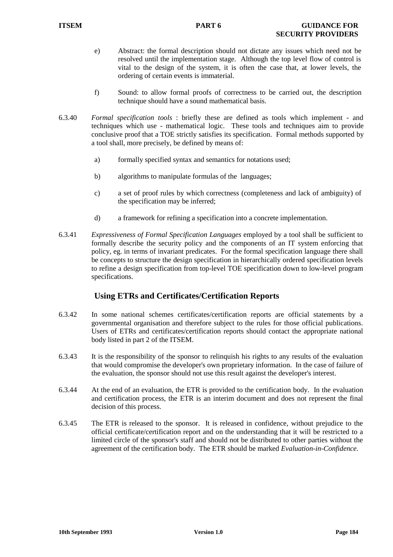- e) Abstract: the formal description should not dictate any issues which need not be resolved until the implementation stage. Although the top level flow of control is vital to the design of the system, it is often the case that, at lower levels, the ordering of certain events is immaterial.
- f) Sound: to allow formal proofs of correctness to be carried out, the description technique should have a sound mathematical basis.
- 6.3.40 *Formal specification tools* : briefly these are defined as tools which implement and techniques which use - mathematical logic. These tools and techniques aim to provide conclusive proof that a TOE strictly satisfies its specification. Formal methods supported by a tool shall, more precisely, be defined by means of:
	- a) formally specified syntax and semantics for notations used;
	- b) algorithms to manipulate formulas of the languages;
	- c) a set of proof rules by which correctness (completeness and lack of ambiguity) of the specification may be inferred;
	- d) a framework for refining a specification into a concrete implementation.
- 6.3.41 *Expressiveness of Formal Specification Languages* employed by a tool shall be sufficient to formally describe the security policy and the components of an IT system enforcing that policy, eg. in terms of invariant predicates. For the formal specification language there shall be concepts to structure the design specification in hierarchically ordered specification levels to refine a design specification from top-level TOE specification down to low-level program specifications.

# **Using ETRs and Certificates/Certification Reports**

- 6.3.42 In some national schemes certificates/certification reports are official statements by a governmental organisation and therefore subject to the rules for those official publications. Users of ETRs and certificates/certification reports should contact the appropriate national body listed in part 2 of the ITSEM.
- 6.3.43 It is the responsibility of the sponsor to relinquish his rights to any results of the evaluation that would compromise the developer's own proprietary information. In the case of failure of the evaluation, the sponsor should not use this result against the developer's interest.
- 6.3.44 At the end of an evaluation, the ETR is provided to the certification body. In the evaluation and certification process, the ETR is an interim document and does not represent the final decision of this process.
- 6.3.45 The ETR is released to the sponsor. It is released in confidence, without prejudice to the official certificate/certification report and on the understanding that it will be restricted to a limited circle of the sponsor's staff and should not be distributed to other parties without the agreement of the certification body. The ETR should be marked *Evaluation-in-Confidence.*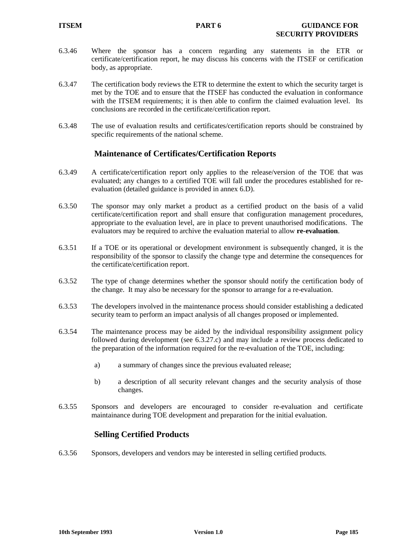- 6.3.46 Where the sponsor has a concern regarding any statements in the ETR or certificate/certification report, he may discuss his concerns with the ITSEF or certification body, as appropriate.
- 6.3.47 The certification body reviews the ETR to determine the extent to which the security target is met by the TOE and to ensure that the ITSEF has conducted the evaluation in conformance with the ITSEM requirements; it is then able to confirm the claimed evaluation level. Its conclusions are recorded in the certificate/certification report.
- 6.3.48 The use of evaluation results and certificates/certification reports should be constrained by specific requirements of the national scheme.

# **Maintenance of Certificates/Certification Reports**

- 6.3.49 A certificate/certification report only applies to the release/version of the TOE that was evaluated; any changes to a certified TOE will fall under the procedures established for reevaluation (detailed guidance is provided in annex 6.D).
- 6.3.50 The sponsor may only market a product as a certified product on the basis of a valid certificate/certification report and shall ensure that configuration management procedures, appropriate to the evaluation level, are in place to prevent unauthorised modifications. The evaluators may be required to archive the evaluation material to allow **re-evaluation**.
- 6.3.51 If a TOE or its operational or development environment is subsequently changed, it is the responsibility of the sponsor to classify the change type and determine the consequences for the certificate/certification report.
- 6.3.52 The type of change determines whether the sponsor should notify the certification body of the change. It may also be necessary for the sponsor to arrange for a re-evaluation.
- 6.3.53 The developers involved in the maintenance process should consider establishing a dedicated security team to perform an impact analysis of all changes proposed or implemented.
- 6.3.54 The maintenance process may be aided by the individual responsibility assignment policy followed during development (see 6.3.27.c) and may include a review process dedicated to the preparation of the information required for the re-evaluation of the TOE, including:
	- a) a summary of changes since the previous evaluated release;
	- b) a description of all security relevant changes and the security analysis of those changes.
- 6.3.55 Sponsors and developers are encouraged to consider re-evaluation and certificate maintainance during TOE development and preparation for the initial evaluation.

# **Selling Certified Products**

6.3.56 Sponsors, developers and vendors may be interested in selling certified products.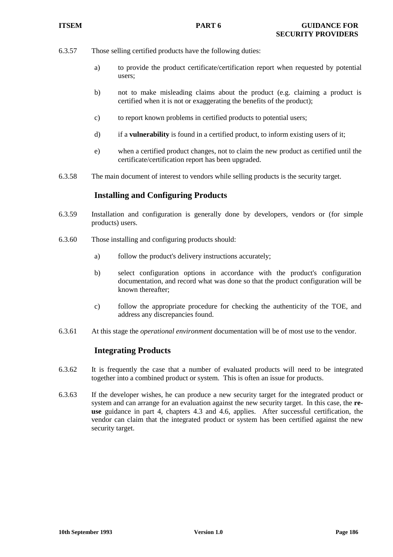- 6.3.57 Those selling certified products have the following duties:
	- a) to provide the product certificate/certification report when requested by potential users;
	- b) not to make misleading claims about the product (e.g. claiming a product is certified when it is not or exaggerating the benefits of the product);
	- c) to report known problems in certified products to potential users;
	- d) if a **vulnerability** is found in a certified product, to inform existing users of it;
	- e) when a certified product changes, not to claim the new product as certified until the certificate/certification report has been upgraded.
- 6.3.58 The main document of interest to vendors while selling products is the security target.

#### **Installing and Configuring Products**

- 6.3.59 Installation and configuration is generally done by developers, vendors or (for simple products) users.
- 6.3.60 Those installing and configuring products should:
	- a) follow the product's delivery instructions accurately;
	- b) select configuration options in accordance with the product's configuration documentation, and record what was done so that the product configuration will be known thereafter;
	- c) follow the appropriate procedure for checking the authenticity of the TOE, and address any discrepancies found.
- 6.3.61 At this stage the *operational environment* documentation will be of most use to the vendor.

#### **Integrating Products**

- 6.3.62 It is frequently the case that a number of evaluated products will need to be integrated together into a combined product or system. This is often an issue for products.
- 6.3.63 If the developer wishes, he can produce a new security target for the integrated product or system and can arrange for an evaluation against the new security target. In this case, the **reuse** guidance in part 4, chapters 4.3 and 4.6, applies. After successful certification, the vendor can claim that the integrated product or system has been certified against the new security target.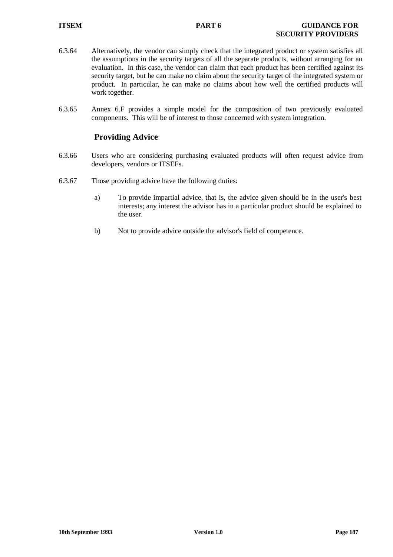- 6.3.64 Alternatively, the vendor can simply check that the integrated product or system satisfies all the assumptions in the security targets of all the separate products, without arranging for an evaluation. In this case, the vendor can claim that each product has been certified against its security target, but he can make no claim about the security target of the integrated system or product. In particular, he can make no claims about how well the certified products will work together.
- 6.3.65 Annex 6.F provides a simple model for the composition of two previously evaluated components. This will be of interest to those concerned with system integration.

# **Providing Advice**

- 6.3.66 Users who are considering purchasing evaluated products will often request advice from developers, vendors or ITSEFs.
- 6.3.67 Those providing advice have the following duties:
	- a) To provide impartial advice, that is, the advice given should be in the user's best interests; any interest the advisor has in a particular product should be explained to the user.
	- b) Not to provide advice outside the advisor's field of competence.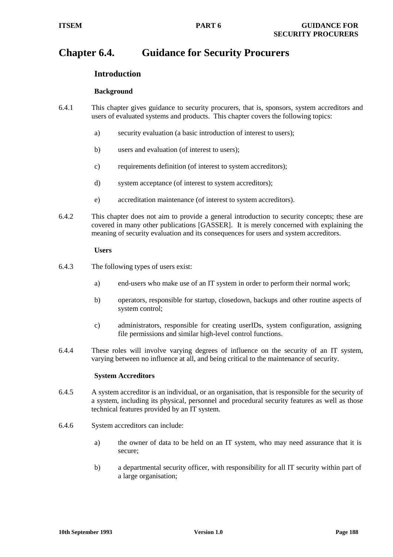# **Chapter 6.4. Guidance for Security Procurers**

## **Introduction**

#### **Background**

- 6.4.1 This chapter gives guidance to security procurers, that is, sponsors, system accreditors and users of evaluated systems and products. This chapter covers the following topics:
	- a) security evaluation (a basic introduction of interest to users);
	- b) users and evaluation (of interest to users);
	- c) requirements definition (of interest to system accreditors);
	- d) system acceptance (of interest to system accreditors);
	- e) accreditation maintenance (of interest to system accreditors).
- 6.4.2 This chapter does not aim to provide a general introduction to security concepts; these are covered in many other publications [GASSER]. It is merely concerned with explaining the meaning of security evaluation and its consequences for users and system accreditors.

#### **Users**

- 6.4.3 The following types of users exist:
	- a) end-users who make use of an IT system in order to perform their normal work;
	- b) operators, responsible for startup, closedown, backups and other routine aspects of system control;
	- c) administrators, responsible for creating userIDs, system configuration, assigning file permissions and similar high-level control functions.
- 6.4.4 These roles will involve varying degrees of influence on the security of an IT system, varying between no influence at all, and being critical to the maintenance of security.

#### **System Accreditors**

- 6.4.5 A system accreditor is an individual, or an organisation, that is responsible for the security of a system, including its physical, personnel and procedural security features as well as those technical features provided by an IT system.
- 6.4.6 System accreditors can include:
	- a) the owner of data to be held on an IT system, who may need assurance that it is secure;
	- b) a departmental security officer, with responsibility for all IT security within part of a large organisation;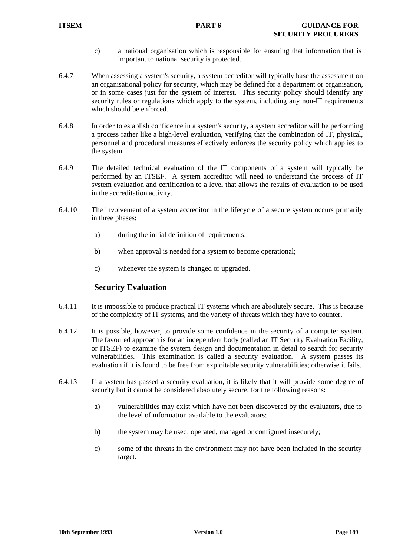- c) a national organisation which is responsible for ensuring that information that is important to national security is protected.
- 6.4.7 When assessing a system's security, a system accreditor will typically base the assessment on an organisational policy for security, which may be defined for a department or organisation, or in some cases just for the system of interest. This security policy should identify any security rules or regulations which apply to the system, including any non-IT requirements which should be enforced.
- 6.4.8 In order to establish confidence in a system's security, a system accreditor will be performing a process rather like a high-level evaluation, verifying that the combination of IT, physical, personnel and procedural measures effectively enforces the security policy which applies to the system.
- 6.4.9 The detailed technical evaluation of the IT components of a system will typically be performed by an ITSEF. A system accreditor will need to understand the process of IT system evaluation and certification to a level that allows the results of evaluation to be used in the accreditation activity.
- 6.4.10 The involvement of a system accreditor in the lifecycle of a secure system occurs primarily in three phases:
	- a) during the initial definition of requirements;
	- b) when approval is needed for a system to become operational;
	- c) whenever the system is changed or upgraded.

#### **Security Evaluation**

- 6.4.11 It is impossible to produce practical IT systems which are absolutely secure. This is because of the complexity of IT systems, and the variety of threats which they have to counter.
- 6.4.12 It is possible, however, to provide some confidence in the security of a computer system. The favoured approach is for an independent body (called an IT Security Evaluation Facility, or ITSEF) to examine the system design and documentation in detail to search for security vulnerabilities. This examination is called a security evaluation. A system passes its evaluation if it is found to be free from exploitable security vulnerabilities; otherwise it fails.
- 6.4.13 If a system has passed a security evaluation, it is likely that it will provide some degree of security but it cannot be considered absolutely secure, for the following reasons:
	- a) vulnerabilities may exist which have not been discovered by the evaluators, due to the level of information available to the evaluators;
	- b) the system may be used, operated, managed or configured insecurely;
	- c) some of the threats in the environment may not have been included in the security target.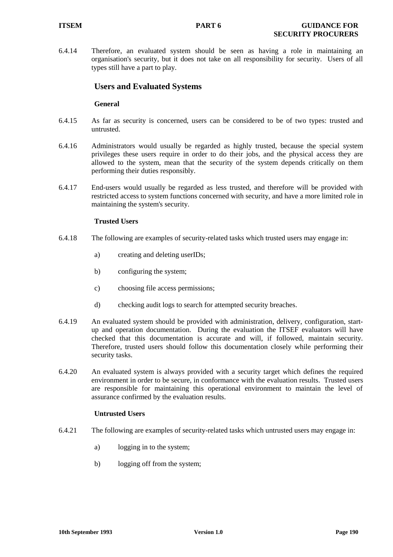6.4.14 Therefore, an evaluated system should be seen as having a role in maintaining an organisation's security, but it does not take on all responsibility for security. Users of all types still have a part to play.

## **Users and Evaluated Systems**

#### **General**

- 6.4.15 As far as security is concerned, users can be considered to be of two types: trusted and untrusted.
- 6.4.16 Administrators would usually be regarded as highly trusted, because the special system privileges these users require in order to do their jobs, and the physical access they are allowed to the system, mean that the security of the system depends critically on them performing their duties responsibly.
- 6.4.17 End-users would usually be regarded as less trusted, and therefore will be provided with restricted access to system functions concerned with security, and have a more limited role in maintaining the system's security.

#### **Trusted Users**

- 6.4.18 The following are examples of security-related tasks which trusted users may engage in:
	- a) creating and deleting userIDs;
	- b) configuring the system;
	- c) choosing file access permissions;
	- d) checking audit logs to search for attempted security breaches.
- 6.4.19 An evaluated system should be provided with administration, delivery, configuration, startup and operation documentation. During the evaluation the ITSEF evaluators will have checked that this documentation is accurate and will, if followed, maintain security. Therefore, trusted users should follow this documentation closely while performing their security tasks.
- 6.4.20 An evaluated system is always provided with a security target which defines the required environment in order to be secure, in conformance with the evaluation results. Trusted users are responsible for maintaining this operational environment to maintain the level of assurance confirmed by the evaluation results.

#### **Untrusted Users**

- 6.4.21 The following are examples of security-related tasks which untrusted users may engage in:
	- a) logging in to the system;
	- b) logging off from the system;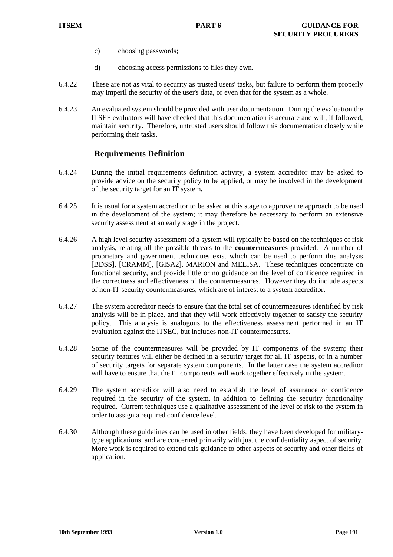- c) choosing passwords;
- d) choosing access permissions to files they own.
- 6.4.22 These are not as vital to security as trusted users' tasks, but failure to perform them properly may imperil the security of the user's data, or even that for the system as a whole.
- 6.4.23 An evaluated system should be provided with user documentation. During the evaluation the ITSEF evaluators will have checked that this documentation is accurate and will, if followed, maintain security. Therefore, untrusted users should follow this documentation closely while performing their tasks.

#### **Requirements Definition**

- 6.4.24 During the initial requirements definition activity, a system accreditor may be asked to provide advice on the security policy to be applied, or may be involved in the development of the security target for an IT system.
- 6.4.25 It is usual for a system accreditor to be asked at this stage to approve the approach to be used in the development of the system; it may therefore be necessary to perform an extensive security assessment at an early stage in the project.
- 6.4.26 A high level security assessment of a system will typically be based on the techniques of risk analysis, relating all the possible threats to the **countermeasures** provided. A number of proprietary and government techniques exist which can be used to perform this analysis [BDSS], [CRAMM], [GISA2], MARION and MELISA. These techniques concentrate on functional security, and provide little or no guidance on the level of confidence required in the correctness and effectiveness of the countermeasures. However they do include aspects of non-IT security countermeasures, which are of interest to a system accreditor.
- 6.4.27 The system accreditor needs to ensure that the total set of countermeasures identified by risk analysis will be in place, and that they will work effectively together to satisfy the security policy. This analysis is analogous to the effectiveness assessment performed in an IT evaluation against the ITSEC, but includes non-IT countermeasures.
- 6.4.28 Some of the countermeasures will be provided by IT components of the system; their security features will either be defined in a security target for all IT aspects, or in a number of security targets for separate system components. In the latter case the system accreditor will have to ensure that the IT components will work together effectively in the system.
- 6.4.29 The system accreditor will also need to establish the level of assurance or confidence required in the security of the system, in addition to defining the security functionality required. Current techniques use a qualitative assessment of the level of risk to the system in order to assign a required confidence level.
- 6.4.30 Although these guidelines can be used in other fields, they have been developed for militarytype applications, and are concerned primarily with just the confidentiality aspect of security. More work is required to extend this guidance to other aspects of security and other fields of application.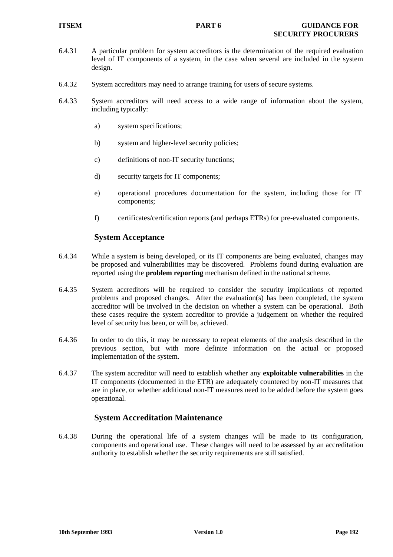- 6.4.31 A particular problem for system accreditors is the determination of the required evaluation level of IT components of a system, in the case when several are included in the system design.
- 6.4.32 System accreditors may need to arrange training for users of secure systems.
- 6.4.33 System accreditors will need access to a wide range of information about the system, including typically:
	- a) system specifications;
	- b) system and higher-level security policies;
	- c) definitions of non-IT security functions;
	- d) security targets for IT components;
	- e) operational procedures documentation for the system, including those for IT components;
	- f) certificates/certification reports (and perhaps ETRs) for pre-evaluated components.

#### **System Acceptance**

- 6.4.34 While a system is being developed, or its IT components are being evaluated, changes may be proposed and vulnerabilities may be discovered. Problems found during evaluation are reported using the **problem reporting** mechanism defined in the national scheme.
- 6.4.35 System accreditors will be required to consider the security implications of reported problems and proposed changes. After the evaluation(s) has been completed, the system accreditor will be involved in the decision on whether a system can be operational. Both these cases require the system accreditor to provide a judgement on whether the required level of security has been, or will be, achieved.
- 6.4.36 In order to do this, it may be necessary to repeat elements of the analysis described in the previous section, but with more definite information on the actual or proposed implementation of the system.
- 6.4.37 The system accreditor will need to establish whether any **exploitable vulnerabilities** in the IT components (documented in the ETR) are adequately countered by non-IT measures that are in place, or whether additional non-IT measures need to be added before the system goes operational.

# **System Accreditation Maintenance**

6.4.38 During the operational life of a system changes will be made to its configuration, components and operational use. These changes will need to be assessed by an accreditation authority to establish whether the security requirements are still satisfied.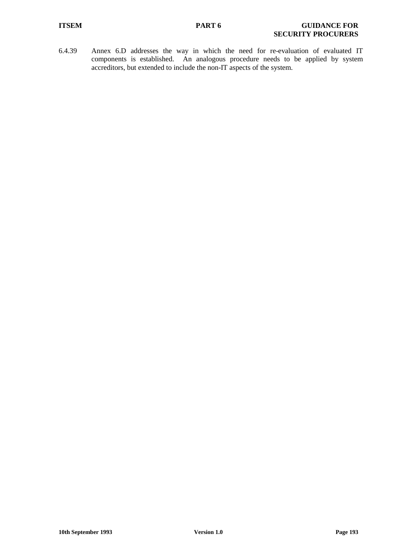6.4.39 Annex 6.D addresses the way in which the need for re-evaluation of evaluated IT components is established. An analogous procedure needs to be applied by system accreditors, but extended to include the non-IT aspects of the system.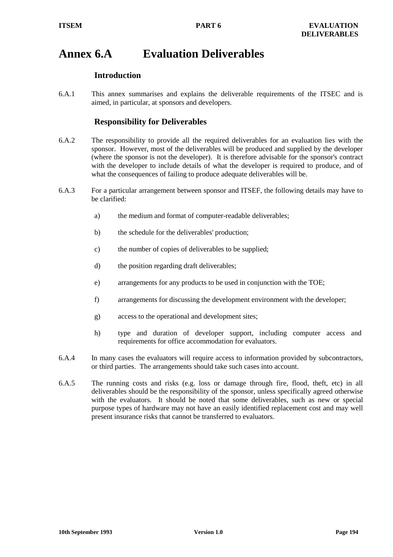# **Annex 6.A Evaluation Deliverables**

# **Introduction**

6.A.1 This annex summarises and explains the deliverable requirements of the ITSEC and is aimed, in particular, at sponsors and developers.

# **Responsibility for Deliverables**

- 6.A.2 The responsibility to provide all the required deliverables for an evaluation lies with the sponsor. However, most of the deliverables will be produced and supplied by the developer (where the sponsor is not the developer). It is therefore advisable for the sponsor's contract with the developer to include details of what the developer is required to produce, and of what the consequences of failing to produce adequate deliverables will be.
- 6.A.3 For a particular arrangement between sponsor and ITSEF, the following details may have to be clarified:
	- a) the medium and format of computer-readable deliverables;
	- b) the schedule for the deliverables' production;
	- c) the number of copies of deliverables to be supplied;
	- d) the position regarding draft deliverables;
	- e) arrangements for any products to be used in conjunction with the TOE;
	- f) arrangements for discussing the development environment with the developer;
	- g) access to the operational and development sites;
	- h) type and duration of developer support, including computer access and requirements for office accommodation for evaluators.
- 6.A.4 In many cases the evaluators will require access to information provided by subcontractors, or third parties. The arrangements should take such cases into account.
- 6.A.5 The running costs and risks (e.g. loss or damage through fire, flood, theft, etc) in all deliverables should be the responsibility of the sponsor, unless specifically agreed otherwise with the evaluators. It should be noted that some deliverables, such as new or special purpose types of hardware may not have an easily identified replacement cost and may well present insurance risks that cannot be transferred to evaluators.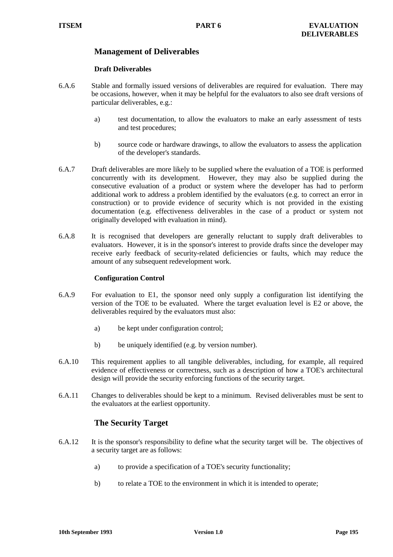## **Management of Deliverables**

#### **Draft Deliverables**

- 6.A.6 Stable and formally issued versions of deliverables are required for evaluation. There may be occasions, however, when it may be helpful for the evaluators to also see draft versions of particular deliverables, e.g.:
	- a) test documentation, to allow the evaluators to make an early assessment of tests and test procedures;
	- b) source code or hardware drawings, to allow the evaluators to assess the application of the developer's standards.
- 6.A.7 Draft deliverables are more likely to be supplied where the evaluation of a TOE is performed concurrently with its development. However, they may also be supplied during the consecutive evaluation of a product or system where the developer has had to perform additional work to address a problem identified by the evaluators (e.g. to correct an error in construction) or to provide evidence of security which is not provided in the existing documentation (e.g. effectiveness deliverables in the case of a product or system not originally developed with evaluation in mind).
- 6.A.8 It is recognised that developers are generally reluctant to supply draft deliverables to evaluators. However, it is in the sponsor's interest to provide drafts since the developer may receive early feedback of security-related deficiencies or faults, which may reduce the amount of any subsequent redevelopment work.

#### **Configuration Control**

- 6.A.9 For evaluation to E1, the sponsor need only supply a configuration list identifying the version of the TOE to be evaluated. Where the target evaluation level is E2 or above, the deliverables required by the evaluators must also:
	- a) be kept under configuration control;
	- b) be uniquely identified (e.g. by version number).
- 6.A.10 This requirement applies to all tangible deliverables, including, for example, all required evidence of effectiveness or correctness, such as a description of how a TOE's architectural design will provide the security enforcing functions of the security target.
- 6.A.11 Changes to deliverables should be kept to a minimum. Revised deliverables must be sent to the evaluators at the earliest opportunity.

#### **The Security Target**

- 6.A.12 It is the sponsor's responsibility to define what the security target will be. The objectives of a security target are as follows:
	- a) to provide a specification of a TOE's security functionality;
	- b) to relate a TOE to the environment in which it is intended to operate;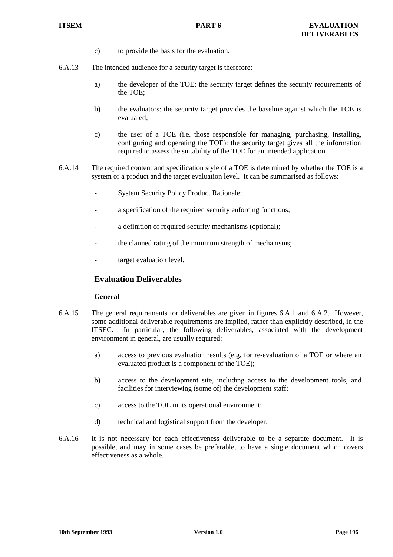- c) to provide the basis for the evaluation.
- 6.A.13 The intended audience for a security target is therefore:
	- a) the developer of the TOE: the security target defines the security requirements of the TOE;
	- b) the evaluators: the security target provides the baseline against which the TOE is evaluated;
	- c) the user of a TOE (i.e. those responsible for managing, purchasing, installing, configuring and operating the TOE): the security target gives all the information required to assess the suitability of the TOE for an intended application.
- 6.A.14 The required content and specification style of a TOE is determined by whether the TOE is a system or a product and the target evaluation level. It can be summarised as follows:
	- System Security Policy Product Rationale;
	- a specification of the required security enforcing functions;
	- a definition of required security mechanisms (optional);
	- the claimed rating of the minimum strength of mechanisms;
	- target evaluation level.

#### **Evaluation Deliverables**

#### **General**

- 6.A.15 The general requirements for deliverables are given in figures 6.A.1 and 6.A.2. However, some additional deliverable requirements are implied, rather than explicitly described, in the ITSEC. In particular, the following deliverables, associated with the development environment in general, are usually required:
	- a) access to previous evaluation results (e.g. for re-evaluation of a TOE or where an evaluated product is a component of the TOE);
	- b) access to the development site, including access to the development tools, and facilities for interviewing (some of) the development staff;
	- c) access to the TOE in its operational environment;
	- d) technical and logistical support from the developer.
- 6.A.16 It is not necessary for each effectiveness deliverable to be a separate document. It is possible, and may in some cases be preferable, to have a single document which covers effectiveness as a whole.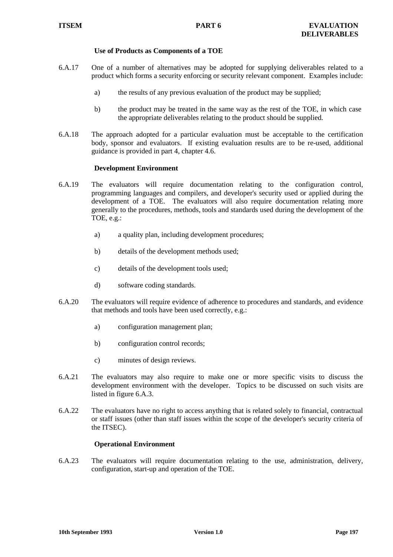#### **Use of Products as Components of a TOE**

- 6.A.17 One of a number of alternatives may be adopted for supplying deliverables related to a product which forms a security enforcing or security relevant component. Examples include:
	- a) the results of any previous evaluation of the product may be supplied;
	- b) the product may be treated in the same way as the rest of the TOE, in which case the appropriate deliverables relating to the product should be supplied.
- 6.A.18 The approach adopted for a particular evaluation must be acceptable to the certification body, sponsor and evaluators. If existing evaluation results are to be re-used, additional guidance is provided in part 4, chapter 4.6.

#### **Development Environment**

- 6.A.19 The evaluators will require documentation relating to the configuration control, programming languages and compilers, and developer's security used or applied during the development of a TOE. The evaluators will also require documentation relating more generally to the procedures, methods, tools and standards used during the development of the TOE, e.g.:
	- a) a quality plan, including development procedures;
	- b) details of the development methods used;
	- c) details of the development tools used;
	- d) software coding standards.
- 6.A.20 The evaluators will require evidence of adherence to procedures and standards, and evidence that methods and tools have been used correctly, e.g.:
	- a) configuration management plan;
	- b) configuration control records;
	- c) minutes of design reviews.
- 6.A.21 The evaluators may also require to make one or more specific visits to discuss the development environment with the developer. Topics to be discussed on such visits are listed in figure 6.A.3.
- 6.A.22 The evaluators have no right to access anything that is related solely to financial, contractual or staff issues (other than staff issues within the scope of the developer's security criteria of the ITSEC).

#### **Operational Environment**

6.A.23 The evaluators will require documentation relating to the use, administration, delivery, configuration, start-up and operation of the TOE.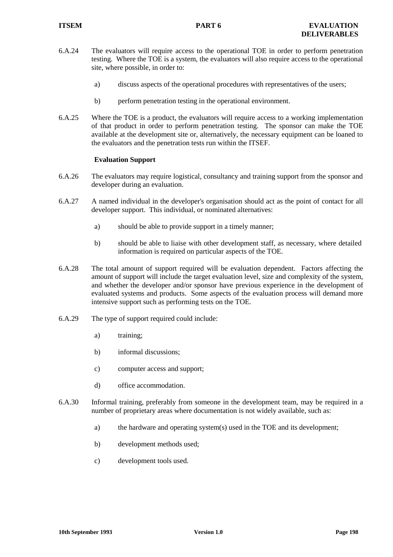- 6.A.24 The evaluators will require access to the operational TOE in order to perform penetration testing. Where the TOE is a system, the evaluators will also require access to the operational site, where possible, in order to:
	- a) discuss aspects of the operational procedures with representatives of the users;
	- b) perform penetration testing in the operational environment.
- 6.A.25 Where the TOE is a product, the evaluators will require access to a working implementation of that product in order to perform penetration testing. The sponsor can make the TOE available at the development site or, alternatively, the necessary equipment can be loaned to the evaluators and the penetration tests run within the ITSEF.

#### **Evaluation Support**

- 6.A.26 The evaluators may require logistical, consultancy and training support from the sponsor and developer during an evaluation.
- 6.A.27 A named individual in the developer's organisation should act as the point of contact for all developer support. This individual, or nominated alternatives:
	- a) should be able to provide support in a timely manner;
	- b) should be able to liaise with other development staff, as necessary, where detailed information is required on particular aspects of the TOE.
- 6.A.28 The total amount of support required will be evaluation dependent. Factors affecting the amount of support will include the target evaluation level, size and complexity of the system, and whether the developer and/or sponsor have previous experience in the development of evaluated systems and products. Some aspects of the evaluation process will demand more intensive support such as performing tests on the TOE.
- 6.A.29 The type of support required could include:
	- a) training;
	- b) informal discussions;
	- c) computer access and support;
	- d) office accommodation.
- 6.A.30 Informal training, preferably from someone in the development team, may be required in a number of proprietary areas where documentation is not widely available, such as:
	- a) the hardware and operating system(s) used in the TOE and its development;
	- b) development methods used;
	- c) development tools used.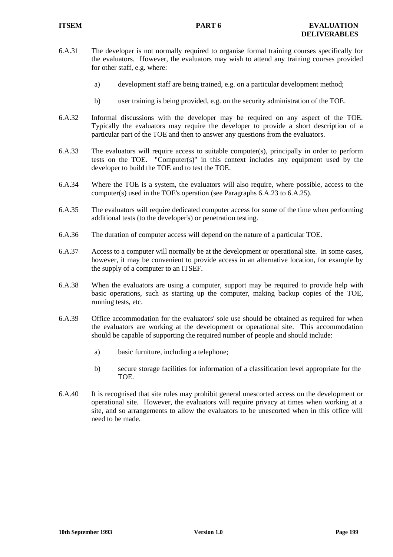- 6.A.31 The developer is not normally required to organise formal training courses specifically for the evaluators. However, the evaluators may wish to attend any training courses provided for other staff, e.g. where:
	- a) development staff are being trained, e.g. on a particular development method;
	- b) user training is being provided, e.g. on the security administration of the TOE.
- 6.A.32 Informal discussions with the developer may be required on any aspect of the TOE. Typically the evaluators may require the developer to provide a short description of a particular part of the TOE and then to answer any questions from the evaluators.
- 6.A.33 The evaluators will require access to suitable computer(s), principally in order to perform tests on the TOE. "Computer(s)" in this context includes any equipment used by the developer to build the TOE and to test the TOE.
- 6.A.34 Where the TOE is a system, the evaluators will also require, where possible, access to the computer(s) used in the TOE's operation (see Paragraphs 6.A.23 to 6.A.25).
- 6.A.35 The evaluators will require dedicated computer access for some of the time when performing additional tests (to the developer's) or penetration testing.
- 6.A.36 The duration of computer access will depend on the nature of a particular TOE.
- 6.A.37 Access to a computer will normally be at the development or operational site. In some cases, however, it may be convenient to provide access in an alternative location, for example by the supply of a computer to an ITSEF.
- 6.A.38 When the evaluators are using a computer, support may be required to provide help with basic operations, such as starting up the computer, making backup copies of the TOE, running tests, etc.
- 6.A.39 Office accommodation for the evaluators' sole use should be obtained as required for when the evaluators are working at the development or operational site. This accommodation should be capable of supporting the required number of people and should include:
	- a) basic furniture, including a telephone;
	- b) secure storage facilities for information of a classification level appropriate for the TOE.
- 6.A.40 It is recognised that site rules may prohibit general unescorted access on the development or operational site. However, the evaluators will require privacy at times when working at a site, and so arrangements to allow the evaluators to be unescorted when in this office will need to be made.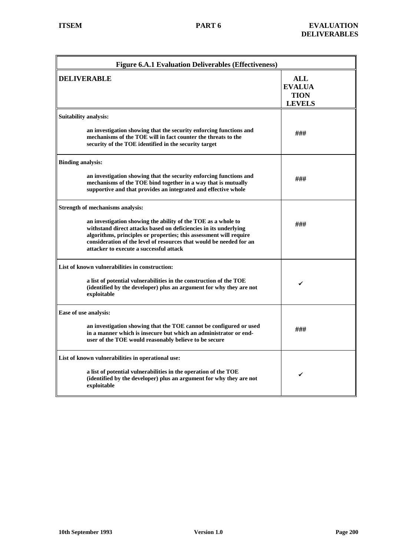| <b>Figure 6.A.1 Evaluation Deliverables (Effectiveness)</b>                                                                                                                                                                                                                                                                                                          |                                                      |  |  |  |
|----------------------------------------------------------------------------------------------------------------------------------------------------------------------------------------------------------------------------------------------------------------------------------------------------------------------------------------------------------------------|------------------------------------------------------|--|--|--|
| <b>DELIVERABLE</b>                                                                                                                                                                                                                                                                                                                                                   | ALL<br><b>EVALUA</b><br><b>TION</b><br><b>LEVELS</b> |  |  |  |
| <b>Suitability analysis:</b><br>an investigation showing that the security enforcing functions and<br>mechanisms of the TOE will in fact counter the threats to the<br>security of the TOE identified in the security target                                                                                                                                         | ###                                                  |  |  |  |
| <b>Binding analysis:</b><br>an investigation showing that the security enforcing functions and<br>mechanisms of the TOE bind together in a way that is mutually<br>supportive and that provides an integrated and effective whole                                                                                                                                    | ###                                                  |  |  |  |
| <b>Strength of mechanisms analysis:</b><br>an investigation showing the ability of the TOE as a whole to<br>withstand direct attacks based on deficiencies in its underlying<br>algorithms, principles or properties; this assessment will require<br>consideration of the level of resources that would be needed for an<br>attacker to execute a successful attack | ###                                                  |  |  |  |
| List of known vulnerabilities in construction:<br>a list of potential vulnerabilities in the construction of the TOE<br>(identified by the developer) plus an argument for why they are not<br>exploitable                                                                                                                                                           | ✓                                                    |  |  |  |
| Ease of use analysis:<br>an investigation showing that the TOE cannot be configured or used<br>in a manner which is insecure but which an administrator or end-<br>user of the TOE would reasonably believe to be secure                                                                                                                                             | ###                                                  |  |  |  |
| List of known vulnerabilities in operational use:<br>a list of potential vulnerabilities in the operation of the TOE<br>(identified by the developer) plus an argument for why they are not<br>exploitable                                                                                                                                                           | ✓                                                    |  |  |  |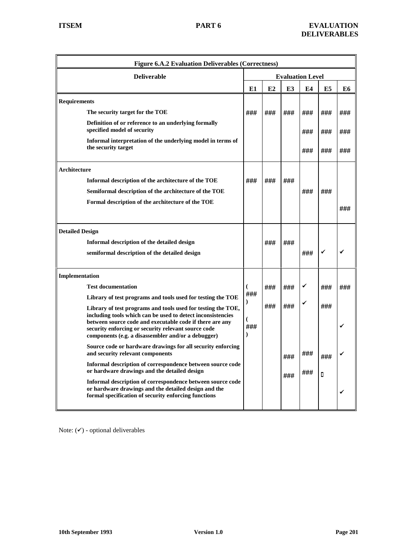| <b>Figure 6.A.2 Evaluation Deliverables (Correctness)</b> |                                                                                                                                                                                                                                                                                                      |                         |     |                |                |              |     |
|-----------------------------------------------------------|------------------------------------------------------------------------------------------------------------------------------------------------------------------------------------------------------------------------------------------------------------------------------------------------------|-------------------------|-----|----------------|----------------|--------------|-----|
|                                                           | <b>Deliverable</b>                                                                                                                                                                                                                                                                                   | <b>Evaluation Level</b> |     |                |                |              |     |
|                                                           |                                                                                                                                                                                                                                                                                                      | E1                      | E2  | E <sub>3</sub> | E <sub>4</sub> | E5           | E6  |
| <b>Requirements</b>                                       |                                                                                                                                                                                                                                                                                                      |                         |     |                |                |              |     |
|                                                           | The security target for the TOE                                                                                                                                                                                                                                                                      | ###                     | ### | ###            | ###            | ###          | ### |
|                                                           | Definition of or reference to an underlying formally<br>specified model of security                                                                                                                                                                                                                  |                         |     |                | ###            | ###          | ### |
|                                                           | Informal interpretation of the underlying model in terms of<br>the security target                                                                                                                                                                                                                   |                         |     |                | ###            | ###          | ### |
| Architecture                                              |                                                                                                                                                                                                                                                                                                      |                         |     |                |                |              |     |
|                                                           | Informal description of the architecture of the TOE                                                                                                                                                                                                                                                  | ###                     | ### | ###            |                |              |     |
|                                                           | Semiformal description of the architecture of the TOE                                                                                                                                                                                                                                                |                         |     |                | ###            | ###          |     |
|                                                           | Formal description of the architecture of the TOE                                                                                                                                                                                                                                                    |                         |     |                |                |              | ### |
| <b>Detailed Design</b>                                    |                                                                                                                                                                                                                                                                                                      |                         |     |                |                |              |     |
|                                                           | Informal description of the detailed design                                                                                                                                                                                                                                                          |                         | ### | ###            |                |              |     |
|                                                           | semiformal description of the detailed design                                                                                                                                                                                                                                                        |                         |     |                | ###            | $\checkmark$ |     |
| Implementation                                            |                                                                                                                                                                                                                                                                                                      |                         |     |                |                |              |     |
|                                                           | <b>Test documentation</b>                                                                                                                                                                                                                                                                            | €                       | ### | ###            | ✓              | ###          | ### |
|                                                           | Library of test programs and tools used for testing the TOE                                                                                                                                                                                                                                          | ###                     |     |                | ✓              |              |     |
|                                                           | Library of test programs and tools used for testing the TOE,<br>including tools which can be used to detect inconsistencies<br>between source code and executable code if there are any<br>security enforcing or security relevant source code<br>components (e.g. a disassembler and/or a debugger) | ###                     | ### | ###            |                | ###          |     |
|                                                           | Source code or hardware drawings for all security enforcing<br>and security relevant components                                                                                                                                                                                                      |                         |     | ###            | ###            | ###          |     |
|                                                           | Informal description of correspondence between source code<br>or hardware drawings and the detailed design                                                                                                                                                                                           |                         |     |                | ###            |              |     |
|                                                           | Informal description of correspondence between source code<br>or hardware drawings and the detailed design and the<br>formal specification of security enforcing functions                                                                                                                           |                         |     | ###            |                | П            | ✓   |

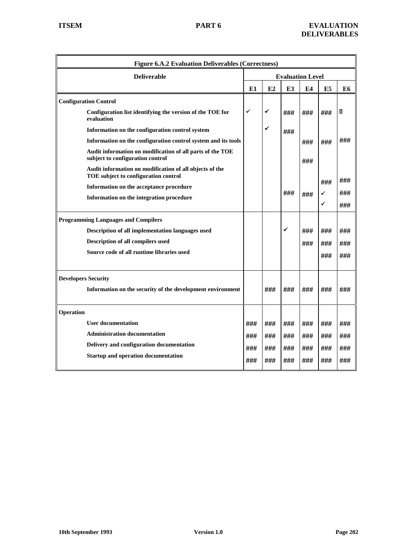| <b>Figure 6.A.2 Evaluation Deliverables (Correctness)</b>                                       |                         |     |                |     |                |     |
|-------------------------------------------------------------------------------------------------|-------------------------|-----|----------------|-----|----------------|-----|
| <b>Deliverable</b>                                                                              | <b>Evaluation Level</b> |     |                |     |                |     |
|                                                                                                 | E1                      | E2  | E <sub>3</sub> | E4  | E <sub>5</sub> | E6  |
| <b>Configuration Control</b>                                                                    |                         |     |                |     |                |     |
| Configuration list identifying the version of the TOE for<br>evaluation                         | ✔                       | ✓   | ###            | ### | ###            | D   |
| Information on the configuration control system                                                 |                         | ✓   | ###            |     |                |     |
| Information on the configuration control system and its tools                                   |                         |     |                | ### | ###            | ### |
| Audit information on modification of all parts of the TOE<br>subject to configuration control   |                         |     |                | ### |                |     |
| Audit information on modification of all objects of the<br>TOE subject to configuration control |                         |     |                |     | ###            | ### |
| Information on the acceptance procedure                                                         |                         |     | ###            |     |                | ### |
| Information on the integration procedure                                                        |                         |     |                | ### | ✓<br>✓         | ### |
| <b>Programming Languages and Compilers</b>                                                      |                         |     |                |     |                |     |
| Description of all implementation languages used                                                |                         |     | ✓              | ### | ###            | ### |
| Description of all compilers used                                                               |                         |     |                | ### | ###            | ### |
| Source code of all runtime libraries used                                                       |                         |     |                |     | ###            | ### |
|                                                                                                 |                         |     |                |     |                |     |
| <b>Developers Security</b><br>Information on the security of the development environment        |                         | ### | ###            | ### | ###            | ### |
| Operation                                                                                       |                         |     |                |     |                |     |
| <b>User documentation</b>                                                                       | ###                     | ### | ###            | ### | ###            | ### |
| <b>Administration documentation</b>                                                             | ###                     | ### | ###            | ### | ###            | ### |
| Delivery and configuration documentation                                                        | ###                     | ### | ###            | ### | ###            | ### |
| <b>Startup and operation documentation</b>                                                      | ###                     | ### | ###            | ### | ###            | ### |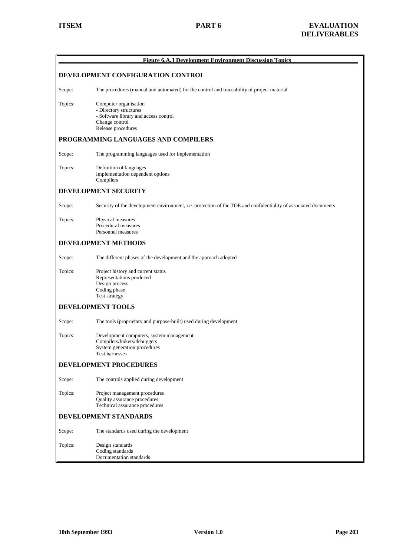| <b>Figure 6.A.3 Development Environment Discussion Topics</b> |                                                                                                                                  |  |  |  |
|---------------------------------------------------------------|----------------------------------------------------------------------------------------------------------------------------------|--|--|--|
| DEVELOPMENT CONFIGURATION CONTROL                             |                                                                                                                                  |  |  |  |
| Scope:                                                        | The procedures (manual and automated) for the control and traceability of project material                                       |  |  |  |
| Topics:                                                       | Computer organisation<br>- Directory structures<br>- Software library and access control<br>Change control<br>Release procedures |  |  |  |
|                                                               | PROGRAMMING LANGUAGES AND COMPILERS                                                                                              |  |  |  |
| Scope:                                                        | The programming languages used for implementation                                                                                |  |  |  |
| Topics:                                                       | Definition of languages<br>Implementation dependent options<br>Compilers                                                         |  |  |  |
|                                                               | DEVELOPMENT SECURITY                                                                                                             |  |  |  |
| Scope:                                                        | Security of the development environment, i.e. protection of the TOE and confidentiality of associated documents                  |  |  |  |
| Topics:                                                       | Physical measures<br>Procedural measures<br>Personnel measures                                                                   |  |  |  |
| <b>DEVELOPMENT METHODS</b>                                    |                                                                                                                                  |  |  |  |
| Scope:                                                        | The different phases of the development and the approach adopted                                                                 |  |  |  |
| Topics:                                                       | Project history and current status<br>Representations produced<br>Design process<br>Coding phase<br>Test strategy                |  |  |  |
|                                                               | DEVELOPMENT TOOLS                                                                                                                |  |  |  |
| Scope:                                                        | The tools (proprietary and purpose-built) used during development                                                                |  |  |  |
| Topics:                                                       | Development computers, system management<br>Compilers/linkers/debuggers<br>System generation procedures<br>Test harnesses        |  |  |  |
|                                                               | DEVELOPMENT PROCEDURES                                                                                                           |  |  |  |
| Scope:                                                        | The controls applied during development                                                                                          |  |  |  |
| Topics:                                                       | Project management procedures<br>Quality assurance procedures<br>Technical assurance procedures                                  |  |  |  |
|                                                               | DEVELOPMENT STANDARDS                                                                                                            |  |  |  |
| Scope:                                                        | The standards used during the development                                                                                        |  |  |  |
| Topics:                                                       | Design standards<br>Coding standards<br>Documentation standards                                                                  |  |  |  |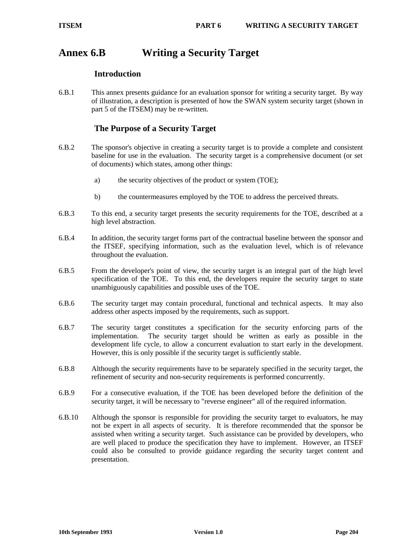# **Annex 6.B Writing a Security Target**

#### **Introduction**

6.B.1 This annex presents guidance for an evaluation sponsor for writing a security target. By way of illustration, a description is presented of how the SWAN system security target (shown in part 5 of the ITSEM) may be re-written.

## **The Purpose of a Security Target**

- 6.B.2 The sponsor's objective in creating a security target is to provide a complete and consistent baseline for use in the evaluation. The security target is a comprehensive document (or set of documents) which states, among other things:
	- a) the security objectives of the product or system (TOE);
	- b) the countermeasures employed by the TOE to address the perceived threats.
- 6.B.3 To this end, a security target presents the security requirements for the TOE, described at a high level abstraction.
- 6.B.4 In addition, the security target forms part of the contractual baseline between the sponsor and the ITSEF, specifying information, such as the evaluation level, which is of relevance throughout the evaluation.
- 6.B.5 From the developer's point of view, the security target is an integral part of the high level specification of the TOE. To this end, the developers require the security target to state unambiguously capabilities and possible uses of the TOE.
- 6.B.6 The security target may contain procedural, functional and technical aspects. It may also address other aspects imposed by the requirements, such as support.
- 6.B.7 The security target constitutes a specification for the security enforcing parts of the implementation. The security target should be written as early as possible in the development life cycle, to allow a concurrent evaluation to start early in the development. However, this is only possible if the security target is sufficiently stable.
- 6.B.8 Although the security requirements have to be separately specified in the security target, the refinement of security and non-security requirements is performed concurrently.
- 6.B.9 For a consecutive evaluation, if the TOE has been developed before the definition of the security target, it will be necessary to "reverse engineer" all of the required information.
- 6.B.10 Although the sponsor is responsible for providing the security target to evaluators, he may not be expert in all aspects of security. It is therefore recommended that the sponsor be assisted when writing a security target. Such assistance can be provided by developers, who are well placed to produce the specification they have to implement. However, an ITSEF could also be consulted to provide guidance regarding the security target content and presentation.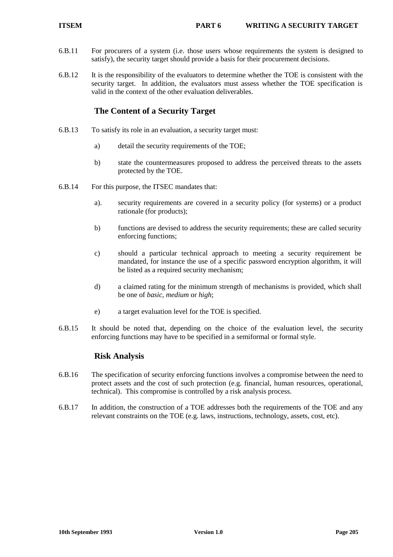- 6.B.11 For procurers of a system (i.e. those users whose requirements the system is designed to satisfy), the security target should provide a basis for their procurement decisions.
- 6.B.12 It is the responsibility of the evaluators to determine whether the TOE is consistent with the security target. In addition, the evaluators must assess whether the TOE specification is valid in the context of the other evaluation deliverables.

# **The Content of a Security Target**

- 6.B.13 To satisfy its role in an evaluation, a security target must:
	- a) detail the security requirements of the TOE;
	- b) state the countermeasures proposed to address the perceived threats to the assets protected by the TOE.
- 6.B.14 For this purpose, the ITSEC mandates that:
	- a). security requirements are covered in a security policy (for systems) or a product rationale (for products);
	- b) functions are devised to address the security requirements; these are called security enforcing functions;
	- c) should a particular technical approach to meeting a security requirement be mandated, for instance the use of a specific password encryption algorithm, it will be listed as a required security mechanism;
	- d) a claimed rating for the minimum strength of mechanisms is provided, which shall be one of *basic*, *medium* or *high*;
	- e) a target evaluation level for the TOE is specified.
- 6.B.15 It should be noted that, depending on the choice of the evaluation level, the security enforcing functions may have to be specified in a semiformal or formal style.

# **Risk Analysis**

- 6.B.16 The specification of security enforcing functions involves a compromise between the need to protect assets and the cost of such protection (e.g. financial, human resources, operational, technical). This compromise is controlled by a risk analysis process.
- 6.B.17 In addition, the construction of a TOE addresses both the requirements of the TOE and any relevant constraints on the TOE (e.g. laws, instructions, technology, assets, cost, etc).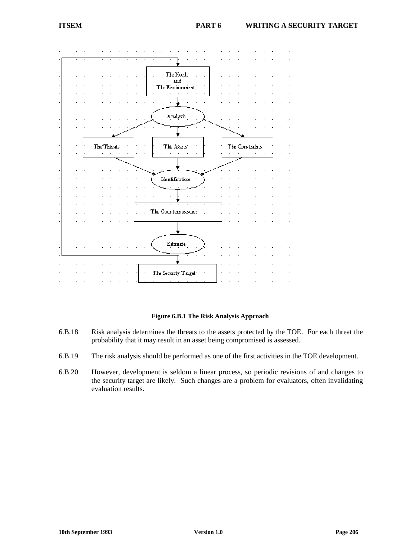

#### **Figure 6.B.1 The Risk Analysis Approach**

- 6.B.18 Risk analysis determines the threats to the assets protected by the TOE. For each threat the probability that it may result in an asset being compromised is assessed.
- 6.B.19 The risk analysis should be performed as one of the first activities in the TOE development.
- 6.B.20 However, development is seldom a linear process, so periodic revisions of and changes to the security target are likely. Such changes are a problem for evaluators, often invalidating evaluation results.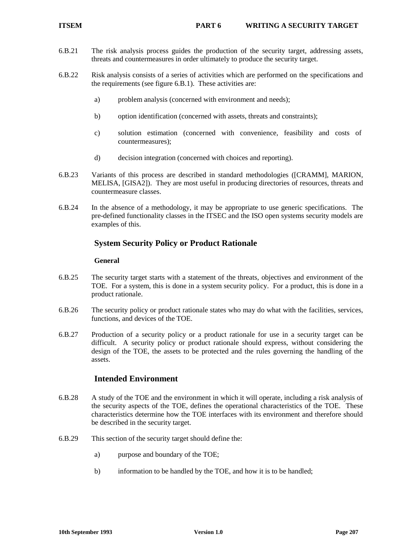- 6.B.21 The risk analysis process guides the production of the security target, addressing assets, threats and countermeasures in order ultimately to produce the security target.
- 6.B.22 Risk analysis consists of a series of activities which are performed on the specifications and the requirements (see figure 6.B.1). These activities are:
	- a) problem analysis (concerned with environment and needs);
	- b) option identification (concerned with assets, threats and constraints);
	- c) solution estimation (concerned with convenience, feasibility and costs of countermeasures);
	- d) decision integration (concerned with choices and reporting).
- 6.B.23 Variants of this process are described in standard methodologies ([CRAMM], MARION, MELISA, [GISA2]). They are most useful in producing directories of resources, threats and countermeasure classes.
- 6.B.24 In the absence of a methodology, it may be appropriate to use generic specifications. The pre-defined functionality classes in the ITSEC and the ISO open systems security models are examples of this.

# **System Security Policy or Product Rationale**

#### **General**

- 6.B.25 The security target starts with a statement of the threats, objectives and environment of the TOE. For a system, this is done in a system security policy. For a product, this is done in a product rationale.
- 6.B.26 The security policy or product rationale states who may do what with the facilities, services, functions, and devices of the TOE.
- 6.B.27 Production of a security policy or a product rationale for use in a security target can be difficult. A security policy or product rationale should express, without considering the design of the TOE, the assets to be protected and the rules governing the handling of the assets.

#### **Intended Environment**

- 6.B.28 A study of the TOE and the environment in which it will operate, including a risk analysis of the security aspects of the TOE, defines the operational characteristics of the TOE. These characteristics determine how the TOE interfaces with its environment and therefore should be described in the security target.
- 6.B.29 This section of the security target should define the:
	- a) purpose and boundary of the TOE;
	- b) information to be handled by the TOE, and how it is to be handled;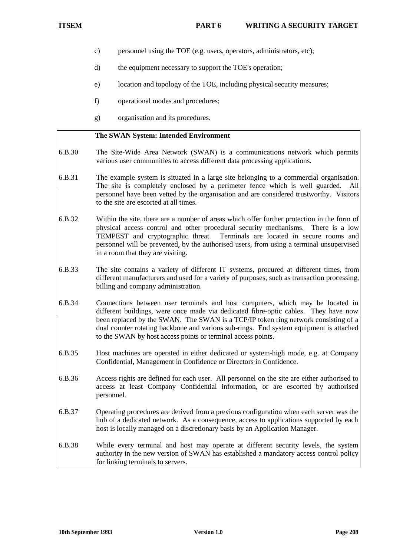- c) personnel using the TOE (e.g. users, operators, administrators, etc);
- d) the equipment necessary to support the TOE's operation;
- e) location and topology of the TOE, including physical security measures;
- f) operational modes and procedures;
- g) organisation and its procedures.

#### **The SWAN System: Intended Environment**

- 6.B.30 The Site-Wide Area Network (SWAN) is a communications network which permits various user communities to access different data processing applications.
- 6.B.31 The example system is situated in a large site belonging to a commercial organisation. The site is completely enclosed by a perimeter fence which is well guarded. All personnel have been vetted by the organisation and are considered trustworthy. Visitors to the site are escorted at all times.
- 6.B.32 Within the site, there are a number of areas which offer further protection in the form of physical access control and other procedural security mechanisms. There is a low TEMPEST and cryptographic threat. Terminals are located in secure rooms and personnel will be prevented, by the authorised users, from using a terminal unsupervised in a room that they are visiting.
- 6.B.33 The site contains a variety of different IT systems, procured at different times, from different manufacturers and used for a variety of purposes, such as transaction processing, billing and company administration.
- 6.B.34 Connections between user terminals and host computers, which may be located in different buildings, were once made via dedicated fibre-optic cables. They have now been replaced by the SWAN. The SWAN is a TCP/IP token ring network consisting of a dual counter rotating backbone and various sub-rings. End system equipment is attached to the SWAN by host access points or terminal access points.
- 6.B.35 Host machines are operated in either dedicated or system-high mode, e.g. at Company Confidential, Management in Confidence or Directors in Confidence.
- 6.B.36 Access rights are defined for each user. All personnel on the site are either authorised to access at least Company Confidential information, or are escorted by authorised personnel.
- 6.B.37 Operating procedures are derived from a previous configuration when each server was the hub of a dedicated network. As a consequence, access to applications supported by each host is locally managed on a discretionary basis by an Application Manager.
- 6.B.38 While every terminal and host may operate at different security levels, the system authority in the new version of SWAN has established a mandatory access control policy for linking terminals to servers.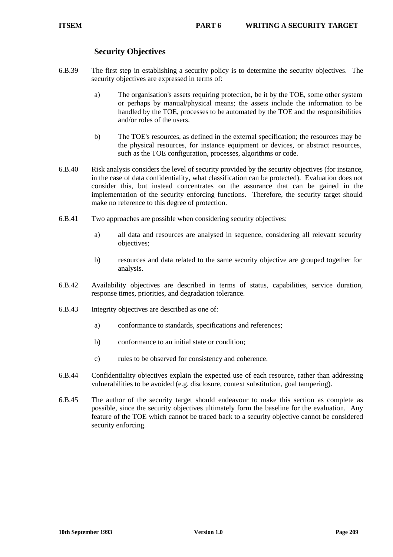## **Security Objectives**

- 6.B.39 The first step in establishing a security policy is to determine the security objectives. The security objectives are expressed in terms of:
	- a) The organisation's assets requiring protection, be it by the TOE, some other system or perhaps by manual/physical means; the assets include the information to be handled by the TOE, processes to be automated by the TOE and the responsibilities and/or roles of the users.
	- b) The TOE's resources, as defined in the external specification; the resources may be the physical resources, for instance equipment or devices, or abstract resources, such as the TOE configuration, processes, algorithms or code.
- 6.B.40 Risk analysis considers the level of security provided by the security objectives (for instance, in the case of data confidentiality, what classification can be protected). Evaluation does not consider this, but instead concentrates on the assurance that can be gained in the implementation of the security enforcing functions. Therefore, the security target should make no reference to this degree of protection.
- 6.B.41 Two approaches are possible when considering security objectives:
	- a) all data and resources are analysed in sequence, considering all relevant security objectives;
	- b) resources and data related to the same security objective are grouped together for analysis.
- 6.B.42 Availability objectives are described in terms of status, capabilities, service duration, response times, priorities, and degradation tolerance.
- 6.B.43 Integrity objectives are described as one of:
	- a) conformance to standards, specifications and references;
	- b) conformance to an initial state or condition;
	- c) rules to be observed for consistency and coherence.
- 6.B.44 Confidentiality objectives explain the expected use of each resource, rather than addressing vulnerabilities to be avoided (e.g. disclosure, context substitution, goal tampering).
- 6.B.45 The author of the security target should endeavour to make this section as complete as possible, since the security objectives ultimately form the baseline for the evaluation. Any feature of the TOE which cannot be traced back to a security objective cannot be considered security enforcing.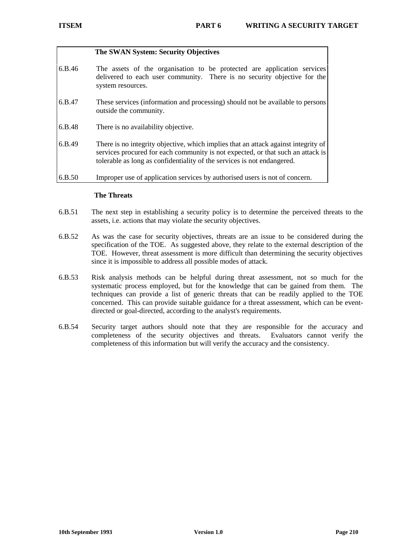## **The SWAN System: Security Objectives**

- 6.B.46 The assets of the organisation to be protected are application services delivered to each user community. There is no security objective for the system resources.
- 6.B.47 These services (information and processing) should not be available to persons outside the community.
- 6.B.48 There is no availability objective.
- 6.B.49 There is no integrity objective, which implies that an attack against integrity of services procured for each community is not expected, or that such an attack is tolerable as long as confidentiality of the services is not endangered.
- 6.B.50 Improper use of application services by authorised users is not of concern.

## **The Threats**

- 6.B.51 The next step in establishing a security policy is to determine the perceived threats to the assets, i.e. actions that may violate the security objectives.
- 6.B.52 As was the case for security objectives, threats are an issue to be considered during the specification of the TOE. As suggested above, they relate to the external description of the TOE. However, threat assessment is more difficult than determining the security objectives since it is impossible to address all possible modes of attack.
- 6.B.53 Risk analysis methods can be helpful during threat assessment, not so much for the systematic process employed, but for the knowledge that can be gained from them. The techniques can provide a list of generic threats that can be readily applied to the TOE concerned. This can provide suitable guidance for a threat assessment, which can be eventdirected or goal-directed, according to the analyst's requirements.
- 6.B.54 Security target authors should note that they are responsible for the accuracy and completeness of the security objectives and threats. Evaluators cannot verify the completeness of this information but will verify the accuracy and the consistency.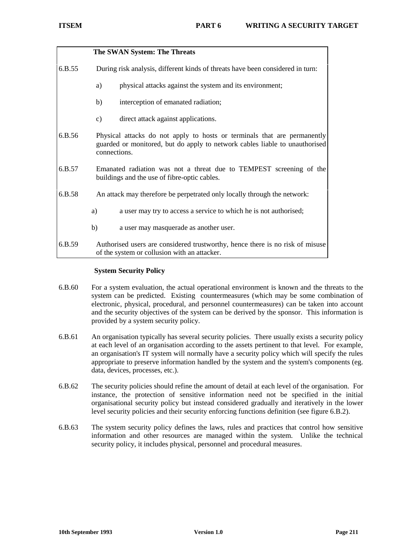#### **The SWAN System: The Threats**

- 6.B.55 During risk analysis, different kinds of threats have been considered in turn:
	- a) physical attacks against the system and its environment;
	- b) interception of emanated radiation;
	- c) direct attack against applications.
- 6.B.56 Physical attacks do not apply to hosts or terminals that are permanently guarded or monitored, but do apply to network cables liable to unauthorised connections.
- 6.B.57 Emanated radiation was not a threat due to TEMPEST screening of the buildings and the use of fibre-optic cables.
- 6.B.58 An attack may therefore be perpetrated only locally through the network:
	- a) a user may try to access a service to which he is not authorised;
	- b) a user may masquerade as another user.
- 6.B.59 Authorised users are considered trustworthy, hence there is no risk of misuse of the system or collusion with an attacker.

#### **System Security Policy**

- 6.B.60 For a system evaluation, the actual operational environment is known and the threats to the system can be predicted. Existing countermeasures (which may be some combination of electronic, physical, procedural, and personnel countermeasures) can be taken into account and the security objectives of the system can be derived by the sponsor. This information is provided by a system security policy.
- 6.B.61 An organisation typically has several security policies. There usually exists a security policy at each level of an organisation according to the assets pertinent to that level. For example, an organisation's IT system will normally have a security policy which will specify the rules appropriate to preserve information handled by the system and the system's components (eg. data, devices, processes, etc.).
- 6.B.62 The security policies should refine the amount of detail at each level of the organisation. For instance, the protection of sensitive information need not be specified in the initial organisational security policy but instead considered gradually and iteratively in the lower level security policies and their security enforcing functions definition (see figure 6.B.2).
- 6.B.63 The system security policy defines the laws, rules and practices that control how sensitive information and other resources are managed within the system. Unlike the technical security policy, it includes physical, personnel and procedural measures.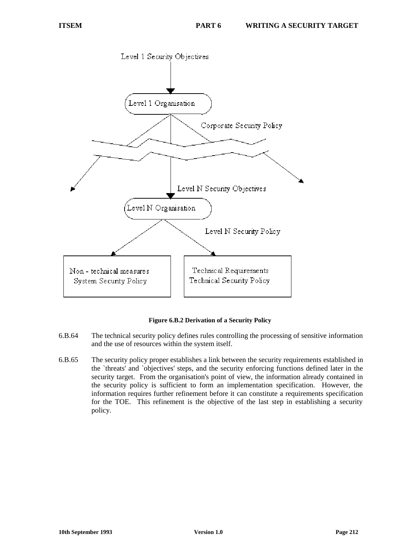

**Figure 6.B.2 Derivation of a Security Policy**

- 6.B.64 The technical security policy defines rules controlling the processing of sensitive information and the use of resources within the system itself.
- 6.B.65 The security policy proper establishes a link between the security requirements established in the `threats' and `objectives' steps, and the security enforcing functions defined later in the security target. From the organisation's point of view, the information already contained in the security policy is sufficient to form an implementation specification. However, the information requires further refinement before it can constitute a requirements specification for the TOE. This refinement is the objective of the last step in establishing a security policy.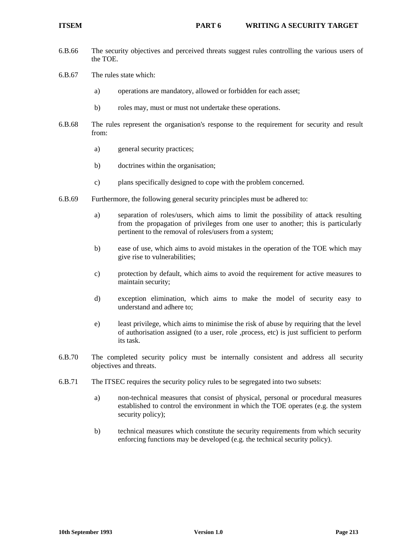- 6.B.66 The security objectives and perceived threats suggest rules controlling the various users of the TOE.
- 6.B.67 The rules state which:
	- a) operations are mandatory, allowed or forbidden for each asset;
	- b) roles may, must or must not undertake these operations.
- 6.B.68 The rules represent the organisation's response to the requirement for security and result from:
	- a) general security practices;
	- b) doctrines within the organisation;
	- c) plans specifically designed to cope with the problem concerned.
- 6.B.69 Furthermore, the following general security principles must be adhered to:
	- a) separation of roles/users, which aims to limit the possibility of attack resulting from the propagation of privileges from one user to another; this is particularly pertinent to the removal of roles/users from a system;
	- b) ease of use, which aims to avoid mistakes in the operation of the TOE which may give rise to vulnerabilities;
	- c) protection by default, which aims to avoid the requirement for active measures to maintain security;
	- d) exception elimination, which aims to make the model of security easy to understand and adhere to;
	- e) least privilege, which aims to minimise the risk of abuse by requiring that the level of authorisation assigned (to a user, role ,process, etc) is just sufficient to perform its task.
- 6.B.70 The completed security policy must be internally consistent and address all security objectives and threats.
- 6.B.71 The ITSEC requires the security policy rules to be segregated into two subsets:
	- a) non-technical measures that consist of physical, personal or procedural measures established to control the environment in which the TOE operates (e.g. the system security policy);
	- b) technical measures which constitute the security requirements from which security enforcing functions may be developed (e.g. the technical security policy).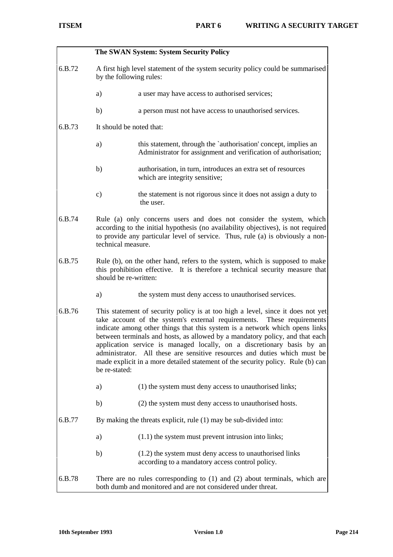|        |                                                                                                                                                                                        | The SWAN System: System Security Policy                                                                                                                                                                                                                                                                                                                                                                                                                                                                                                                               |  |  |  |  |
|--------|----------------------------------------------------------------------------------------------------------------------------------------------------------------------------------------|-----------------------------------------------------------------------------------------------------------------------------------------------------------------------------------------------------------------------------------------------------------------------------------------------------------------------------------------------------------------------------------------------------------------------------------------------------------------------------------------------------------------------------------------------------------------------|--|--|--|--|
| 6.B.72 | by the following rules:                                                                                                                                                                | A first high level statement of the system security policy could be summarised                                                                                                                                                                                                                                                                                                                                                                                                                                                                                        |  |  |  |  |
|        | a)                                                                                                                                                                                     | a user may have access to authorised services;                                                                                                                                                                                                                                                                                                                                                                                                                                                                                                                        |  |  |  |  |
|        | b)                                                                                                                                                                                     | a person must not have access to unauthorised services.                                                                                                                                                                                                                                                                                                                                                                                                                                                                                                               |  |  |  |  |
| 6.B.73 | It should be noted that:                                                                                                                                                               |                                                                                                                                                                                                                                                                                                                                                                                                                                                                                                                                                                       |  |  |  |  |
|        | a)                                                                                                                                                                                     | this statement, through the `authorisation' concept, implies an<br>Administrator for assignment and verification of authorisation;                                                                                                                                                                                                                                                                                                                                                                                                                                    |  |  |  |  |
|        | b)                                                                                                                                                                                     | authorisation, in turn, introduces an extra set of resources<br>which are integrity sensitive;                                                                                                                                                                                                                                                                                                                                                                                                                                                                        |  |  |  |  |
|        | c)                                                                                                                                                                                     | the statement is not rigorous since it does not assign a duty to<br>the user.                                                                                                                                                                                                                                                                                                                                                                                                                                                                                         |  |  |  |  |
| 6.B.74 | technical measure.                                                                                                                                                                     | Rule (a) only concerns users and does not consider the system, which<br>according to the initial hypothesis (no availability objectives), is not required<br>to provide any particular level of service. Thus, rule (a) is obviously a non-                                                                                                                                                                                                                                                                                                                           |  |  |  |  |
| 6.B.75 | Rule (b), on the other hand, refers to the system, which is supposed to make<br>this prohibition effective. It is therefore a technical security measure that<br>should be re-written: |                                                                                                                                                                                                                                                                                                                                                                                                                                                                                                                                                                       |  |  |  |  |
|        | a)                                                                                                                                                                                     | the system must deny access to unauthorised services.                                                                                                                                                                                                                                                                                                                                                                                                                                                                                                                 |  |  |  |  |
| 6.B.76 | be re-stated:                                                                                                                                                                          | This statement of security policy is at too high a level, since it does not yet<br>take account of the system's external requirements.<br>These requirements<br>indicate among other things that this system is a network which opens links<br>between terminals and hosts, as allowed by a mandatory policy, and that each<br>application service is managed locally, on a discretionary basis by an<br>administrator. All these are sensitive resources and duties which must be<br>made explicit in a more detailed statement of the security policy. Rule (b) can |  |  |  |  |
|        | a)                                                                                                                                                                                     | (1) the system must deny access to unauthorised links;                                                                                                                                                                                                                                                                                                                                                                                                                                                                                                                |  |  |  |  |
|        | b)                                                                                                                                                                                     | (2) the system must deny access to unauthorised hosts.                                                                                                                                                                                                                                                                                                                                                                                                                                                                                                                |  |  |  |  |
| 6.B.77 |                                                                                                                                                                                        | By making the threats explicit, rule (1) may be sub-divided into:                                                                                                                                                                                                                                                                                                                                                                                                                                                                                                     |  |  |  |  |
|        | a)                                                                                                                                                                                     | $(1.1)$ the system must prevent intrusion into links;                                                                                                                                                                                                                                                                                                                                                                                                                                                                                                                 |  |  |  |  |
|        | b)                                                                                                                                                                                     | (1.2) the system must deny access to unauthorised links<br>according to a mandatory access control policy.                                                                                                                                                                                                                                                                                                                                                                                                                                                            |  |  |  |  |
| 6.B.78 |                                                                                                                                                                                        | There are no rules corresponding to $(1)$ and $(2)$ about terminals, which are<br>both dumb and monitored and are not considered under threat.                                                                                                                                                                                                                                                                                                                                                                                                                        |  |  |  |  |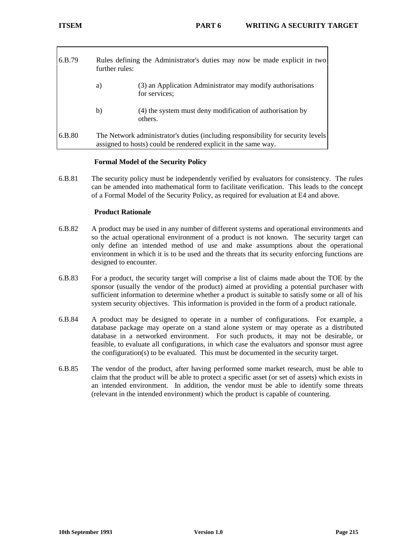٦

| 6.B.79 |                                                                                                                                                    | Rules defining the Administrator's duties may now be made explicit in two<br>further rules: |  |  |  |  |  |
|--------|----------------------------------------------------------------------------------------------------------------------------------------------------|---------------------------------------------------------------------------------------------|--|--|--|--|--|
|        | (3) an Application Administrator may modify authorisations<br>a)<br>for services;                                                                  |                                                                                             |  |  |  |  |  |
|        | b)                                                                                                                                                 | (4) the system must deny modification of authorisation by<br>others.                        |  |  |  |  |  |
| 6.B.80 | The Network administrator's duties (including responsibility for security levels<br>assigned to hosts) could be rendered explicit in the same way. |                                                                                             |  |  |  |  |  |

## **Formal Model of the Security Policy**

6.B.81 The security policy must be independently verified by evaluators for consistency. The rules can be amended into mathematical form to facilitate verification. This leads to the concept of a Formal Model of the Security Policy, as required for evaluation at E4 and above.

## **Product Rationale**

- 6.B.82 A product may be used in any number of different systems and operational environments and so the actual operational environment of a product is not known. The security target can only define an intended method of use and make assumptions about the operational environment in which it is to be used and the threats that its security enforcing functions are designed to encounter.
- 6.B.83 For a product, the security target will comprise a list of claims made about the TOE by the sponsor (usually the vendor of the product) aimed at providing a potential purchaser with sufficient information to determine whether a product is suitable to satisfy some or all of his system security objectives. This information is provided in the form of a product rationale.
- 6.B.84 A product may be designed to operate in a number of configurations. For example, a database package may operate on a stand alone system or may operate as a distributed database in a networked environment. For such products, it may not be desirable, or feasible, to evaluate all configurations, in which case the evaluators and sponsor must agree the configuration(s) to be evaluated. This must be documented in the security target.
- 6.B.85 The vendor of the product, after having performed some market research, must be able to claim that the product will be able to protect a specific asset (or set of assets) which exists in an intended environment. In addition, the vendor must be able to identify some threats (relevant in the intended environment) which the product is capable of countering.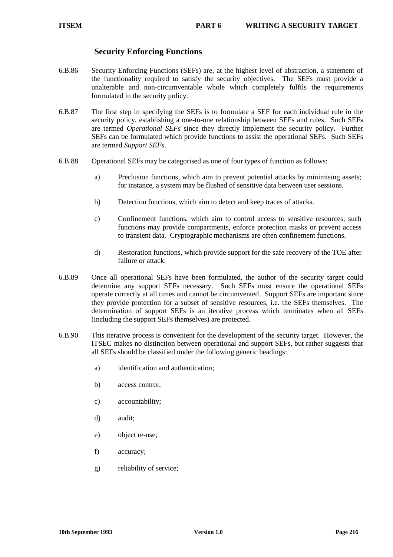## **Security Enforcing Functions**

- 6.B.86 Security Enforcing Functions (SEFs) are, at the highest level of abstraction, a statement of the functionality required to satisfy the security objectives. The SEFs must provide a unalterable and non-circumventable whole which completely fulfils the requirements formulated in the security policy.
- 6.B.87 The first step in specifying the SEFs is to formulate a SEF for each individual rule in the security policy, establishing a one-to-one relationship between SEFs and rules. Such SEFs are termed *Operational SEFs* since they directly implement the security policy. Further SEFs can be formulated which provide functions to assist the operational SEFs. Such SEFs are termed *Support SEFs*.
- 6.B.88 Operational SEFs may be categorised as one of four types of function as follows:
	- a) Preclusion functions, which aim to prevent potential attacks by minimising assets; for instance, a system may be flushed of sensitive data between user sessions.
	- b) Detection functions, which aim to detect and keep traces of attacks.
	- c) Confinement functions, which aim to control access to sensitive resources; such functions may provide compartments, enforce protection masks or prevent access to transient data. Cryptographic mechanisms are often confinement functions.
	- d) Restoration functions, which provide support for the safe recovery of the TOE after failure or attack.
- 6.B.89 Once all operational SEFs have been formulated, the author of the security target could determine any support SEFs necessary. Such SEFs must ensure the operational SEFs operate correctly at all times and cannot be circumvented. Support SEFs are important since they provide protection for a subset of sensitive resources, i.e. the SEFs themselves. The determination of support SEFs is an iterative process which terminates when all SEFs (including the support SEFs themselves) are protected.
- 6.B.90 This iterative process is convenient for the development of the security target. However, the ITSEC makes no distinction between operational and support SEFs, but rather suggests that all SEFs should be classified under the following generic headings:
	- a) identification and authentication;
	- b) access control;
	- c) accountability;
	- d) audit;
	- e) object re-use;
	- f) accuracy;
	- g) reliability of service;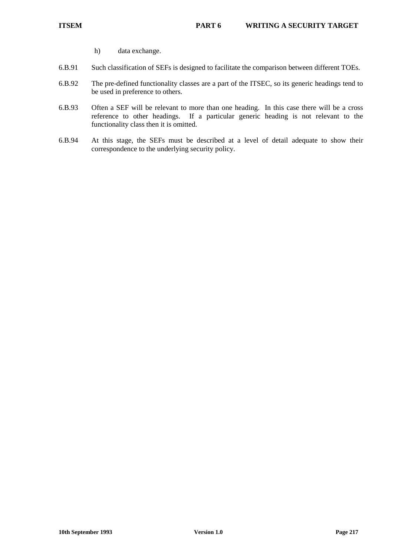- h) data exchange.
- 6.B.91 Such classification of SEFs is designed to facilitate the comparison between different TOEs.
- 6.B.92 The pre-defined functionality classes are a part of the ITSEC, so its generic headings tend to be used in preference to others.
- 6.B.93 Often a SEF will be relevant to more than one heading. In this case there will be a cross reference to other headings. If a particular generic heading is not relevant to the functionality class then it is omitted.
- 6.B.94 At this stage, the SEFs must be described at a level of detail adequate to show their correspondence to the underlying security policy.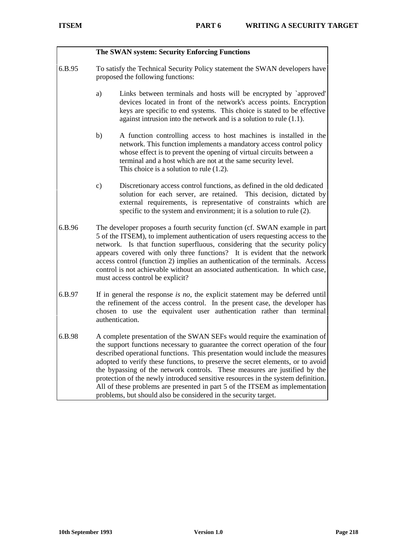## **The SWAN system: Security Enforcing Functions**

- 6.B.95 To satisfy the Technical Security Policy statement the SWAN developers have proposed the following functions:
	- a) Links between terminals and hosts will be encrypted by `approved' devices located in front of the network's access points. Encryption keys are specific to end systems. This choice is stated to be effective against intrusion into the network and is a solution to rule (1.1).
	- b) A function controlling access to host machines is installed in the network. This function implements a mandatory access control policy whose effect is to prevent the opening of virtual circuits between a terminal and a host which are not at the same security level. This choice is a solution to rule (1.2).
	- c) Discretionary access control functions, as defined in the old dedicated solution for each server, are retained. This decision, dictated by external requirements, is representative of constraints which are specific to the system and environment; it is a solution to rule (2).
- 6.B.96 The developer proposes a fourth security function (cf. SWAN example in part 5 of the ITSEM), to implement authentication of users requesting access to the network. Is that function superfluous, considering that the security policy appears covered with only three functions? It is evident that the network access control (function 2) implies an authentication of the terminals. Access control is not achievable without an associated authentication. In which case, must access control be explicit?
- 6.B.97 If in general the response *is no*, the explicit statement may be deferred until the refinement of the access control. In the present case, the developer has chosen to use the equivalent user authentication rather than terminal authentication.
- 6.B.98 A complete presentation of the SWAN SEFs would require the examination of the support functions necessary to guarantee the correct operation of the four described operational functions. This presentation would include the measures adopted to verify these functions, to preserve the secret elements, or to avoid the bypassing of the network controls. These measures are justified by the protection of the newly introduced sensitive resources in the system definition. All of these problems are presented in part 5 of the ITSEM as implementation problems, but should also be considered in the security target.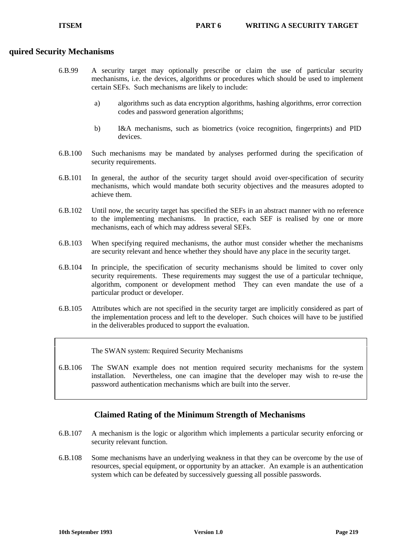## **quired Security Mechanisms**

- 6.B.99 A security target may optionally prescribe or claim the use of particular security mechanisms, i.e. the devices, algorithms or procedures which should be used to implement certain SEFs. Such mechanisms are likely to include:
	- a) algorithms such as data encryption algorithms, hashing algorithms, error correction codes and password generation algorithms;
	- b) I&A mechanisms, such as biometrics (voice recognition, fingerprints) and PID devices.
- 6.B.100 Such mechanisms may be mandated by analyses performed during the specification of security requirements.
- 6.B.101 In general, the author of the security target should avoid over-specification of security mechanisms, which would mandate both security objectives and the measures adopted to achieve them.
- 6.B.102 Until now, the security target has specified the SEFs in an abstract manner with no reference to the implementing mechanisms. In practice, each SEF is realised by one or more mechanisms, each of which may address several SEFs.
- 6.B.103 When specifying required mechanisms, the author must consider whether the mechanisms are security relevant and hence whether they should have any place in the security target.
- 6.B.104 In principle, the specification of security mechanisms should be limited to cover only security requirements. These requirements may suggest the use of a particular technique, algorithm, component or development method They can even mandate the use of a particular product or developer.
- 6.B.105 Attributes which are not specified in the security target are implicitly considered as part of the implementation process and left to the developer. Such choices will have to be justified in the deliverables produced to support the evaluation.

The SWAN system: Required Security Mechanisms

6.B.106 The SWAN example does not mention required security mechanisms for the system installation. Nevertheless, one can imagine that the developer may wish to re-use the password authentication mechanisms which are built into the server.

## **Claimed Rating of the Minimum Strength of Mechanisms**

- 6.B.107 A mechanism is the logic or algorithm which implements a particular security enforcing or security relevant function.
- 6.B.108 Some mechanisms have an underlying weakness in that they can be overcome by the use of resources, special equipment, or opportunity by an attacker. An example is an authentication system which can be defeated by successively guessing all possible passwords.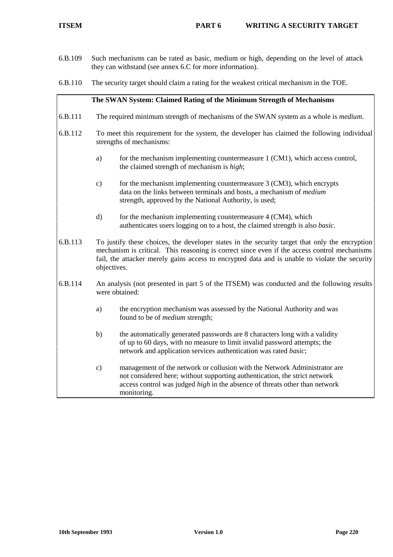- 6.B.109 Such mechanisms can be rated as basic, medium or high, depending on the level of attack they can withstand (see annex 6.C for more information).
- 6.B.110 The security target should claim a rating for the weakest critical mechanism in the TOE.

## **The SWAN System: Claimed Rating of the Minimum Strength of Mechanisms**

- 6.B.111 The required minimum strength of mechanisms of the SWAN system as a whole is *medium*.
- 6.B.112 To meet this requirement for the system, the developer has claimed the following individual strengths of mechanisms:
	- a) for the mechanism implementing countermeasure 1 (CM1), which access control, the claimed strength of mechanism is *high*;
	- c) for the mechanism implementing countermeasure  $3$  (CM3), which encrypts data on the links between terminals and hosts, a mechanism of *medium* strength, approved by the National Authority, is used;
	- d) for the mechanism implementing countermeasure 4 (CM4), which authenticates users logging on to a host, the claimed strength is also *basic*.
- 6.B.113 To justify these choices, the developer states in the security target that only the encryption mechanism is critical. This reasoning is correct since even if the access control mechanisms fail, the attacker merely gains access to encrypted data and is unable to violate the security objectives.
- 6.B.114 An analysis (not presented in part 5 of the ITSEM) was conducted and the following results were obtained:
	- a) the encryption mechanism was assessed by the National Authority and was found to be of *medium* strength;
	- b) the automatically generated passwords are 8 characters long with a validity of up to 60 days, with no measure to limit invalid password attempts; the network and application services authentication was rated *basic*;
	- c) management of the network or collusion with the Network Administrator are not considered here; without supporting authentication, the strict network access control was judged *high* in the absence of threats other than network monitoring.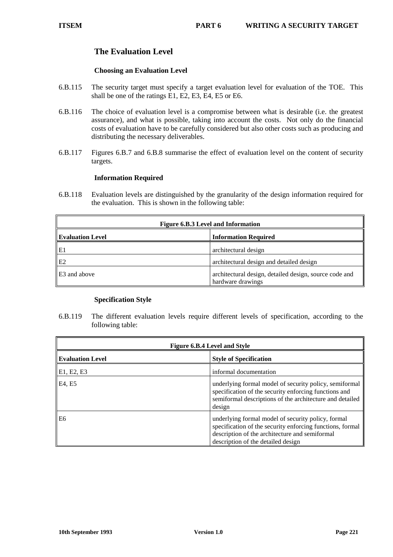## **The Evaluation Level**

## **Choosing an Evaluation Level**

- 6.B.115 The security target must specify a target evaluation level for evaluation of the TOE. This shall be one of the ratings E1, E2, E3, E4, E5 or E6.
- 6.B.116 The choice of evaluation level is a compromise between what is desirable (i.e. the greatest assurance), and what is possible, taking into account the costs. Not only do the financial costs of evaluation have to be carefully considered but also other costs such as producing and distributing the necessary deliverables.
- 6.B.117 Figures 6.B.7 and 6.B.8 summarise the effect of evaluation level on the content of security targets.

## **Information Required**

6.B.118 Evaluation levels are distinguished by the granularity of the design information required for the evaluation. This is shown in the following table:

| <b>Figure 6.B.3 Level and Information</b> |                                                                             |  |  |  |  |
|-------------------------------------------|-----------------------------------------------------------------------------|--|--|--|--|
| <b>Evaluation Level</b>                   | <b>Information Required</b>                                                 |  |  |  |  |
| E1                                        | architectural design                                                        |  |  |  |  |
| E2                                        | architectural design and detailed design                                    |  |  |  |  |
| E3 and above                              | architectural design, detailed design, source code and<br>hardware drawings |  |  |  |  |

## **Specification Style**

6.B.119 The different evaluation levels require different levels of specification, according to the following table:

| <b>Figure 6.B.4 Level and Style</b> |                                                                                                                                                                                                         |  |  |  |
|-------------------------------------|---------------------------------------------------------------------------------------------------------------------------------------------------------------------------------------------------------|--|--|--|
| <b>Evaluation Level</b>             | <b>Style of Specification</b>                                                                                                                                                                           |  |  |  |
| E1, E2, E3                          | informal documentation                                                                                                                                                                                  |  |  |  |
| E4, E5                              | underlying formal model of security policy, semiformal<br>specification of the security enforcing functions and<br>semiformal descriptions of the architecture and detailed<br>design                   |  |  |  |
| E <sub>6</sub>                      | underlying formal model of security policy, formal<br>specification of the security enforcing functions, formal<br>description of the architecture and semiformal<br>description of the detailed design |  |  |  |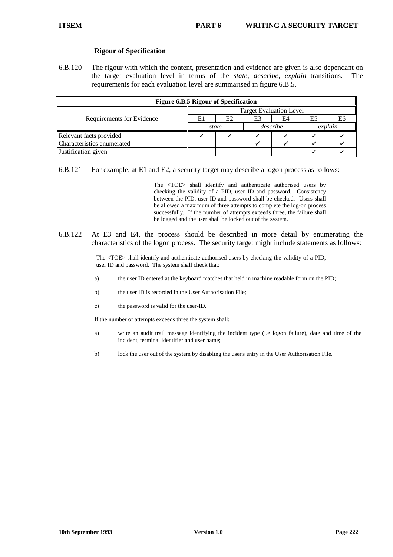## **Rigour of Specification**

6.B.120 The rigour with which the content, presentation and evidence are given is also dependant on the target evaluation level in terms of the *state, describe, explain* transitions. The requirements for each evaluation level are summarised in figure 6.B.5.

| <b>Figure 6.B.5 Rigour of Specification</b> |                                |    |          |    |         |    |  |
|---------------------------------------------|--------------------------------|----|----------|----|---------|----|--|
|                                             | <b>Target Evaluation Level</b> |    |          |    |         |    |  |
| Requirements for Evidence                   | E1                             | E2 | E3       | E4 | E5      | E6 |  |
|                                             | state                          |    | describe |    | explain |    |  |
| Relevant facts provided                     |                                |    |          |    |         |    |  |
| Characteristics enumerated                  |                                |    |          |    |         |    |  |
| Justification given                         |                                |    |          |    |         |    |  |

6.B.121 For example, at E1 and E2, a security target may describe a logon process as follows:

The <TOE> shall identify and authenticate authorised users by checking the validity of a PID, user ID and password. Consistency between the PID, user ID and password shall be checked. Users shall be allowed a maximum of three attempts to complete the log-on process successfully. If the number of attempts exceeds three, the failure shall be logged and the user shall be locked out of the system.

6.B.122 At E3 and E4, the process should be described in more detail by enumerating the characteristics of the logon process. The security target might include statements as follows:

> The <TOE> shall identify and authenticate authorised users by checking the validity of a PID, user ID and password. The system shall check that:

- a) the user ID entered at the keyboard matches that held in machine readable form on the PID;
- b) the user ID is recorded in the User Authorisation File;
- c) the password is valid for the user-ID.

If the number of attempts exceeds three the system shall:

- a) write an audit trail message identifying the incident type (i.e logon failure), date and time of the incident, terminal identifier and user name;
- b) lock the user out of the system by disabling the user's entry in the User Authorisation File.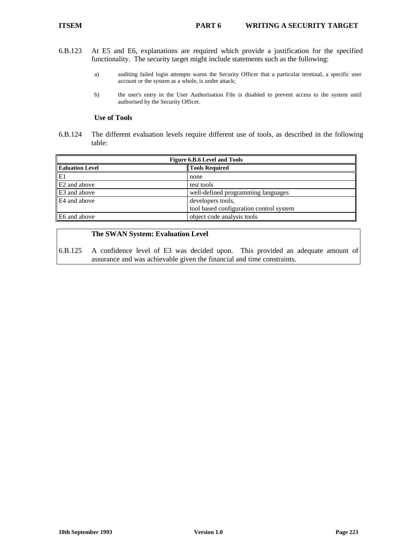- 6.B.123 At E5 and E6, explanations are required which provide a justification for the specified functionality. The security target might include statements such as the following:
	- a) auditing failed login attempts warns the Security Officer that a particular terminal, a specific user account or the system as a whole, is under attack;
	- b) the user's entry in the User Authorisation File is disabled to prevent access to the system until authorised by the Security Officer.

## **Use of Tools**

6.B.124 The different evaluation levels require different use of tools, as described in the following table:

| <b>Figure 6.B.6 Level and Tools</b>     |                                    |  |  |  |
|-----------------------------------------|------------------------------------|--|--|--|
| <b>Ealuation Level</b>                  | <b>Tools Required</b>              |  |  |  |
| E1                                      | none                               |  |  |  |
| E2 and above                            | test tools                         |  |  |  |
| <b>E3</b> and above                     | well-defined programming languages |  |  |  |
| E4 and above                            | developers tools,                  |  |  |  |
| tool based configuration control system |                                    |  |  |  |
| <b>E</b> 6 and above                    | object code analysis tools         |  |  |  |

## **The SWAN System: Evaluation Level**

6.B.125 A confidence level of E3 was decided upon. This provided an adequate amount of assurance and was achievable given the financial and time constraints.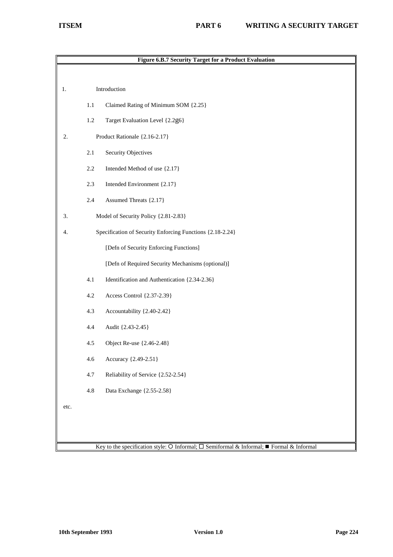|                                                            | Figure 6.B.7 Security Target for a Product Evaluation |                                                                                                            |  |  |  |  |  |
|------------------------------------------------------------|-------------------------------------------------------|------------------------------------------------------------------------------------------------------------|--|--|--|--|--|
|                                                            |                                                       |                                                                                                            |  |  |  |  |  |
| 1.                                                         | Introduction                                          |                                                                                                            |  |  |  |  |  |
|                                                            | 1.1                                                   | Claimed Rating of Minimum SOM {2.25}                                                                       |  |  |  |  |  |
|                                                            | Target Evaluation Level {2.2g6}<br>1.2                |                                                                                                            |  |  |  |  |  |
| 2.                                                         |                                                       | Product Rationale {2.16-2.17}                                                                              |  |  |  |  |  |
|                                                            | 2.1                                                   | Security Objectives                                                                                        |  |  |  |  |  |
|                                                            |                                                       |                                                                                                            |  |  |  |  |  |
|                                                            | 2.2                                                   | Intended Method of use {2.17}                                                                              |  |  |  |  |  |
|                                                            | 2.3                                                   | Intended Environment {2.17}                                                                                |  |  |  |  |  |
|                                                            | 2.4                                                   | Assumed Threats {2.17}                                                                                     |  |  |  |  |  |
| 3.                                                         |                                                       | Model of Security Policy {2.81-2.83}                                                                       |  |  |  |  |  |
| 4.                                                         |                                                       | Specification of Security Enforcing Functions {2.18-2.24}                                                  |  |  |  |  |  |
|                                                            |                                                       | [Defn of Security Enforcing Functions]                                                                     |  |  |  |  |  |
|                                                            |                                                       | [Defn of Required Security Mechanisms (optional)]                                                          |  |  |  |  |  |
| <u> 1999 - Albany Miller, Amerikaansk politik († 1958)</u> | 4.1                                                   | Identification and Authentication {2.34-2.36}                                                              |  |  |  |  |  |
|                                                            | 4.2                                                   | Access Control {2.37-2.39}                                                                                 |  |  |  |  |  |
|                                                            | 4.3                                                   | Accountability {2.40-2.42}                                                                                 |  |  |  |  |  |
|                                                            | 4.4                                                   | Audit {2.43-2.45}                                                                                          |  |  |  |  |  |
|                                                            | 4.5                                                   | Object Re-use {2.46-2.48}                                                                                  |  |  |  |  |  |
|                                                            | 4.6                                                   | Accuracy {2.49-2.51}                                                                                       |  |  |  |  |  |
|                                                            | 4.7                                                   | Reliability of Service {2.52-2.54}                                                                         |  |  |  |  |  |
|                                                            | 4.8                                                   | Data Exchange {2.55-2.58}                                                                                  |  |  |  |  |  |
| etc.                                                       |                                                       |                                                                                                            |  |  |  |  |  |
|                                                            |                                                       |                                                                                                            |  |  |  |  |  |
|                                                            |                                                       |                                                                                                            |  |  |  |  |  |
|                                                            |                                                       | Key to the specification style: O Informal; $\Box$ Semiformal & Informal; $\blacksquare$ Formal & Informal |  |  |  |  |  |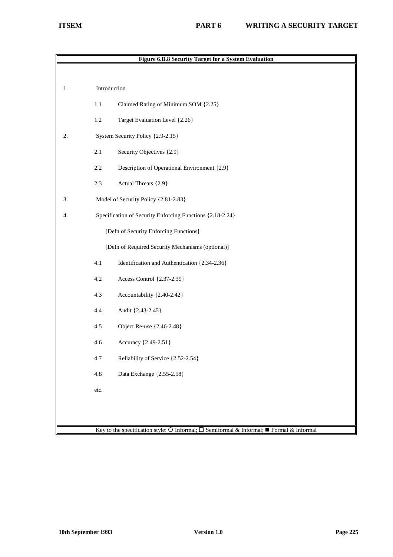| Figure 6.B.8 Security Target for a System Evaluation |         |                                                                                                            |  |  |  |  |
|------------------------------------------------------|---------|------------------------------------------------------------------------------------------------------------|--|--|--|--|
|                                                      |         |                                                                                                            |  |  |  |  |
| 1.                                                   |         | Introduction                                                                                               |  |  |  |  |
|                                                      | $1.1\,$ | Claimed Rating of Minimum SOM {2.25}                                                                       |  |  |  |  |
|                                                      | $1.2\,$ | Target Evaluation Level {2.26}                                                                             |  |  |  |  |
| 2.                                                   |         | System Security Policy {2.9-2.15}                                                                          |  |  |  |  |
|                                                      | 2.1     | Security Objectives {2.9}                                                                                  |  |  |  |  |
|                                                      | 2.2     | Description of Operational Environment {2.9}                                                               |  |  |  |  |
|                                                      | 2.3     | Actual Threats {2.9}                                                                                       |  |  |  |  |
| 3.                                                   |         | Model of Security Policy {2.81-2.83}                                                                       |  |  |  |  |
| 4.                                                   |         | Specification of Security Enforcing Functions {2.18-2.24}                                                  |  |  |  |  |
|                                                      |         | [Defn of Security Enforcing Functions]                                                                     |  |  |  |  |
|                                                      |         | [Defn of Required Security Mechanisms (optional)]                                                          |  |  |  |  |
|                                                      | 4.1     | Identification and Authentication {2.34-2.36}                                                              |  |  |  |  |
|                                                      | 4.2     | Access Control {2.37-2.39}                                                                                 |  |  |  |  |
|                                                      | 4.3     | Accountability {2.40-2.42}                                                                                 |  |  |  |  |
|                                                      | 4.4     | Audit {2.43-2.45}                                                                                          |  |  |  |  |
|                                                      | 4.5     | Object Re-use {2.46-2.48}                                                                                  |  |  |  |  |
|                                                      | 4.6     | Accuracy {2.49-2.51}                                                                                       |  |  |  |  |
|                                                      | 4.7     | Reliability of Service {2.52-2.54}                                                                         |  |  |  |  |
|                                                      | 4.8     | Data Exchange {2.55-2.58}                                                                                  |  |  |  |  |
|                                                      | etc.    |                                                                                                            |  |  |  |  |
|                                                      |         |                                                                                                            |  |  |  |  |
|                                                      |         |                                                                                                            |  |  |  |  |
|                                                      |         | Key to the specification style: O Informal; $\Box$ Semiformal & Informal; $\blacksquare$ Formal & Informal |  |  |  |  |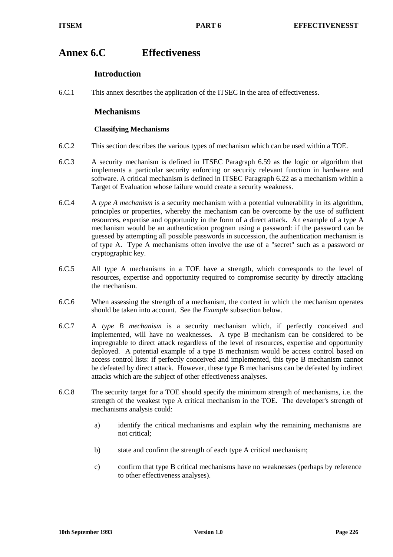# **Annex 6.C Effectiveness**

## **Introduction**

6.C.1 This annex describes the application of the ITSEC in the area of effectiveness.

## **Mechanisms**

## **Classifying Mechanisms**

- 6.C.2 This section describes the various types of mechanism which can be used within a TOE.
- 6.C.3 A security mechanism is defined in ITSEC Paragraph 6.59 as the logic or algorithm that implements a particular security enforcing or security relevant function in hardware and software. A critical mechanism is defined in ITSEC Paragraph 6.22 as a mechanism within a Target of Evaluation whose failure would create a security weakness.
- 6.C.4 A *type A mechanism* is a security mechanism with a potential vulnerability in its algorithm, principles or properties, whereby the mechanism can be overcome by the use of sufficient resources, expertise and opportunity in the form of a direct attack. An example of a type A mechanism would be an authentication program using a password: if the password can be guessed by attempting all possible passwords in succession, the authentication mechanism is of type A. Type A mechanisms often involve the use of a "secret" such as a password or cryptographic key.
- 6.C.5 All type A mechanisms in a TOE have a strength, which corresponds to the level of resources, expertise and opportunity required to compromise security by directly attacking the mechanism.
- 6.C.6 When assessing the strength of a mechanism, the context in which the mechanism operates should be taken into account. See the *Example* subsection below.
- 6.C.7 A *type B mechanism* is a security mechanism which, if perfectly conceived and implemented, will have no weaknesses. A type B mechanism can be considered to be impregnable to direct attack regardless of the level of resources, expertise and opportunity deployed. A potential example of a type B mechanism would be access control based on access control lists: if perfectly conceived and implemented, this type B mechanism cannot be defeated by direct attack. However, these type B mechanisms can be defeated by indirect attacks which are the subject of other effectiveness analyses.
- 6.C.8 The security target for a TOE should specify the minimum strength of mechanisms, i.e. the strength of the weakest type A critical mechanism in the TOE. The developer's strength of mechanisms analysis could:
	- a) identify the critical mechanisms and explain why the remaining mechanisms are not critical;
	- b) state and confirm the strength of each type A critical mechanism;
	- c) confirm that type B critical mechanisms have no weaknesses (perhaps by reference to other effectiveness analyses).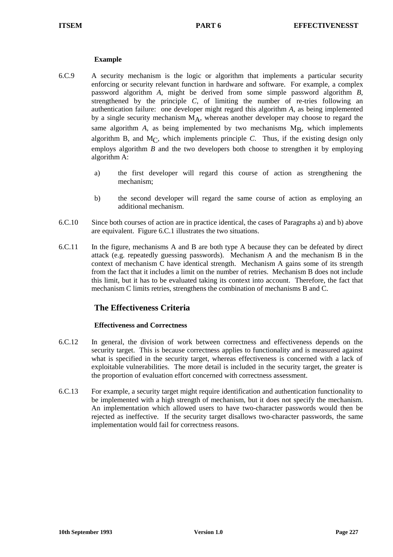## **Example**

- 6.C.9 A security mechanism is the logic or algorithm that implements a particular security enforcing or security relevant function in hardware and software. For example, a complex password algorithm *A*, might be derived from some simple password algorithm *B*, strengthened by the principle *C*, of limiting the number of re-tries following an authentication failure: one developer might regard this algorithm *A*, as being implemented by a single security mechanism  $M_A$ , whereas another developer may choose to regard the same algorithm  $A$ , as being implemented by two mechanisms  $M_B$ , which implements algorithm B, and  $M_{\text{C}}$ , which implements principle C. Thus, if the existing design only employs algorithm *B* and the two developers both choose to strengthen it by employing algorithm A:
	- a) the first developer will regard this course of action as strengthening the mechanism;
	- b) the second developer will regard the same course of action as employing an additional mechanism.
- 6.C.10 Since both courses of action are in practice identical, the cases of Paragraphs a) and b) above are equivalent. Figure 6.C.1 illustrates the two situations.
- 6.C.11 In the figure, mechanisms A and B are both type A because they can be defeated by direct attack (e.g. repeatedly guessing passwords). Mechanism A and the mechanism B in the context of mechanism C have identical strength. Mechanism A gains some of its strength from the fact that it includes a limit on the number of retries. Mechanism B does not include this limit, but it has to be evaluated taking its context into account. Therefore, the fact that mechanism C limits retries, strengthens the combination of mechanisms B and C.

## **The Effectiveness Criteria**

## **Effectiveness and Correctness**

- 6.C.12 In general, the division of work between correctness and effectiveness depends on the security target. This is because correctness applies to functionality and is measured against what is specified in the security target, whereas effectiveness is concerned with a lack of exploitable vulnerabilities. The more detail is included in the security target, the greater is the proportion of evaluation effort concerned with correctness assessment.
- 6.C.13 For example, a security target might require identification and authentication functionality to be implemented with a high strength of mechanism, but it does not specify the mechanism. An implementation which allowed users to have two-character passwords would then be rejected as ineffective. If the security target disallows two-character passwords, the same implementation would fail for correctness reasons.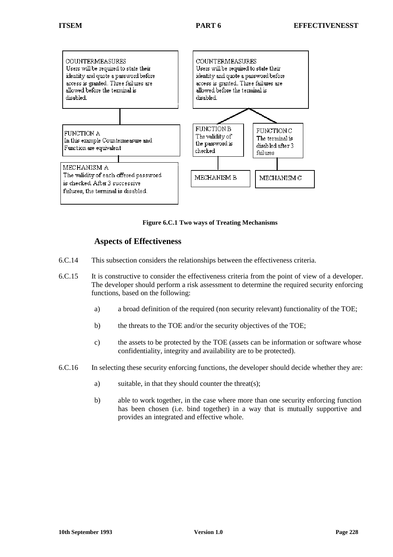

**Figure 6.C.1 Two ways of Treating Mechanisms**

## **Aspects of Effectiveness**

- 6.C.14 This subsection considers the relationships between the effectiveness criteria.
- 6.C.15 It is constructive to consider the effectiveness criteria from the point of view of a developer. The developer should perform a risk assessment to determine the required security enforcing functions, based on the following:
	- a) a broad definition of the required (non security relevant) functionality of the TOE;
	- b) the threats to the TOE and/or the security objectives of the TOE;
	- c) the assets to be protected by the TOE (assets can be information or software whose confidentiality, integrity and availability are to be protected).
- 6.C.16 In selecting these security enforcing functions, the developer should decide whether they are:
	- a) suitable, in that they should counter the threat(s);
	- b) able to work together, in the case where more than one security enforcing function has been chosen (i.e. bind together) in a way that is mutually supportive and provides an integrated and effective whole.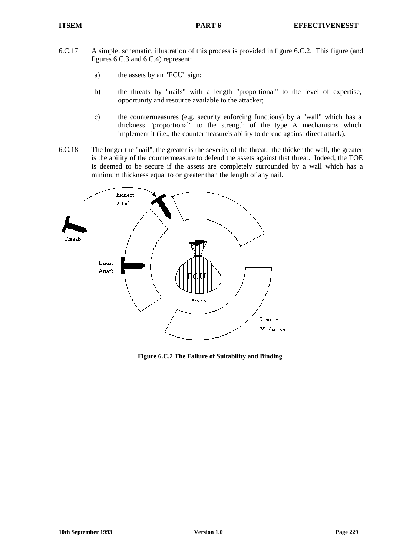- 6.C.17 A simple, schematic, illustration of this process is provided in figure 6.C.2. This figure (and figures 6.C.3 and 6.C.4) represent:
	- a) the assets by an "ECU" sign;
	- b) the threats by "nails" with a length "proportional" to the level of expertise, opportunity and resource available to the attacker;
	- c) the countermeasures (e.g. security enforcing functions) by a "wall" which has a thickness "proportional" to the strength of the type A mechanisms which implement it (i.e., the countermeasure's ability to defend against direct attack).
- 6.C.18 The longer the "nail", the greater is the severity of the threat; the thicker the wall, the greater is the ability of the countermeasure to defend the assets against that threat. Indeed, the TOE is deemed to be secure if the assets are completely surrounded by a wall which has a minimum thickness equal to or greater than the length of any nail.



**Figure 6.C.2 The Failure of Suitability and Binding**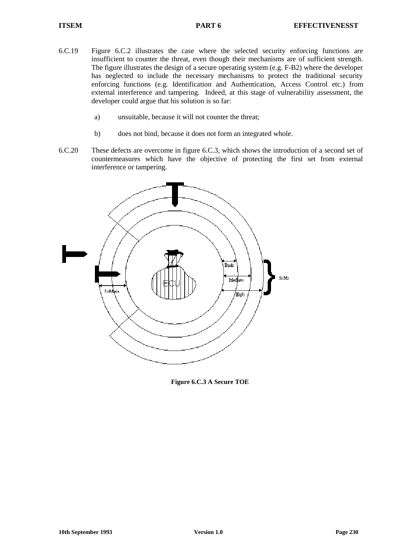- 6.C.19 Figure 6.C.2 illustrates the case where the selected security enforcing functions are insufficient to counter the threat, even though their mechanisms are of sufficient strength. The figure illustrates the design of a secure operating system (e.g. F-B2) where the developer has neglected to include the necessary mechanisms to protect the traditional security enforcing functions (e.g. Identification and Authentication, Access Control etc.) from external interference and tampering. Indeed, at this stage of vulnerability assessment, the developer could argue that his solution is so far:
	- a) unsuitable, because it will not counter the threat;
	- b) does not bind, because it does not form an integrated whole.
- 6.C.20 These defects are overcome in figure 6.C.3, which shows the introduction of a second set of countermeasures which have the objective of protecting the first set from external interference or tampering.



**Figure 6.C.3 A Secure TOE**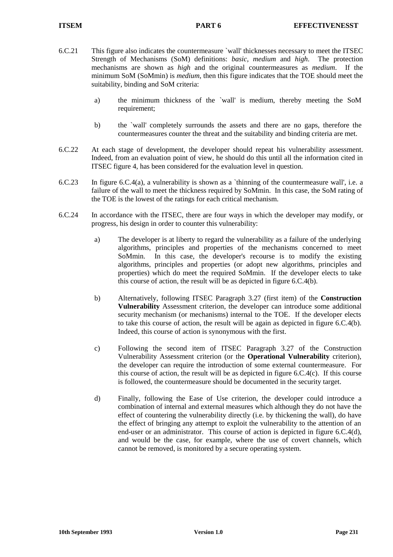- 6.C.21 This figure also indicates the countermeasure `wall' thicknesses necessary to meet the ITSEC Strength of Mechanisms (SoM) definitions: *basic, medium* and *high*. The protection mechanisms are shown as *high* and the original countermeasures as *medium*. If the minimum SoM (SoMmin) is *medium*, then this figure indicates that the TOE should meet the suitability, binding and SoM criteria:
	- a) the minimum thickness of the `wall' is medium, thereby meeting the SoM requirement;
	- b) the `wall' completely surrounds the assets and there are no gaps, therefore the countermeasures counter the threat and the suitability and binding criteria are met.
- 6.C.22 At each stage of development, the developer should repeat his vulnerability assessment. Indeed, from an evaluation point of view, he should do this until all the information cited in ITSEC figure 4, has been considered for the evaluation level in question.
- 6.C.23 In figure 6.C.4(a), a vulnerability is shown as a `thinning of the countermeasure wall', i.e. a failure of the wall to meet the thickness required by SoMmin. In this case, the SoM rating of the TOE is the lowest of the ratings for each critical mechanism.
- 6.C.24 In accordance with the ITSEC, there are four ways in which the developer may modify, or progress, his design in order to counter this vulnerability:
	- a) The developer is at liberty to regard the vulnerability as a failure of the underlying algorithms, principles and properties of the mechanisms concerned to meet SoMmin. In this case, the developer's recourse is to modify the existing algorithms, principles and properties (or adopt new algorithms, principles and properties) which do meet the required SoMmin. If the developer elects to take this course of action, the result will be as depicted in figure 6.C.4(b).
	- b) Alternatively, following ITSEC Paragraph 3.27 (first item) of the **Construction Vulnerability** Assessment criterion, the developer can introduce some additional security mechanism (or mechanisms) internal to the TOE. If the developer elects to take this course of action, the result will be again as depicted in figure 6.C.4(b). Indeed, this course of action is synonymous with the first.
	- c) Following the second item of ITSEC Paragraph 3.27 of the Construction Vulnerability Assessment criterion (or the **Operational Vulnerability** criterion), the developer can require the introduction of some external countermeasure. For this course of action, the result will be as depicted in figure 6.C.4(c). If this course is followed, the countermeasure should be documented in the security target.
	- d) Finally, following the Ease of Use criterion, the developer could introduce a combination of internal and external measures which although they do not have the effect of countering the vulnerability directly (i.e. by thickening the wall), do have the effect of bringing any attempt to exploit the vulnerability to the attention of an end-user or an administrator. This course of action is depicted in figure 6.C.4(d), and would be the case, for example, where the use of covert channels, which cannot be removed, is monitored by a secure operating system.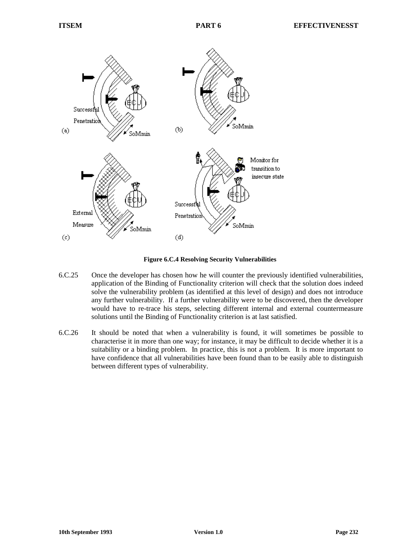

**Figure 6.C.4 Resolving Security Vulnerabilities**

- 6.C.25 Once the developer has chosen how he will counter the previously identified vulnerabilities, application of the Binding of Functionality criterion will check that the solution does indeed solve the vulnerability problem (as identified at this level of design) and does not introduce any further vulnerability. If a further vulnerability were to be discovered, then the developer would have to re-trace his steps, selecting different internal and external countermeasure solutions until the Binding of Functionality criterion is at last satisfied.
- 6.C.26 It should be noted that when a vulnerability is found, it will sometimes be possible to characterise it in more than one way; for instance, it may be difficult to decide whether it is a suitability or a binding problem. In practice, this is not a problem. It is more important to have confidence that all vulnerabilities have been found than to be easily able to distinguish between different types of vulnerability.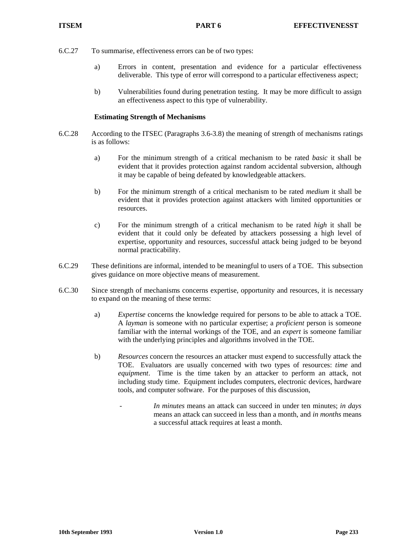- 6.C.27 To summarise, effectiveness errors can be of two types:
	- a) Errors in content, presentation and evidence for a particular effectiveness deliverable. This type of error will correspond to a particular effectiveness aspect;
	- b) Vulnerabilities found during penetration testing. It may be more difficult to assign an effectiveness aspect to this type of vulnerability.

## **Estimating Strength of Mechanisms**

- 6.C.28 According to the ITSEC (Paragraphs 3.6-3.8) the meaning of strength of mechanisms ratings is as follows:
	- a) For the minimum strength of a critical mechanism to be rated *basic* it shall be evident that it provides protection against random accidental subversion, although it may be capable of being defeated by knowledgeable attackers.
	- b) For the minimum strength of a critical mechanism to be rated *medium* it shall be evident that it provides protection against attackers with limited opportunities or resources.
	- c) For the minimum strength of a critical mechanism to be rated *high* it shall be evident that it could only be defeated by attackers possessing a high level of expertise, opportunity and resources, successful attack being judged to be beyond normal practicability.
- 6.C.29 These definitions are informal, intended to be meaningful to users of a TOE. This subsection gives guidance on more objective means of measurement.
- 6.C.30 Since strength of mechanisms concerns expertise, opportunity and resources, it is necessary to expand on the meaning of these terms:
	- a) *Expertise* concerns the knowledge required for persons to be able to attack a TOE. A *layman* is someone with no particular expertise; a *proficient* person is someone familiar with the internal workings of the TOE, and an *expert* is someone familiar with the underlying principles and algorithms involved in the TOE.
	- b) *Resources* concern the resources an attacker must expend to successfully attack the TOE. Evaluators are usually concerned with two types of resources: *time* and *equipment*. Time is the time taken by an attacker to perform an attack, not including study time. Equipment includes computers, electronic devices, hardware tools, and computer software. For the purposes of this discussion,
		- *In minutes* means an attack can succeed in under ten minutes; *in days* means an attack can succeed in less than a month, and *in months* means a successful attack requires at least a month.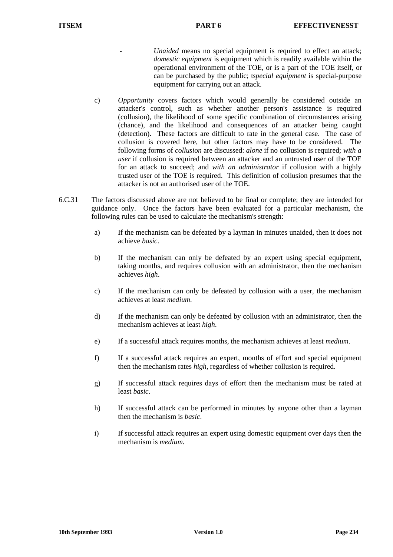- *Unaided* means no special equipment is required to effect an attack; *domestic equipment* is equipment which is readily available within the operational environment of the TOE, or is a part of the TOE itself, or can be purchased by the public; t*special equipment* is special-purpose equipment for carrying out an attack.

- c) *Opportunity* covers factors which would generally be considered outside an attacker's control, such as whether another person's assistance is required (collusion), the likelihood of some specific combination of circumstances arising (chance), and the likelihood and consequences of an attacker being caught (detection). These factors are difficult to rate in the general case. The case of collusion is covered here, but other factors may have to be considered. The following forms of *collusion* are discussed: *alone* if no collusion is required; *with a user* if collusion is required between an attacker and an untrusted user of the TOE for an attack to succeed; and *with an administrator* if collusion with a highly trusted user of the TOE is required. This definition of collusion presumes that the attacker is not an authorised user of the TOE.
- 6.C.31 The factors discussed above are not believed to be final or complete; they are intended for guidance only. Once the factors have been evaluated for a particular mechanism, the following rules can be used to calculate the mechanism's strength:
	- a) If the mechanism can be defeated by a layman in minutes unaided, then it does not achieve *basic*.
	- b) If the mechanism can only be defeated by an expert using special equipment, taking months, and requires collusion with an administrator, then the mechanism achieves *high*.
	- c) If the mechanism can only be defeated by collusion with a user, the mechanism achieves at least *medium*.
	- d) If the mechanism can only be defeated by collusion with an administrator, then the mechanism achieves at least *high*.
	- e) If a successful attack requires months, the mechanism achieves at least *medium*.
	- f) If a successful attack requires an expert, months of effort and special equipment then the mechanism rates *high*, regardless of whether collusion is required.
	- g) If successful attack requires days of effort then the mechanism must be rated at least *basic*.
	- h) If successful attack can be performed in minutes by anyone other than a layman then the mechanism is *basic*.
	- i) If successful attack requires an expert using domestic equipment over days then the mechanism is *medium*.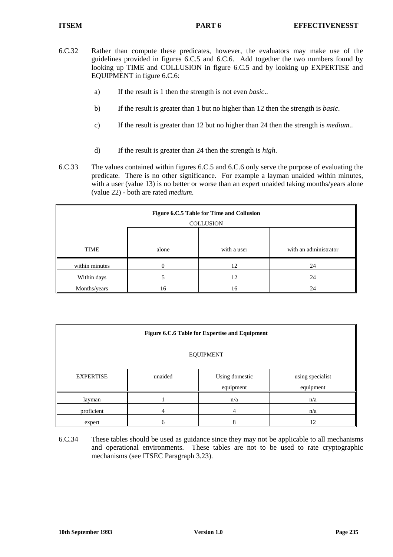- 6.C.32 Rather than compute these predicates, however, the evaluators may make use of the guidelines provided in figures 6.C.5 and 6.C.6. Add together the two numbers found by looking up TIME and COLLUSION in figure 6.C.5 and by looking up EXPERTISE and EQUIPMENT in figure 6.C.6:
	- a) If the result is 1 then the strength is not even *basic*..
	- b) If the result is greater than 1 but no higher than 12 then the strength is *basic*.
	- c) If the result is greater than 12 but no higher than 24 then the strength is *medium*..
	- d) If the result is greater than 24 then the strength is *high*.
- 6.C.33 The values contained within figures 6.C.5 and 6.C.6 only serve the purpose of evaluating the predicate. There is no other significance. For example a layman unaided within minutes, with a user (value 13) is no better or worse than an expert unaided taking months/years alone (value 22) - both are rated *medium*.

| Figure 6.C.5 Table for Time and Collusion |                  |             |                       |  |  |  |  |  |
|-------------------------------------------|------------------|-------------|-----------------------|--|--|--|--|--|
|                                           | <b>COLLUSION</b> |             |                       |  |  |  |  |  |
|                                           |                  |             |                       |  |  |  |  |  |
| TIME                                      | alone            | with a user | with an administrator |  |  |  |  |  |
| within minutes                            |                  | 12          | 24                    |  |  |  |  |  |
| Within days                               |                  | 12          | 24                    |  |  |  |  |  |
| Months/years                              | 16               | 16          | 24                    |  |  |  |  |  |

| Figure 6.C.6 Table for Expertise and Equipment |         |                             |                               |  |  |  |  |
|------------------------------------------------|---------|-----------------------------|-------------------------------|--|--|--|--|
| <b>EQUIPMENT</b>                               |         |                             |                               |  |  |  |  |
| <b>EXPERTISE</b>                               | unaided | Using domestic<br>equipment | using specialist<br>equipment |  |  |  |  |
| layman                                         |         | n/a                         | n/a                           |  |  |  |  |
| proficient                                     | 4       | 4                           | n/a                           |  |  |  |  |
| expert                                         | 6       | 8                           | 12                            |  |  |  |  |

6.C.34 These tables should be used as guidance since they may not be applicable to all mechanisms and operational environments. These tables are not to be used to rate cryptographic mechanisms (see ITSEC Paragraph 3.23).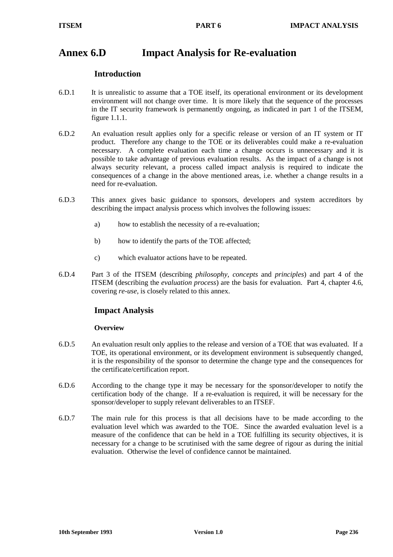# **Annex 6.D Impact Analysis for Re-evaluation**

## **Introduction**

- 6.D.1 It is unrealistic to assume that a TOE itself, its operational environment or its development environment will not change over time. It is more likely that the sequence of the processes in the IT security framework is permanently ongoing, as indicated in part 1 of the ITSEM, figure 1.1.1.
- 6.D.2 An evaluation result applies only for a specific release or version of an IT system or IT product. Therefore any change to the TOE or its deliverables could make a re-evaluation necessary. A complete evaluation each time a change occurs is unnecessary and it is possible to take advantage of previous evaluation results. As the impact of a change is not always security relevant, a process called impact analysis is required to indicate the consequences of a change in the above mentioned areas, i.e. whether a change results in a need for re-evaluation.
- 6.D.3 This annex gives basic guidance to sponsors, developers and system accreditors by describing the impact analysis process which involves the following issues:
	- a) how to establish the necessity of a re-evaluation;
	- b) how to identify the parts of the TOE affected;
	- c) which evaluator actions have to be repeated.
- 6.D.4 Part 3 of the ITSEM (describing *philosophy, concepts* and *principles*) and part 4 of the ITSEM (describing the *evaluation process*) are the basis for evaluation. Part 4, chapter 4.6, covering *re-use*, is closely related to this annex.

## **Impact Analysis**

## **Overview**

- 6.D.5 An evaluation result only applies to the release and version of a TOE that was evaluated. If a TOE, its operational environment, or its development environment is subsequently changed, it is the responsibility of the sponsor to determine the change type and the consequences for the certificate/certification report.
- 6.D.6 According to the change type it may be necessary for the sponsor/developer to notify the certification body of the change. If a re-evaluation is required, it will be necessary for the sponsor/developer to supply relevant deliverables to an ITSEF.
- 6.D.7 The main rule for this process is that all decisions have to be made according to the evaluation level which was awarded to the TOE. Since the awarded evaluation level is a measure of the confidence that can be held in a TOE fulfilling its security objectives, it is necessary for a change to be scrutinised with the same degree of rigour as during the initial evaluation. Otherwise the level of confidence cannot be maintained.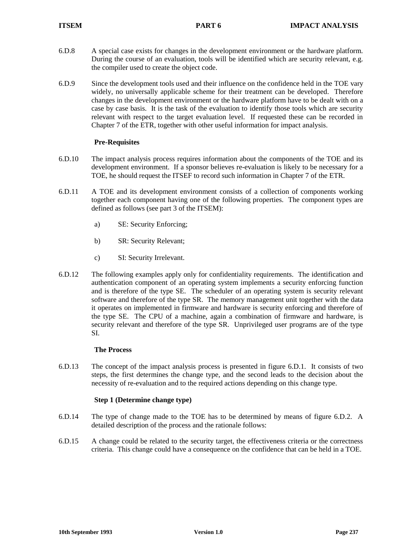- 6.D.8 A special case exists for changes in the development environment or the hardware platform. During the course of an evaluation, tools will be identified which are security relevant, e.g. the compiler used to create the object code.
- 6.D.9 Since the development tools used and their influence on the confidence held in the TOE vary widely, no universally applicable scheme for their treatment can be developed. Therefore changes in the development environment or the hardware platform have to be dealt with on a case by case basis. It is the task of the evaluation to identify those tools which are security relevant with respect to the target evaluation level. If requested these can be recorded in Chapter 7 of the ETR, together with other useful information for impact analysis.

## **Pre-Requisites**

- 6.D.10 The impact analysis process requires information about the components of the TOE and its development environment. If a sponsor believes re-evaluation is likely to be necessary for a TOE, he should request the ITSEF to record such information in Chapter 7 of the ETR.
- 6.D.11 A TOE and its development environment consists of a collection of components working together each component having one of the following properties. The component types are defined as follows (see part 3 of the ITSEM):
	- a) SE: Security Enforcing;
	- b) SR: Security Relevant;
	- c) SI: Security Irrelevant.
- 6.D.12 The following examples apply only for confidentiality requirements. The identification and authentication component of an operating system implements a security enforcing function and is therefore of the type SE. The scheduler of an operating system is security relevant software and therefore of the type SR. The memory management unit together with the data it operates on implemented in firmware and hardware is security enforcing and therefore of the type SE. The CPU of a machine, again a combination of firmware and hardware, is security relevant and therefore of the type SR. Unprivileged user programs are of the type SI.

## **The Process**

6.D.13 The concept of the impact analysis process is presented in figure 6.D.1. It consists of two steps, the first determines the change type, and the second leads to the decision about the necessity of re-evaluation and to the required actions depending on this change type.

## **Step 1 (Determine change type)**

- 6.D.14 The type of change made to the TOE has to be determined by means of figure 6.D.2. A detailed description of the process and the rationale follows:
- 6.D.15 A change could be related to the security target, the effectiveness criteria or the correctness criteria. This change could have a consequence on the confidence that can be held in a TOE.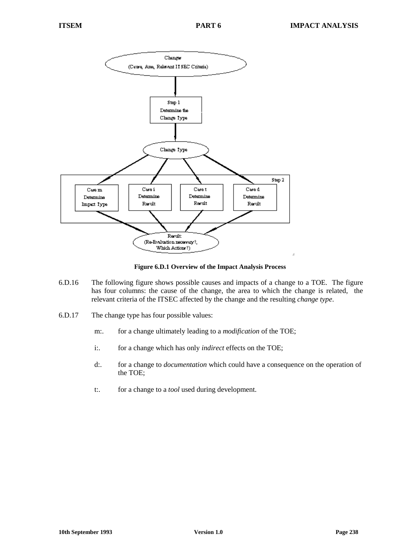

**Figure 6.D.1 Overview of the Impact Analysis Process**

- 6.D.16 The following figure shows possible causes and impacts of a change to a TOE. The figure has four columns: the cause of the change, the area to which the change is related, the relevant criteria of the ITSEC affected by the change and the resulting *change type*.
- 6.D.17 The change type has four possible values:
	- m:. for a change ultimately leading to a *modification* of the TOE;
	- i:. for a change which has only *indirect* effects on the TOE;
	- d:. for a change to *documentation* which could have a consequence on the operation of the TOE;
	- t:. for a change to a *tool* used during development.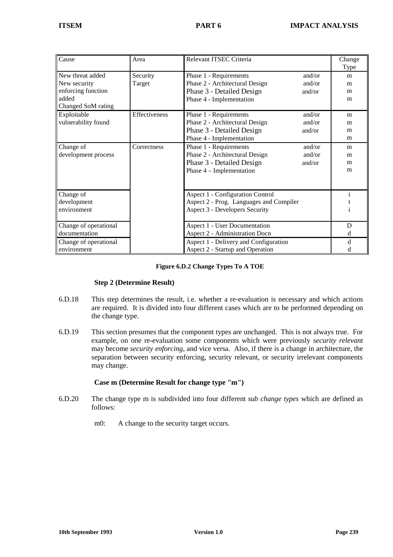| Cause                 | Area          | Relevant ITSEC Criteria                 |        | Change<br>Type |  |
|-----------------------|---------------|-----------------------------------------|--------|----------------|--|
| New threat added      | Security      | Phase 1 - Requirements                  | and/or | m              |  |
| New security          | Target        | Phase 2 - Architectural Design          | and/or | m              |  |
| enforcing function    |               | Phase 3 - Detailed Design               | and/or |                |  |
| added                 |               | Phase 4 - Implementation                |        | m              |  |
| Changed SoM rating    |               |                                         |        |                |  |
| Exploitable           | Effectiveness | Phase 1 - Requirements                  | and/or | m              |  |
| vulnerability found   |               | Phase 2 - Architectural Design          | and/or | m              |  |
|                       |               | Phase 3 - Detailed Design               | and/or | m              |  |
|                       |               | Phase 4 - Implementation                |        | m              |  |
| Change of             | Correctness   | Phase 1 - Requirements                  | and/or | m              |  |
| development process   |               | Phase 2 - Architectural Design          | and/or | m              |  |
|                       |               | Phase 3 - Detailed Design               | and/or | m              |  |
|                       |               | Phase $4$ – Implementation              |        | m              |  |
|                       |               |                                         |        |                |  |
| Change of             |               | Aspect 1 - Configuration Control        |        | $\mathbf{1}$   |  |
| development           |               | Aspect 2 - Prog. Languages and Compiler |        |                |  |
| environment           |               | <b>Aspect 3 - Developers Security</b>   |        | 1              |  |
|                       |               |                                         |        |                |  |
| Change of operational |               | Aspect 1 - User Documentation           |        | D              |  |
| documentation         |               | Aspect 2 - Administration Docn          |        | d              |  |
| Change of operational |               | Aspect 1 - Delivery and Configuration   |        | d              |  |
| environment           |               | Aspect 2 - Startup and Operation        |        | d              |  |

#### **Figure 6.D.2 Change Types To A TOE**

## **Step 2 (Determine Result)**

- 6.D.18 This step determines the result, i.e. whether a re-evaluation is necessary and which actions are required. It is divided into four different cases which are to be performed depending on the change type.
- 6.D.19 This section presumes that the component types are unchanged. This is not always true. For example, on one re-evaluation some components which were previously *security relevant* may become *security enforcing*, and vice versa. Also, if there is a change in architecture, the separation between security enforcing, security relevant, or security irrelevant components may change.

#### **Case m (Determine Result for change type "m")**

- 6.D.20 The change type m is subdivided into four different *sub change types* which are defined as follows:
	- m0: A change to the security target occurs.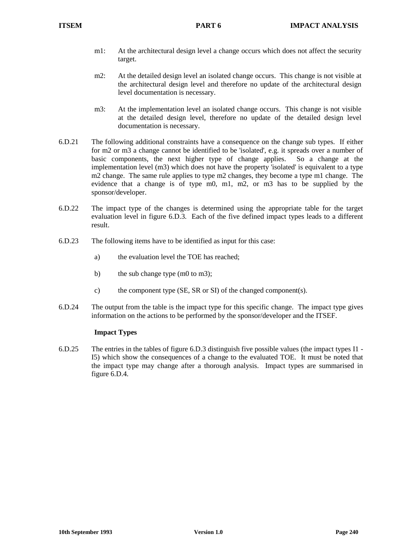- m1: At the architectural design level a change occurs which does not affect the security target.
- m2: At the detailed design level an isolated change occurs. This change is not visible at the architectural design level and therefore no update of the architectural design level documentation is necessary.
- m3: At the implementation level an isolated change occurs. This change is not visible at the detailed design level, therefore no update of the detailed design level documentation is necessary.
- 6.D.21 The following additional constraints have a consequence on the change sub types. If either for m2 or m3 a change cannot be identified to be 'isolated', e.g. it spreads over a number of basic components, the next higher type of change applies. So a change at the implementation level (m3) which does not have the property 'isolated' is equivalent to a type m2 change. The same rule applies to type m2 changes, they become a type m1 change. The evidence that a change is of type m0, m1, m2, or m3 has to be supplied by the sponsor/developer.
- 6.D.22 The impact type of the changes is determined using the appropriate table for the target evaluation level in figure 6.D.3. Each of the five defined impact types leads to a different result.
- 6.D.23 The following items have to be identified as input for this case:
	- a) the evaluation level the TOE has reached;
	- b) the sub change type (m0 to m3);
	- c) the component type (SE, SR or SI) of the changed component(s).
- 6.D.24 The output from the table is the impact type for this specific change. The impact type gives information on the actions to be performed by the sponsor/developer and the ITSEF.

## **Impact Types**

6.D.25 The entries in the tables of figure 6.D.3 distinguish five possible values (the impact types I1 - I5) which show the consequences of a change to the evaluated TOE. It must be noted that the impact type may change after a thorough analysis. Impact types are summarised in figure 6.D.4.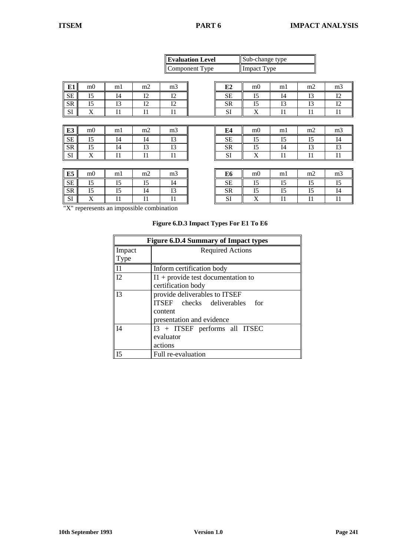|                |                                           |                |                | <b>Evaluation Level</b> |  | Sub-change type |                |                |                |                |
|----------------|-------------------------------------------|----------------|----------------|-------------------------|--|-----------------|----------------|----------------|----------------|----------------|
|                |                                           |                |                | Component Type          |  |                 | Impact Type    |                |                |                |
|                |                                           |                |                |                         |  |                 |                |                |                |                |
| E <sub>1</sub> | m <sub>0</sub>                            | m1             | m2             | m <sub>3</sub>          |  | E2              | m <sub>0</sub> | m1             | m2             | m <sub>3</sub> |
| $\rm SE$       | I <sub>5</sub>                            | I4             | 12             | I2                      |  | <b>SE</b>       | I <sub>5</sub> | I4             | I3             | 12             |
| <b>SR</b>      | I <sub>5</sub>                            | I3             | I2             | I2                      |  | <b>SR</b>       | I <sub>5</sub> | I3             | I3             | I2             |
| <b>SI</b>      | X                                         | I <sub>1</sub> | $_{\rm I1}$    | I <sub>1</sub>          |  | SI              | $\mathbf X$    | I <sub>1</sub> | $_{\rm II}$    | I <sub>1</sub> |
|                |                                           |                |                |                         |  |                 |                |                |                |                |
| E3             | m <sub>0</sub>                            | m1             | m2             | m <sub>3</sub>          |  | E4              | m <sub>0</sub> | ml             | m2             | m <sub>3</sub> |
| $\rm SE$       | I <sub>5</sub>                            | I <sub>4</sub> | $I$ 4          | I <sub>3</sub>          |  | SЕ              | I <sub>5</sub> | I <sub>5</sub> | I <sub>5</sub> | I <sub>4</sub> |
| <b>SR</b>      | I <sub>5</sub>                            | I4             | I <sub>3</sub> | I3                      |  | SR              | I <sub>5</sub> | I <sub>4</sub> | I <sub>3</sub> | I <sub>3</sub> |
| <b>SI</b>      | X                                         | $_{\rm I1}$    | I <sub>1</sub> | I <sub>1</sub>          |  | SI              | $\mathbf X$    | I <sub>1</sub> | I <sub>1</sub> | I1             |
|                |                                           |                |                |                         |  |                 |                |                |                |                |
| E <sub>5</sub> | m <sub>0</sub>                            | m1             | m2             | m <sub>3</sub>          |  | E6              | m <sub>0</sub> | ml             | m2             | m <sub>3</sub> |
| $\rm SE$       | I <sub>5</sub>                            | I <sub>5</sub> | I <sub>5</sub> | I4                      |  | SЕ              | I <sub>5</sub> | I <sub>5</sub> | I <sub>5</sub> | I <sub>5</sub> |
| <b>SR</b>      | I <sub>5</sub>                            | I <sub>5</sub> | I4             | I3                      |  | <b>SR</b>       | I <sub>5</sub> | I <sub>5</sub> | I <sub>5</sub> | I4             |
| <b>SI</b>      | X                                         | I <sub>1</sub> | I <sub>1</sub> | I <sub>1</sub>          |  | SI              | X              | I <sub>1</sub> | $_{\rm II}$    | $_{\rm II}$    |
|                | "X" reperesents an impossible combination |                |                |                         |  |                 |                |                |                |                |

| <b>Figure 6.D.4 Summary of Impact types</b> |                                                                                                           |
|---------------------------------------------|-----------------------------------------------------------------------------------------------------------|
| Impact                                      | <b>Required Actions</b>                                                                                   |
| Type                                        |                                                                                                           |
|                                             | Inform certification body                                                                                 |
| I2                                          | $I1$ + provide test documentation to                                                                      |
|                                             | certification body                                                                                        |
| I3                                          | provide deliverables to ITSEF<br>ITSEF checks deliverables<br>for<br>content<br>presentation and evidence |
| I4                                          | I3 + ITSEF performs all ITSEC<br>evaluator<br>actions                                                     |
|                                             | Full re-evaluation                                                                                        |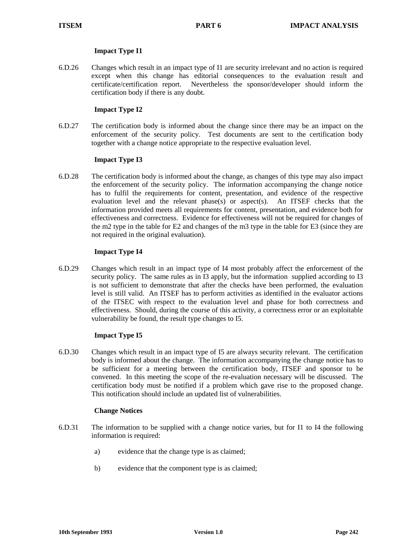## **Impact Type I1**

6.D.26 Changes which result in an impact type of I1 are security irrelevant and no action is required except when this change has editorial consequences to the evaluation result and certificate/certification report. Nevertheless the sponsor/developer should inform the certification body if there is any doubt.

## **Impact Type I2**

6.D.27 The certification body is informed about the change since there may be an impact on the enforcement of the security policy. Test documents are sent to the certification body together with a change notice appropriate to the respective evaluation level.

## **Impact Type I3**

6.D.28 The certification body is informed about the change, as changes of this type may also impact the enforcement of the security policy. The information accompanying the change notice has to fulfil the requirements for content, presentation, and evidence of the respective evaluation level and the relevant phase(s) or aspect(s). An ITSEF checks that the information provided meets all requirements for content, presentation, and evidence both for effectiveness and correctness. Evidence for effectiveness will not be required for changes of the m2 type in the table for E2 and changes of the m3 type in the table for E3 (since they are not required in the original evaluation).

## **Impact Type I4**

6.D.29 Changes which result in an impact type of I4 most probably affect the enforcement of the security policy. The same rules as in I3 apply, but the information supplied according to I3 is not sufficient to demonstrate that after the checks have been performed, the evaluation level is still valid. An ITSEF has to perform activities as identified in the evaluator actions of the ITSEC with respect to the evaluation level and phase for both correctness and effectiveness. Should, during the course of this activity, a correctness error or an exploitable vulnerability be found, the result type changes to I5.

## **Impact Type I5**

6.D.30 Changes which result in an impact type of I5 are always security relevant. The certification body is informed about the change. The information accompanying the change notice has to be sufficient for a meeting between the certification body, ITSEF and sponsor to be convened. In this meeting the scope of the re-evaluation necessary will be discussed. The certification body must be notified if a problem which gave rise to the proposed change. This notification should include an updated list of vulnerabilities.

## **Change Notices**

- 6.D.31 The information to be supplied with a change notice varies, but for I1 to I4 the following information is required:
	- a) evidence that the change type is as claimed;
	- b) evidence that the component type is as claimed;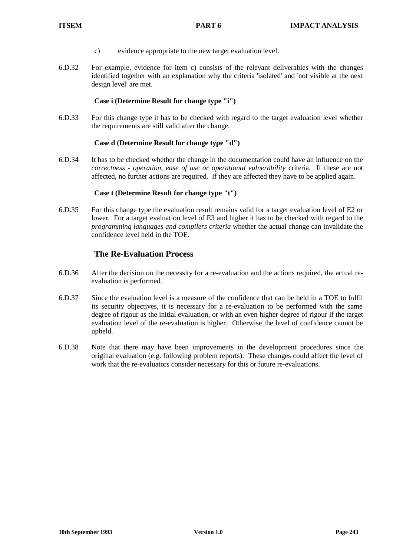- c) evidence appropriate to the new target evaluation level.
- 6.D.32 For example, evidence for item c) consists of the relevant deliverables with the changes identified together with an explanation why the criteria 'isolated' and 'not visible at the next design level' are met.

## **Case i (Determine Result for change type "i")**

6.D.33 For this change type it has to be checked with regard to the target evaluation level whether the requirements are still valid after the change.

## **Case d (Determine Result for change type "d")**

6.D.34 It has to be checked whether the change in the documentation could have an influence on the *correctness - operation, ease of use or operational vulnerability* criteria. If these are not affected, no further actions are required. If they are affected they have to be applied again.

## **Case t (Determine Result for change type "t")**

6.D.35 For this change type the evaluation result remains valid for a target evaluation level of E2 or lower. For a target evaluation level of E3 and higher it has to be checked with regard to the *programming languages and compilers criteria* whether the actual change can invalidate the confidence level held in the TOE.

## **The Re-Evaluation Process**

- 6.D.36 After the decision on the necessity for a re-evaluation and the actions required, the actual reevaluation is performed.
- 6.D.37 Since the evaluation level is a measure of the confidence that can be held in a TOE to fulfil its security objectives, it is necessary for a re-evaluation to be performed with the same degree of rigour as the initial evaluation, or with an even higher degree of rigour if the target evaluation level of the re-evaluation is higher. Otherwise the level of confidence cannot be upheld.
- 6.D.38 Note that there may have been improvements in the development procedures since the original evaluation (e.g. following problem reports). These changes could affect the level of work that the re-evaluators consider necessary for this or future re-evaluations.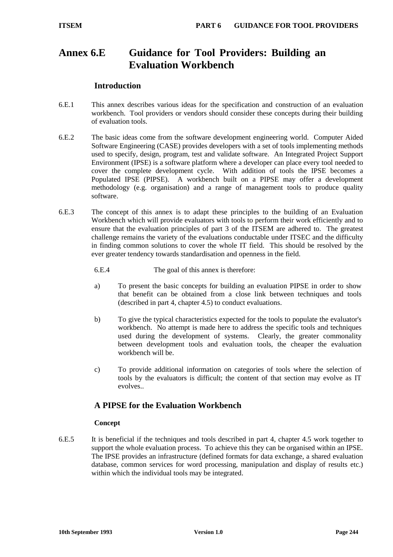# **Annex 6.E Guidance for Tool Providers: Building an Evaluation Workbench**

## **Introduction**

- 6.E.1 This annex describes various ideas for the specification and construction of an evaluation workbench. Tool providers or vendors should consider these concepts during their building of evaluation tools.
- 6.E.2 The basic ideas come from the software development engineering world. Computer Aided Software Engineering (CASE) provides developers with a set of tools implementing methods used to specify, design, program, test and validate software. An Integrated Project Support Environment (IPSE) is a software platform where a developer can place every tool needed to cover the complete development cycle. With addition of tools the IPSE becomes a Populated IPSE (PIPSE). A workbench built on a PIPSE may offer a development methodology (e.g. organisation) and a range of management tools to produce quality software.
- 6.E.3 The concept of this annex is to adapt these principles to the building of an Evaluation Workbench which will provide evaluators with tools to perform their work efficiently and to ensure that the evaluation principles of part 3 of the ITSEM are adhered to. The greatest challenge remains the variety of the evaluations conductable under ITSEC and the difficulty in finding common solutions to cover the whole IT field. This should be resolved by the ever greater tendency towards standardisation and openness in the field.
	- 6.E.4 The goal of this annex is therefore:
	- a) To present the basic concepts for building an evaluation PIPSE in order to show that benefit can be obtained from a close link between techniques and tools (described in part 4, chapter 4.5) to conduct evaluations.
	- b) To give the typical characteristics expected for the tools to populate the evaluator's workbench. No attempt is made here to address the specific tools and techniques used during the development of systems. Clearly, the greater commonality between development tools and evaluation tools, the cheaper the evaluation workbench will be.
	- c) To provide additional information on categories of tools where the selection of tools by the evaluators is difficult; the content of that section may evolve as IT evolves..

## **A PIPSE for the Evaluation Workbench**

## **Concept**

6.E.5 It is beneficial if the techniques and tools described in part 4, chapter 4.5 work together to support the whole evaluation process. To achieve this they can be organised within an IPSE. The IPSE provides an infrastructure (defined formats for data exchange, a shared evaluation database, common services for word processing, manipulation and display of results etc.) within which the individual tools may be integrated.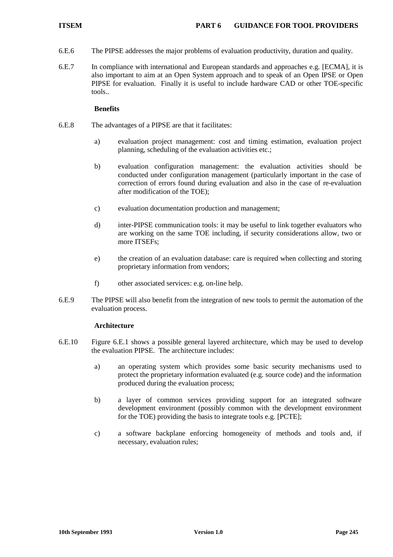- 6.E.6 The PIPSE addresses the major problems of evaluation productivity, duration and quality.
- 6.E.7 In compliance with international and European standards and approaches e.g. [ECMA], it is also important to aim at an Open System approach and to speak of an Open IPSE or Open PIPSE for evaluation. Finally it is useful to include hardware CAD or other TOE-specific tools..

## **Benefits**

- 6.E.8 The advantages of a PIPSE are that it facilitates:
	- a) evaluation project management: cost and timing estimation, evaluation project planning, scheduling of the evaluation activities etc.;
	- b) evaluation configuration management: the evaluation activities should be conducted under configuration management (particularly important in the case of correction of errors found during evaluation and also in the case of re-evaluation after modification of the TOE);
	- c) evaluation documentation production and management;
	- d) inter-PIPSE communication tools: it may be useful to link together evaluators who are working on the same TOE including, if security considerations allow, two or more ITSEFs;
	- e) the creation of an evaluation database: care is required when collecting and storing proprietary information from vendors;
	- f) other associated services: e.g. on-line help.
- 6.E.9 The PIPSE will also benefit from the integration of new tools to permit the automation of the evaluation process.

#### **Architecture**

- 6.E.10 Figure 6.E.1 shows a possible general layered architecture, which may be used to develop the evaluation PIPSE. The architecture includes:
	- a) an operating system which provides some basic security mechanisms used to protect the proprietary information evaluated (e.g. source code) and the information produced during the evaluation process;
	- b) a layer of common services providing support for an integrated software development environment (possibly common with the development environment for the TOE) providing the basis to integrate tools e.g. [PCTE];
	- c) a software backplane enforcing homogeneity of methods and tools and, if necessary, evaluation rules;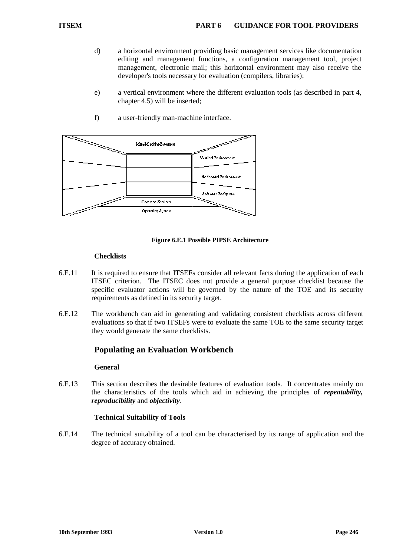- d) a horizontal environment providing basic management services like documentation editing and management functions, a configuration management tool, project management, electronic mail; this horizontal environment may also receive the developer's tools necessary for evaluation (compilers, libraries);
- e) a vertical environment where the different evaluation tools (as described in part 4, chapter 4.5) will be inserted;
- f) a user-friendly man-machine interface.



#### **Figure 6.E.1 Possible PIPSE Architecture**

#### **Checklists**

- 6.E.11 It is required to ensure that ITSEFs consider all relevant facts during the application of each ITSEC criterion. The ITSEC does not provide a general purpose checklist because the specific evaluator actions will be governed by the nature of the TOE and its security requirements as defined in its security target.
- 6.E.12 The workbench can aid in generating and validating consistent checklists across different evaluations so that if two ITSEFs were to evaluate the same TOE to the same security target they would generate the same checklists.

## **Populating an Evaluation Workbench**

#### **General**

6.E.13 This section describes the desirable features of evaluation tools. It concentrates mainly on the characteristics of the tools which aid in achieving the principles of *repeatability, reproducibility* and *objectivity*.

### **Technical Suitability of Tools**

6.E.14 The technical suitability of a tool can be characterised by its range of application and the degree of accuracy obtained.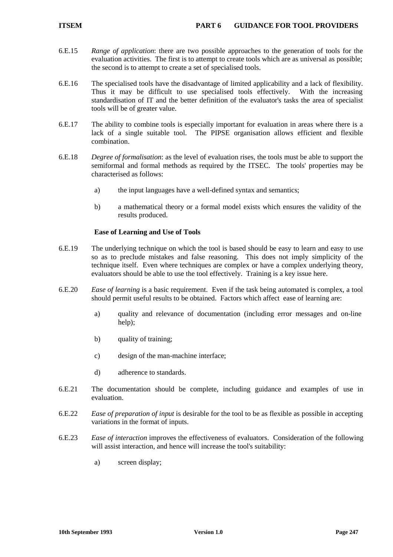- 6.E.15 *Range of application*: there are two possible approaches to the generation of tools for the evaluation activities. The first is to attempt to create tools which are as universal as possible; the second is to attempt to create a set of specialised tools.
- 6.E.16 The specialised tools have the disadvantage of limited applicability and a lack of flexibility. Thus it may be difficult to use specialised tools effectively. With the increasing standardisation of IT and the better definition of the evaluator's tasks the area of specialist tools will be of greater value.
- 6.E.17 The ability to combine tools is especially important for evaluation in areas where there is a lack of a single suitable tool. The PIPSE organisation allows efficient and flexible combination.
- 6.E.18 *Degree of formalisation*: as the level of evaluation rises, the tools must be able to support the semiformal and formal methods as required by the ITSEC. The tools' properties may be characterised as follows:
	- a) the input languages have a well-defined syntax and semantics;
	- b) a mathematical theory or a formal model exists which ensures the validity of the results produced.

### **Ease of Learning and Use of Tools**

- 6.E.19 The underlying technique on which the tool is based should be easy to learn and easy to use so as to preclude mistakes and false reasoning. This does not imply simplicity of the technique itself. Even where techniques are complex or have a complex underlying theory, evaluators should be able to use the tool effectively. Training is a key issue here.
- 6.E.20 *Ease of learning* is a basic requirement. Even if the task being automated is complex, a tool should permit useful results to be obtained. Factors which affect ease of learning are:
	- a) quality and relevance of documentation (including error messages and on-line help);
	- b) quality of training:
	- c) design of the man-machine interface;
	- d) adherence to standards.
- 6.E.21 The documentation should be complete, including guidance and examples of use in evaluation.
- 6.E.22 *Ease of preparation of input* is desirable for the tool to be as flexible as possible in accepting variations in the format of inputs.
- 6.E.23 *Ease of interaction* improves the effectiveness of evaluators. Consideration of the following will assist interaction, and hence will increase the tool's suitability:
	- a) screen display;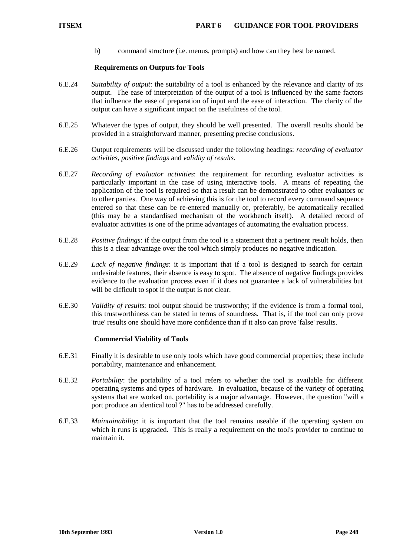b) command structure (i.e. menus, prompts) and how can they best be named.

#### **Requirements on Outputs for Tools**

- 6.E.24 *Suitability of output*: the suitability of a tool is enhanced by the relevance and clarity of its output. The ease of interpretation of the output of a tool is influenced by the same factors that influence the ease of preparation of input and the ease of interaction. The clarity of the output can have a significant impact on the usefulness of the tool.
- 6.E.25 Whatever the types of output, they should be well presented. The overall results should be provided in a straightforward manner, presenting precise conclusions.
- 6.E.26 Output requirements will be discussed under the following headings: *recording of evaluator activities, positive findings* and *validity of results*.
- 6.E.27 *Recording of evaluator activities*: the requirement for recording evaluator activities is particularly important in the case of using interactive tools. A means of repeating the application of the tool is required so that a result can be demonstrated to other evaluators or to other parties. One way of achieving this is for the tool to record every command sequence entered so that these can be re-entered manually or, preferably, be automatically recalled (this may be a standardised mechanism of the workbench itself). A detailed record of evaluator activities is one of the prime advantages of automating the evaluation process.
- 6.E.28 *Positive findings*: if the output from the tool is a statement that a pertinent result holds, then this is a clear advantage over the tool which simply produces no negative indication.
- 6.E.29 *Lack of negative findings*: it is important that if a tool is designed to search for certain undesirable features, their absence is easy to spot. The absence of negative findings provides evidence to the evaluation process even if it does not guarantee a lack of vulnerabilities but will be difficult to spot if the output is not clear.
- 6.E.30 *Validity of results*: tool output should be trustworthy; if the evidence is from a formal tool, this trustworthiness can be stated in terms of soundness. That is, if the tool can only prove 'true' results one should have more confidence than if it also can prove 'false' results.

#### **Commercial Viability of Tools**

- 6.E.31 Finally it is desirable to use only tools which have good commercial properties; these include portability, maintenance and enhancement.
- 6.E.32 *Portability*: the portability of a tool refers to whether the tool is available for different operating systems and types of hardware. In evaluation, because of the variety of operating systems that are worked on, portability is a major advantage. However, the question "will a port produce an identical tool ?" has to be addressed carefully.
- 6.E.33 *Maintainability*: it is important that the tool remains useable if the operating system on which it runs is upgraded. This is really a requirement on the tool's provider to continue to maintain it.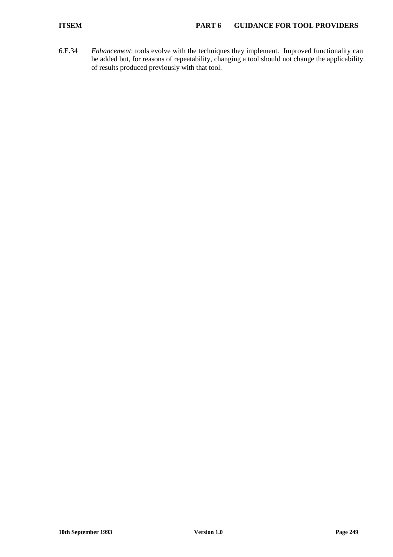6.E.34 *Enhancement*: tools evolve with the techniques they implement. Improved functionality can be added but, for reasons of repeatability, changing a tool should not change the applicability of results produced previously with that tool.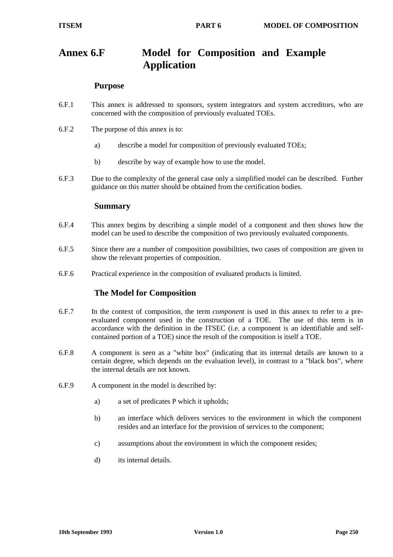# Annex 6.F Model for Composition and Example **Application**

## **Purpose**

- 6.F.1 This annex is addressed to sponsors, system integrators and system accreditors, who are concerned with the composition of previously evaluated TOEs.
- 6.F.2 The purpose of this annex is to:
	- a) describe a model for composition of previously evaluated TOEs;
	- b) describe by way of example how to use the model.
- 6.F.3 Due to the complexity of the general case only a simplified model can be described. Further guidance on this matter should be obtained from the certification bodies.

## **Summary**

- 6.F.4 This annex begins by describing a simple model of a component and then shows how the model can be used to describe the composition of two previously evaluated components.
- 6.F.5 Since there are a number of composition possibilities, two cases of composition are given to show the relevant properties of composition.
- 6.F.6 Practical experience in the composition of evaluated products is limited.

# **The Model for Composition**

- 6.F.7 In the context of composition, the term *component* is used in this annex to refer to a preevaluated component used in the construction of a TOE. The use of this term is in accordance with the definition in the ITSEC (i.e. a component is an identifiable and selfcontained portion of a TOE) since the result of the composition is itself a TOE.
- 6.F.8 A component is seen as a "white box" (indicating that its internal details are known to a certain degree, which depends on the evaluation level), in contrast to a "black box", where the internal details are not known.
- 6.F.9 A component in the model is described by:
	- a) a set of predicates P which it upholds;
	- b) an interface which delivers services to the environment in which the component resides and an interface for the provision of services to the component;
	- c) assumptions about the environment in which the component resides;
	- d) its internal details.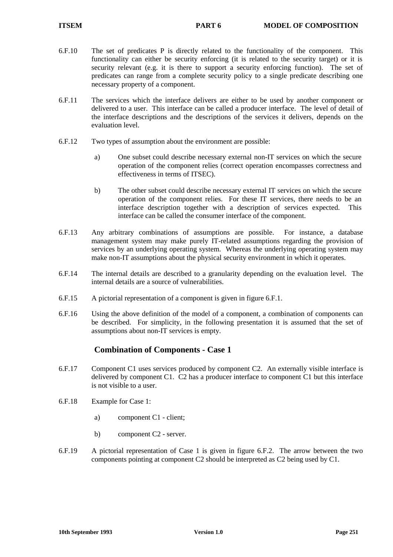- 6.F.10 The set of predicates P is directly related to the functionality of the component. This functionality can either be security enforcing (it is related to the security target) or it is security relevant (e.g. it is there to support a security enforcing function). The set of predicates can range from a complete security policy to a single predicate describing one necessary property of a component.
- 6.F.11 The services which the interface delivers are either to be used by another component or delivered to a user. This interface can be called a producer interface. The level of detail of the interface descriptions and the descriptions of the services it delivers, depends on the evaluation level.
- 6.F.12 Two types of assumption about the environment are possible:
	- a) One subset could describe necessary external non-IT services on which the secure operation of the component relies (correct operation encompasses correctness and effectiveness in terms of ITSEC).
	- b) The other subset could describe necessary external IT services on which the secure operation of the component relies. For these IT services, there needs to be an interface description together with a description of services expected. This interface can be called the consumer interface of the component.
- 6.F.13 Any arbitrary combinations of assumptions are possible. For instance, a database management system may make purely IT-related assumptions regarding the provision of services by an underlying operating system. Whereas the underlying operating system may make non-IT assumptions about the physical security environment in which it operates.
- 6.F.14 The internal details are described to a granularity depending on the evaluation level. The internal details are a source of vulnerabilities.
- 6.F.15 A pictorial representation of a component is given in figure 6.F.1.
- 6.F.16 Using the above definition of the model of a component, a combination of components can be described. For simplicity, in the following presentation it is assumed that the set of assumptions about non-IT services is empty.

# **Combination of Components - Case 1**

- 6.F.17 Component C1 uses services produced by component C2. An externally visible interface is delivered by component C1. C2 has a producer interface to component C1 but this interface is not visible to a user.
- 6.F.18 Example for Case 1:
	- a) component C1 client;
	- b) component C2 server.
- 6.F.19 A pictorial representation of Case 1 is given in figure 6.F.2. The arrow between the two components pointing at component C2 should be interpreted as C2 being used by C1.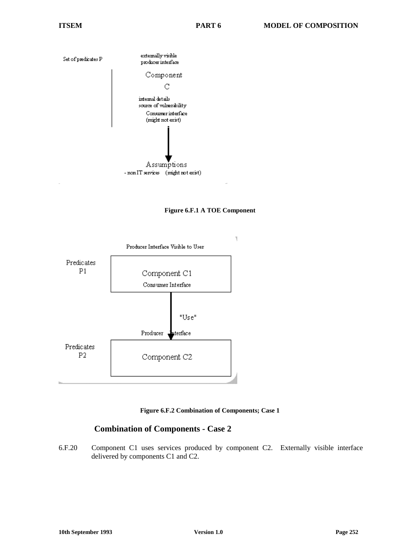







# **Combination of Components - Case 2**

6.F.20 Component C1 uses services produced by component C2. Externally visible interface delivered by components C1 and C2.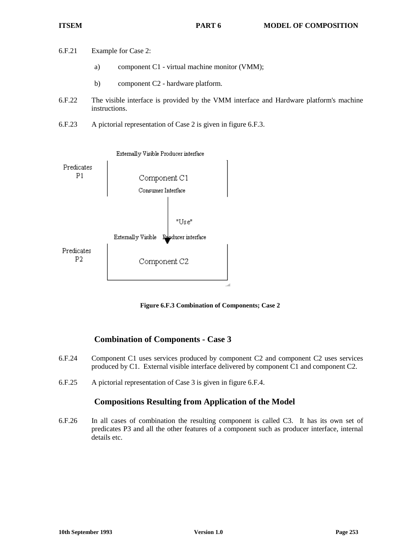

- a) component C1 virtual machine monitor (VMM);
- b) component C2 hardware platform.
- 6.F.22 The visible interface is provided by the VMM interface and Hardware platform's machine instructions.
- 6.F.23 A pictorial representation of Case 2 is given in figure 6.F.3.



**Figure 6.F.3 Combination of Components; Case 2**

# **Combination of Components - Case 3**

- 6.F.24 Component C1 uses services produced by component C2 and component C2 uses services produced by C1. External visible interface delivered by component C1 and component C2.
- 6.F.25 A pictorial representation of Case 3 is given in figure 6.F.4.

# **Compositions Resulting from Application of the Model**

6.F.26 In all cases of combination the resulting component is called C3. It has its own set of predicates P3 and all the other features of a component such as producer interface, internal details etc.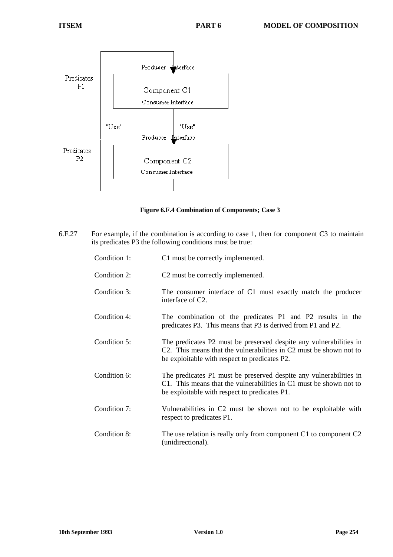



6.F.27 For example, if the combination is according to case 1, then for component C3 to maintain its predicates P3 the following conditions must be true:

| Condition 1: | C1 must be correctly implemented.                                                                                                                                                         |
|--------------|-------------------------------------------------------------------------------------------------------------------------------------------------------------------------------------------|
| Condition 2: | C <sub>2</sub> must be correctly implemented.                                                                                                                                             |
| Condition 3: | The consumer interface of C1 must exactly match the producer<br>interface of C2.                                                                                                          |
| Condition 4: | The combination of the predicates P1 and P2 results in the<br>predicates P3. This means that P3 is derived from P1 and P2.                                                                |
| Condition 5: | The predicates P2 must be preserved despite any vulnerabilities in<br>C2. This means that the vulnerabilities in C2 must be shown not to<br>be exploitable with respect to predicates P2. |
| Condition 6: | The predicates P1 must be preserved despite any vulnerabilities in<br>C1. This means that the vulnerabilities in C1 must be shown not to<br>be exploitable with respect to predicates P1. |
| Condition 7: | Vulnerabilities in C2 must be shown not to be exploitable with<br>respect to predicates P1.                                                                                               |
| Condition 8: | The use relation is really only from component C1 to component C2<br>(unidirectional).                                                                                                    |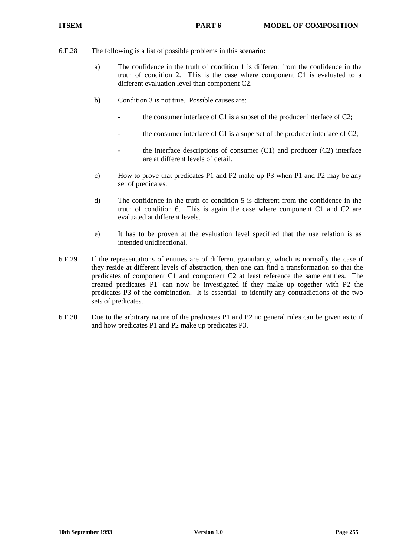- 6.F.28 The following is a list of possible problems in this scenario:
	- a) The confidence in the truth of condition 1 is different from the confidence in the truth of condition 2. This is the case where component C1 is evaluated to a different evaluation level than component C2.
	- b) Condition 3 is not true. Possible causes are:
		- the consumer interface of C1 is a subset of the producer interface of C2;
		- the consumer interface of C1 is a superset of the producer interface of C2;
		- the interface descriptions of consumer (C1) and producer (C2) interface are at different levels of detail.
	- c) How to prove that predicates P1 and P2 make up P3 when P1 and P2 may be any set of predicates.
	- d) The confidence in the truth of condition 5 is different from the confidence in the truth of condition 6. This is again the case where component C1 and C2 are evaluated at different levels.
	- e) It has to be proven at the evaluation level specified that the use relation is as intended unidirectional.
- 6.F.29 If the representations of entities are of different granularity, which is normally the case if they reside at different levels of abstraction, then one can find a transformation so that the predicates of component C1 and component C2 at least reference the same entities. The created predicates P1' can now be investigated if they make up together with P2 the predicates P3 of the combination. It is essential to identify any contradictions of the two sets of predicates.
- 6.F.30 Due to the arbitrary nature of the predicates P1 and P2 no general rules can be given as to if and how predicates P1 and P2 make up predicates P3.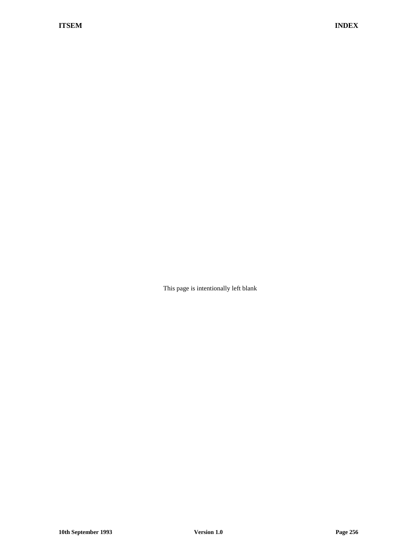This page is intentionally left blank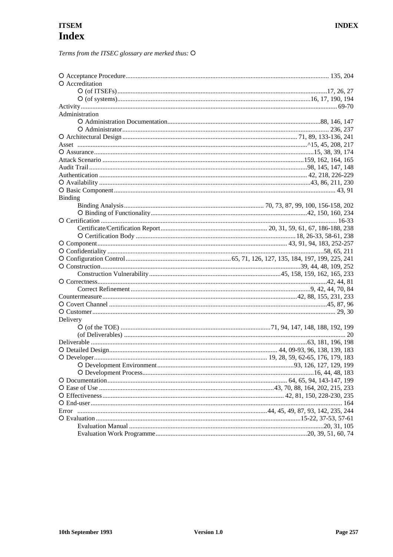# Terms from the ITSEC glossary are merked thus: O

| O Accreditation |  |
|-----------------|--|
|                 |  |
|                 |  |
|                 |  |
| Administration  |  |
|                 |  |
|                 |  |
|                 |  |
|                 |  |
|                 |  |
|                 |  |
|                 |  |
|                 |  |
|                 |  |
|                 |  |
| <b>Binding</b>  |  |
|                 |  |
|                 |  |
|                 |  |
|                 |  |
|                 |  |
|                 |  |
|                 |  |
|                 |  |
|                 |  |
|                 |  |
|                 |  |
|                 |  |
|                 |  |
|                 |  |
|                 |  |
|                 |  |
| Delivery        |  |
|                 |  |
|                 |  |
|                 |  |
|                 |  |
|                 |  |
|                 |  |
|                 |  |
|                 |  |
|                 |  |
|                 |  |
|                 |  |
|                 |  |
|                 |  |
|                 |  |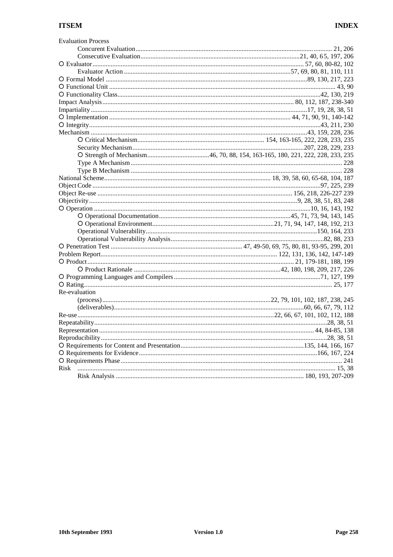# **ITSEM**

| <b>Evaluation Process</b> |  |
|---------------------------|--|
|                           |  |
|                           |  |
|                           |  |
|                           |  |
|                           |  |
|                           |  |
|                           |  |
|                           |  |
|                           |  |
|                           |  |
|                           |  |
|                           |  |
|                           |  |
|                           |  |
|                           |  |
|                           |  |
|                           |  |
|                           |  |
|                           |  |
|                           |  |
|                           |  |
|                           |  |
|                           |  |
|                           |  |
|                           |  |
|                           |  |
|                           |  |
|                           |  |
|                           |  |
|                           |  |
|                           |  |
|                           |  |
| Re-evaluation             |  |
|                           |  |
|                           |  |
|                           |  |
|                           |  |
|                           |  |
|                           |  |
|                           |  |
|                           |  |
|                           |  |
|                           |  |
| Risk                      |  |
|                           |  |